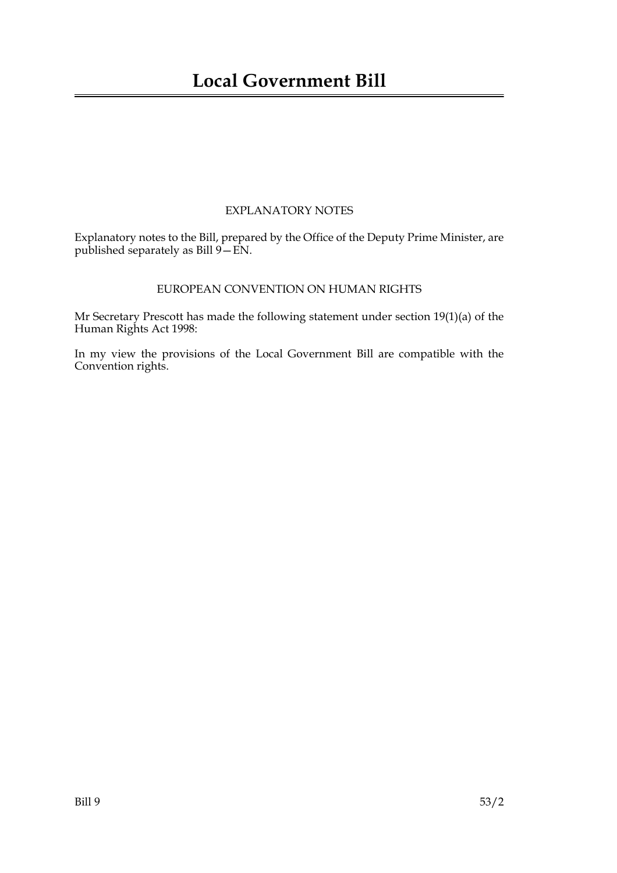## EXPLANATORY NOTES

Explanatory notes to the Bill, prepared by the Office of the Deputy Prime Minister, are published separately as Bill 9—EN.

## EUROPEAN CONVENTION ON HUMAN RIGHTS

Mr Secretary Prescott has made the following statement under section 19(1)(a) of the Human Rights Act 1998:

In my view the provisions of the Local Government Bill are compatible with the Convention rights.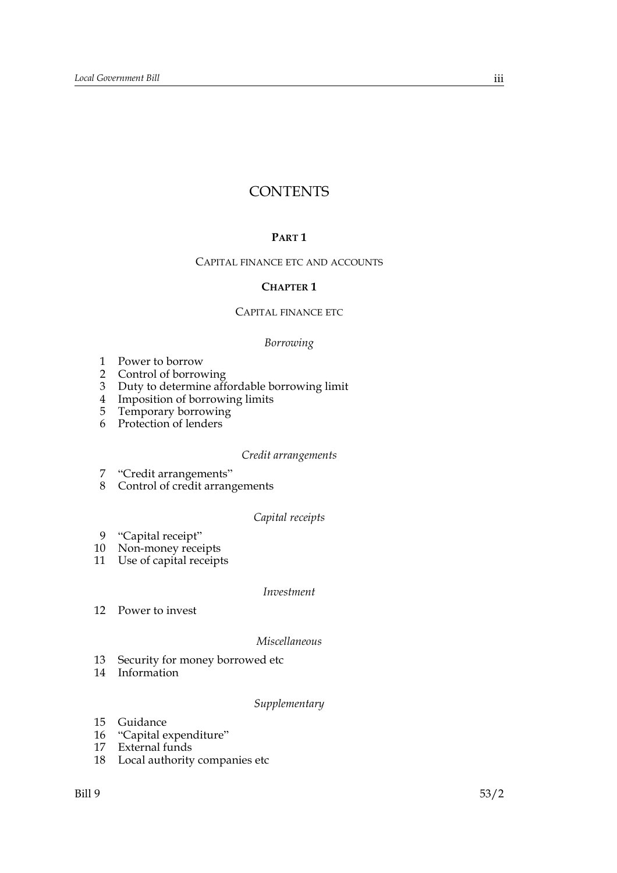# **CONTENTS**

## **PART 1**

## CAPITAL FINANCE ETC AND ACCOUNTS

## **CHAPTER 1**

#### CAPITAL FINANCE ETC

## *Borrowing*

- 1 Power to borrow
- 2 Control of borrowing
- 3 Duty to determine affordable borrowing limit
- 4 Imposition of borrowing limits
- 5 Temporary borrowing
- 6 Protection of lenders

## *Credit arrangements*

- 7 "Credit arrangements"
- 8 Control of credit arrangements

#### *Capital receipts*

- 9 "Capital receipt"
- 10 Non-money receipts
- 11 Use of capital receipts

#### *Investment*

12 Power to invest

#### *Miscellaneous*

- 13 Security for money borrowed etc
- 14 Information

#### *Supplementary*

- 15 Guidance
- 16 "Capital expenditure"
- 17 External funds
- 18 Local authority companies etc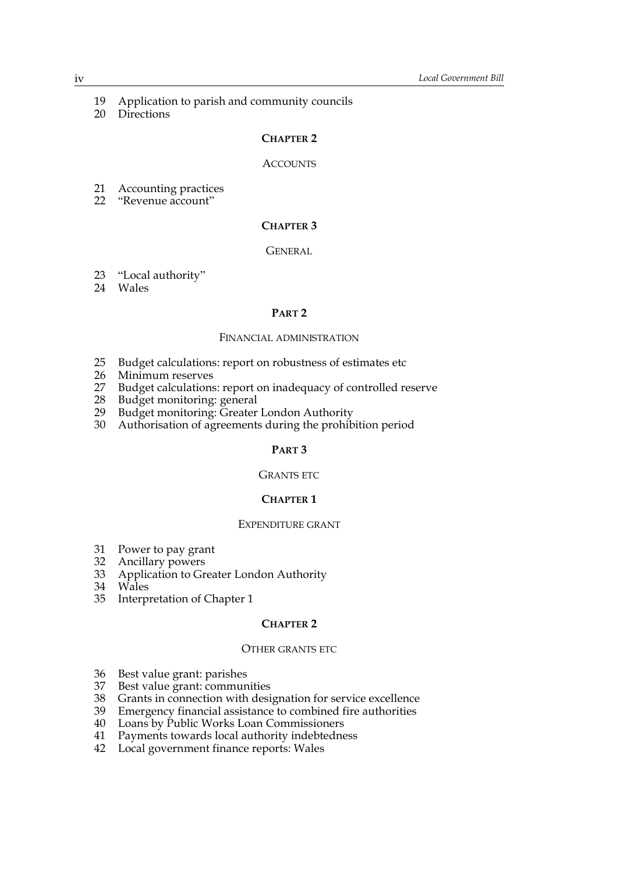- 19 Application to parish and community councils
- 20 Directions

#### **CHAPTER 2**

#### **ACCOUNTS**

- 21 Accounting practices
- 22 "Revenue account"

## **CHAPTER 3**

#### **GENERAL**

- 23 "Local authority"
- 24 Wales

## **PART 2**

#### FINANCIAL ADMINISTRATION

- 25 Budget calculations: report on robustness of estimates etc
- 26 Minimum reserves<br>27 Budget calculations
- Budget calculations: report on inadequacy of controlled reserve
- 28 Budget monitoring: general<br>29 Budget monitoring: Greater
- Budget monitoring: Greater London Authority
- 30 Authorisation of agreements during the prohibition period

## **PART 3**

#### GRANTS ETC

## **CHAPTER 1**

#### EXPENDITURE GRANT

- 31 Power to pay grant
- 32 Ancillary powers
- 33 Application to Greater London Authority
- 34 Wales
- 35 Interpretation of Chapter 1

## **CHAPTER 2**

## OTHER GRANTS ETC

- 36 Best value grant: parishes
- 37 Best value grant: communities
- 38 Grants in connection with designation for service excellence<br>39 Emergency financial assistance to combined fire authorities
- 39 Emergency financial assistance to combined fire authorities<br>40 Loans by Public Works Loan Commissioners
- Loans by Public Works Loan Commissioners
- 41 Payments towards local authority indebtedness
- 42 Local government finance reports: Wales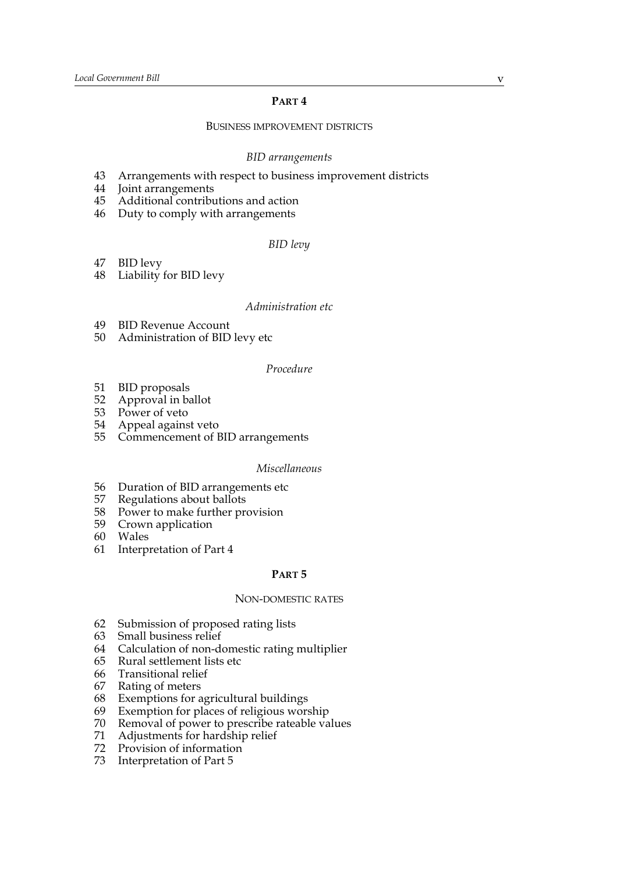## **PART 4**

## BUSINESS IMPROVEMENT DISTRICTS

#### *BID arrangements*

- 43 Arrangements with respect to business improvement districts
- 44 Joint arrangements
- 45 Additional contributions and action
- 46 Duty to comply with arrangements

#### *BID levy*

47 BID levy

48 Liability for BID levy

#### *Administration etc*

- 49 BID Revenue Account
- 50 Administration of BID levy etc

## *Procedure*

- 51 BID proposals
- 52 Approval in ballot
- 53 Power of veto
- 54 Appeal against veto
- 55 Commencement of BID arrangements

#### *Miscellaneous*

- 56 Duration of BID arrangements etc
- 57 Regulations about ballots
- 58 Power to make further provision
- 59 Crown application
- 60 Wales
- 61 Interpretation of Part 4

## **PART 5**

#### NON-DOMESTIC RATES

- 62 Submission of proposed rating lists
- 63 Small business relief
- 64 Calculation of non-domestic rating multiplier
- 65 Rural settlement lists etc
- 66 Transitional relief
- 67 Rating of meters
- 68 Exemptions for agricultural buildings
- 69 Exemption for places of religious worship<br>70 Removal of power to prescribe rateable va
- Removal of power to prescribe rateable values
- 71 Adjustments for hardship relief
- 72 Provision of information
- 73 Interpretation of Part 5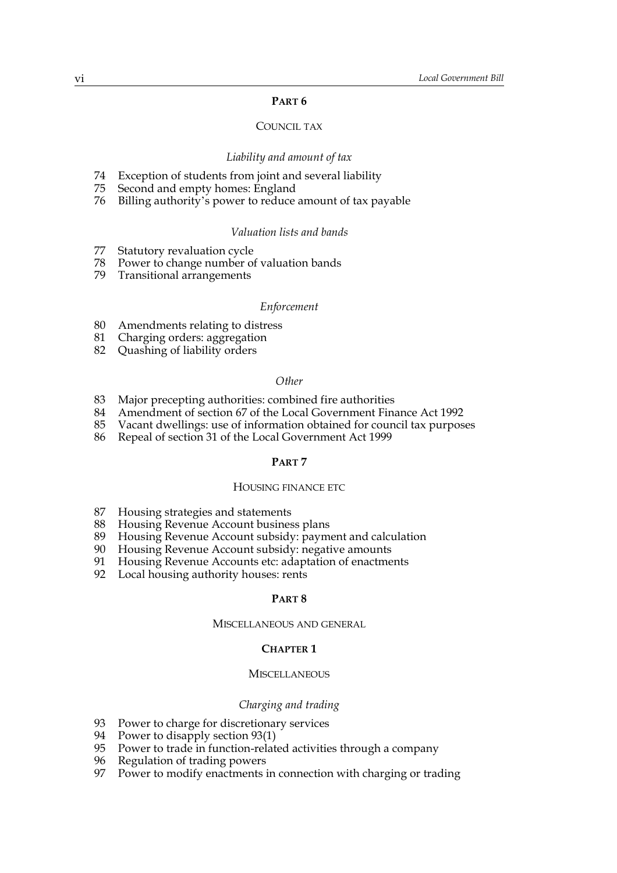## **PART 6**

## COUNCIL TAX

#### *Liability and amount of tax*

- 74 Exception of students from joint and several liability
- 75 Second and empty homes: England<br>76 Billing authority's power to reduce
- Billing authority's power to reduce amount of tax payable

#### *Valuation lists and bands*

- 77 Statutory revaluation cycle
- 78 Power to change number of valuation bands
- 79 Transitional arrangements

#### *Enforcement*

- 80 Amendments relating to distress
- 81 Charging orders: aggregation
- 82 Quashing of liability orders

#### *Other*

- 83 Major precepting authorities: combined fire authorities
- 84 Amendment of section 67 of the Local Government Finance Act 1992
- 85 Vacant dwellings: use of information obtained for council tax purposes
- 86 Repeal of section 31 of the Local Government Act 1999

#### **PART 7**

## HOUSING FINANCE ETC

- 87 Housing strategies and statements
- 88 Housing Revenue Account business plans
- 89 Housing Revenue Account subsidy: payment and calculation
- 90 Housing Revenue Account subsidy: negative amounts
- 91 Housing Revenue Accounts etc: adaptation of enactments
- 92 Local housing authority houses: rents

#### **PART 8**

#### MISCELLANEOUS AND GENERAL

#### **CHAPTER 1**

## **MISCELLANEOUS**

#### *Charging and trading*

- 93 Power to charge for discretionary services
- 94 Power to disapply section 93(1)
- 95 Power to trade in function-related activities through a company
- 96 Regulation of trading powers
- 97 Power to modify enactments in connection with charging or trading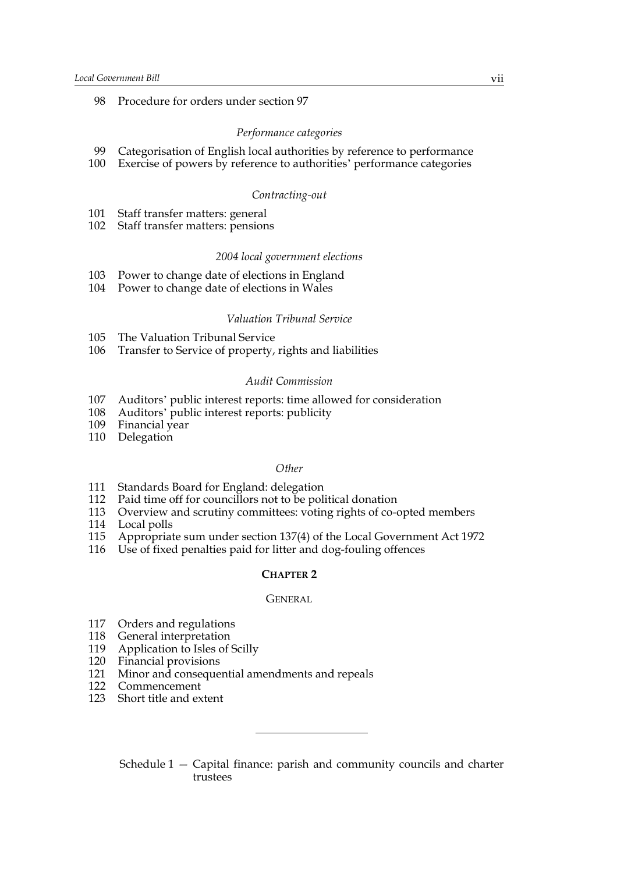98 Procedure for orders under section [97](#page-57-0)

#### *Performance categories*

- 99 Categorisation of English local authorities by reference to performance
- 100 Exercise of powers by reference to authorities' performance categories

#### *Contracting-out*

- 101 Staff transfer matters: general
- 102 Staff transfer matters: pensions

#### *2004 local government elections*

- 103 Power to change date of elections in England
- 104 Power to change date of elections in Wales

## *Valuation Tribunal Service*

- 105 The Valuation Tribunal Service
- 106 Transfer to Service of property, rights and liabilities

#### *Audit Commission*

- 107 Auditors' public interest reports: time allowed for consideration
- 108 Auditors' public interest reports: publicity
- 109 Financial year
- 110 Delegation

#### *Other*

- 111 Standards Board for England: delegation
- 112 Paid time off for councillors not to be political donation
- 113 Overview and scrutiny committees: voting rights of co-opted members
- 114 Local polls
- 115 Appropriate sum under section 137(4) of the Local Government Act 1972
- 116 Use of fixed penalties paid for litter and dog-fouling offences

#### **CHAPTER 2**

#### **GENERAL**

- 117 Orders and regulations
- 118 General interpretation
- 119 Application to Isles of Scilly
- 120 Financial provisions
- 121 Minor and consequential amendments and repeals
- 122 Commencement
- 123 Short title and extent

Schedule 1 — Capital finance: parish and community councils and charter trustees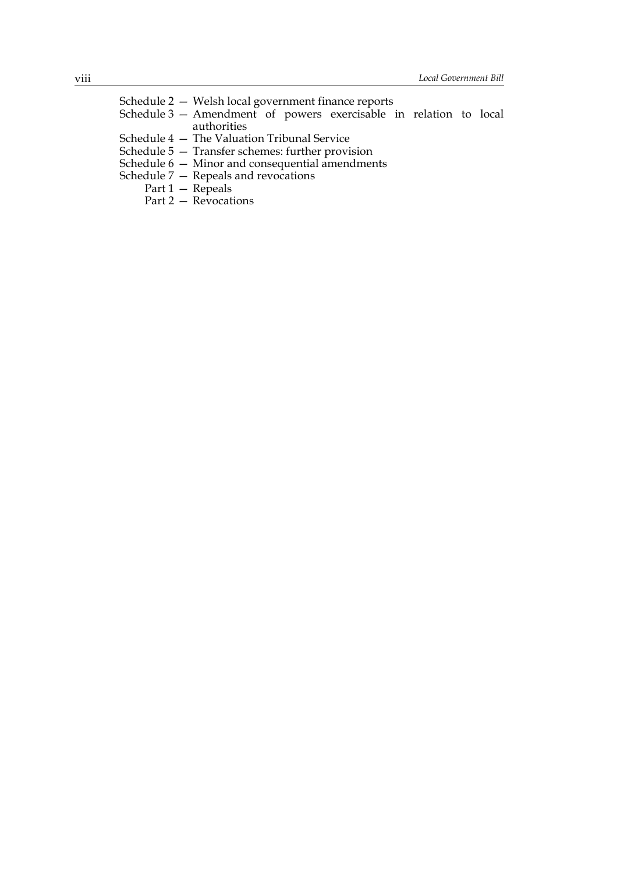| Schedule 2 – Welsh local government finance reports               |                      |  |  |  |  |
|-------------------------------------------------------------------|----------------------|--|--|--|--|
| Schedule 3 – Amendment of powers exercisable in relation to local |                      |  |  |  |  |
|                                                                   | authorities          |  |  |  |  |
| Schedule 4 — The Valuation Tribunal Service                       |                      |  |  |  |  |
| Schedule 5 – Transfer schemes: further provision                  |                      |  |  |  |  |
| Schedule $6-$ Minor and consequential amendments                  |                      |  |  |  |  |
| Schedule $7 -$ Repeals and revocations                            |                      |  |  |  |  |
| Part $1 -$ Repeals                                                |                      |  |  |  |  |
|                                                                   | Part 2 – Revocations |  |  |  |  |
|                                                                   |                      |  |  |  |  |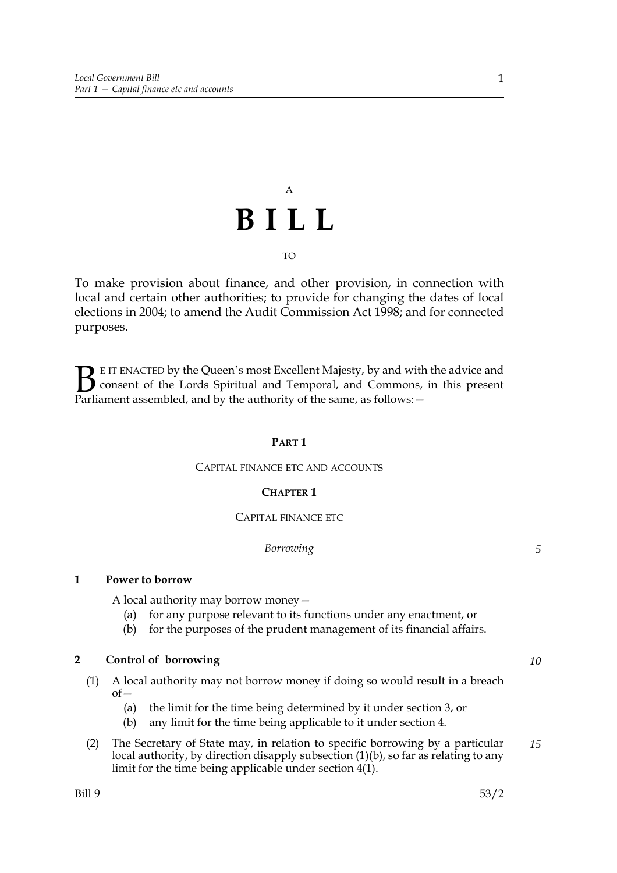# A **BILL** TO

To make provision about finance, and other provision, in connection with local and certain other authorities; to provide for changing the dates of local elections in 2004; to amend the Audit Commission Act 1998; and for connected purposes.

E IT ENACTED by the Queen's most Excellent Majesty, by and with the advice and consent of the Lords Spiritual and Temporal, and Commons, in this present **B** E IT ENACTED by the Queen's most Excellent Majesty, by and with consent of the Lords Spiritual and Temporal, and Commons, Parliament assembled, and by the authority of the same, as follows:  $-$ 

## **PART 1**

## CAPITAL FINANCE ETC AND ACCOUNTS

## **CHAPTER 1**

## CAPITAL FINANCE ETC

## *Borrowing*

## **1 Power to borrow**

A local authority may borrow money—

- (a) for any purpose relevant to its functions under any enactment, or
- (b) for the purposes of the prudent management of its financial affairs.

## **2 Control of borrowing**

- (1) A local authority may not borrow money if doing so would result in a breach  $of$ 
	- (a) the limit for the time being determined by it under section 3, or
	- (b) any limit for the time being applicable to it under section 4.
- (2) The Secretary of State may, in relation to specific borrowing by a particular local authority, by direction disapply subsection (1)(b), so far as relating to any limit for the time being applicable under section 4(1). *15*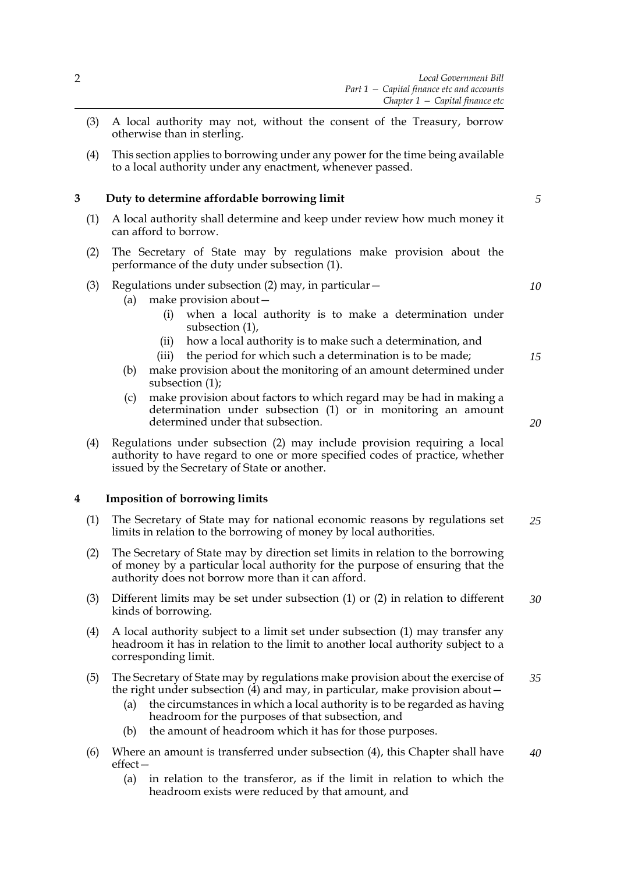- (3) A local authority may not, without the consent of the Treasury, borrow otherwise than in sterling.
- (4) This section applies to borrowing under any power for the time being available to a local authority under any enactment, whenever passed.

## **3 Duty to determine affordable borrowing limit**

- (1) A local authority shall determine and keep under review how much money it can afford to borrow.
- (2) The Secretary of State may by regulations make provision about the performance of the duty under subsection (1).

## (3) Regulations under subsection (2) may, in particular—

- (a) make provision about—
	- (i) when a local authority is to make a determination under subsection (1),
	- (ii) how a local authority is to make such a determination, and
	- (iii) the period for which such a determination is to be made;
- (b) make provision about the monitoring of an amount determined under subsection (1);
- (c) make provision about factors to which regard may be had in making a determination under subsection (1) or in monitoring an amount determined under that subsection.
- (4) Regulations under subsection (2) may include provision requiring a local authority to have regard to one or more specified codes of practice, whether issued by the Secretary of State or another.

## **4 Imposition of borrowing limits**

- (1) The Secretary of State may for national economic reasons by regulations set limits in relation to the borrowing of money by local authorities. *25*
- (2) The Secretary of State may by direction set limits in relation to the borrowing of money by a particular local authority for the purpose of ensuring that the authority does not borrow more than it can afford.
- (3) Different limits may be set under subsection (1) or (2) in relation to different kinds of borrowing. *30*
- (4) A local authority subject to a limit set under subsection (1) may transfer any headroom it has in relation to the limit to another local authority subject to a corresponding limit.
- (5) The Secretary of State may by regulations make provision about the exercise of the right under subsection (4) and may, in particular, make provision about— *35*
	- (a) the circumstances in which a local authority is to be regarded as having headroom for the purposes of that subsection, and
	- (b) the amount of headroom which it has for those purposes.
- (6) Where an amount is transferred under subsection (4), this Chapter shall have effect— *40*
	- (a) in relation to the transferor, as if the limit in relation to which the headroom exists were reduced by that amount, and

*10*

*15*

*5*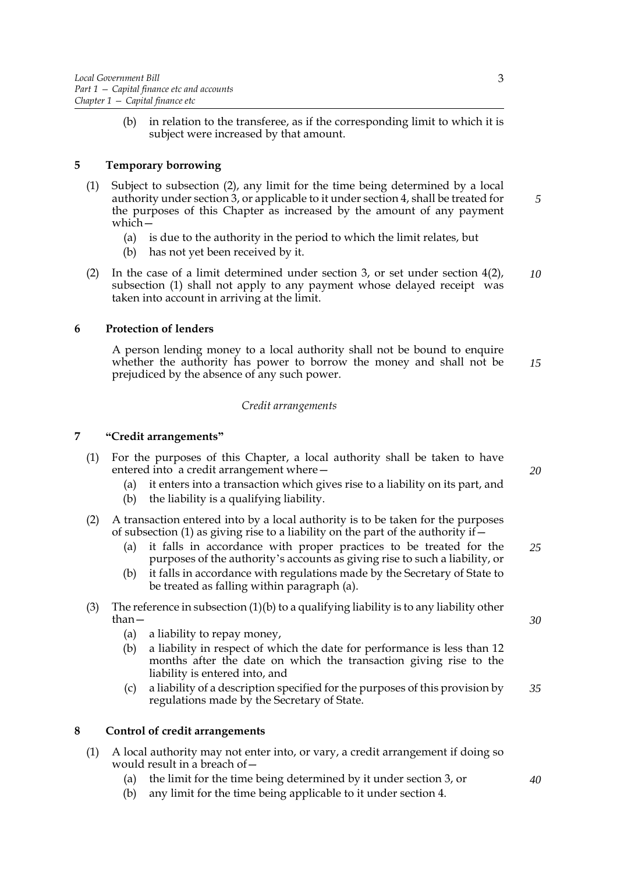(b) in relation to the transferee, as if the corresponding limit to which it is subject were increased by that amount.

## **5 Temporary borrowing**

- (1) Subject to subsection (2), any limit for the time being determined by a local authority under section 3, or applicable to it under section 4, shall be treated for the purposes of this Chapter as increased by the amount of any payment which—
	- (a) is due to the authority in the period to which the limit relates, but
	- (b) has not yet been received by it.
- (2) In the case of a limit determined under section 3, or set under section 4(2), subsection (1) shall not apply to any payment whose delayed receipt was taken into account in arriving at the limit. *10*

## **6 Protection of lenders**

A person lending money to a local authority shall not be bound to enquire whether the authority has power to borrow the money and shall not be prejudiced by the absence of any such power. *15*

## *Credit arrangements*

## **7 "Credit arrangements"**

- (1) For the purposes of this Chapter, a local authority shall be taken to have entered into a credit arrangement where—
	- (a) it enters into a transaction which gives rise to a liability on its part, and
	- (b) the liability is a qualifying liability.
- (2) A transaction entered into by a local authority is to be taken for the purposes of subsection (1) as giving rise to a liability on the part of the authority if  $-$ 
	- (a) it falls in accordance with proper practices to be treated for the purposes of the authority's accounts as giving rise to such a liability, or *25*
	- (b) it falls in accordance with regulations made by the Secretary of State to be treated as falling within paragraph (a).
- (3) The reference in subsection  $(1)(b)$  to a qualifying liability is to any liability other than—
	- (a) a liability to repay money,
	- (b) a liability in respect of which the date for performance is less than 12 months after the date on which the transaction giving rise to the liability is entered into, and
	- (c) a liability of a description specified for the purposes of this provision by regulations made by the Secretary of State. *35*

## **8 Control of credit arrangements**

- (1) A local authority may not enter into, or vary, a credit arrangement if doing so would result in a breach of—
	- (a) the limit for the time being determined by it under section 3, or
	- (b) any limit for the time being applicable to it under section 4.

*20*

*5*

*30*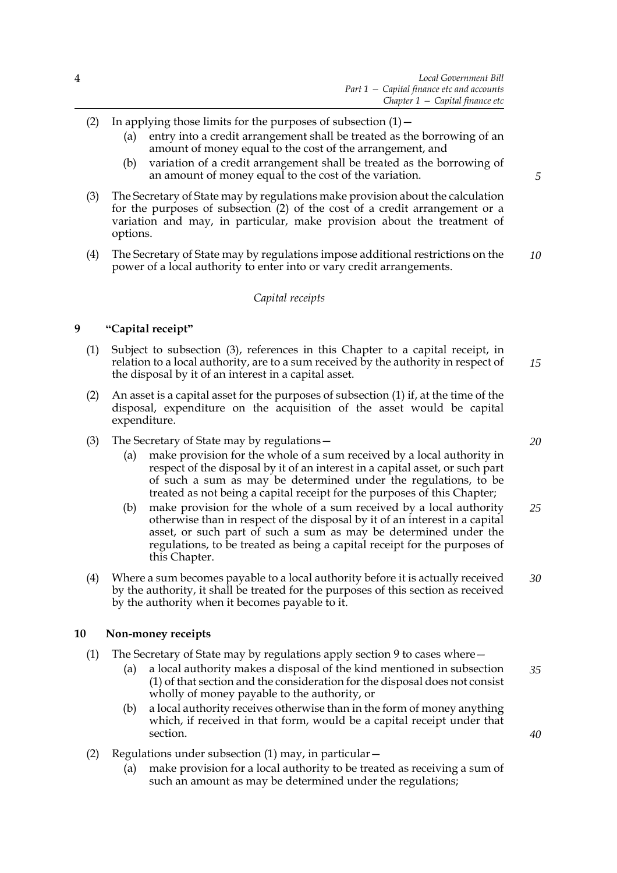- (2) In applying those limits for the purposes of subsection  $(1)$  -
	- (a) entry into a credit arrangement shall be treated as the borrowing of an amount of money equal to the cost of the arrangement, and
	- (b) variation of a credit arrangement shall be treated as the borrowing of an amount of money equal to the cost of the variation.
- (3) The Secretary of State may by regulations make provision about the calculation for the purposes of subsection (2) of the cost of a credit arrangement or a variation and may, in particular, make provision about the treatment of options.
- (4) The Secretary of State may by regulations impose additional restrictions on the power of a local authority to enter into or vary credit arrangements. *10*

## *Capital receipts*

## **9 "Capital receipt"**

- (1) Subject to subsection (3), references in this Chapter to a capital receipt, in relation to a local authority, are to a sum received by the authority in respect of the disposal by it of an interest in a capital asset. *15*
- (2) An asset is a capital asset for the purposes of subsection (1) if, at the time of the disposal, expenditure on the acquisition of the asset would be capital expenditure.
- (3) The Secretary of State may by regulations—
	- (a) make provision for the whole of a sum received by a local authority in respect of the disposal by it of an interest in a capital asset, or such part of such a sum as may be determined under the regulations, to be treated as not being a capital receipt for the purposes of this Chapter;
	- (b) make provision for the whole of a sum received by a local authority otherwise than in respect of the disposal by it of an interest in a capital asset, or such part of such a sum as may be determined under the regulations, to be treated as being a capital receipt for the purposes of this Chapter. *25*
- (4) Where a sum becomes payable to a local authority before it is actually received by the authority, it shall be treated for the purposes of this section as received by the authority when it becomes payable to it. *30*

## **10 Non-money receipts**

- (1) The Secretary of State may by regulations apply section 9 to cases where—
	- (a) a local authority makes a disposal of the kind mentioned in subsection (1) of that section and the consideration for the disposal does not consist wholly of money payable to the authority, or *35*
	- (b) a local authority receives otherwise than in the form of money anything which, if received in that form, would be a capital receipt under that section.
- (2) Regulations under subsection (1) may, in particular—
	- (a) make provision for a local authority to be treated as receiving a sum of such an amount as may be determined under the regulations;

*20*

*40*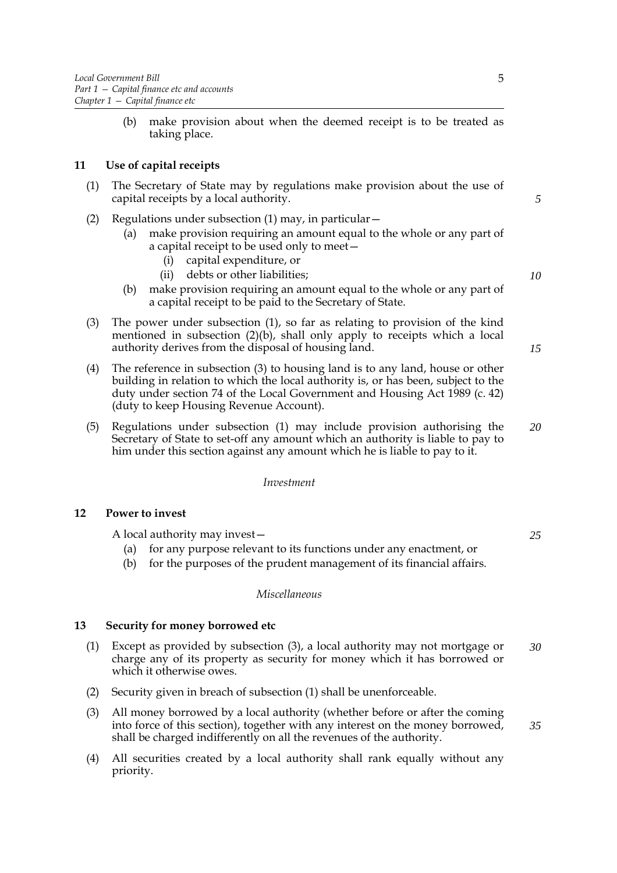(b) make provision about when the deemed receipt is to be treated as taking place.

## **11 Use of capital receipts**

- (1) The Secretary of State may by regulations make provision about the use of capital receipts by a local authority.
- (2) Regulations under subsection (1) may, in particular—
	- (a) make provision requiring an amount equal to the whole or any part of a capital receipt to be used only to meet—
		- (i) capital expenditure, or
		- (ii) debts or other liabilities;
	- (b) make provision requiring an amount equal to the whole or any part of a capital receipt to be paid to the Secretary of State.
- (3) The power under subsection (1), so far as relating to provision of the kind mentioned in subsection (2)(b), shall only apply to receipts which a local authority derives from the disposal of housing land.
- (4) The reference in subsection (3) to housing land is to any land, house or other building in relation to which the local authority is, or has been, subject to the duty under section 74 of the Local Government and Housing Act 1989 (c. 42) (duty to keep Housing Revenue Account).
- (5) Regulations under subsection (1) may include provision authorising the Secretary of State to set-off any amount which an authority is liable to pay to him under this section against any amount which he is liable to pay to it. *20*

## *Investment*

## **12 Power to invest**

A local authority may invest—

- (a) for any purpose relevant to its functions under any enactment, or
- (b) for the purposes of the prudent management of its financial affairs.

#### *Miscellaneous*

## **13 Security for money borrowed etc**

- (1) Except as provided by subsection (3), a local authority may not mortgage or charge any of its property as security for money which it has borrowed or which it otherwise owes. *30*
- (2) Security given in breach of subsection (1) shall be unenforceable.
- (3) All money borrowed by a local authority (whether before or after the coming into force of this section), together with any interest on the money borrowed, shall be charged indifferently on all the revenues of the authority.
- (4) All securities created by a local authority shall rank equally without any priority.

*10*

*5*

*15*

*25*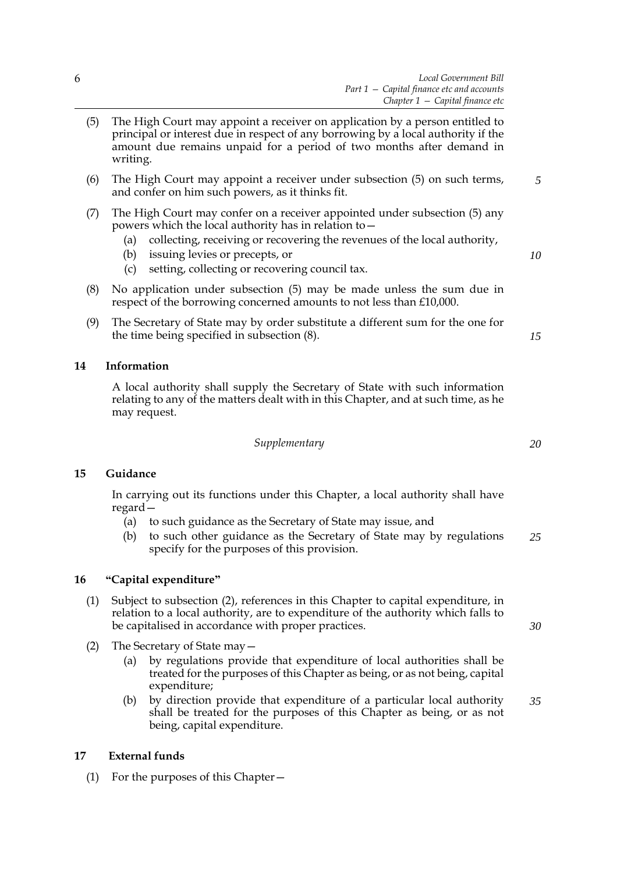- (5) The High Court may appoint a receiver on application by a person entitled to principal or interest due in respect of any borrowing by a local authority if the amount due remains unpaid for a period of two months after demand in writing.
- (6) The High Court may appoint a receiver under subsection (5) on such terms, and confer on him such powers, as it thinks fit.
- (7) The High Court may confer on a receiver appointed under subsection (5) any powers which the local authority has in relation to—
	- (a) collecting, receiving or recovering the revenues of the local authority,
	- (b) issuing levies or precepts, or
	- (c) setting, collecting or recovering council tax.
- (8) No application under subsection (5) may be made unless the sum due in respect of the borrowing concerned amounts to not less than £10,000.
- (9) The Secretary of State may by order substitute a different sum for the one for the time being specified in subsection (8).

## **14 Information**

A local authority shall supply the Secretary of State with such information relating to any of the matters dealt with in this Chapter, and at such time, as he may request.

*Supplementary*

## **15 Guidance**

In carrying out its functions under this Chapter, a local authority shall have regard—

- (a) to such guidance as the Secretary of State may issue, and
- (b) to such other guidance as the Secretary of State may by regulations specify for the purposes of this provision. *25*

## **16 "Capital expenditure"**

- (1) Subject to subsection (2), references in this Chapter to capital expenditure, in relation to a local authority, are to expenditure of the authority which falls to be capitalised in accordance with proper practices.
- (2) The Secretary of State may—
	- (a) by regulations provide that expenditure of local authorities shall be treated for the purposes of this Chapter as being, or as not being, capital expenditure;
	- (b) by direction provide that expenditure of a particular local authority shall be treated for the purposes of this Chapter as being, or as not being, capital expenditure. *35*

## **17 External funds**

(1) For the purposes of this Chapter—

*20*

*5*

*10*

*15*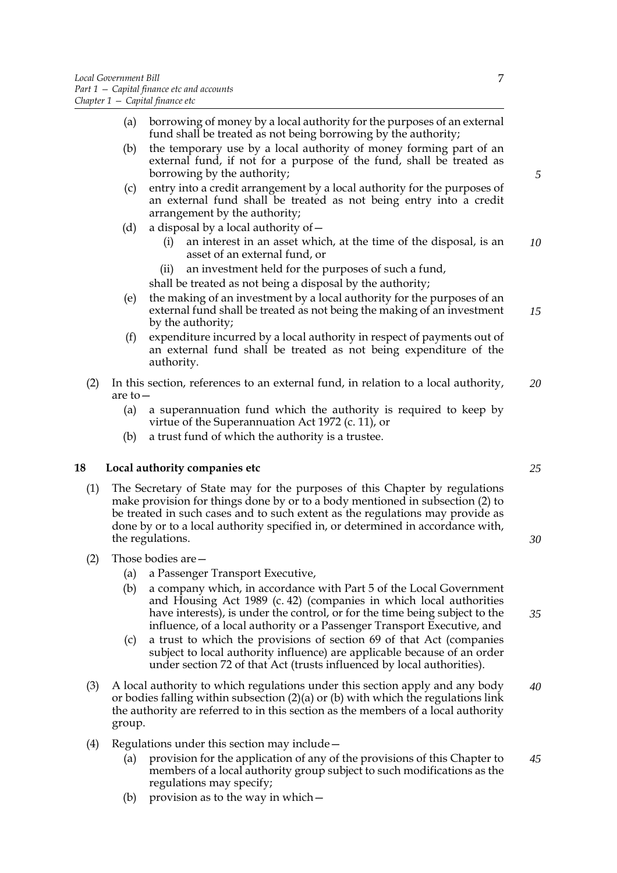- (a) borrowing of money by a local authority for the purposes of an external fund shall be treated as not being borrowing by the authority;
- (b) the temporary use by a local authority of money forming part of an external fund, if not for a purpose of the fund, shall be treated as borrowing by the authority;
- (c) entry into a credit arrangement by a local authority for the purposes of an external fund shall be treated as not being entry into a credit arrangement by the authority;
- (d) a disposal by a local authority of  $-$ 
	- (i) an interest in an asset which, at the time of the disposal, is an asset of an external fund, or *10*
	- (ii) an investment held for the purposes of such a fund,

shall be treated as not being a disposal by the authority;

- (e) the making of an investment by a local authority for the purposes of an external fund shall be treated as not being the making of an investment by the authority; *15*
- (f) expenditure incurred by a local authority in respect of payments out of an external fund shall be treated as not being expenditure of the authority.
- (2) In this section, references to an external fund, in relation to a local authority, are to— *20*
	- (a) a superannuation fund which the authority is required to keep by virtue of the Superannuation Act 1972 (c. 11), or
	- (b) a trust fund of which the authority is a trustee.

## **18 Local authority companies etc**

- (1) The Secretary of State may for the purposes of this Chapter by regulations make provision for things done by or to a body mentioned in subsection (2) to be treated in such cases and to such extent as the regulations may provide as done by or to a local authority specified in, or determined in accordance with, the regulations.
- (2) Those bodies are—
	- (a) a Passenger Transport Executive,
	- (b) a company which, in accordance with Part 5 of the Local Government and Housing Act 1989 (c. 42) (companies in which local authorities have interests), is under the control, or for the time being subject to the influence, of a local authority or a Passenger Transport Executive, and
	- (c) a trust to which the provisions of section 69 of that Act (companies subject to local authority influence) are applicable because of an order under section 72 of that Act (trusts influenced by local authorities).
- (3) A local authority to which regulations under this section apply and any body or bodies falling within subsection (2)(a) or (b) with which the regulations link the authority are referred to in this section as the members of a local authority group. *40*
- (4) Regulations under this section may include—
	- (a) provision for the application of any of the provisions of this Chapter to members of a local authority group subject to such modifications as the regulations may specify; *45*
	- (b) provision as to the way in which  $-$

*5*

*25*

*30*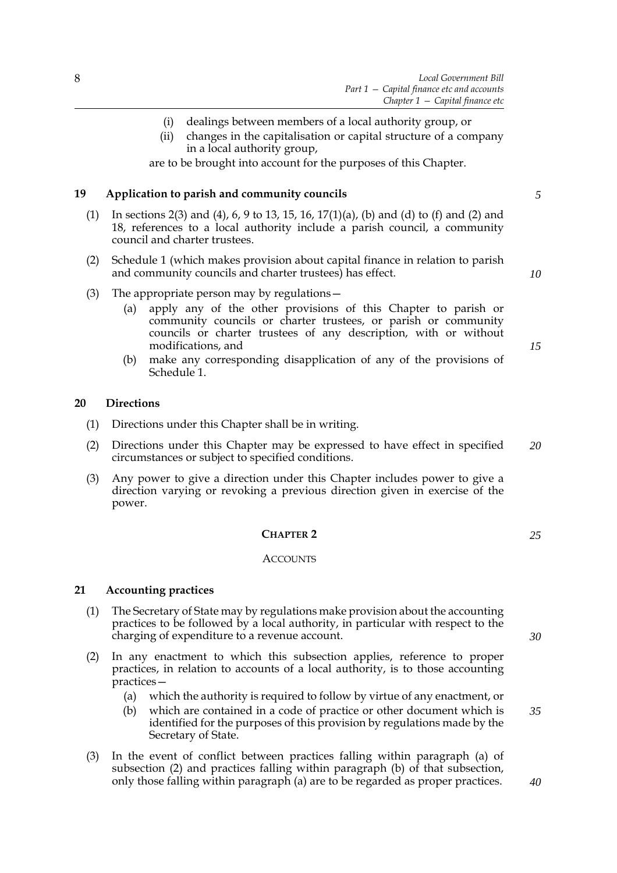- (i) dealings between members of a local authority group, or
- (ii) changes in the capitalisation or capital structure of a company in a local authority group,

are to be brought into account for the purposes of this Chapter.

## **19 Application to parish and community councils**

- (1) In sections 2(3) and (4), 6, 9 to 13, 15, 16, 17(1)(a), (b) and (d) to (f) and (2) and 18, references to a local authority include a parish council, a community council and charter trustees.
- (2) Schedule [1](#page-78-0) (which makes provision about capital finance in relation to parish and community councils and charter trustees) has effect.
- (3) The appropriate person may by regulations—
	- (a) apply any of the other provisions of this Chapter to parish or community councils or charter trustees, or parish or community councils or charter trustees of any description, with or without modifications, and
	- (b) make any corresponding disapplication of any of the provisions of Schedule [1](#page-78-0).

## **20 Directions**

- (1) Directions under this Chapter shall be in writing.
- (2) Directions under this Chapter may be expressed to have effect in specified circumstances or subject to specified conditions. *20*
- (3) Any power to give a direction under this Chapter includes power to give a direction varying or revoking a previous direction given in exercise of the power.

## **CHAPTER 2**

#### **ACCOUNTS**

## **21 Accounting practices**

- (1) The Secretary of State may by regulations make provision about the accounting practices to be followed by a local authority, in particular with respect to the charging of expenditure to a revenue account.
- (2) In any enactment to which this subsection applies, reference to proper practices, in relation to accounts of a local authority, is to those accounting practices—
	- (a) which the authority is required to follow by virtue of any enactment, or
	- (b) which are contained in a code of practice or other document which is identified for the purposes of this provision by regulations made by the Secretary of State.
- (3) In the event of conflict between practices falling within paragraph (a) of subsection (2) and practices falling within paragraph (b) of that subsection, only those falling within paragraph (a) are to be regarded as proper practices.

*5*

*10*

*15*

*25*

*35*

*40*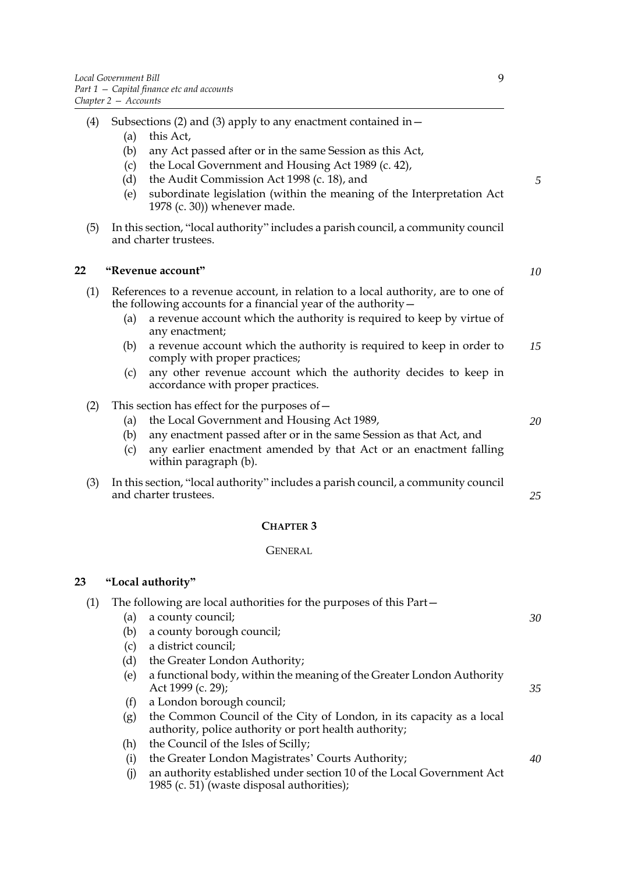- (4) Subsections (2) and (3) apply to any enactment contained in—
	- (a) this Act,
	- (b) any Act passed after or in the same Session as this Act,
	- (c) the Local Government and Housing Act 1989 (c. 42),
	- (d) the Audit Commission Act 1998 (c. 18), and
	- (e) subordinate legislation (within the meaning of the Interpretation Act 1978 (c. 30)) whenever made.
- (5) In this section, "local authority" includes a parish council, a community council and charter trustees.

## **22 "Revenue account"**

- (1) References to a revenue account, in relation to a local authority, are to one of the following accounts for a financial year of the authority—
	- (a) a revenue account which the authority is required to keep by virtue of any enactment;
	- (b) a revenue account which the authority is required to keep in order to comply with proper practices; *15*
	- (c) any other revenue account which the authority decides to keep in accordance with proper practices.
- (2) This section has effect for the purposes of—
	- (a) the Local Government and Housing Act 1989,
	- (b) any enactment passed after or in the same Session as that Act, and
	- (c) any earlier enactment amended by that Act or an enactment falling within paragraph (b).
- (3) In this section, "local authority" includes a parish council, a community council and charter trustees.

## **CHAPTER 3**

## GENERAL

## **23 "Local authority"**

| (1) |     | The following are local authorities for the purposes of this Part—                                                            |    |
|-----|-----|-------------------------------------------------------------------------------------------------------------------------------|----|
|     | (a) | a county council;                                                                                                             | 30 |
|     | (b) | a county borough council;                                                                                                     |    |
|     | (c) | a district council;                                                                                                           |    |
|     | (d) | the Greater London Authority;                                                                                                 |    |
|     | (e) | a functional body, within the meaning of the Greater London Authority<br>Act 1999 (c. 29);                                    | 35 |
|     | (f) | a London borough council;                                                                                                     |    |
|     | (g) | the Common Council of the City of London, in its capacity as a local<br>authority, police authority or port health authority; |    |
|     | (h) | the Council of the Isles of Scilly;                                                                                           |    |
|     | (i) | the Greater London Magistrates' Courts Authority;                                                                             | 40 |
|     | (i) | an authority established under section 10 of the Local Government Act<br>1985 (c. 51) (waste disposal authorities);           |    |

*10*

*5*

*20*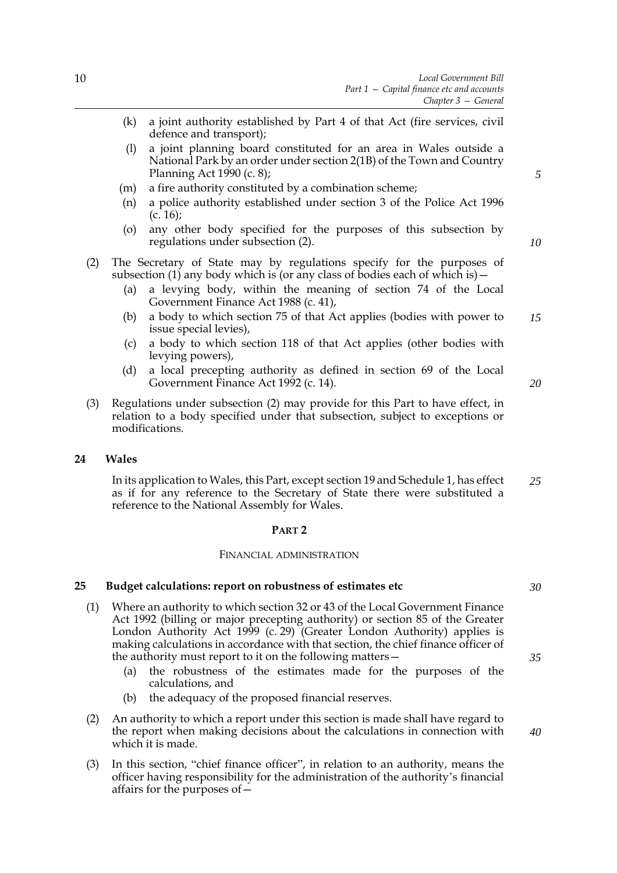- (k) a joint authority established by Part 4 of that Act (fire services, civil defence and transport);
- (l) a joint planning board constituted for an area in Wales outside a National Park by an order under section 2(1B) of the Town and Country Planning Act 1990 (c. 8);
- (m) a fire authority constituted by a combination scheme;
- (n) a police authority established under section 3 of the Police Act 1996  $(c. 16);$
- (o) any other body specified for the purposes of this subsection by regulations under subsection (2).
- (2) The Secretary of State may by regulations specify for the purposes of subsection (1) any body which is (or any class of bodies each of which is)  $-$ 
	- (a) a levying body, within the meaning of section 74 of the Local Government Finance Act 1988 (c. 41),
	- (b) a body to which section 75 of that Act applies (bodies with power to issue special levies), *15*
	- (c) a body to which section 118 of that Act applies (other bodies with levying powers),
	- (d) a local precepting authority as defined in section 69 of the Local Government Finance Act 1992 (c. 14).
- (3) Regulations under subsection (2) may provide for this Part to have effect, in relation to a body specified under that subsection, subject to exceptions or modifications.

#### **24 Wales**

In its application to Wales, this Part, except section 19 and Schedule [1](#page-78-0), has effect as if for any reference to the Secretary of State there were substituted a reference to the National Assembly for Wales. *25*

#### **PART 2**

#### FINANCIAL ADMINISTRATION

## **25 Budget calculations: report on robustness of estimates etc**

- (1) Where an authority to which section 32 or 43 of the Local Government Finance Act 1992 (billing or major precepting authority) or section 85 of the Greater London Authority Act 1999 (c. 29) (Greater London Authority) applies is making calculations in accordance with that section, the chief finance officer of the authority must report to it on the following matters—
	- (a) the robustness of the estimates made for the purposes of the calculations, and
	- (b) the adequacy of the proposed financial reserves.
- (2) An authority to which a report under this section is made shall have regard to the report when making decisions about the calculations in connection with which it is made.
- (3) In this section, "chief finance officer", in relation to an authority, means the officer having responsibility for the administration of the authority's financial affairs for the purposes of—

*10*

*5*

*20*

*30*

*35*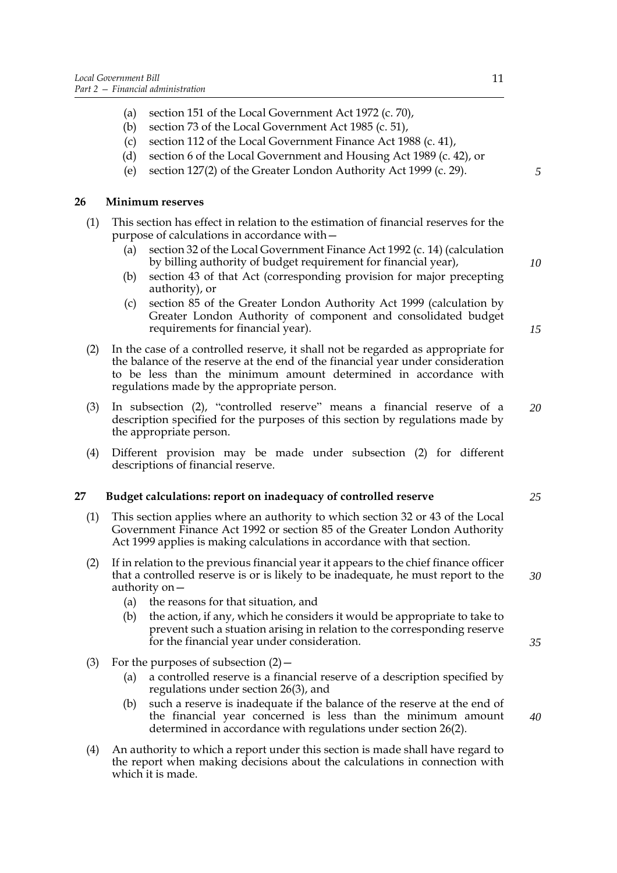- (a) section 151 of the Local Government Act 1972 (c. 70),
- (b) section 73 of the Local Government Act 1985 (c. 51),
- (c) section 112 of the Local Government Finance Act 1988 (c. 41),
- (d) section 6 of the Local Government and Housing Act 1989 (c. 42), or
- (e) section 127(2) of the Greater London Authority Act 1999 (c. 29).

## **26 Minimum reserves**

- (1) This section has effect in relation to the estimation of financial reserves for the purpose of calculations in accordance with—
	- (a) section 32 of the Local Government Finance Act 1992 (c. 14) (calculation by billing authority of budget requirement for financial year),
	- (b) section 43 of that Act (corresponding provision for major precepting authority), or
	- (c) section 85 of the Greater London Authority Act 1999 (calculation by Greater London Authority of component and consolidated budget requirements for financial year).
- (2) In the case of a controlled reserve, it shall not be regarded as appropriate for the balance of the reserve at the end of the financial year under consideration to be less than the minimum amount determined in accordance with regulations made by the appropriate person.
- (3) In subsection (2), "controlled reserve" means a financial reserve of a description specified for the purposes of this section by regulations made by the appropriate person. *20*
- (4) Different provision may be made under subsection (2) for different descriptions of financial reserve.

## **27 Budget calculations: report on inadequacy of controlled reserve**

- (1) This section applies where an authority to which section 32 or 43 of the Local Government Finance Act 1992 or section 85 of the Greater London Authority Act 1999 applies is making calculations in accordance with that section.
- (2) If in relation to the previous financial year it appears to the chief finance officer that a controlled reserve is or is likely to be inadequate, he must report to the authority on—
	- (a) the reasons for that situation, and
	- (b) the action, if any, which he considers it would be appropriate to take to prevent such a stuation arising in relation to the corresponding reserve for the financial year under consideration.
- (3) For the purposes of subsection  $(2)$ 
	- (a) a controlled reserve is a financial reserve of a description specified by regulations under section 26(3), and
	- (b) such a reserve is inadequate if the balance of the reserve at the end of the financial year concerned is less than the minimum amount determined in accordance with regulations under section 26(2).
- (4) An authority to which a report under this section is made shall have regard to the report when making decisions about the calculations in connection with which it is made.

*10*

*5*

*15*

*35*

*40*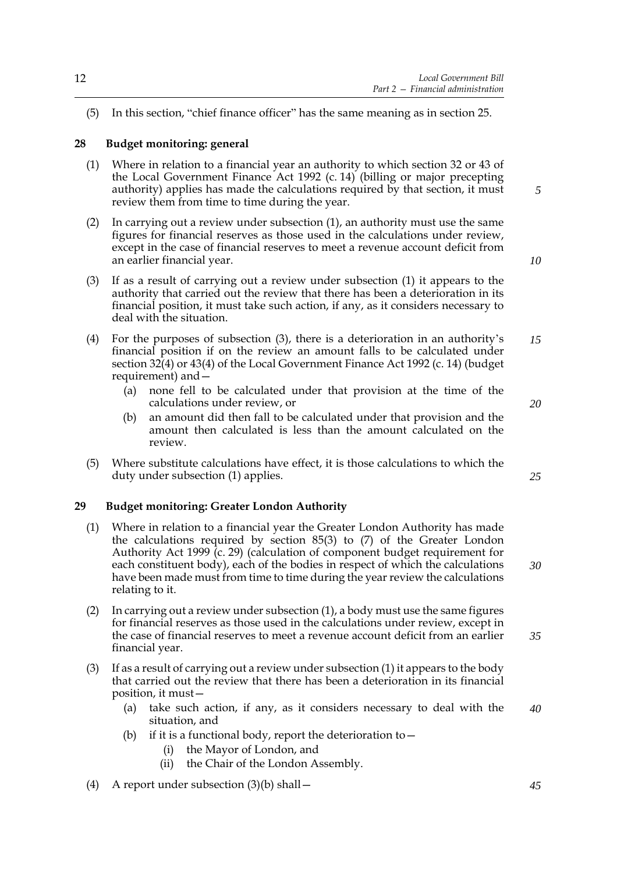(5) In this section, "chief finance officer" has the same meaning as in section 25.

## **28 Budget monitoring: general**

- (1) Where in relation to a financial year an authority to which section 32 or 43 of the Local Government Finance Act 1992 (c. 14) (billing or major precepting authority) applies has made the calculations required by that section, it must review them from time to time during the year.
- (2) In carrying out a review under subsection (1), an authority must use the same figures for financial reserves as those used in the calculations under review, except in the case of financial reserves to meet a revenue account deficit from an earlier financial year.
- (3) If as a result of carrying out a review under subsection (1) it appears to the authority that carried out the review that there has been a deterioration in its financial position, it must take such action, if any, as it considers necessary to deal with the situation.
- (4) For the purposes of subsection (3), there is a deterioration in an authority's financial position if on the review an amount falls to be calculated under section 32(4) or 43(4) of the Local Government Finance Act 1992 (c. 14) (budget requirement) and— *15*
	- (a) none fell to be calculated under that provision at the time of the calculations under review, or
	- (b) an amount did then fall to be calculated under that provision and the amount then calculated is less than the amount calculated on the review.
- (5) Where substitute calculations have effect, it is those calculations to which the duty under subsection (1) applies.

## **29 Budget monitoring: Greater London Authority**

- (1) Where in relation to a financial year the Greater London Authority has made the calculations required by section 85(3) to (7) of the Greater London Authority Act 1999 (c. 29) (calculation of component budget requirement for each constituent body), each of the bodies in respect of which the calculations have been made must from time to time during the year review the calculations relating to it.
- (2) In carrying out a review under subsection (1), a body must use the same figures for financial reserves as those used in the calculations under review, except in the case of financial reserves to meet a revenue account deficit from an earlier financial year.
- (3) If as a result of carrying out a review under subsection (1) it appears to the body that carried out the review that there has been a deterioration in its financial position, it must—
	- (a) take such action, if any, as it considers necessary to deal with the situation, and *40*
	- (b) if it is a functional body, report the deterioration to  $-$ 
		- (i) the Mayor of London, and
		- (ii) the Chair of the London Assembly.
- (4) A report under subsection (3)(b) shall—

*10*

*5*

*20*

*25*

*30*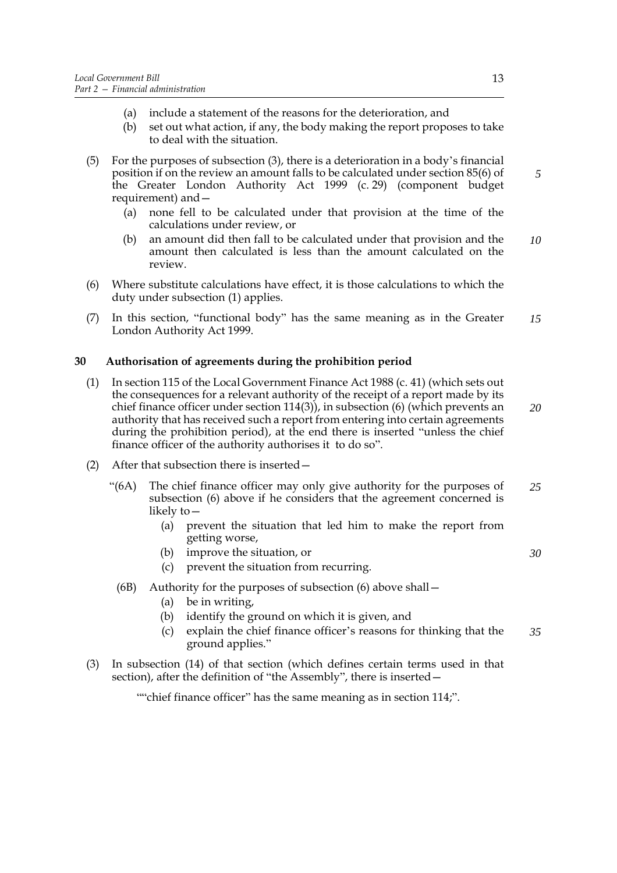- (a) include a statement of the reasons for the deterioration, and
- (b) set out what action, if any, the body making the report proposes to take to deal with the situation.
- (5) For the purposes of subsection (3), there is a deterioration in a body's financial position if on the review an amount falls to be calculated under section 85(6) of the Greater London Authority Act 1999 (c. 29) (component budget requirement) and—
	- (a) none fell to be calculated under that provision at the time of the calculations under review, or
	- (b) an amount did then fall to be calculated under that provision and the amount then calculated is less than the amount calculated on the review. *10*
- (6) Where substitute calculations have effect, it is those calculations to which the duty under subsection (1) applies.
- (7) In this section, "functional body" has the same meaning as in the Greater London Authority Act 1999. *15*

## **30 Authorisation of agreements during the prohibition period**

- (1) In section 115 of the Local Government Finance Act 1988 (c. 41) (which sets out the consequences for a relevant authority of the receipt of a report made by its chief finance officer under section  $114(3)$ ), in subsection (6) (which prevents an authority that has received such a report from entering into certain agreements during the prohibition period), at the end there is inserted "unless the chief finance officer of the authority authorises it to do so". *20*
- (2) After that subsection there is inserted—
	- "(6A) The chief finance officer may only give authority for the purposes of subsection (6) above if he considers that the agreement concerned is likely to— *25*
		- (a) prevent the situation that led him to make the report from getting worse,
		- (b) improve the situation, or
		- (c) prevent the situation from recurring.
		- (6B) Authority for the purposes of subsection (6) above shall—
			- (a) be in writing,
			- (b) identify the ground on which it is given, and
			- (c) explain the chief finance officer's reasons for thinking that the ground applies." *35*
- (3) In subsection (14) of that section (which defines certain terms used in that section), after the definition of "the Assembly", there is inserted—

""chief finance officer" has the same meaning as in section 114;".

*5*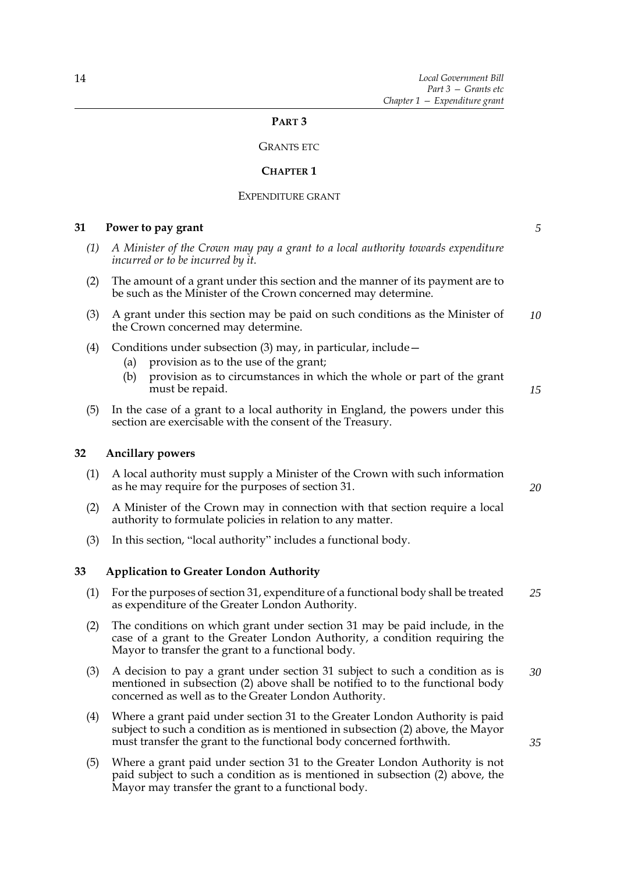## **PART 3**

## GRANTS ETC

#### **CHAPTER 1**

#### EXPENDITURE GRANT

## **31 Power to pay grant**

- *(1) A Minister of the Crown may pay a grant to a local authority towards expenditure incurred or to be incurred by it.*
- (2) The amount of a grant under this section and the manner of its payment are to be such as the Minister of the Crown concerned may determine.
- (3) A grant under this section may be paid on such conditions as the Minister of the Crown concerned may determine. *10*
- (4) Conditions under subsection (3) may, in particular, include—
	- (a) provision as to the use of the grant;
	- (b) provision as to circumstances in which the whole or part of the grant must be repaid.
- (5) In the case of a grant to a local authority in England, the powers under this section are exercisable with the consent of the Treasury.

## **32 Ancillary powers**

(1) A local authority must supply a Minister of the Crown with such information as he may require for the purposes of section 31.

(2) A Minister of the Crown may in connection with that section require a local authority to formulate policies in relation to any matter.

(3) In this section, "local authority" includes a functional body.

## **33 Application to Greater London Authority**

- (1) For the purposes of section 31, expenditure of a functional body shall be treated as expenditure of the Greater London Authority. *25*
- (2) The conditions on which grant under section 31 may be paid include, in the case of a grant to the Greater London Authority, a condition requiring the Mayor to transfer the grant to a functional body.
- (3) A decision to pay a grant under section 31 subject to such a condition as is mentioned in subsection (2) above shall be notified to to the functional body concerned as well as to the Greater London Authority. *30*
- (4) Where a grant paid under section 31 to the Greater London Authority is paid subject to such a condition as is mentioned in subsection (2) above, the Mayor must transfer the grant to the functional body concerned forthwith.
- (5) Where a grant paid under section 31 to the Greater London Authority is not paid subject to such a condition as is mentioned in subsection (2) above, the Mayor may transfer the grant to a functional body.

*5*

*15*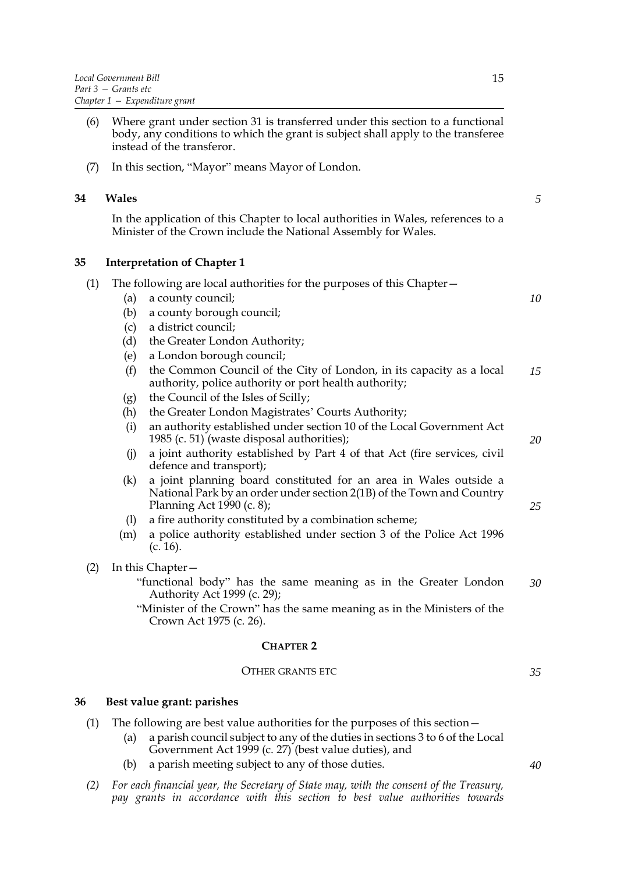- (6) Where grant under section 31 is transferred under this section to a functional body, any conditions to which the grant is subject shall apply to the transferee instead of the transferor.
- (7) In this section, "Mayor" means Mayor of London.

## **34 Wales**

In the application of this Chapter to local authorities in Wales, references to a Minister of the Crown include the National Assembly for Wales.

## **35 Interpretation of Chapter 1**

| (1) |     | The following are local authorities for the purposes of this Chapter –                                                                                                  |    |
|-----|-----|-------------------------------------------------------------------------------------------------------------------------------------------------------------------------|----|
|     | (a) | a county council;                                                                                                                                                       | 10 |
|     | (b) | a county borough council;                                                                                                                                               |    |
|     | (c) | a district council;                                                                                                                                                     |    |
|     | (d) | the Greater London Authority;                                                                                                                                           |    |
|     | (e) | a London borough council;                                                                                                                                               |    |
|     | (f) | the Common Council of the City of London, in its capacity as a local<br>authority, police authority or port health authority;                                           | 15 |
|     | (g) | the Council of the Isles of Scilly;                                                                                                                                     |    |
|     | (h) | the Greater London Magistrates' Courts Authority;                                                                                                                       |    |
|     | (i) | an authority established under section 10 of the Local Government Act<br>1985 (c. 51) (waste disposal authorities);                                                     | 20 |
|     | (j) | a joint authority established by Part 4 of that Act (fire services, civil<br>defence and transport);                                                                    |    |
|     | (k) | a joint planning board constituted for an area in Wales outside a<br>National Park by an order under section 2(1B) of the Town and Country<br>Planning Act 1990 (c. 8); | 25 |
|     | (1) | a fire authority constituted by a combination scheme;                                                                                                                   |    |
|     | (m) | a police authority established under section 3 of the Police Act 1996<br>(c. 16).                                                                                       |    |
| (2) |     | In this Chapter -                                                                                                                                                       |    |
|     |     | "functional body" has the same meaning as in the Greater London<br>Authority Act 1999 (c. 29);                                                                          | 30 |
|     |     | "Minister of the Crown" has the same meaning as in the Ministers of the                                                                                                 |    |

Crown Act 1975 (c. 26).

## **CHAPTER 2**

## OTHER GRANTS ETC

## **36 Best value grant: parishes**

- (1) The following are best value authorities for the purposes of this section—
	- (a) a parish council subject to any of the duties in sections 3 to 6 of the Local Government Act 1999 (c. 27) (best value duties), and
	- (b) a parish meeting subject to any of those duties.
- *(2) For each financial year, the Secretary of State may, with the consent of the Treasury, pay grants in accordance with this section to best value authorities towards*

*5*

*35*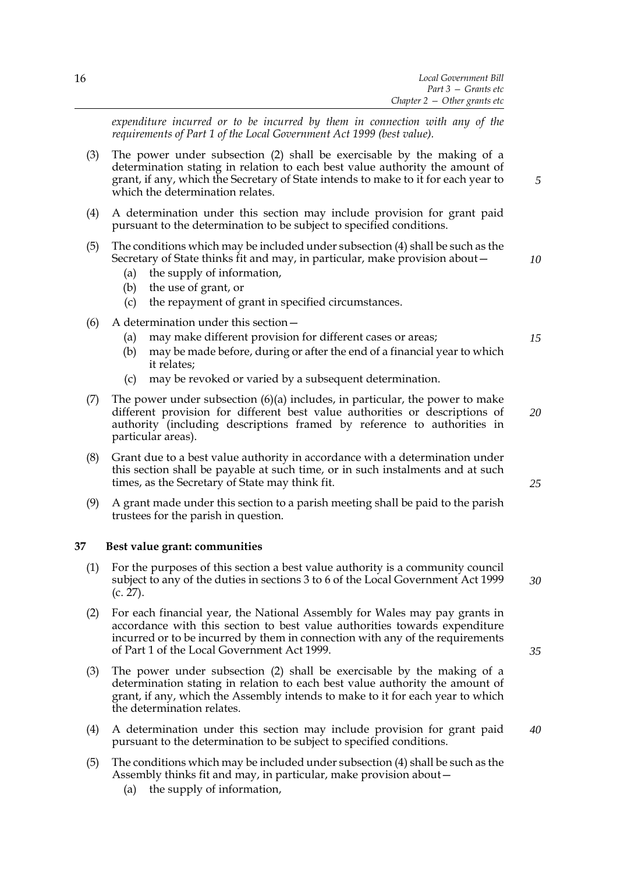*expenditure incurred or to be incurred by them in connection with any of the requirements of Part 1 of the Local Government Act 1999 (best value).*

- (3) The power under subsection (2) shall be exercisable by the making of a determination stating in relation to each best value authority the amount of grant, if any, which the Secretary of State intends to make to it for each year to which the determination relates.
- (4) A determination under this section may include provision for grant paid pursuant to the determination to be subject to specified conditions.
- (5) The conditions which may be included under subsection (4) shall be such as the Secretary of State thinks fit and may, in particular, make provision about—
	- (a) the supply of information,
	- (b) the use of grant, or
	- (c) the repayment of grant in specified circumstances.
- (6) A determination under this section—
	- (a) may make different provision for different cases or areas;
	- (b) may be made before, during or after the end of a financial year to which it relates;
	- (c) may be revoked or varied by a subsequent determination.
- (7) The power under subsection  $(6)(a)$  includes, in particular, the power to make different provision for different best value authorities or descriptions of authority (including descriptions framed by reference to authorities in particular areas).
- (8) Grant due to a best value authority in accordance with a determination under this section shall be payable at such time, or in such instalments and at such times, as the Secretary of State may think fit.
- (9) A grant made under this section to a parish meeting shall be paid to the parish trustees for the parish in question.

## **37 Best value grant: communities**

- (1) For the purposes of this section a best value authority is a community council subject to any of the duties in sections 3 to 6 of the Local Government Act 1999 (c. 27).
- (2) For each financial year, the National Assembly for Wales may pay grants in accordance with this section to best value authorities towards expenditure incurred or to be incurred by them in connection with any of the requirements of Part 1 of the Local Government Act 1999.
- (3) The power under subsection (2) shall be exercisable by the making of a determination stating in relation to each best value authority the amount of grant, if any, which the Assembly intends to make to it for each year to which the determination relates.
- (4) A determination under this section may include provision for grant paid pursuant to the determination to be subject to specified conditions.
- (5) The conditions which may be included under subsection (4) shall be such as the Assembly thinks fit and may, in particular, make provision about—
	- (a) the supply of information,

*25*

*20*

*5*

*10*

*15*

*35*

*30*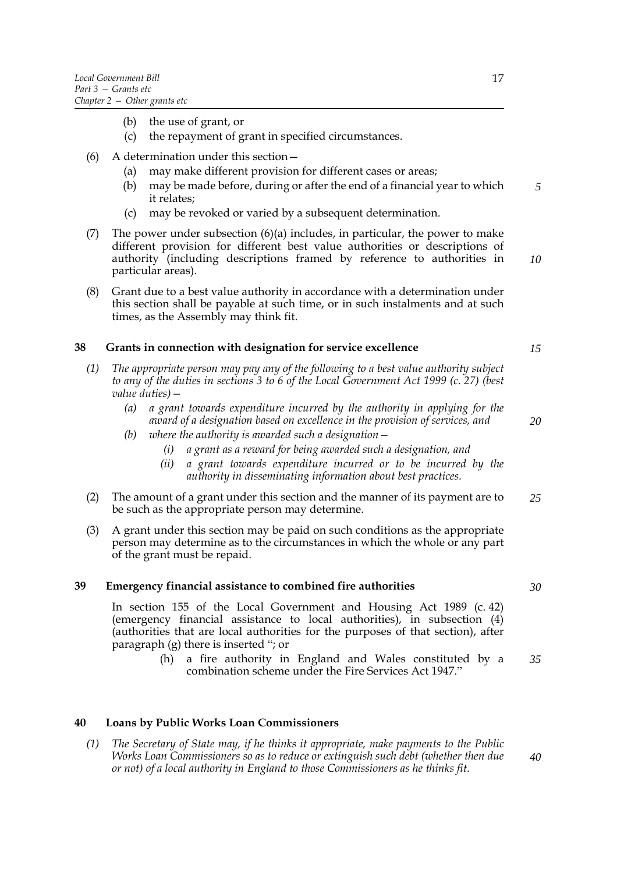- (b) the use of grant, or
- (c) the repayment of grant in specified circumstances.
- (6) A determination under this section—
	- (a) may make different provision for different cases or areas;
	- (b) may be made before, during or after the end of a financial year to which it relates; *5*
	- (c) may be revoked or varied by a subsequent determination.
- (7) The power under subsection  $(6)(a)$  includes, in particular, the power to make different provision for different best value authorities or descriptions of authority (including descriptions framed by reference to authorities in particular areas).
- (8) Grant due to a best value authority in accordance with a determination under this section shall be payable at such time, or in such instalments and at such times, as the Assembly may think fit.

## **38 Grants in connection with designation for service excellence**

- *(1) The appropriate person may pay any of the following to a best value authority subject to any of the duties in sections 3 to 6 of the Local Government Act 1999 (c. 27) (best value duties)—*
	- *(a) a grant towards expenditure incurred by the authority in applying for the award of a designation based on excellence in the provision of services, and*
	- *(b) where the authority is awarded such a designation—*
		- *(i) a grant as a reward for being awarded such a designation, and*
		- *(ii) a grant towards expenditure incurred or to be incurred by the authority in disseminating information about best practices.*
- (2) The amount of a grant under this section and the manner of its payment are to be such as the appropriate person may determine. *25*
- (3) A grant under this section may be paid on such conditions as the appropriate person may determine as to the circumstances in which the whole or any part of the grant must be repaid.

## **39 Emergency financial assistance to combined fire authorities**

In section 155 of the Local Government and Housing Act 1989 (c. 42) (emergency financial assistance to local authorities), in subsection (4) (authorities that are local authorities for the purposes of that section), after paragraph (g) there is inserted "; or

> (h) a fire authority in England and Wales constituted by a combination scheme under the Fire Services Act 1947." *35*

## **40 Loans by Public Works Loan Commissioners**

*(1) The Secretary of State may, if he thinks it appropriate, make payments to the Public Works Loan Commissioners so as to reduce or extinguish such debt (whether then due or not) of a local authority in England to those Commissioners as he thinks fit.*

*30*

*10*

*15*

*20*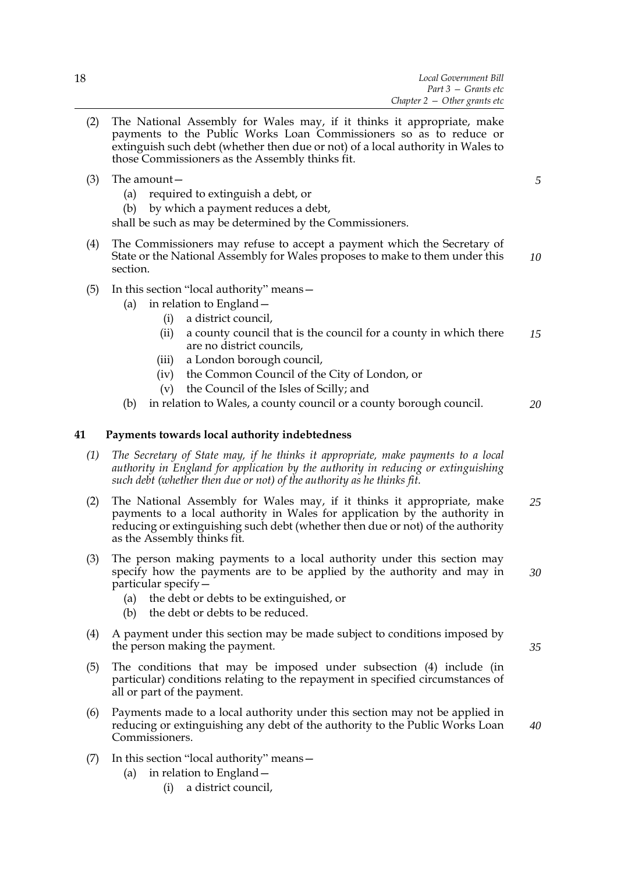- (2) The National Assembly for Wales may, if it thinks it appropriate, make payments to the Public Works Loan Commissioners so as to reduce or extinguish such debt (whether then due or not) of a local authority in Wales to those Commissioners as the Assembly thinks fit.
- (3) The amount—
	- (a) required to extinguish a debt, or
	- (b) by which a payment reduces a debt,

shall be such as may be determined by the Commissioners.

- (4) The Commissioners may refuse to accept a payment which the Secretary of State or the National Assembly for Wales proposes to make to them under this section. *10*
- (5) In this section "local authority" means—
	- (a) in relation to England—
		- (i) a district council,
		- (ii) a county council that is the council for a county in which there are no district councils, *15*
		- (iii) a London borough council,
		- (iv) the Common Council of the City of London, or
		- (v) the Council of the Isles of Scilly; and
	- (b) in relation to Wales, a county council or a county borough council. *20*

## **41 Payments towards local authority indebtedness**

- *(1) The Secretary of State may, if he thinks it appropriate, make payments to a local authority in England for application by the authority in reducing or extinguishing such debt (whether then due or not) of the authority as he thinks fit.*
- (2) The National Assembly for Wales may, if it thinks it appropriate, make payments to a local authority in Wales for application by the authority in reducing or extinguishing such debt (whether then due or not) of the authority as the Assembly thinks fit. *25*
- (3) The person making payments to a local authority under this section may specify how the payments are to be applied by the authority and may in particular specify— *30*
	- (a) the debt or debts to be extinguished, or
	- (b) the debt or debts to be reduced.
- (4) A payment under this section may be made subject to conditions imposed by the person making the payment.
- (5) The conditions that may be imposed under subsection (4) include (in particular) conditions relating to the repayment in specified circumstances of all or part of the payment.
- (6) Payments made to a local authority under this section may not be applied in reducing or extinguishing any debt of the authority to the Public Works Loan Commissioners.
- (7) In this section "local authority" means—
	- (a) in relation to England—
		- (i) a district council,

*35*

*40*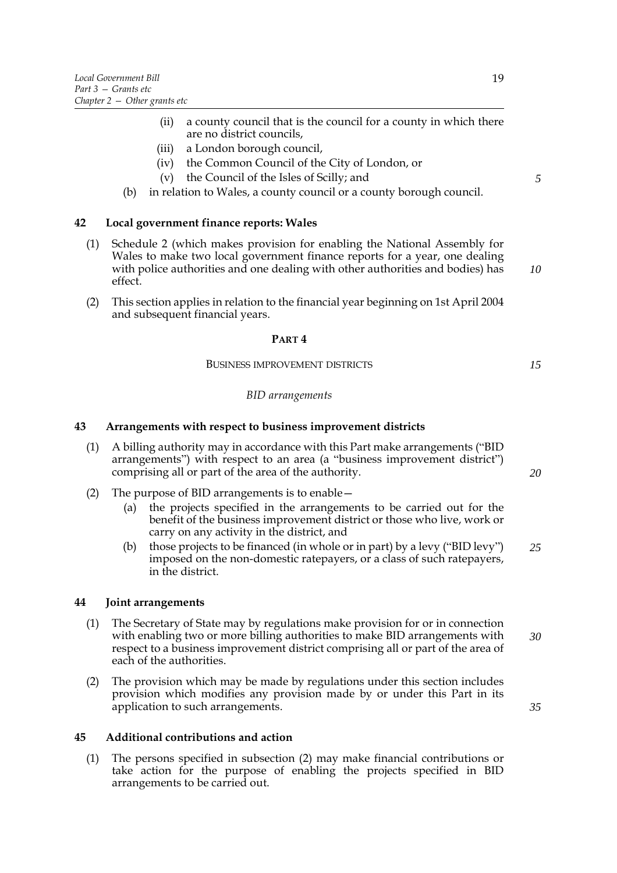- (ii) a county council that is the council for a county in which there are no district councils,
- (iii) a London borough council,
- (iv) the Common Council of the City of London, or
- (v) the Council of the Isles of Scilly; and
- (b) in relation to Wales, a county council or a county borough council.

## **42 Local government finance reports: Wales**

- (1) Schedule [2](#page-79-0) (which makes provision for enabling the National Assembly for Wales to make two local government finance reports for a year, one dealing with police authorities and one dealing with other authorities and bodies) has effect.
- (2) This section applies in relation to the financial year beginning on 1st April 2004 and subsequent financial years.

#### **PART 4**

## BUSINESS IMPROVEMENT DISTRICTS

## *BID arrangements*

## **43 Arrangements with respect to business improvement districts**

- (1) A billing authority may in accordance with this Part make arrangements ("BID arrangements") with respect to an area (a "business improvement district") comprising all or part of the area of the authority.
- (2) The purpose of BID arrangements is to enable—
	- (a) the projects specified in the arrangements to be carried out for the benefit of the business improvement district or those who live, work or carry on any activity in the district, and
	- (b) those projects to be financed (in whole or in part) by a levy ("BID levy") imposed on the non-domestic ratepayers, or a class of such ratepayers, in the district. *25*

## **44 Joint arrangements**

- (1) The Secretary of State may by regulations make provision for or in connection with enabling two or more billing authorities to make BID arrangements with respect to a business improvement district comprising all or part of the area of each of the authorities.
- (2) The provision which may be made by regulations under this section includes provision which modifies any provision made by or under this Part in its application to such arrangements.

## **45 Additional contributions and action**

(1) The persons specified in subsection (2) may make financial contributions or take action for the purpose of enabling the projects specified in BID arrangements to be carried out.

*5*

*10*

*15*

*20*

*30*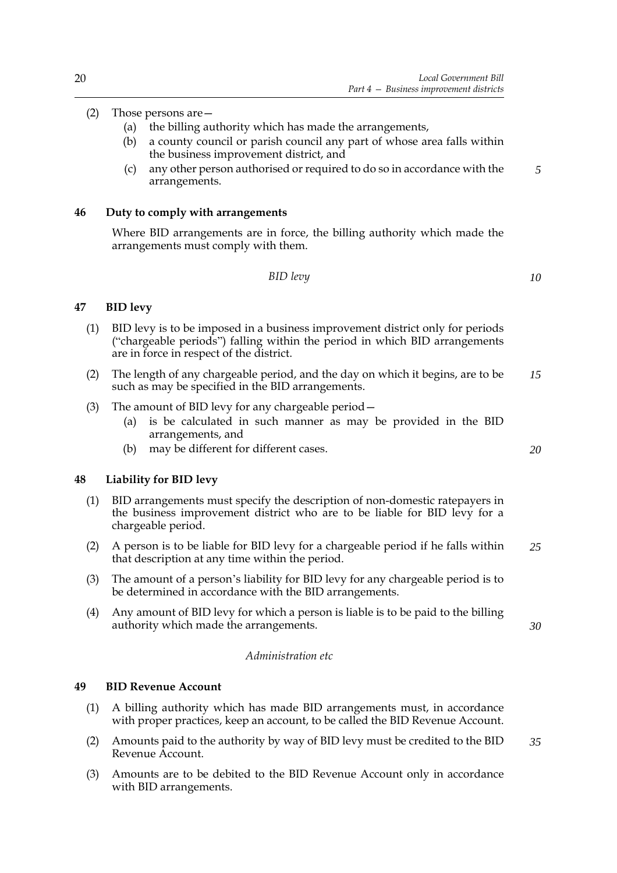## (2) Those persons are—

- (a) the billing authority which has made the arrangements,
- (b) a county council or parish council any part of whose area falls within the business improvement district, and
- (c) any other person authorised or required to do so in accordance with the arrangements.

## **46 Duty to comply with arrangements**

Where BID arrangements are in force, the billing authority which made the arrangements must comply with them.

*BID levy*

*10*

*5*

## **47 BID levy**

- (1) BID levy is to be imposed in a business improvement district only for periods ("chargeable periods") falling within the period in which BID arrangements are in force in respect of the district.
- (2) The length of any chargeable period, and the day on which it begins, are to be such as may be specified in the BID arrangements. *15*
- (3) The amount of BID levy for any chargeable period—
	- (a) is be calculated in such manner as may be provided in the BID arrangements, and
	- (b) may be different for different cases.

## **48 Liability for BID levy**

- (1) BID arrangements must specify the description of non-domestic ratepayers in the business improvement district who are to be liable for BID levy for a chargeable period.
- (2) A person is to be liable for BID levy for a chargeable period if he falls within that description at any time within the period. *25*
- (3) The amount of a person's liability for BID levy for any chargeable period is to be determined in accordance with the BID arrangements.
- (4) Any amount of BID levy for which a person is liable is to be paid to the billing authority which made the arrangements.

*30*

*20*

## *Administration etc*

## **49 BID Revenue Account**

- (1) A billing authority which has made BID arrangements must, in accordance with proper practices, keep an account, to be called the BID Revenue Account.
- (2) Amounts paid to the authority by way of BID levy must be credited to the BID Revenue Account. *35*
- (3) Amounts are to be debited to the BID Revenue Account only in accordance with BID arrangements.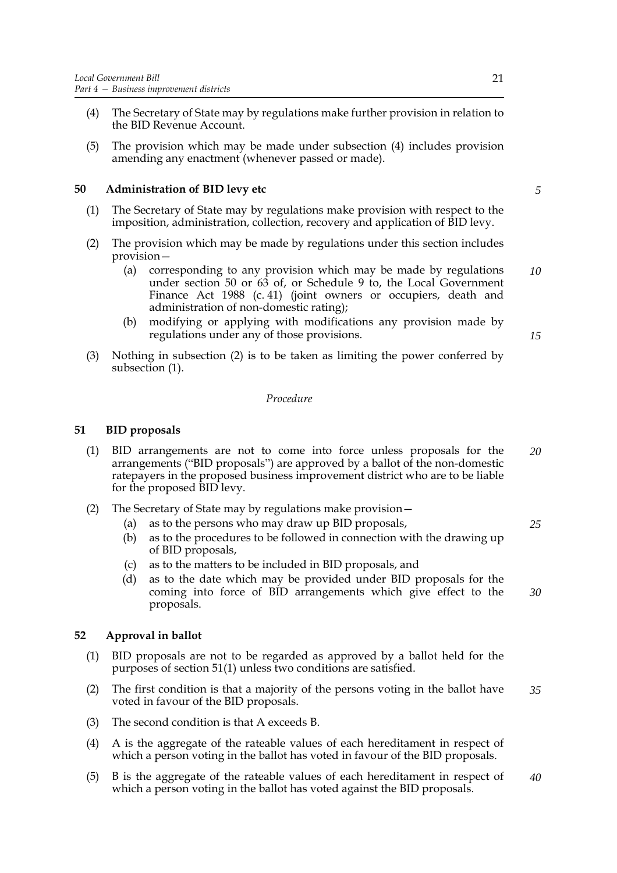- (4) The Secretary of State may by regulations make further provision in relation to the BID Revenue Account.
- (5) The provision which may be made under subsection (4) includes provision amending any enactment (whenever passed or made).

## **50 Administration of BID levy etc**

- (1) The Secretary of State may by regulations make provision with respect to the imposition, administration, collection, recovery and application of BID levy.
- (2) The provision which may be made by regulations under this section includes provision—
	- (a) corresponding to any provision which may be made by regulations under section 50 or 63 of, or Schedule 9 to, the Local Government Finance Act 1988 (c. 41) (joint owners or occupiers, death and administration of non-domestic rating); *10*
	- (b) modifying or applying with modifications any provision made by regulations under any of those provisions.
- (3) Nothing in subsection (2) is to be taken as limiting the power conferred by subsection (1).

## *Procedure*

## **51 BID proposals**

- (1) BID arrangements are not to come into force unless proposals for the arrangements ("BID proposals") are approved by a ballot of the non-domestic ratepayers in the proposed business improvement district who are to be liable for the proposed BID levy. *20*
- (2) The Secretary of State may by regulations make provision—
	- (a) as to the persons who may draw up BID proposals,
	- (b) as to the procedures to be followed in connection with the drawing up of BID proposals,
	- (c) as to the matters to be included in BID proposals, and
	- (d) as to the date which may be provided under BID proposals for the coming into force of BID arrangements which give effect to the proposals. *30*

## **52 Approval in ballot**

- (1) BID proposals are not to be regarded as approved by a ballot held for the purposes of section 51(1) unless two conditions are satisfied.
- (2) The first condition is that a majority of the persons voting in the ballot have voted in favour of the BID proposals. *35*
- (3) The second condition is that A exceeds B.
- (4) A is the aggregate of the rateable values of each hereditament in respect of which a person voting in the ballot has voted in favour of the BID proposals.
- (5) B is the aggregate of the rateable values of each hereditament in respect of which a person voting in the ballot has voted against the BID proposals. *40*

*5*

*15*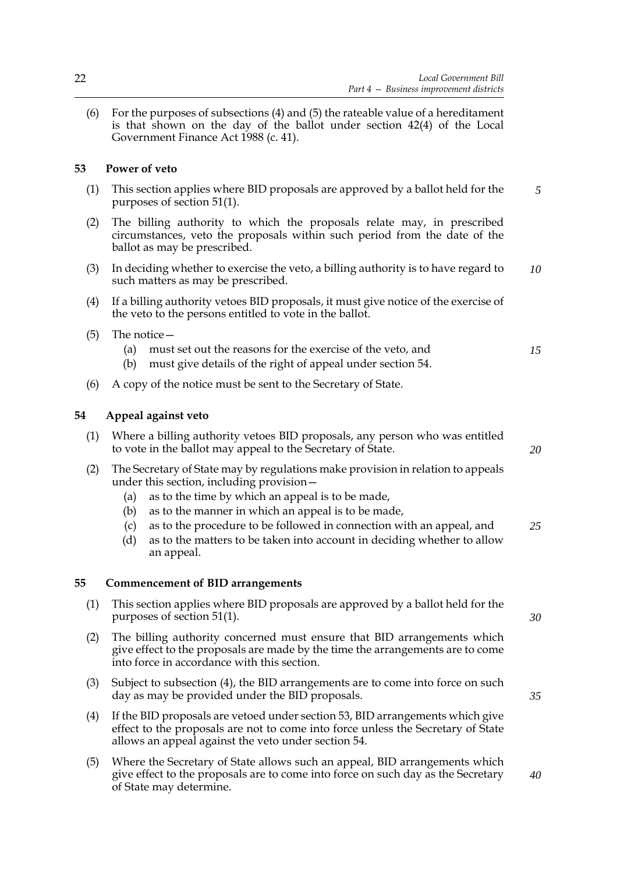(6) For the purposes of subsections (4) and (5) the rateable value of a hereditament is that shown on the day of the ballot under section 42(4) of the Local Government Finance Act 1988 (c. 41).

## **53 Power of veto**

- (1) This section applies where BID proposals are approved by a ballot held for the purposes of section 51(1). *5*
- (2) The billing authority to which the proposals relate may, in prescribed circumstances, veto the proposals within such period from the date of the ballot as may be prescribed.
- (3) In deciding whether to exercise the veto, a billing authority is to have regard to such matters as may be prescribed. *10*
- (4) If a billing authority vetoes BID proposals, it must give notice of the exercise of the veto to the persons entitled to vote in the ballot.
- (5) The notice—
	- (a) must set out the reasons for the exercise of the veto, and
	- (b) must give details of the right of appeal under section 54.
- (6) A copy of the notice must be sent to the Secretary of State.

## **54 Appeal against veto**

- (1) Where a billing authority vetoes BID proposals, any person who was entitled to vote in the ballot may appeal to the Secretary of State.
- (2) The Secretary of State may by regulations make provision in relation to appeals under this section, including provision—
	- (a) as to the time by which an appeal is to be made,
	- (b) as to the manner in which an appeal is to be made,
	- (c) as to the procedure to be followed in connection with an appeal, and *25*
	- (d) as to the matters to be taken into account in deciding whether to allow an appeal.

## **55 Commencement of BID arrangements**

- (1) This section applies where BID proposals are approved by a ballot held for the purposes of section 51(1).
- (2) The billing authority concerned must ensure that BID arrangements which give effect to the proposals are made by the time the arrangements are to come into force in accordance with this section.
- (3) Subject to subsection (4), the BID arrangements are to come into force on such day as may be provided under the BID proposals.
- (4) If the BID proposals are vetoed under section 53, BID arrangements which give effect to the proposals are not to come into force unless the Secretary of State allows an appeal against the veto under section 54.
- (5) Where the Secretary of State allows such an appeal, BID arrangements which give effect to the proposals are to come into force on such day as the Secretary of State may determine.

*20*

*15*

*30*

*35*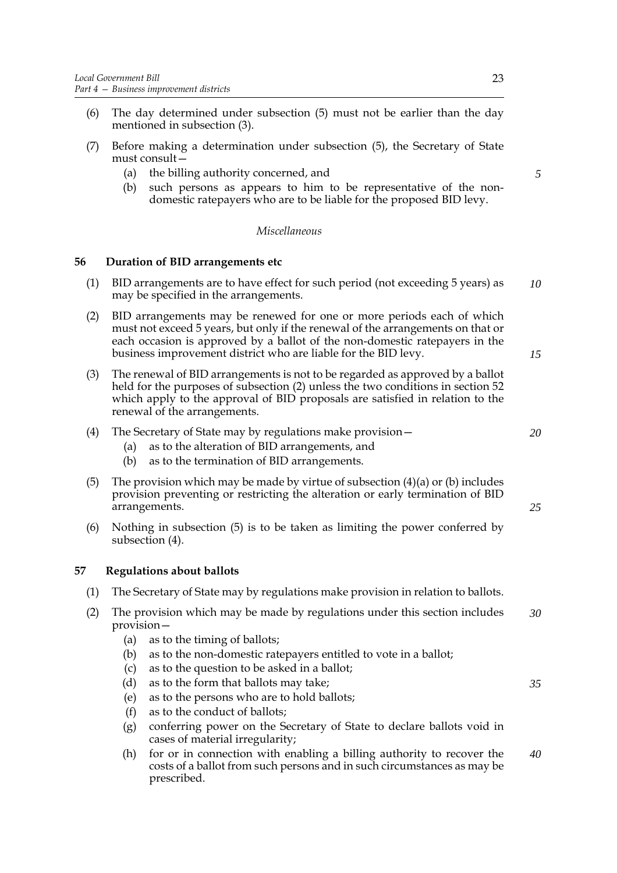- (6) The day determined under subsection (5) must not be earlier than the day mentioned in subsection (3).
- (7) Before making a determination under subsection (5), the Secretary of State must consult—
	- (a) the billing authority concerned, and
	- (b) such persons as appears to him to be representative of the nondomestic ratepayers who are to be liable for the proposed BID levy.

#### *Miscellaneous*

## **56 Duration of BID arrangements etc**

- (1) BID arrangements are to have effect for such period (not exceeding 5 years) as may be specified in the arrangements. *10*
- (2) BID arrangements may be renewed for one or more periods each of which must not exceed 5 years, but only if the renewal of the arrangements on that or each occasion is approved by a ballot of the non-domestic ratepayers in the business improvement district who are liable for the BID levy.
- (3) The renewal of BID arrangements is not to be regarded as approved by a ballot held for the purposes of subsection (2) unless the two conditions in section 52 which apply to the approval of BID proposals are satisfied in relation to the renewal of the arrangements.
- (4) The Secretary of State may by regulations make provision—
	- (a) as to the alteration of BID arrangements, and
	- (b) as to the termination of BID arrangements.
- (5) The provision which may be made by virtue of subsection  $(4)(a)$  or (b) includes provision preventing or restricting the alteration or early termination of BID arrangements.
- (6) Nothing in subsection (5) is to be taken as limiting the power conferred by subsection (4).

## **57 Regulations about ballots**

- (1) The Secretary of State may by regulations make provision in relation to ballots.
- (2) The provision which may be made by regulations under this section includes provision— *30*
	- (a) as to the timing of ballots;
	- (b) as to the non-domestic ratepayers entitled to vote in a ballot;
	- (c) as to the question to be asked in a ballot;
	- (d) as to the form that ballots may take;
	- (e) as to the persons who are to hold ballots;
	- (f) as to the conduct of ballots;
	- (g) conferring power on the Secretary of State to declare ballots void in cases of material irregularity;
	- (h) for or in connection with enabling a billing authority to recover the costs of a ballot from such persons and in such circumstances as may be prescribed. *40*

*5*

*15*

*20*

*25*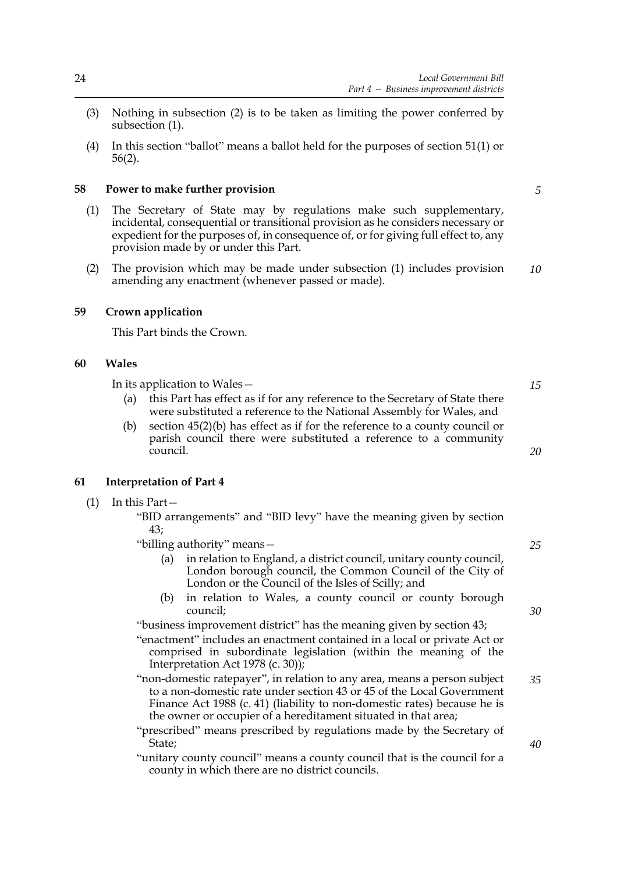- (3) Nothing in subsection (2) is to be taken as limiting the power conferred by subsection (1).
- (4) In this section "ballot" means a ballot held for the purposes of section 51(1) or 56(2).

#### **58 Power to make further provision**

- (1) The Secretary of State may by regulations make such supplementary, incidental, consequential or transitional provision as he considers necessary or expedient for the purposes of, in consequence of, or for giving full effect to, any provision made by or under this Part.
- (2) The provision which may be made under subsection (1) includes provision amending any enactment (whenever passed or made). *10*

## **59 Crown application**

This Part binds the Crown.

## **60 Wales**

In its application to Wales—

- (a) this Part has effect as if for any reference to the Secretary of State there were substituted a reference to the National Assembly for Wales, and
- (b) section 45(2)(b) has effect as if for the reference to a county council or parish council there were substituted a reference to a community council.

## **61 Interpretation of Part 4**

(1) In this Part—

"BID arrangements" and "BID levy" have the meaning given by section 43;

- "billing authority" means—
	- (a) in relation to England, a district council, unitary county council, London borough council, the Common Council of the City of London or the Council of the Isles of Scilly; and
	- (b) in relation to Wales, a county council or county borough council;

"business improvement district" has the meaning given by section 43;

"enactment" includes an enactment contained in a local or private Act or comprised in subordinate legislation (within the meaning of the Interpretation Act 1978 (c. 30));

"non-domestic ratepayer", in relation to any area, means a person subject to a non-domestic rate under section 43 or 45 of the Local Government Finance Act 1988 (c. 41) (liability to non-domestic rates) because he is the owner or occupier of a hereditament situated in that area;

"prescribed" means prescribed by regulations made by the Secretary of State;

"unitary county council" means a county council that is the council for a county in which there are no district councils.

*5*

*25*

*15*

*20*

*30*

*35*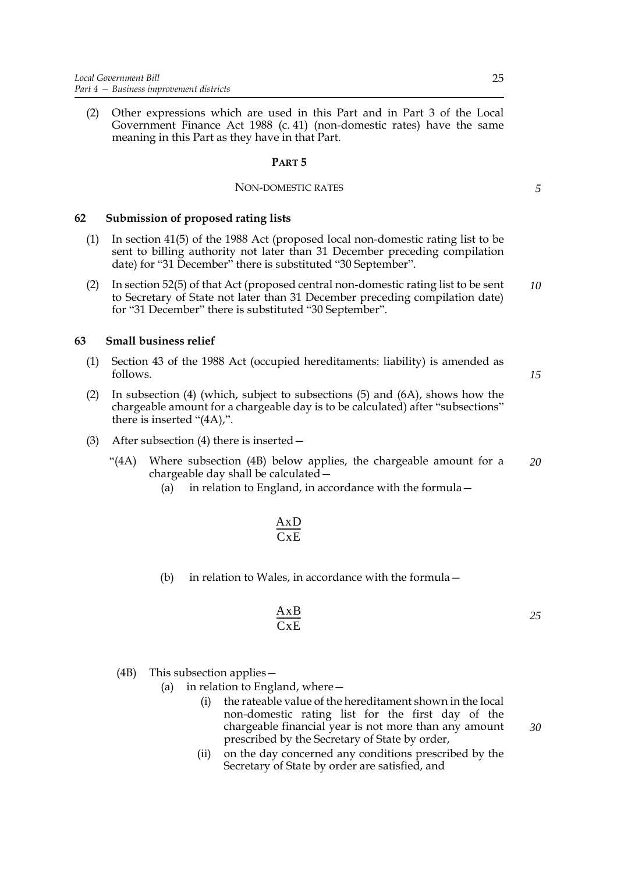(2) Other expressions which are used in this Part and in Part 3 of the Local Government Finance Act 1988 (c. 41) (non-domestic rates) have the same meaning in this Part as they have in that Part.

## **PART 5**

#### NON-DOMESTIC RATES

#### **62 Submission of proposed rating lists**

- (1) In section 41(5) of the 1988 Act (proposed local non-domestic rating list to be sent to billing authority not later than 31 December preceding compilation date) for "31 December" there is substituted "30 September".
- (2) In section 52(5) of that Act (proposed central non-domestic rating list to be sent to Secretary of State not later than 31 December preceding compilation date) for "31 December" there is substituted "30 September". *10*

## **63 Small business relief**

- (1) Section 43 of the 1988 Act (occupied hereditaments: liability) is amended as follows.
- (2) In subsection (4) (which, subject to subsections (5) and (6A), shows how the chargeable amount for a chargeable day is to be calculated) after "subsections" there is inserted "(4A),".
- (3) After subsection (4) there is inserted—
	- "(4A) Where subsection (4B) below applies, the chargeable amount for a chargeable day shall be calculated— *20*
		- (a) in relation to England, in accordance with the formula—

$$
\frac{AxD}{CxE}
$$

(b) in relation to Wales, in accordance with the formula—

$$
\frac{AxB}{CxE} \tag{25}
$$

#### (4B) This subsection applies—

- (a) in relation to England, where—
	- (i) the rateable value of the hereditament shown in the local non-domestic rating list for the first day of the chargeable financial year is not more than any amount prescribed by the Secretary of State by order,
	- (ii) on the day concerned any conditions prescribed by the Secretary of State by order are satisfied, and

*15*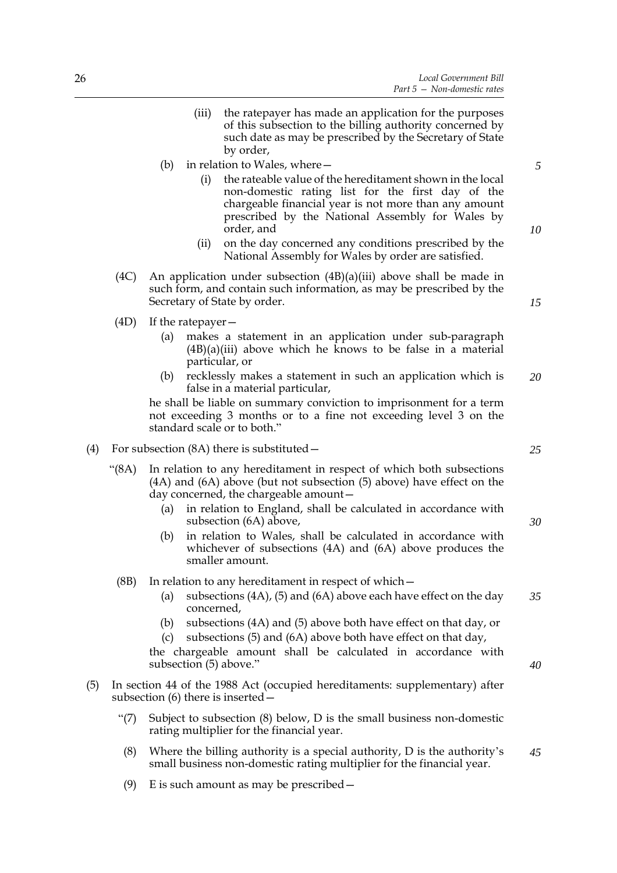- (iii) the ratepayer has made an application for the purposes of this subsection to the billing authority concerned by such date as may be prescribed by the Secretary of State by order,
- (b) in relation to Wales, where—
	- (i) the rateable value of the hereditament shown in the local non-domestic rating list for the first day of the chargeable financial year is not more than any amount prescribed by the National Assembly for Wales by order, and
	- (ii) on the day concerned any conditions prescribed by the National Assembly for Wales by order are satisfied.
- (4C) An application under subsection (4B)(a)(iii) above shall be made in such form, and contain such information, as may be prescribed by the Secretary of State by order.
- (4D) If the ratepayer—
	- (a) makes a statement in an application under sub-paragraph  $(4B)(a)(iii)$  above which he knows to be false in a material particular, or
	- (b) recklessly makes a statement in such an application which is false in a material particular, *20*

he shall be liable on summary conviction to imprisonment for a term not exceeding 3 months or to a fine not exceeding level 3 on the standard scale or to both."

- (4) For subsection (8A) there is substituted—
	- "(8A) In relation to any hereditament in respect of which both subsections (4A) and (6A) above (but not subsection (5) above) have effect on the day concerned, the chargeable amount—
		- (a) in relation to England, shall be calculated in accordance with subsection (6A) above,
		- (b) in relation to Wales, shall be calculated in accordance with whichever of subsections (4A) and (6A) above produces the smaller amount.
		- (8B) In relation to any hereditament in respect of which—
			- (a) subsections (4A), (5) and (6A) above each have effect on the day concerned, *35*
			- (b) subsections (4A) and (5) above both have effect on that day, or (c) subsections (5) and (6A) above both have effect on that day,

the chargeable amount shall be calculated in accordance with subsection (5) above."

- (5) In section 44 of the 1988 Act (occupied hereditaments: supplementary) after subsection (6) there is inserted—
	- "(7) Subject to subsection (8) below, D is the small business non-domestic rating multiplier for the financial year.
	- (8) Where the billing authority is a special authority, D is the authority's small business non-domestic rating multiplier for the financial year.
	- (9) E is such amount as may be prescribed—

*25*

*5*

*10*

*15*

*30*

*40*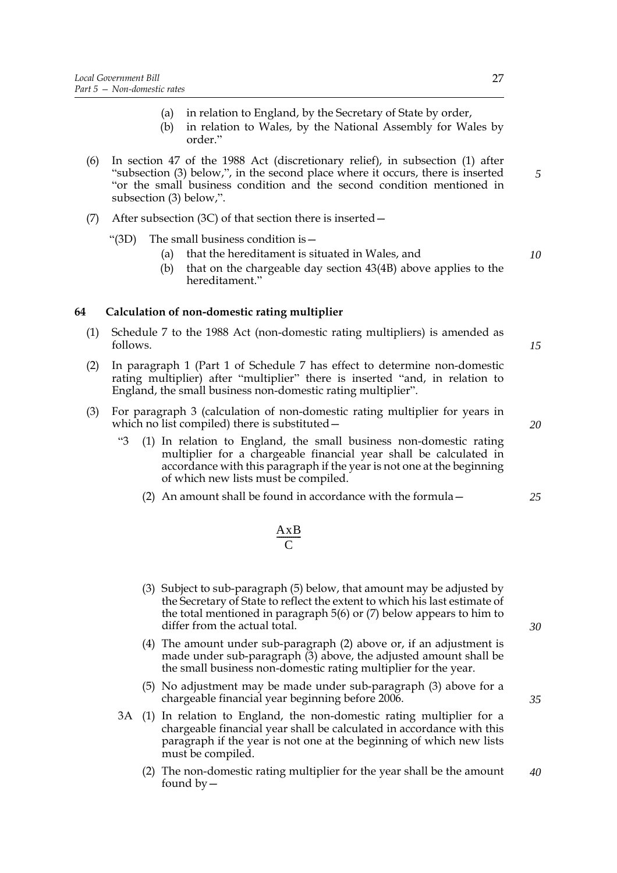- (a) in relation to England, by the Secretary of State by order,
- (b) in relation to Wales, by the National Assembly for Wales by order."
- (6) In section 47 of the 1988 Act (discretionary relief), in subsection (1) after "subsection (3) below,", in the second place where it occurs, there is inserted "or the small business condition and the second condition mentioned in subsection (3) below,".
- (7) After subsection (3C) of that section there is inserted—

"(3D) The small business condition is  $-$ 

- (a) that the hereditament is situated in Wales, and
- (b) that on the chargeable day section 43(4B) above applies to the hereditament."

## **64 Calculation of non-domestic rating multiplier**

- (1) Schedule 7 to the 1988 Act (non-domestic rating multipliers) is amended as follows.
- (2) In paragraph 1 (Part 1 of Schedule 7 has effect to determine non-domestic rating multiplier) after "multiplier" there is inserted "and, in relation to England, the small business non-domestic rating multiplier".
- (3) For paragraph 3 (calculation of non-domestic rating multiplier for years in which no list compiled) there is substituted—
	- "3 (1) In relation to England, the small business non-domestic rating multiplier for a chargeable financial year shall be calculated in accordance with this paragraph if the year is not one at the beginning of which new lists must be compiled.
		- (2) An amount shall be found in accordance with the formula—

#### AxB  $\mathcal{C}_{0}^{(n)}$  $\frac{\overline{AAD}}{A}$

- (3) Subject to sub-paragraph (5) below, that amount may be adjusted by the Secretary of State to reflect the extent to which his last estimate of the total mentioned in paragraph 5(6) or (7) below appears to him to differ from the actual total.
- (4) The amount under sub-paragraph (2) above or, if an adjustment is made under sub-paragraph (3) above, the adjusted amount shall be the small business non-domestic rating multiplier for the year.
- (5) No adjustment may be made under sub-paragraph (3) above for a chargeable financial year beginning before 2006.
- 3A (1) In relation to England, the non-domestic rating multiplier for a chargeable financial year shall be calculated in accordance with this paragraph if the year is not one at the beginning of which new lists must be compiled.
	- (2) The non-domestic rating multiplier for the year shall be the amount found  $by -$ *40*

*30*

*10*

*5*

*15*

*25*

*20*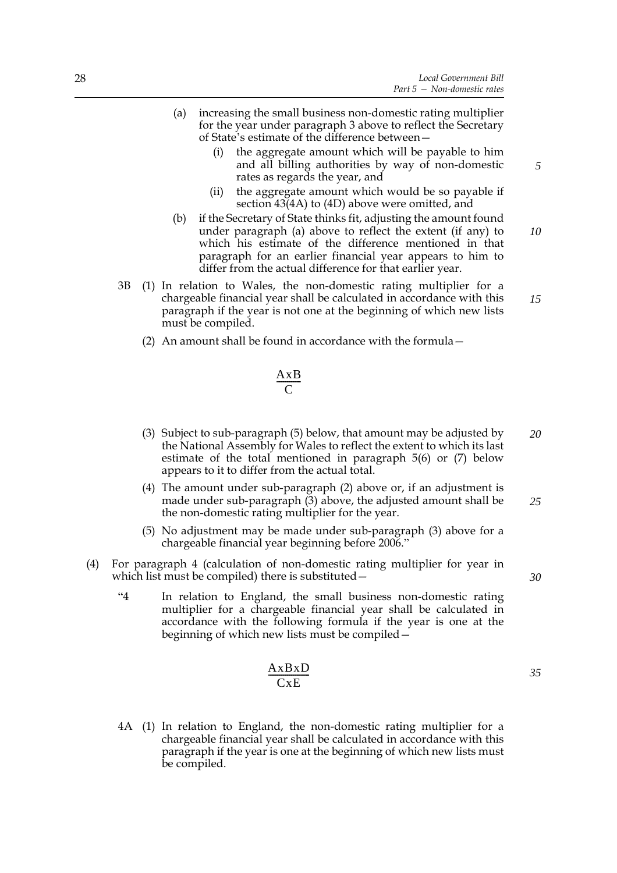- (a) increasing the small business non-domestic rating multiplier for the year under paragraph 3 above to reflect the Secretary of State's estimate of the difference between—
	- (i) the aggregate amount which will be payable to him and all billing authorities by way of non-domestic rates as regards the year, and
	- (ii) the aggregate amount which would be so payable if section 43(4A) to (4D) above were omitted, and
- (b) if the Secretary of State thinks fit, adjusting the amount found under paragraph (a) above to reflect the extent (if any) to which his estimate of the difference mentioned in that paragraph for an earlier financial year appears to him to differ from the actual difference for that earlier year.
- 3B (1) In relation to Wales, the non-domestic rating multiplier for a chargeable financial year shall be calculated in accordance with this paragraph if the year is not one at the beginning of which new lists must be compiled.
	- (2) An amount shall be found in accordance with the formula—

#### AxB  $\mathcal{C}_{0}^{(n)}$  $\frac{\overline{AAD}}{A}$

- (3) Subject to sub-paragraph (5) below, that amount may be adjusted by the National Assembly for Wales to reflect the extent to which its last estimate of the total mentioned in paragraph 5(6) or (7) below appears to it to differ from the actual total. *20*
- (4) The amount under sub-paragraph (2) above or, if an adjustment is made under sub-paragraph (3) above, the adjusted amount shall be the non-domestic rating multiplier for the year. *25*
- (5) No adjustment may be made under sub-paragraph (3) above for a chargeable financial year beginning before 2006."
- (4) For paragraph 4 (calculation of non-domestic rating multiplier for year in which list must be compiled) there is substituted—
	- "4 In relation to England, the small business non-domestic rating multiplier for a chargeable financial year shall be calculated in accordance with the following formula if the year is one at the beginning of which new lists must be compiled—

$$
\frac{\mathbf{AxBxD}}{\mathbf{CxE}}
$$

4A (1) In relation to England, the non-domestic rating multiplier for a chargeable financial year shall be calculated in accordance with this paragraph if the year is one at the beginning of which new lists must be compiled.

*10*

*15*

*30*

*35*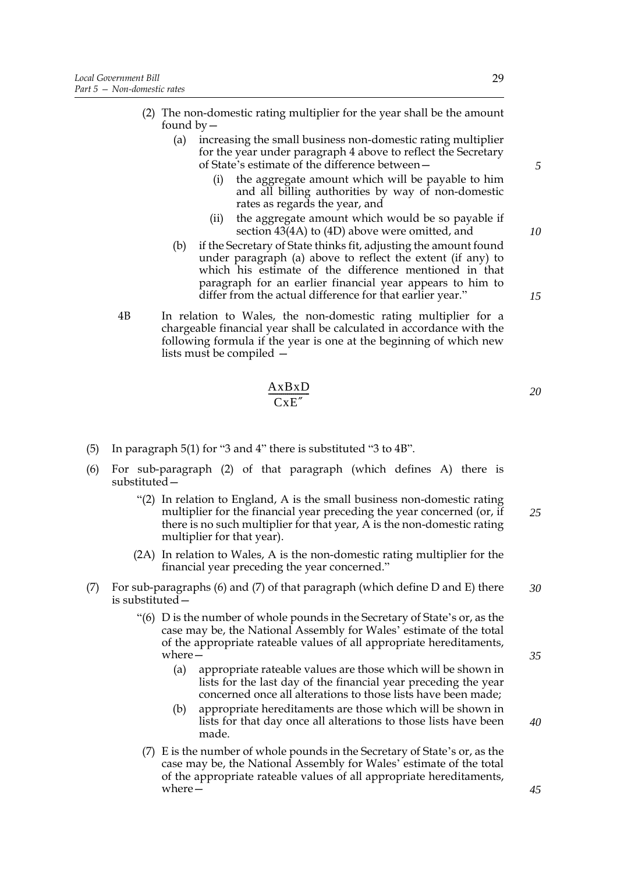- (2) The non-domestic rating multiplier for the year shall be the amount found by  $-$ 
	- (a) increasing the small business non-domestic rating multiplier for the year under paragraph 4 above to reflect the Secretary of State's estimate of the difference between—
		- (i) the aggregate amount which will be payable to him and all billing authorities by way of non-domestic rates as regards the year, and
		- (ii) the aggregate amount which would be so payable if section 43(4A) to (4D) above were omitted, and
	- (b) if the Secretary of State thinks fit, adjusting the amount found under paragraph (a) above to reflect the extent (if any) to which his estimate of the difference mentioned in that paragraph for an earlier financial year appears to him to differ from the actual difference for that earlier year."
- 4B In relation to Wales, the non-domestic rating multiplier for a chargeable financial year shall be calculated in accordance with the following formula if the year is one at the beginning of which new lists must be compiled —

$$
\frac{\text{AxBxD}}{\text{CxE}}
$$

- (5) In paragraph 5(1) for "3 and 4" there is substituted "3 to 4B".
- (6) For sub-paragraph (2) of that paragraph (which defines A) there is substituted—
	- "(2) In relation to England, A is the small business non-domestic rating multiplier for the financial year preceding the year concerned (or, if there is no such multiplier for that year, A is the non-domestic rating multiplier for that year). *25*
	- (2A) In relation to Wales, A is the non-domestic rating multiplier for the financial year preceding the year concerned."
- (7) For sub-paragraphs (6) and (7) of that paragraph (which define D and E) there is substituted— *30*
	- "(6) D is the number of whole pounds in the Secretary of State's or, as the case may be, the National Assembly for Wales' estimate of the total of the appropriate rateable values of all appropriate hereditaments, where—
		- (a) appropriate rateable values are those which will be shown in lists for the last day of the financial year preceding the year concerned once all alterations to those lists have been made;
		- (b) appropriate hereditaments are those which will be shown in lists for that day once all alterations to those lists have been made.
	- (7) E is the number of whole pounds in the Secretary of State's or, as the case may be, the National Assembly for Wales' estimate of the total of the appropriate rateable values of all appropriate hereditaments, where—

29

*10*

*15*

*5*

*20*

*35*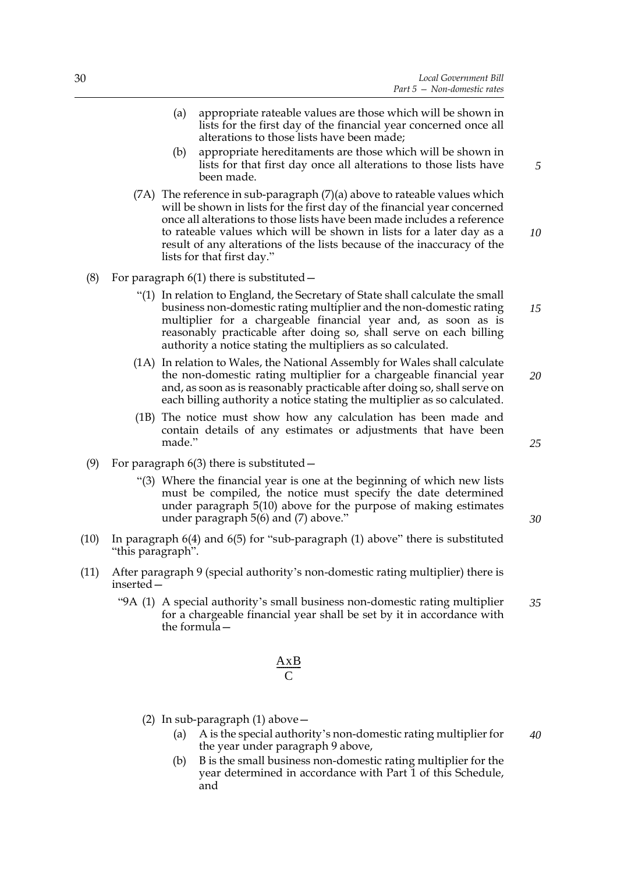- (a) appropriate rateable values are those which will be shown in lists for the first day of the financial year concerned once all alterations to those lists have been made;
- (b) appropriate hereditaments are those which will be shown in lists for that first day once all alterations to those lists have been made.
- $(7)$  The reference in sub-paragraph  $(7)(a)$  above to rateable values which will be shown in lists for the first day of the financial year concerned once all alterations to those lists have been made includes a reference to rateable values which will be shown in lists for a later day as a result of any alterations of the lists because of the inaccuracy of the lists for that first day."
- (8) For paragraph  $6(1)$  there is substituted  $-$ 
	- "(1) In relation to England, the Secretary of State shall calculate the small business non-domestic rating multiplier and the non-domestic rating multiplier for a chargeable financial year and, as soon as is reasonably practicable after doing so, shall serve on each billing authority a notice stating the multipliers as so calculated.
	- (1A) In relation to Wales, the National Assembly for Wales shall calculate the non-domestic rating multiplier for a chargeable financial year and, as soon as is reasonably practicable after doing so, shall serve on each billing authority a notice stating the multiplier as so calculated. *20*
	- (1B) The notice must show how any calculation has been made and contain details of any estimates or adjustments that have been made."
- (9) For paragraph  $6(3)$  there is substituted  $-$ 
	- "(3) Where the financial year is one at the beginning of which new lists must be compiled, the notice must specify the date determined under paragraph 5(10) above for the purpose of making estimates under paragraph 5(6) and (7) above."
- (10) In paragraph 6(4) and 6(5) for "sub-paragraph (1) above" there is substituted "this paragraph".
- (11) After paragraph 9 (special authority's non-domestic rating multiplier) there is inserted—
	- "9A (1) A special authority's small business non-domestic rating multiplier for a chargeable financial year shall be set by it in accordance with the formula— *35*

$$
\frac{\mathbf{A}\mathbf{x}\mathbf{B}}{\mathbf{C}}
$$

- (2) In sub-paragraph (1) above—
	- (a) A is the special authority's non-domestic rating multiplier for the year under paragraph 9 above, *40*
	- (b) B is the small business non-domestic rating multiplier for the year determined in accordance with Part 1 of this Schedule, and

*25*

*5*

*10*

*15*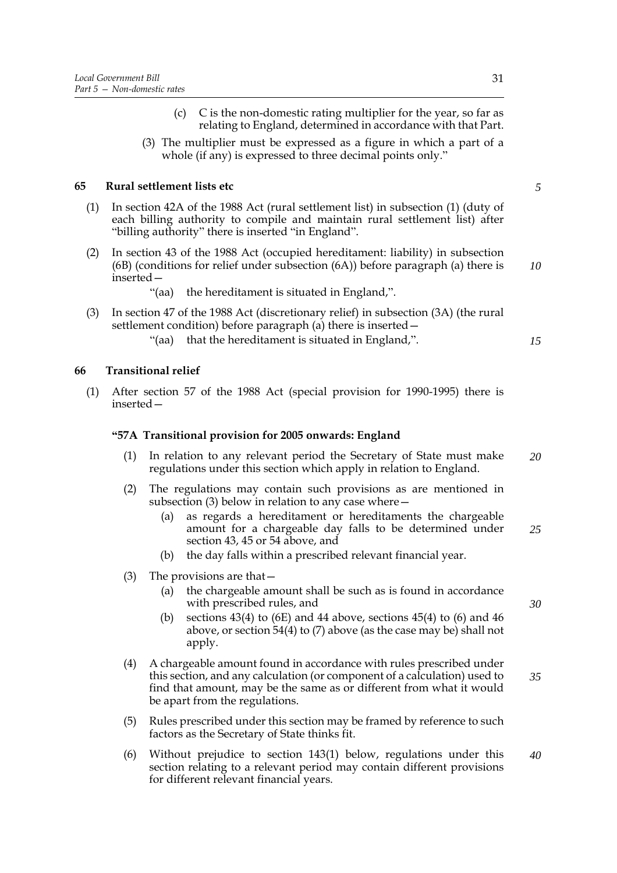(3) The multiplier must be expressed as a figure in which a part of a whole (if any) is expressed to three decimal points only."

# **65 Rural settlement lists etc**

- (1) In section 42A of the 1988 Act (rural settlement list) in subsection (1) (duty of each billing authority to compile and maintain rural settlement list) after "billing authority" there is inserted "in England".
- (2) In section 43 of the 1988 Act (occupied hereditament: liability) in subsection (6B) (conditions for relief under subsection (6A)) before paragraph (a) there is inserted—

"(aa) the hereditament is situated in England,".

- (3) In section 47 of the 1988 Act (discretionary relief) in subsection (3A) (the rural settlement condition) before paragraph (a) there is inserted—
	- "(aa) that the hereditament is situated in England,".

## **66 Transitional relief**

(1) After section 57 of the 1988 Act (special provision for 1990-1995) there is inserted—

## **"57A Transitional provision for 2005 onwards: England**

- (1) In relation to any relevant period the Secretary of State must make regulations under this section which apply in relation to England. *20*
- (2) The regulations may contain such provisions as are mentioned in subsection (3) below in relation to any case where—
	- (a) as regards a hereditament or hereditaments the chargeable amount for a chargeable day falls to be determined under section 43, 45 or 54 above, and *25*
	- (b) the day falls within a prescribed relevant financial year.
- (3) The provisions are that—
	- (a) the chargeable amount shall be such as is found in accordance with prescribed rules, and
	- (b) sections  $43(4)$  to (6E) and  $44$  above, sections  $45(4)$  to (6) and  $46$ above, or section 54(4) to (7) above (as the case may be) shall not apply.
- (4) A chargeable amount found in accordance with rules prescribed under this section, and any calculation (or component of a calculation) used to find that amount, may be the same as or different from what it would be apart from the regulations. *35*
- (5) Rules prescribed under this section may be framed by reference to such factors as the Secretary of State thinks fit.
- (6) Without prejudice to section 143(1) below, regulations under this section relating to a relevant period may contain different provisions for different relevant financial years. *40*

*5*

*10*

*15*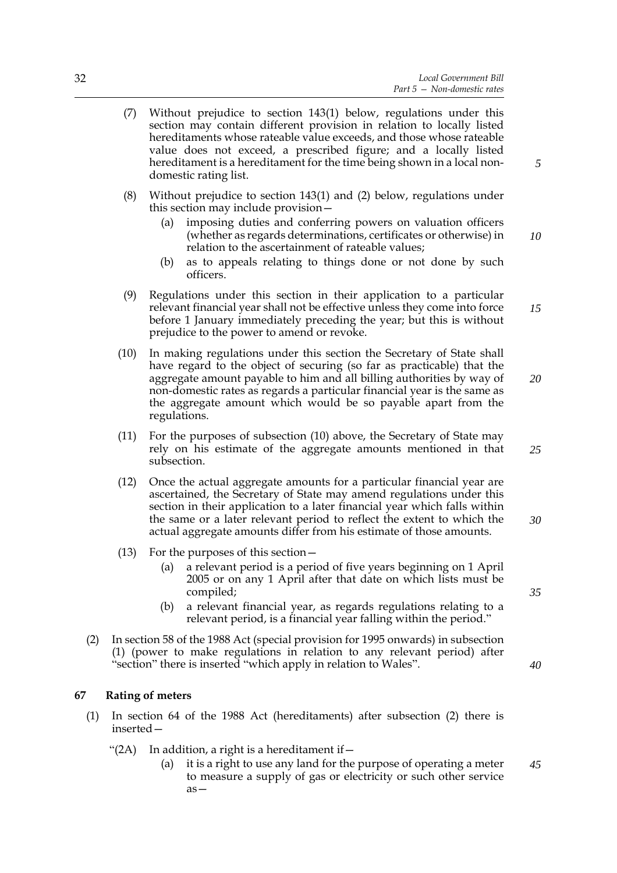- (7) Without prejudice to section 143(1) below, regulations under this section may contain different provision in relation to locally listed hereditaments whose rateable value exceeds, and those whose rateable value does not exceed, a prescribed figure; and a locally listed hereditament is a hereditament for the time being shown in a local nondomestic rating list.
- (8) Without prejudice to section 143(1) and (2) below, regulations under this section may include provision—
	- (a) imposing duties and conferring powers on valuation officers (whether as regards determinations, certificates or otherwise) in relation to the ascertainment of rateable values;
	- (b) as to appeals relating to things done or not done by such officers.
- (9) Regulations under this section in their application to a particular relevant financial year shall not be effective unless they come into force before 1 January immediately preceding the year; but this is without prejudice to the power to amend or revoke.
- (10) In making regulations under this section the Secretary of State shall have regard to the object of securing (so far as practicable) that the aggregate amount payable to him and all billing authorities by way of non-domestic rates as regards a particular financial year is the same as the aggregate amount which would be so payable apart from the regulations. *20*
- (11) For the purposes of subsection (10) above, the Secretary of State may rely on his estimate of the aggregate amounts mentioned in that subsection.
- (12) Once the actual aggregate amounts for a particular financial year are ascertained, the Secretary of State may amend regulations under this section in their application to a later financial year which falls within the same or a later relevant period to reflect the extent to which the actual aggregate amounts differ from his estimate of those amounts. *30*
- (13) For the purposes of this section—
	- (a) a relevant period is a period of five years beginning on 1 April 2005 or on any 1 April after that date on which lists must be compiled;
	- (b) a relevant financial year, as regards regulations relating to a relevant period, is a financial year falling within the period."
- (2) In section 58 of the 1988 Act (special provision for 1995 onwards) in subsection (1) (power to make regulations in relation to any relevant period) after "section" there is inserted "which apply in relation to Wales".

#### **67 Rating of meters**

- (1) In section 64 of the 1988 Act (hereditaments) after subsection (2) there is inserted—
	- "(2A) In addition, a right is a hereditament if  $-$ 
		- (a) it is a right to use any land for the purpose of operating a meter to measure a supply of gas or electricity or such other service as— *45*

*5*

*10*

*15*

*25*

*35*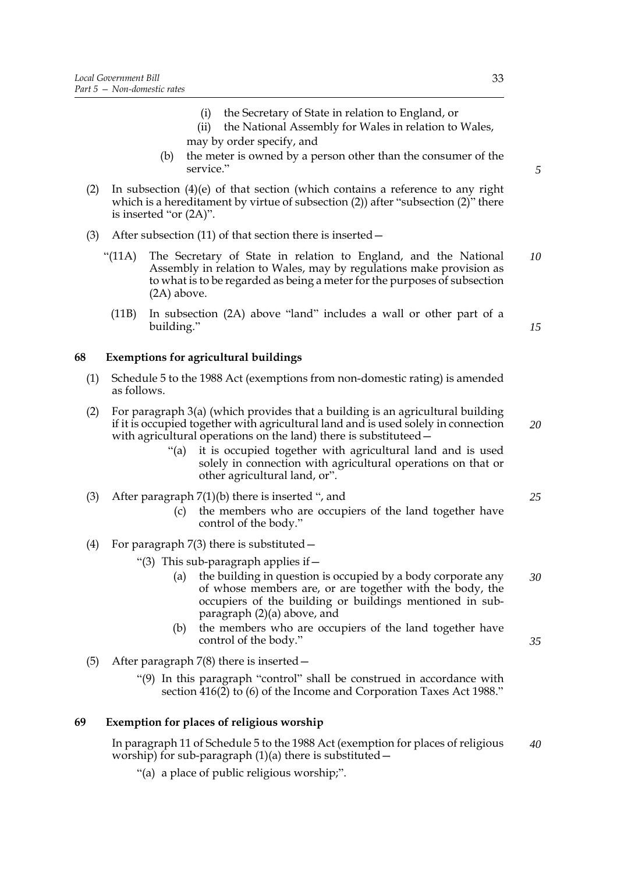- (i) the Secretary of State in relation to England, or
- (ii) the National Assembly for Wales in relation to Wales, may by order specify, and
- (b) the meter is owned by a person other than the consumer of the service."
- (2) In subsection (4)(e) of that section (which contains a reference to any right which is a hereditament by virtue of subsection (2)) after "subsection (2)" there is inserted "or (2A)".
- (3) After subsection (11) of that section there is inserted—
	- "(11A) The Secretary of State in relation to England, and the National Assembly in relation to Wales, may by regulations make provision as to what is to be regarded as being a meter for the purposes of subsection (2A) above. *10*
		- (11B) In subsection (2A) above "land" includes a wall or other part of a building."

## **68 Exemptions for agricultural buildings**

- (1) Schedule 5 to the 1988 Act (exemptions from non-domestic rating) is amended as follows.
- (2) For paragraph 3(a) (which provides that a building is an agricultural building if it is occupied together with agricultural land and is used solely in connection with agricultural operations on the land) there is substituteed –
	- "(a) it is occupied together with agricultural land and is used solely in connection with agricultural operations on that or other agricultural land, or".
- (3) After paragraph 7(1)(b) there is inserted ", and
	- (c) the members who are occupiers of the land together have control of the body."
- (4) For paragraph  $7(3)$  there is substituted  $-$ 
	- "(3) This sub-paragraph applies if  $-$ 
		- (a) the building in question is occupied by a body corporate any of whose members are, or are together with the body, the occupiers of the building or buildings mentioned in subparagraph (2)(a) above, and *30*
		- (b) the members who are occupiers of the land together have control of the body."
- (5) After paragraph 7(8) there is inserted—
	- "(9) In this paragraph "control" shall be construed in accordance with section 416(2) to (6) of the Income and Corporation Taxes Act 1988."

## **69 Exemption for places of religious worship**

In paragraph 11 of Schedule 5 to the 1988 Act (exemption for places of religious worship) for sub-paragraph  $(1)(a)$  there is substituted  $-$ *40*

"(a) a place of public religious worship;".

*5*

*15*

```
25
```
*20*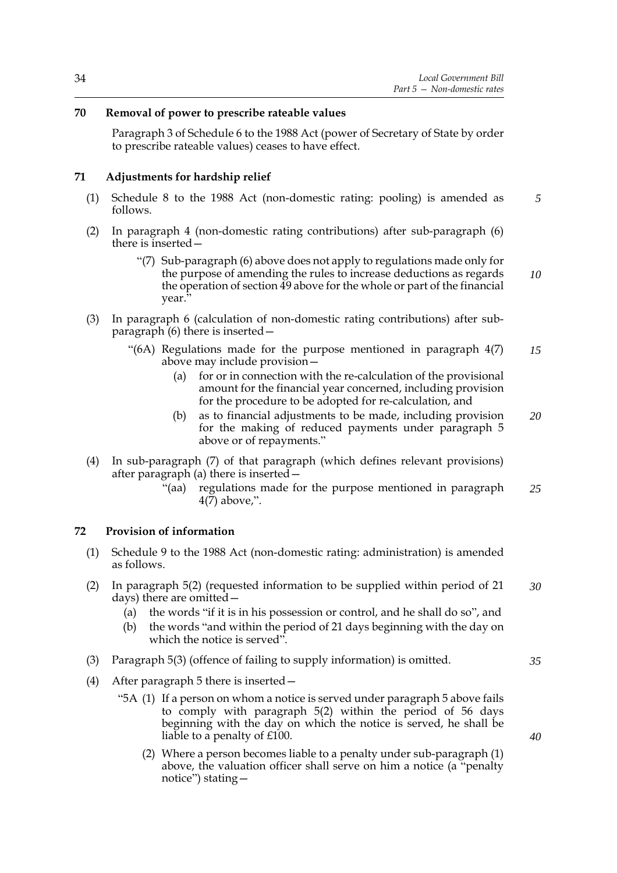# **70 Removal of power to prescribe rateable values**

Paragraph 3 of Schedule 6 to the 1988 Act (power of Secretary of State by order to prescribe rateable values) ceases to have effect.

# **71 Adjustments for hardship relief**

- (1) Schedule 8 to the 1988 Act (non-domestic rating: pooling) is amended as follows. *5*
- (2) In paragraph 4 (non-domestic rating contributions) after sub-paragraph (6) there is inserted—
	- "(7) Sub-paragraph (6) above does not apply to regulations made only for the purpose of amending the rules to increase deductions as regards the operation of section 49 above for the whole or part of the financial year." *10*
- (3) In paragraph 6 (calculation of non-domestic rating contributions) after subparagraph (6) there is inserted—
	- "(6A) Regulations made for the purpose mentioned in paragraph 4(7) above may include provision— *15*
		- (a) for or in connection with the re-calculation of the provisional amount for the financial year concerned, including provision for the procedure to be adopted for re-calculation, and
		- (b) as to financial adjustments to be made, including provision for the making of reduced payments under paragraph 5 above or of repayments." *20*
- (4) In sub-paragraph (7) of that paragraph (which defines relevant provisions) after paragraph (a) there is inserted—
	- "(aa) regulations made for the purpose mentioned in paragraph 4(7) above,". *25*

## **72 Provision of information**

- (1) Schedule 9 to the 1988 Act (non-domestic rating: administration) is amended as follows.
- (2) In paragraph 5(2) (requested information to be supplied within period of 21 days) there are omitted— *30*
	- (a) the words "if it is in his possession or control, and he shall do so", and
	- (b) the words "and within the period of 21 days beginning with the day on which the notice is served".
- (3) Paragraph 5(3) (offence of failing to supply information) is omitted.
- (4) After paragraph 5 there is inserted—
	- "5A (1) If a person on whom a notice is served under paragraph 5 above fails to comply with paragraph 5(2) within the period of 56 days beginning with the day on which the notice is served, he shall be liable to a penalty of £100.
		- (2) Where a person becomes liable to a penalty under sub-paragraph (1) above, the valuation officer shall serve on him a notice (a "penalty notice") stating—

*40*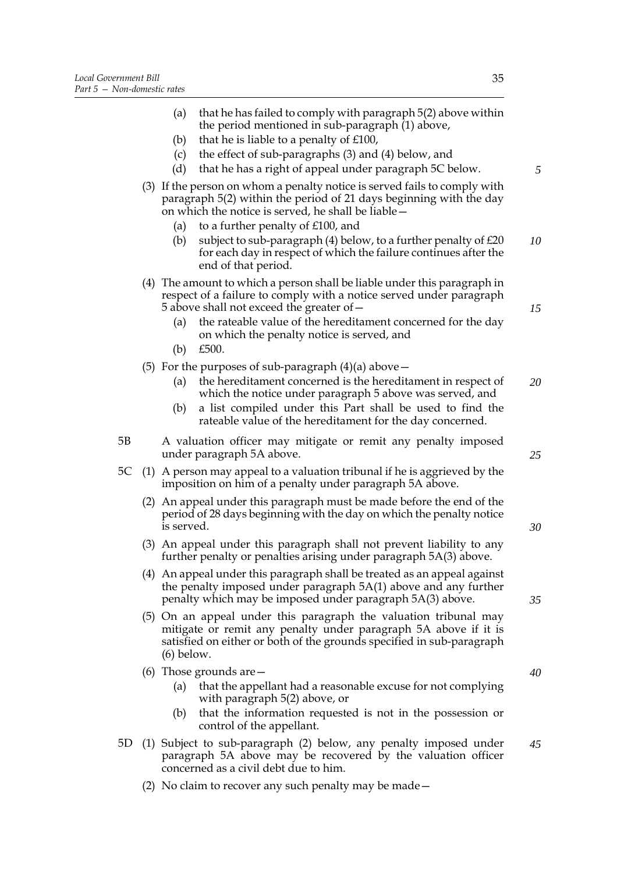|    |     | (a)                                                                                                                                                     | that he has failed to comply with paragraph 5(2) above within<br>the period mentioned in sub-paragraph (1) above,                                                                                            |
|----|-----|---------------------------------------------------------------------------------------------------------------------------------------------------------|--------------------------------------------------------------------------------------------------------------------------------------------------------------------------------------------------------------|
|    |     | (b)                                                                                                                                                     | that he is liable to a penalty of £100,                                                                                                                                                                      |
|    |     | (c)                                                                                                                                                     | the effect of sub-paragraphs (3) and (4) below, and                                                                                                                                                          |
|    |     | (d)                                                                                                                                                     | that he has a right of appeal under paragraph 5C below.                                                                                                                                                      |
|    |     |                                                                                                                                                         | (3) If the person on whom a penalty notice is served fails to comply with<br>paragraph 5(2) within the period of 21 days beginning with the day<br>on which the notice is served, he shall be liable -       |
|    |     | (a)                                                                                                                                                     | to a further penalty of £100, and                                                                                                                                                                            |
|    |     | (b)                                                                                                                                                     | subject to sub-paragraph $(4)$ below, to a further penalty of $£20$<br>for each day in respect of which the failure continues after the<br>end of that period.                                               |
|    |     |                                                                                                                                                         | (4) The amount to which a person shall be liable under this paragraph in<br>respect of a failure to comply with a notice served under paragraph<br>5 above shall not exceed the greater of -                 |
|    |     | (a)<br>(b)                                                                                                                                              | the rateable value of the hereditament concerned for the day<br>on which the penalty notice is served, and<br>£500.                                                                                          |
|    |     |                                                                                                                                                         |                                                                                                                                                                                                              |
|    |     | (a)                                                                                                                                                     | (5) For the purposes of sub-paragraph $(4)(a)$ above –<br>the hereditament concerned is the hereditament in respect of<br>which the notice under paragraph 5 above was served, and                           |
|    |     | (b)                                                                                                                                                     | a list compiled under this Part shall be used to find the<br>rateable value of the hereditament for the day concerned.                                                                                       |
| 5Β |     |                                                                                                                                                         | A valuation officer may mitigate or remit any penalty imposed<br>under paragraph 5A above.                                                                                                                   |
| 5C |     |                                                                                                                                                         | (1) A person may appeal to a valuation tribunal if he is aggrieved by the<br>imposition on him of a penalty under paragraph 5A above.                                                                        |
|    | (2) | An appeal under this paragraph must be made before the end of the<br>period of 28 days beginning with the day on which the penalty notice<br>is served. |                                                                                                                                                                                                              |
|    |     |                                                                                                                                                         | (3) An appeal under this paragraph shall not prevent liability to any<br>further penalty or penalties arising under paragraph 5A(3) above.                                                                   |
|    |     |                                                                                                                                                         | (4) An appeal under this paragraph shall be treated as an appeal against<br>the penalty imposed under paragraph 5A(1) above and any further<br>penalty which may be imposed under paragraph 5A(3) above.     |
|    |     | $(6)$ below.                                                                                                                                            | (5) On an appeal under this paragraph the valuation tribunal may<br>mitigate or remit any penalty under paragraph 5A above if it is<br>satisfied on either or both of the grounds specified in sub-paragraph |
|    |     |                                                                                                                                                         | (6) Those grounds are $-$                                                                                                                                                                                    |
|    |     | (a)                                                                                                                                                     | that the appellant had a reasonable excuse for not complying<br>with paragraph 5(2) above, or                                                                                                                |
|    |     | (b)                                                                                                                                                     | that the information requested is not in the possession or<br>control of the appellant.                                                                                                                      |

- 5D (1) Subject to sub-paragraph (2) below, any penalty imposed under paragraph 5A above may be recovered by the valuation officer concerned as a civil debt due to him. *45*
	- (2) No claim to recover any such penalty may be made—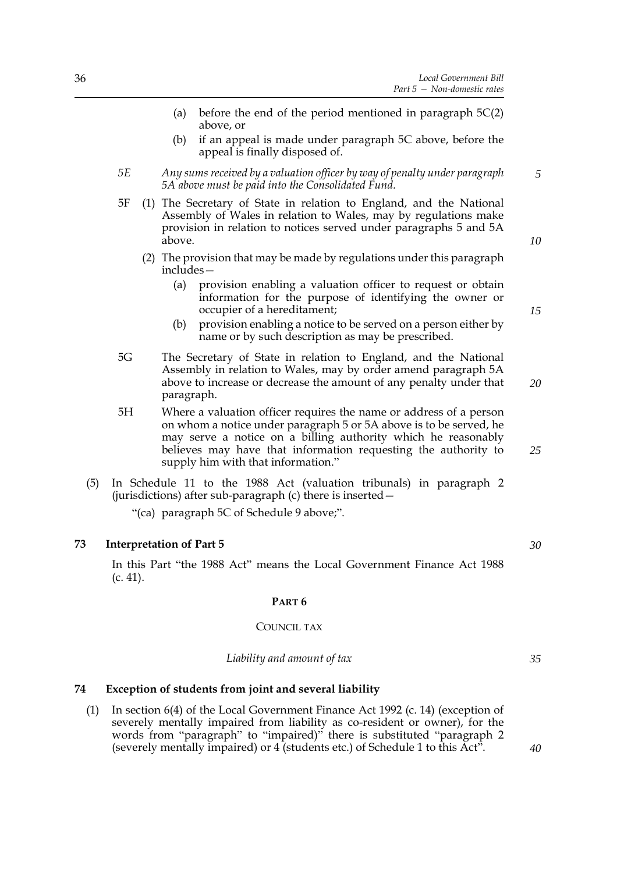- (a) before the end of the period mentioned in paragraph 5C(2) above, or
- (b) if an appeal is made under paragraph 5C above, before the appeal is finally disposed of.
- *5E Any sums received by a valuation officer by way of penalty under paragraph 5A above must be paid into the Consolidated Fund.*
- 5F (1) The Secretary of State in relation to England, and the National Assembly of Wales in relation to Wales, may by regulations make provision in relation to notices served under paragraphs 5 and 5A above.
	- (2) The provision that may be made by regulations under this paragraph includes—
		- (a) provision enabling a valuation officer to request or obtain information for the purpose of identifying the owner or occupier of a hereditament;
		- (b) provision enabling a notice to be served on a person either by name or by such description as may be prescribed.
- 5G The Secretary of State in relation to England, and the National Assembly in relation to Wales, may by order amend paragraph 5A above to increase or decrease the amount of any penalty under that paragraph. *20*
- 5H Where a valuation officer requires the name or address of a person on whom a notice under paragraph 5 or 5A above is to be served, he may serve a notice on a billing authority which he reasonably believes may have that information requesting the authority to supply him with that information."
- (5) In Schedule 11 to the 1988 Act (valuation tribunals) in paragraph 2 (jurisdictions) after sub-paragraph (c) there is inserted—

"(ca) paragraph 5C of Schedule 9 above;".

#### **73 Interpretation of Part 5**

In this Part "the 1988 Act" means the Local Government Finance Act 1988 (c. 41).

### **PART 6**

#### COUNCIL TAX

#### *Liability and amount of tax*

## **74 Exception of students from joint and several liability**

(1) In section 6(4) of the Local Government Finance Act 1992 (c. 14) (exception of severely mentally impaired from liability as co-resident or owner), for the words from "paragraph" to "impaired)" there is substituted "paragraph 2 (severely mentally impaired) or 4 (students etc.) of Schedule 1 to this Act".

*10*

*15*

*5*

*25*

*30*

*40*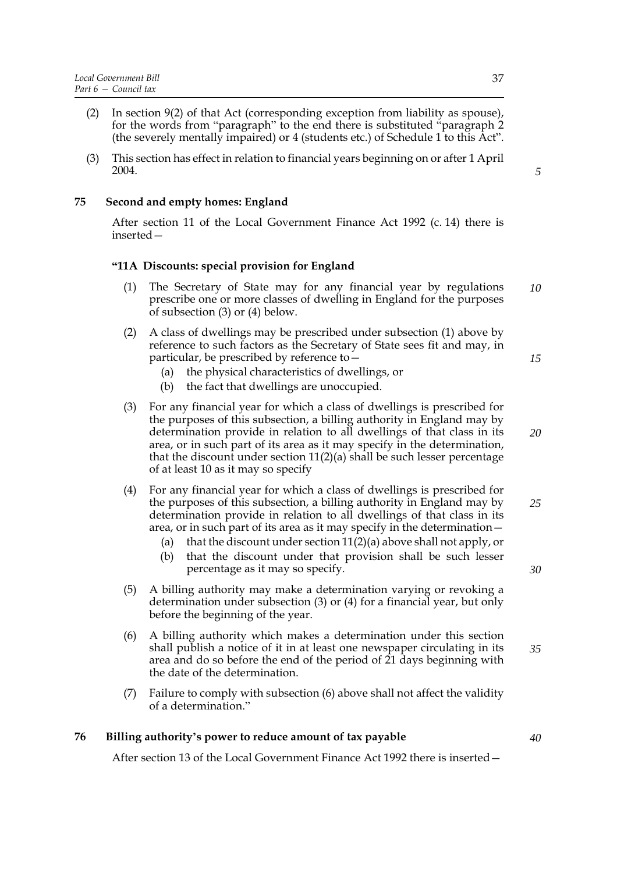- (2) In section 9(2) of that Act (corresponding exception from liability as spouse), for the words from "paragraph" to the end there is substituted "paragraph 2 (the severely mentally impaired) or 4 (students etc.) of Schedule 1 to this Act".
- (3) This section has effect in relation to financial years beginning on or after 1 April 2004.

# **75 Second and empty homes: England**

After section 11 of the Local Government Finance Act 1992 (c. 14) there is inserted—

# **"11A Discounts: special provision for England**

- (1) The Secretary of State may for any financial year by regulations prescribe one or more classes of dwelling in England for the purposes of subsection (3) or (4) below. *10*
- (2) A class of dwellings may be prescribed under subsection (1) above by reference to such factors as the Secretary of State sees fit and may, in particular, be prescribed by reference to—
	- (a) the physical characteristics of dwellings, or
	- (b) the fact that dwellings are unoccupied.
- (3) For any financial year for which a class of dwellings is prescribed for the purposes of this subsection, a billing authority in England may by determination provide in relation to all dwellings of that class in its area, or in such part of its area as it may specify in the determination, that the discount under section  $11(2)(a)$  shall be such lesser percentage of at least 10 as it may so specify
- (4) For any financial year for which a class of dwellings is prescribed for the purposes of this subsection, a billing authority in England may by determination provide in relation to all dwellings of that class in its area, or in such part of its area as it may specify in the determination— *25*
	- (a) that the discount under section  $11(2)(a)$  above shall not apply, or
	- (b) that the discount under that provision shall be such lesser percentage as it may so specify.
- (5) A billing authority may make a determination varying or revoking a determination under subsection (3) or (4) for a financial year, but only before the beginning of the year.
- (6) A billing authority which makes a determination under this section shall publish a notice of it in at least one newspaper circulating in its area and do so before the end of the period of 21 days beginning with the date of the determination. *35*
- (7) Failure to comply with subsection (6) above shall not affect the validity of a determination."

## **76 Billing authority's power to reduce amount of tax payable**

After section 13 of the Local Government Finance Act 1992 there is inserted—

*5*

*15*

*20*

*30*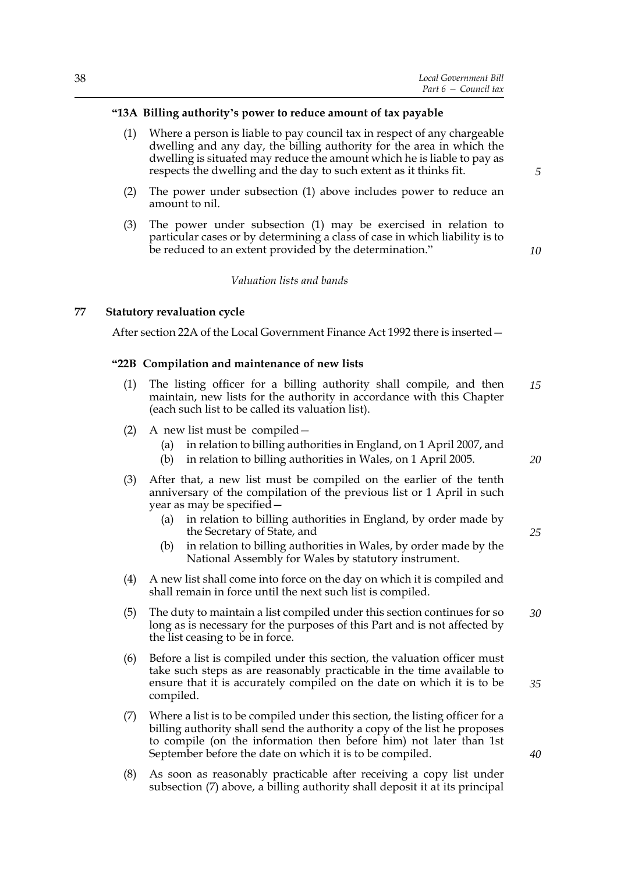## **"13A Billing authority's power to reduce amount of tax payable**

- (1) Where a person is liable to pay council tax in respect of any chargeable dwelling and any day, the billing authority for the area in which the dwelling is situated may reduce the amount which he is liable to pay as respects the dwelling and the day to such extent as it thinks fit.
- (2) The power under subsection (1) above includes power to reduce an amount to nil.
- (3) The power under subsection (1) may be exercised in relation to particular cases or by determining a class of case in which liability is to be reduced to an extent provided by the determination."

*10*

*5*

# *Valuation lists and bands*

## **77 Statutory revaluation cycle**

After section 22A of the Local Government Finance Act 1992 there is inserted—

#### **"22B Compilation and maintenance of new lists**

- (1) The listing officer for a billing authority shall compile, and then maintain, new lists for the authority in accordance with this Chapter (each such list to be called its valuation list). *15*
- (2) A new list must be compiled—
	- (a) in relation to billing authorities in England, on 1 April 2007, and
	- (b) in relation to billing authorities in Wales, on 1 April 2005.
- (3) After that, a new list must be compiled on the earlier of the tenth anniversary of the compilation of the previous list or 1 April in such year as may be specified—
	- (a) in relation to billing authorities in England, by order made by the Secretary of State, and
	- (b) in relation to billing authorities in Wales, by order made by the National Assembly for Wales by statutory instrument.
- (4) A new list shall come into force on the day on which it is compiled and shall remain in force until the next such list is compiled.
- (5) The duty to maintain a list compiled under this section continues for so long as is necessary for the purposes of this Part and is not affected by the list ceasing to be in force. *30*
- (6) Before a list is compiled under this section, the valuation officer must take such steps as are reasonably practicable in the time available to ensure that it is accurately compiled on the date on which it is to be compiled.
- (7) Where a list is to be compiled under this section, the listing officer for a billing authority shall send the authority a copy of the list he proposes to compile (on the information then before him) not later than 1st September before the date on which it is to be compiled.
- (8) As soon as reasonably practicable after receiving a copy list under subsection (7) above, a billing authority shall deposit it at its principal

*20*

*25*

*40*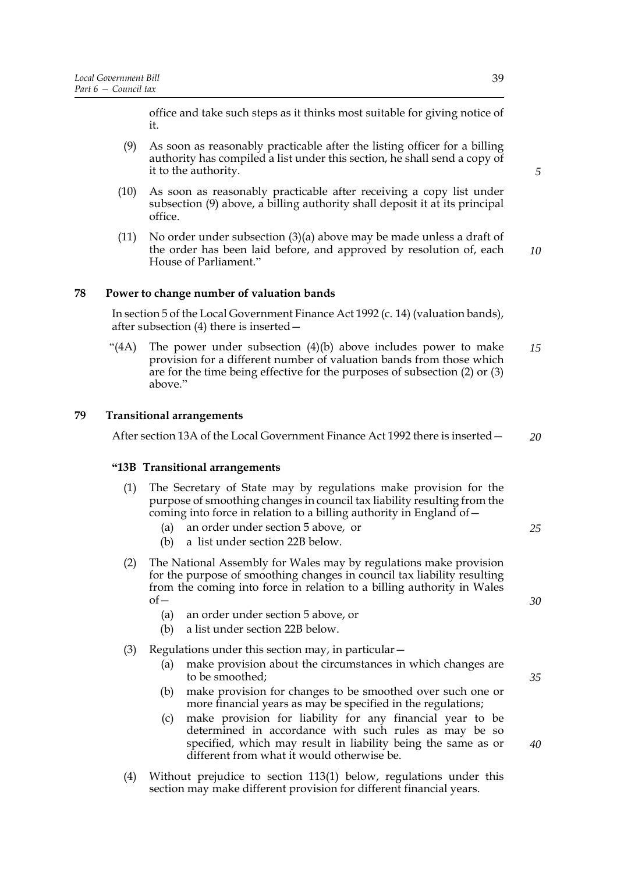office and take such steps as it thinks most suitable for giving notice of it.

- (9) As soon as reasonably practicable after the listing officer for a billing authority has compiled a list under this section, he shall send a copy of it to the authority.
- (10) As soon as reasonably practicable after receiving a copy list under subsection (9) above, a billing authority shall deposit it at its principal office.
- (11) No order under subsection (3)(a) above may be made unless a draft of the order has been laid before, and approved by resolution of, each House of Parliament." *10*

## **78 Power to change number of valuation bands**

In section 5 of the Local Government Finance Act 1992 (c. 14) (valuation bands), after subsection (4) there is inserted—

"(4A) The power under subsection  $(4)(b)$  above includes power to make provision for a different number of valuation bands from those which are for the time being effective for the purposes of subsection (2) or (3) above." *15*

## **79 Transitional arrangements**

After section 13A of the Local Government Finance Act 1992 there is inserted— *20*

#### **"13B Transitional arrangements**

- (1) The Secretary of State may by regulations make provision for the purpose of smoothing changes in council tax liability resulting from the coming into force in relation to a billing authority in England of  $-$ 
	- (a) an order under section 5 above, or
	- (b) a list under section 22B below.
- (2) The National Assembly for Wales may by regulations make provision for the purpose of smoothing changes in council tax liability resulting from the coming into force in relation to a billing authority in Wales of—
	- (a) an order under section 5 above, or
	- (b) a list under section 22B below.
- (3) Regulations under this section may, in particular—
	- (a) make provision about the circumstances in which changes are to be smoothed;
	- (b) make provision for changes to be smoothed over such one or more financial years as may be specified in the regulations;
	- (c) make provision for liability for any financial year to be determined in accordance with such rules as may be so specified, which may result in liability being the same as or different from what it would otherwise be.
- (4) Without prejudice to section 113(1) below, regulations under this section may make different provision for different financial years.

*5*

*35*

*40*

*25*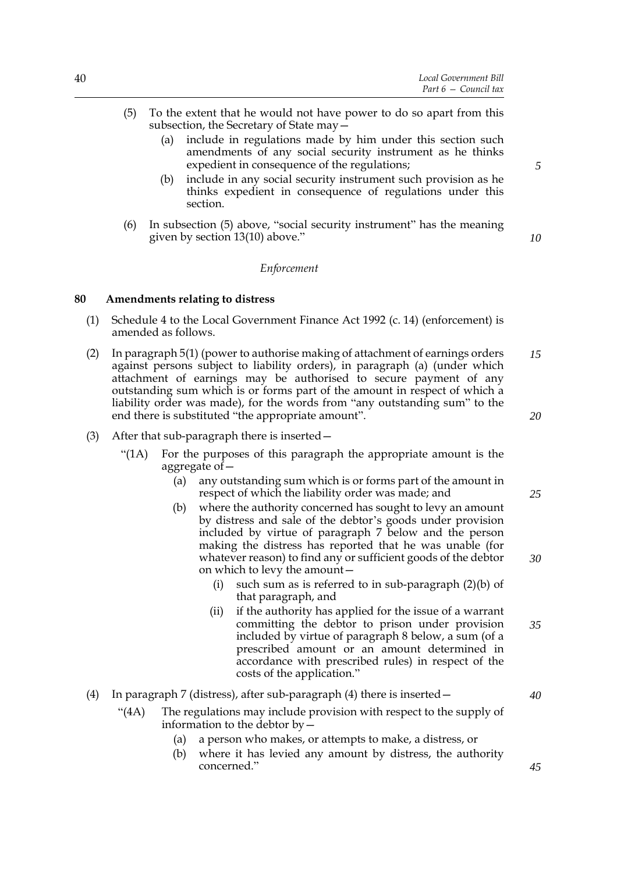- (5) To the extent that he would not have power to do so apart from this subsection, the Secretary of State may—
	- (a) include in regulations made by him under this section such amendments of any social security instrument as he thinks expedient in consequence of the regulations;
	- (b) include in any social security instrument such provision as he thinks expedient in consequence of regulations under this section.
- (6) In subsection (5) above, "social security instrument" has the meaning given by section 13(10) above."

#### *Enforcement*

#### **80 Amendments relating to distress**

- (1) Schedule 4 to the Local Government Finance Act 1992 (c. 14) (enforcement) is amended as follows.
- (2) In paragraph 5(1) (power to authorise making of attachment of earnings orders against persons subject to liability orders), in paragraph (a) (under which attachment of earnings may be authorised to secure payment of any outstanding sum which is or forms part of the amount in respect of which a liability order was made), for the words from "any outstanding sum" to the end there is substituted "the appropriate amount". *15 20*
- (3) After that sub-paragraph there is inserted—
	- "(1A) For the purposes of this paragraph the appropriate amount is the aggregate of—
		- (a) any outstanding sum which is or forms part of the amount in respect of which the liability order was made; and
		- (b) where the authority concerned has sought to levy an amount by distress and sale of the debtor's goods under provision included by virtue of paragraph 7 below and the person making the distress has reported that he was unable (for whatever reason) to find any or sufficient goods of the debtor on which to levy the amount—
			- (i) such sum as is referred to in sub-paragraph (2)(b) of that paragraph, and
			- (ii) if the authority has applied for the issue of a warrant committing the debtor to prison under provision included by virtue of paragraph 8 below, a sum (of a prescribed amount or an amount determined in accordance with prescribed rules) in respect of the costs of the application." *35*

#### (4) In paragraph 7 (distress), after sub-paragraph (4) there is inserted  $-$

- "(4A) The regulations may include provision with respect to the supply of information to the debtor by—
	- (a) a person who makes, or attempts to make, a distress, or
	- (b) where it has levied any amount by distress, the authority concerned."

*5*

*10*

*25*

*30*

*40*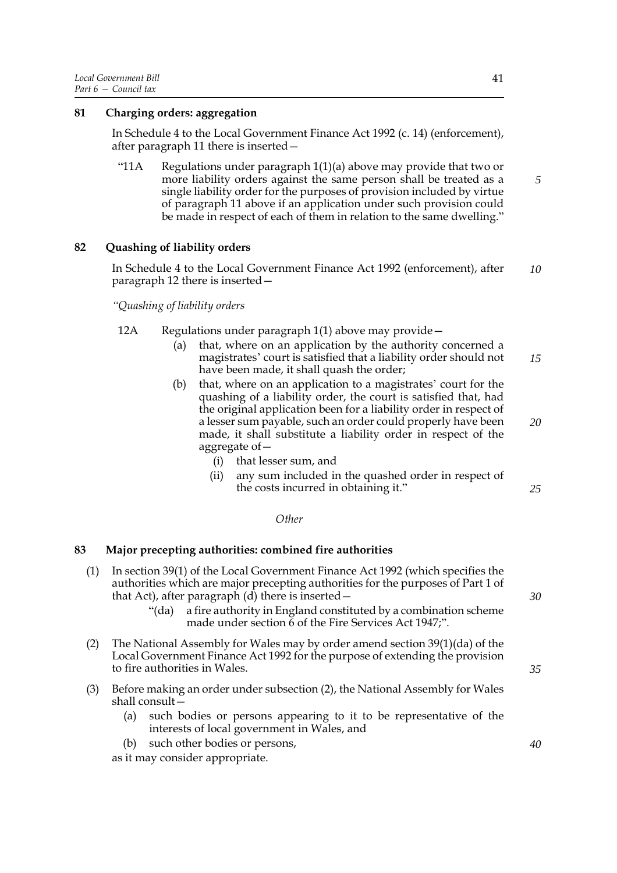# **81 Charging orders: aggregation**

In Schedule 4 to the Local Government Finance Act 1992 (c. 14) (enforcement), after paragraph 11 there is inserted—

"11A Regulations under paragraph  $1(1)(a)$  above may provide that two or more liability orders against the same person shall be treated as a single liability order for the purposes of provision included by virtue of paragraph 11 above if an application under such provision could be made in respect of each of them in relation to the same dwelling."

# **82 Quashing of liability orders**

In Schedule 4 to the Local Government Finance Act 1992 (enforcement), after paragraph 12 there is inserted— *10*

*"Quashing of liability orders*

- 12A Regulations under paragraph 1(1) above may provide—
	- (a) that, where on an application by the authority concerned a magistrates' court is satisfied that a liability order should not have been made, it shall quash the order; *15*
	- (b) that, where on an application to a magistrates' court for the quashing of a liability order, the court is satisfied that, had the original application been for a liability order in respect of a lesser sum payable, such an order could properly have been made, it shall substitute a liability order in respect of the aggregate of—
		- (i) that lesser sum, and
		- (ii) any sum included in the quashed order in respect of the costs incurred in obtaining it."

#### *Other*

## **83 Major precepting authorities: combined fire authorities**

- (1) In section 39(1) of the Local Government Finance Act 1992 (which specifies the authorities which are major precepting authorities for the purposes of Part 1 of that Act), after paragraph (d) there is inserted—
	- "(da) a fire authority in England constituted by a combination scheme made under section 6 of the Fire Services Act 1947;".
- (2) The National Assembly for Wales may by order amend section 39(1)(da) of the Local Government Finance Act 1992 for the purpose of extending the provision to fire authorities in Wales.
- (3) Before making an order under subsection (2), the National Assembly for Wales shall consult—
	- (a) such bodies or persons appearing to it to be representative of the interests of local government in Wales, and
	- (b) such other bodies or persons,

as it may consider appropriate.

*5*

*30*

*20*

*25*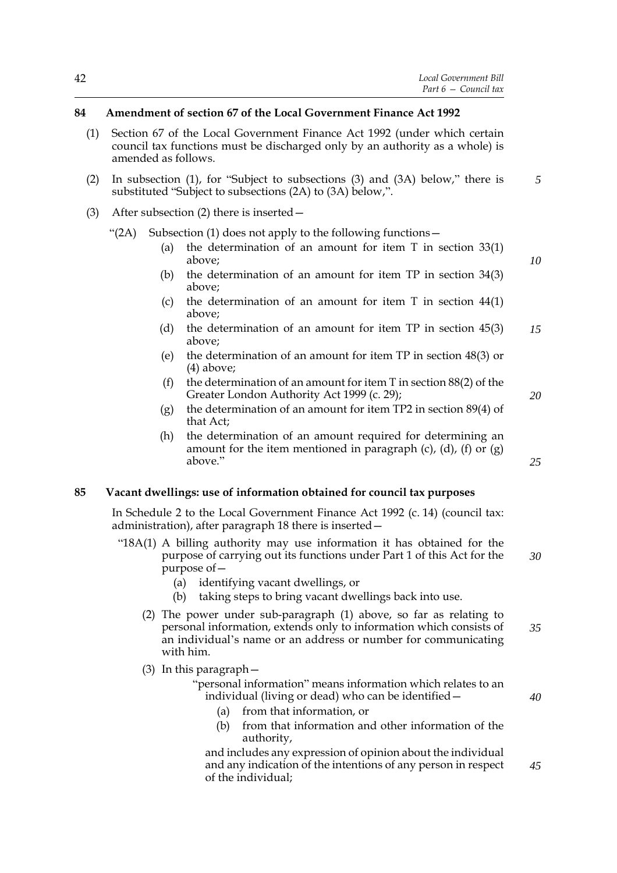## **84 Amendment of section 67 of the Local Government Finance Act 1992**

- (1) Section 67 of the Local Government Finance Act 1992 (under which certain council tax functions must be discharged only by an authority as a whole) is amended as follows.
- (2) In subsection (1), for "Subject to subsections (3) and (3A) below," there is substituted "Subject to subsections (2A) to (3A) below,". *5*
- (3) After subsection (2) there is inserted—

"(2A) Subsection (1) does not apply to the following functions—

- (a) the determination of an amount for item T in section 33(1) above;
- (b) the determination of an amount for item TP in section 34(3) above;
- (c) the determination of an amount for item T in section 44(1) above;
- (d) the determination of an amount for item TP in section 45(3) above; *15*
- (e) the determination of an amount for item TP in section 48(3) or (4) above;
- (f) the determination of an amount for item  $\overline{T}$  in section 88(2) of the Greater London Authority Act 1999 (c. 29);
- (g) the determination of an amount for item TP2 in section 89(4) of that Act;
- (h) the determination of an amount required for determining an amount for the item mentioned in paragraph  $(c)$ ,  $(d)$ ,  $(f)$  or  $(g)$ above."

#### **85 Vacant dwellings: use of information obtained for council tax purposes**

In Schedule 2 to the Local Government Finance Act 1992 (c. 14) (council tax: administration), after paragraph 18 there is inserted—

- "18A(1) A billing authority may use information it has obtained for the purpose of carrying out its functions under Part 1 of this Act for the purpose of—
	- (a) identifying vacant dwellings, or
	- (b) taking steps to bring vacant dwellings back into use.
	- (2) The power under sub-paragraph (1) above, so far as relating to personal information, extends only to information which consists of an individual's name or an address or number for communicating with him. *35*
	- (3) In this paragraph—

"personal information" means information which relates to an individual (living or dead) who can be identified—

- (a) from that information, or
- (b) from that information and other information of the authority,

and includes any expression of opinion about the individual and any indication of the intentions of any person in respect of the individual;

*10*

*25*

*20*

*40*

*45*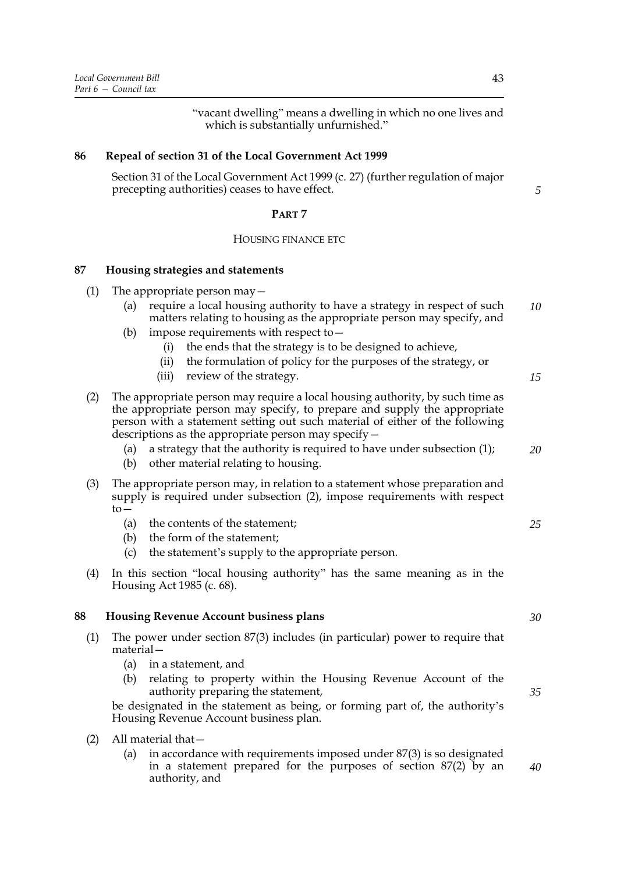"vacant dwelling" means a dwelling in which no one lives and which is substantially unfurnished."

## **86 Repeal of section 31 of the Local Government Act 1999**

Section 31 of the Local Government Act 1999 (c. 27) (further regulation of major precepting authorities) ceases to have effect.

#### **PART 7**

#### HOUSING FINANCE ETC

#### **87 Housing strategies and statements**

- (1) The appropriate person may  $-$ 
	- (a) require a local housing authority to have a strategy in respect of such matters relating to housing as the appropriate person may specify, and *10*
	- (b) impose requirements with respect to—
		- (i) the ends that the strategy is to be designed to achieve,
		- (ii) the formulation of policy for the purposes of the strategy, or
		- (iii) review of the strategy.
- (2) The appropriate person may require a local housing authority, by such time as the appropriate person may specify, to prepare and supply the appropriate person with a statement setting out such material of either of the following descriptions as the appropriate person may specify—
	- (a) a strategy that the authority is required to have under subsection (1); *20*
	- (b) other material relating to housing.
- (3) The appropriate person may, in relation to a statement whose preparation and supply is required under subsection (2), impose requirements with respect  $\overline{t}$ 
	- (a) the contents of the statement;
	- (b) the form of the statement;
	- (c) the statement's supply to the appropriate person.
- (4) In this section "local housing authority" has the same meaning as in the Housing Act 1985 (c. 68).

#### **88 Housing Revenue Account business plans**

- (1) The power under section 87(3) includes (in particular) power to require that material—
	- (a) in a statement, and
	- (b) relating to property within the Housing Revenue Account of the authority preparing the statement,

be designated in the statement as being, or forming part of, the authority's Housing Revenue Account business plan.

- (2) All material that—
	- (a) in accordance with requirements imposed under 87(3) is so designated in a statement prepared for the purposes of section 87(2) by an authority, and *40*

*5*

*15*

*30*

*25*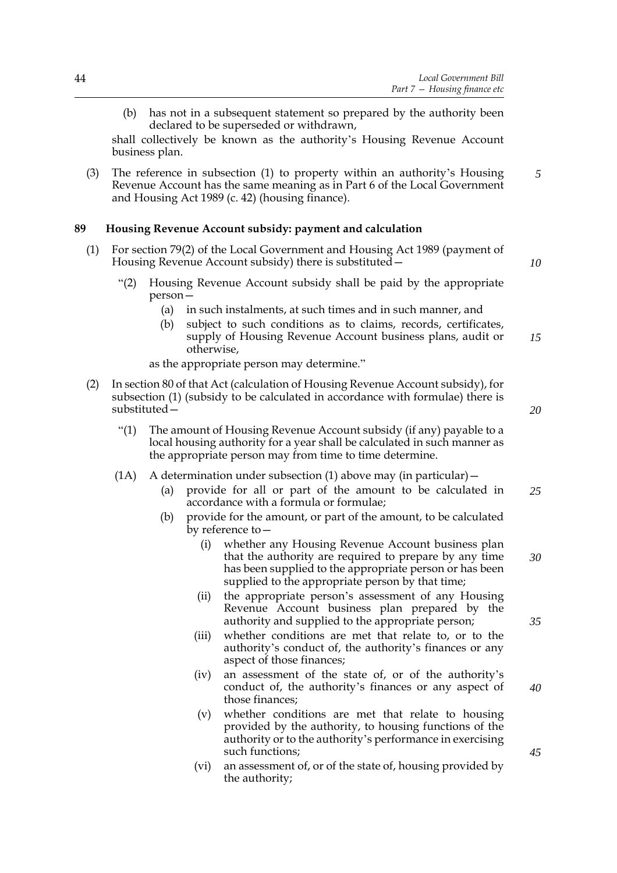(b) has not in a subsequent statement so prepared by the authority been declared to be superseded or withdrawn,

shall collectively be known as the authority's Housing Revenue Account business plan.

(3) The reference in subsection (1) to property within an authority's Housing Revenue Account has the same meaning as in Part 6 of the Local Government and Housing Act 1989 (c. 42) (housing finance). *5*

## **89 Housing Revenue Account subsidy: payment and calculation**

- (1) For section 79(2) of the Local Government and Housing Act 1989 (payment of Housing Revenue Account subsidy) there is substituted—
	- "(2) Housing Revenue Account subsidy shall be paid by the appropriate person—
		- (a) in such instalments, at such times and in such manner, and
		- (b) subject to such conditions as to claims, records, certificates, supply of Housing Revenue Account business plans, audit or otherwise, *15*

as the appropriate person may determine."

- (2) In section 80 of that Act (calculation of Housing Revenue Account subsidy), for subsection (1) (subsidy to be calculated in accordance with formulae) there is substituted—
	- "(1) The amount of Housing Revenue Account subsidy (if any) payable to a local housing authority for a year shall be calculated in such manner as the appropriate person may from time to time determine.
	- (1A) A determination under subsection (1) above may (in particular)—
		- (a) provide for all or part of the amount to be calculated in accordance with a formula or formulae; *25*
		- (b) provide for the amount, or part of the amount, to be calculated by reference to—
			- (i) whether any Housing Revenue Account business plan that the authority are required to prepare by any time has been supplied to the appropriate person or has been supplied to the appropriate person by that time;
			- (ii) the appropriate person's assessment of any Housing Revenue Account business plan prepared by the authority and supplied to the appropriate person;
			- (iii) whether conditions are met that relate to, or to the authority's conduct of, the authority's finances or any aspect of those finances;
			- (iv) an assessment of the state of, or of the authority's conduct of, the authority's finances or any aspect of those finances;
			- (v) whether conditions are met that relate to housing provided by the authority, to housing functions of the authority or to the authority's performance in exercising such functions;
			- (vi) an assessment of, or of the state of, housing provided by the authority;

*20*

*10*

*35*

*30*

*40*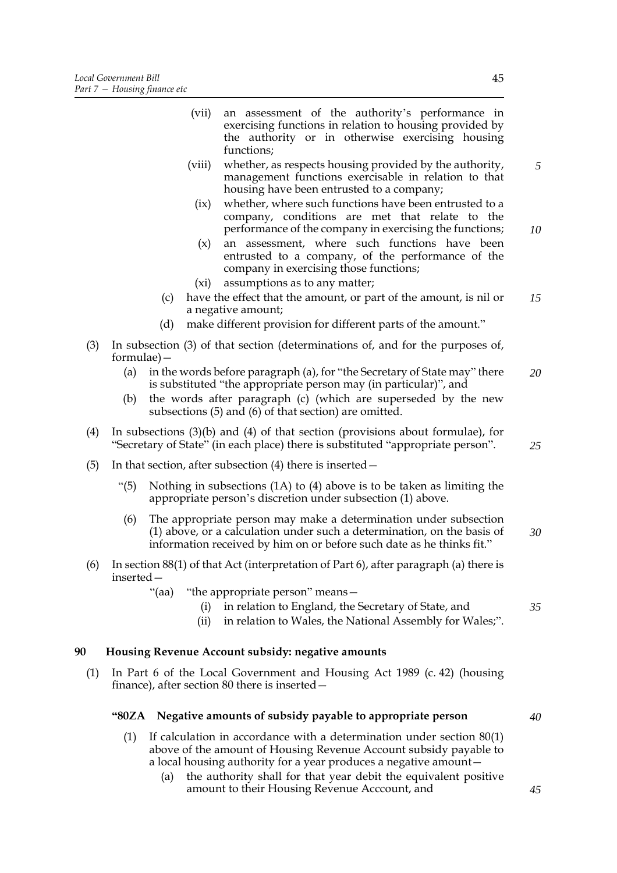|     |              |       | (vii)       | an assessment of the authority's performance in<br>exercising functions in relation to housing provided by<br>the authority or in otherwise exercising housing<br>functions;                                         |    |
|-----|--------------|-------|-------------|----------------------------------------------------------------------------------------------------------------------------------------------------------------------------------------------------------------------|----|
|     |              |       | (viii)      | whether, as respects housing provided by the authority,<br>management functions exercisable in relation to that<br>housing have been entrusted to a company;                                                         | 5  |
|     |              |       | (ix)<br>(x) | whether, where such functions have been entrusted to a<br>company, conditions are met that relate to the<br>performance of the company in exercising the functions;<br>an assessment, where such functions have been | 10 |
|     |              |       |             | entrusted to a company, of the performance of the<br>company in exercising those functions;                                                                                                                          |    |
|     |              |       | $(x_i)$     | assumptions as to any matter;                                                                                                                                                                                        |    |
|     |              | (c)   |             | have the effect that the amount, or part of the amount, is nil or<br>a negative amount;                                                                                                                              | 15 |
|     |              | (d)   |             | make different provision for different parts of the amount."                                                                                                                                                         |    |
| (3) | $formulae$ – |       |             | In subsection (3) of that section (determinations of, and for the purposes of,                                                                                                                                       |    |
|     | (a)          |       |             | in the words before paragraph (a), for "the Secretary of State may" there<br>is substituted "the appropriate person may (in particular)", and                                                                        | 20 |
|     | (b)          |       |             | the words after paragraph (c) (which are superseded by the new<br>subsections (5) and (6) of that section) are omitted.                                                                                              |    |
| (4) |              |       |             | In subsections $(3)(b)$ and $(4)$ of that section (provisions about formulae), for<br>"Secretary of State" (in each place) there is substituted "appropriate person".                                                | 25 |
| (5) |              |       |             | In that section, after subsection $(4)$ there is inserted $-$                                                                                                                                                        |    |
|     | " $(5)$      |       |             | Nothing in subsections $(1A)$ to $(4)$ above is to be taken as limiting the<br>appropriate person's discretion under subsection (1) above.                                                                           |    |
|     | (6)          |       |             | The appropriate person may make a determination under subsection<br>(1) above, or a calculation under such a determination, on the basis of<br>information received by him on or before such date as he thinks fit." | 30 |
| (6) | inserted-    |       |             | In section 88(1) of that Act (interpretation of Part 6), after paragraph (a) there is                                                                                                                                |    |
|     |              | "(aa) | (i)<br>(ii) | "the appropriate person" means -<br>in relation to England, the Secretary of State, and<br>in relation to Wales, the National Assembly for Wales;".                                                                  | 35 |
| 90  |              |       |             | Housing Revenue Account subsidy: negative amounts                                                                                                                                                                    |    |
| (1) |              |       |             | In Part 6 of the Local Government and Housing Act 1989 (c. 42) (housing<br>finance), after section 80 there is inserted -                                                                                            |    |
|     | "80ZA        |       |             | Negative amounts of subsidy payable to appropriate person                                                                                                                                                            | 40 |
|     | (1)          |       |             | If calculation in accordance with a determination under section $80(1)$<br>above of the amount of Housing Revenue Account subsidy payable to                                                                         |    |

a local housing authority for a year produces a negative amount— (a) the authority shall for that year debit the equivalent positive amount to their Housing Revenue Acccount, and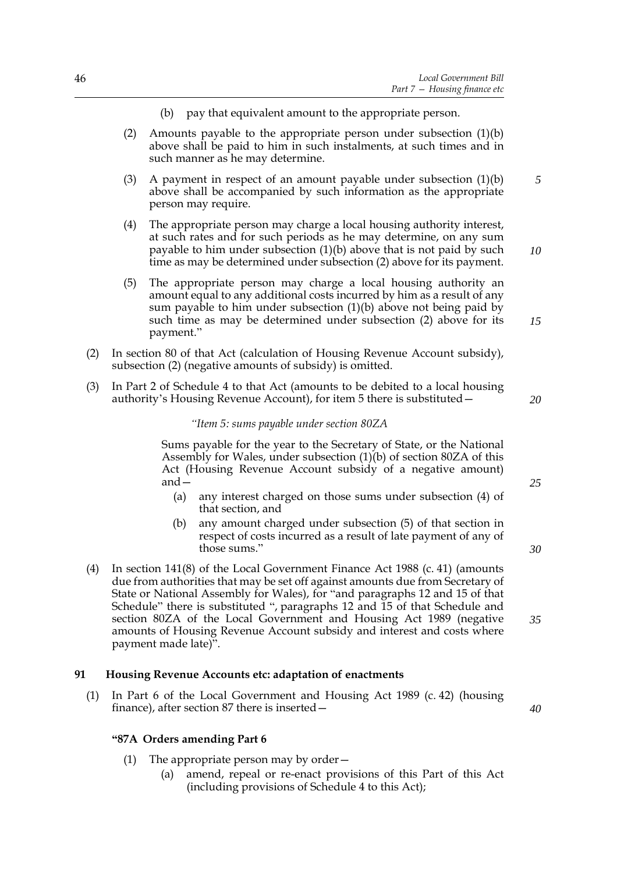- (b) pay that equivalent amount to the appropriate person.
- (2) Amounts payable to the appropriate person under subsection  $(1)(b)$ above shall be paid to him in such instalments, at such times and in such manner as he may determine.
- (3) A payment in respect of an amount payable under subsection (1)(b) above shall be accompanied by such information as the appropriate person may require. *5*
- (4) The appropriate person may charge a local housing authority interest, at such rates and for such periods as he may determine, on any sum payable to him under subsection (1)(b) above that is not paid by such time as may be determined under subsection (2) above for its payment.
- (5) The appropriate person may charge a local housing authority an amount equal to any additional costs incurred by him as a result of any sum payable to him under subsection (1)(b) above not being paid by such time as may be determined under subsection (2) above for its payment."
- (2) In section 80 of that Act (calculation of Housing Revenue Account subsidy), subsection (2) (negative amounts of subsidy) is omitted.
- (3) In Part 2 of Schedule 4 to that Act (amounts to be debited to a local housing authority's Housing Revenue Account), for item 5 there is substituted—

#### *"Item 5: sums payable under section 80ZA*

Sums payable for the year to the Secretary of State, or the National Assembly for Wales, under subsection (1)(b) of section 80ZA of this Act (Housing Revenue Account subsidy of a negative amount) and—

- (a) any interest charged on those sums under subsection (4) of that section, and
- (b) any amount charged under subsection (5) of that section in respect of costs incurred as a result of late payment of any of those sums."
- (4) In section 141(8) of the Local Government Finance Act 1988 (c. 41) (amounts due from authorities that may be set off against amounts due from Secretary of State or National Assembly for Wales), for "and paragraphs 12 and 15 of that Schedule" there is substituted ", paragraphs 12 and 15 of that Schedule and section 80ZA of the Local Government and Housing Act 1989 (negative amounts of Housing Revenue Account subsidy and interest and costs where payment made late)".

#### **91 Housing Revenue Accounts etc: adaptation of enactments**

(1) In Part 6 of the Local Government and Housing Act 1989 (c. 42) (housing finance), after section 87 there is inserted—

#### **"87A Orders amending Part 6**

- (1) The appropriate person may by order—
	- (a) amend, repeal or re-enact provisions of this Part of this Act (including provisions of Schedule 4 to this Act);

*25*

*20*

*10*

*15*

*30*

*35*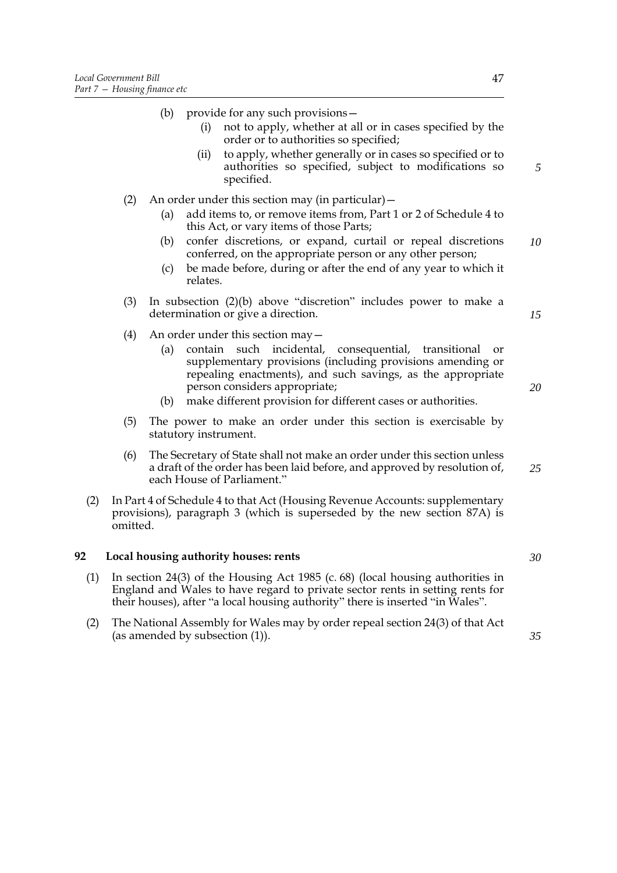**92** Local

|     |          |            | (i)                   | (b) provide for any such provisions-<br>not to apply, whether at all or in cases specified by the<br>order or to authorities so specified;                                                                                                                                                                                 |    |
|-----|----------|------------|-----------------------|----------------------------------------------------------------------------------------------------------------------------------------------------------------------------------------------------------------------------------------------------------------------------------------------------------------------------|----|
|     |          |            | (ii)                  | to apply, whether generally or in cases so specified or to<br>authorities so specified, subject to modifications so<br>specified.                                                                                                                                                                                          | 5  |
|     | (2)      |            |                       | An order under this section may (in particular) -                                                                                                                                                                                                                                                                          |    |
|     |          | (a)        |                       | add items to, or remove items from, Part 1 or 2 of Schedule 4 to<br>this Act, or vary items of those Parts;                                                                                                                                                                                                                |    |
|     |          | (b)        |                       | confer discretions, or expand, curtail or repeal discretions<br>conferred, on the appropriate person or any other person;                                                                                                                                                                                                  | 10 |
|     |          | (c)        | relates.              | be made before, during or after the end of any year to which it                                                                                                                                                                                                                                                            |    |
|     | (3)      |            |                       | In subsection $(2)(b)$ above "discretion" includes power to make a<br>determination or give a direction.                                                                                                                                                                                                                   | 15 |
|     | (4)      | (a)<br>(b) | contain               | An order under this section $may -$<br>such<br>incidental, consequential, transitional<br>or<br>supplementary provisions (including provisions amending or<br>repealing enactments), and such savings, as the appropriate<br>person considers appropriate;<br>make different provision for different cases or authorities. | 20 |
|     | (5)      |            |                       | The power to make an order under this section is exercisable by                                                                                                                                                                                                                                                            |    |
|     |          |            | statutory instrument. |                                                                                                                                                                                                                                                                                                                            |    |
|     | (6)      |            |                       | The Secretary of State shall not make an order under this section unless<br>a draft of the order has been laid before, and approved by resolution of,<br>each House of Parliament."                                                                                                                                        | 25 |
| (2) | omitted. |            |                       | In Part 4 of Schedule 4 to that Act (Housing Revenue Accounts: supplementary<br>provisions), paragraph 3 (which is superseded by the new section 87A) is                                                                                                                                                                   |    |
|     |          |            |                       | Local housing authority houses: rents                                                                                                                                                                                                                                                                                      | 30 |
| (1) |          |            |                       | In section 24(3) of the Housing Act 1985 (c. $68$ ) (local housing authorities in<br>England and Wales to have regard to private sector rents in setting rents for<br>their houses), after "a local housing authority" there is inserted "in Wales".                                                                       |    |
| (2) |          |            |                       | The National Assembly for Wales may by order repeal section 24(3) of that Act<br>(as amended by subsection (1)).                                                                                                                                                                                                           | 35 |
|     |          |            |                       |                                                                                                                                                                                                                                                                                                                            |    |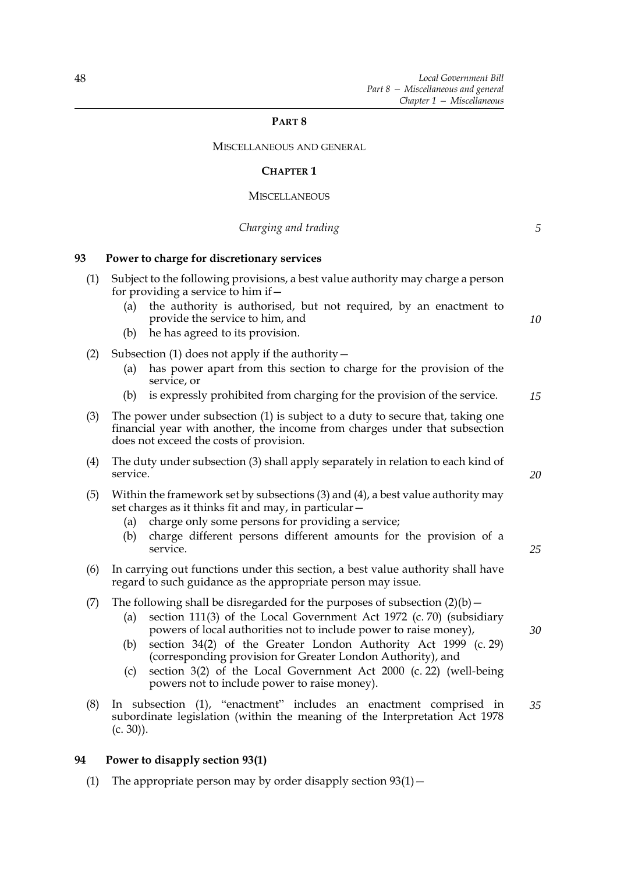*5*

## **PART 8**

MISCELLANEOUS AND GENERAL

## **CHAPTER 1**

#### **MISCELLANEOUS**

# *Charging and trading*

# **93 Power to charge for discretionary services**

| (1) | (a)<br>(b)        | Subject to the following provisions, a best value authority may charge a person<br>for providing a service to him if $-$<br>the authority is authorised, but not required, by an enactment to<br>provide the service to him, and<br>he has agreed to its provision.                                                                                                                                                                                                            | 10 |
|-----|-------------------|--------------------------------------------------------------------------------------------------------------------------------------------------------------------------------------------------------------------------------------------------------------------------------------------------------------------------------------------------------------------------------------------------------------------------------------------------------------------------------|----|
| (2) | (a)<br>(b)        | Subsection $(1)$ does not apply if the authority $-$<br>has power apart from this section to charge for the provision of the<br>service, or<br>is expressly prohibited from charging for the provision of the service.                                                                                                                                                                                                                                                         | 15 |
| (3) |                   | The power under subsection (1) is subject to a duty to secure that, taking one<br>financial year with another, the income from charges under that subsection<br>does not exceed the costs of provision.                                                                                                                                                                                                                                                                        |    |
| (4) | service.          | The duty under subsection (3) shall apply separately in relation to each kind of                                                                                                                                                                                                                                                                                                                                                                                               | 20 |
| (5) | (a)<br>(b)        | Within the framework set by subsections (3) and (4), a best value authority may<br>set charges as it thinks fit and may, in particular -<br>charge only some persons for providing a service;<br>charge different persons different amounts for the provision of a<br>service.                                                                                                                                                                                                 | 25 |
| (6) |                   | In carrying out functions under this section, a best value authority shall have<br>regard to such guidance as the appropriate person may issue.                                                                                                                                                                                                                                                                                                                                |    |
| (7) | (a)<br>(b)<br>(c) | The following shall be disregarded for the purposes of subsection $(2)(b)$ –<br>section 111(3) of the Local Government Act 1972 (c. 70) (subsidiary<br>powers of local authorities not to include power to raise money),<br>section 34(2) of the Greater London Authority Act 1999 (c. 29)<br>(corresponding provision for Greater London Authority), and<br>section 3(2) of the Local Government Act 2000 (c. 22) (well-being<br>powers not to include power to raise money). | 30 |
| (8) | $(c. 30)$ ).      | In subsection (1), "enactment" includes an enactment comprised in<br>subordinate legislation (within the meaning of the Interpretation Act 1978                                                                                                                                                                                                                                                                                                                                | 35 |

# **94 Power to disapply section 93(1)**

(1) The appropriate person may by order disapply section  $93(1)$  –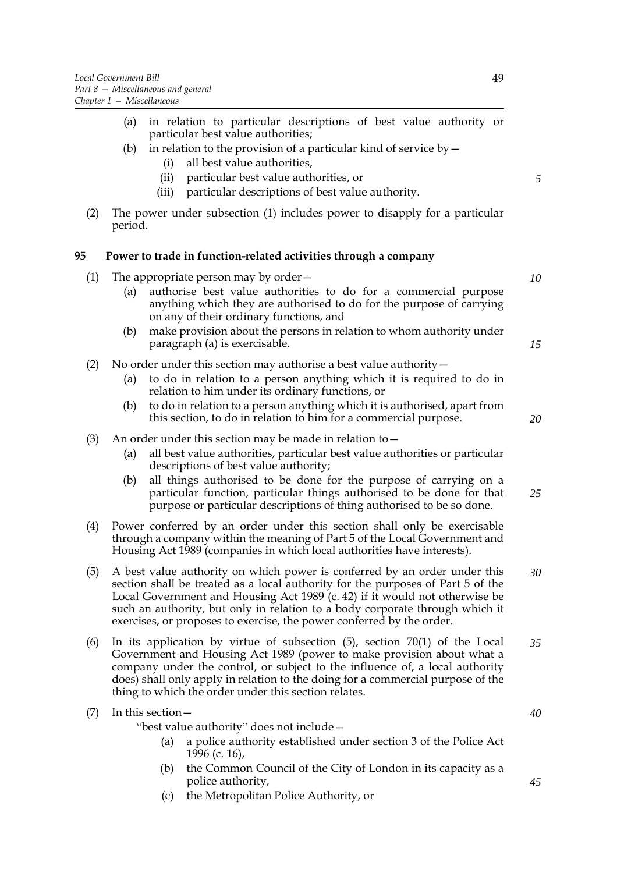- (a) in relation to particular descriptions of best value authority or particular best value authorities;
- (b) in relation to the provision of a particular kind of service by  $-$ 
	- (i) all best value authorities,
	- (ii) particular best value authorities, or
	- (iii) particular descriptions of best value authority.
- (2) The power under subsection (1) includes power to disapply for a particular period.

## **95 Power to trade in function-related activities through a company**

- (1) The appropriate person may by order—
	- (a) authorise best value authorities to do for a commercial purpose anything which they are authorised to do for the purpose of carrying on any of their ordinary functions, and
	- (b) make provision about the persons in relation to whom authority under paragraph (a) is exercisable.
- (2) No order under this section may authorise a best value authority—
	- (a) to do in relation to a person anything which it is required to do in relation to him under its ordinary functions, or
	- (b) to do in relation to a person anything which it is authorised, apart from this section, to do in relation to him for a commercial purpose.
- (3) An order under this section may be made in relation to  $-$ 
	- (a) all best value authorities, particular best value authorities or particular descriptions of best value authority;
	- (b) all things authorised to be done for the purpose of carrying on a particular function, particular things authorised to be done for that purpose or particular descriptions of thing authorised to be so done. *25*
- (4) Power conferred by an order under this section shall only be exercisable through a company within the meaning of Part 5 of the Local Government and Housing Act 1989 (companies in which local authorities have interests).
- (5) A best value authority on which power is conferred by an order under this section shall be treated as a local authority for the purposes of Part 5 of the Local Government and Housing Act 1989 (c. 42) if it would not otherwise be such an authority, but only in relation to a body corporate through which it exercises, or proposes to exercise, the power conferred by the order. *30*
- (6) In its application by virtue of subsection (5), section 70(1) of the Local Government and Housing Act 1989 (power to make provision about what a company under the control, or subject to the influence of, a local authority does) shall only apply in relation to the doing for a commercial purpose of the thing to which the order under this section relates. *35*

| $(7)$ In this section – |                                                                                                                                                                                                                                                                                                                                                               |
|-------------------------|---------------------------------------------------------------------------------------------------------------------------------------------------------------------------------------------------------------------------------------------------------------------------------------------------------------------------------------------------------------|
|                         | "best value authority" does not include -                                                                                                                                                                                                                                                                                                                     |
|                         | (a) a police authority established under section 3 of the Police Act                                                                                                                                                                                                                                                                                          |
|                         | 1996 (c. 16),                                                                                                                                                                                                                                                                                                                                                 |
|                         | $\alpha$ . $\alpha$ , $\alpha$ , $\alpha$ , $\alpha$ , $\alpha$ , $\alpha$ , $\alpha$ , $\alpha$ , $\alpha$ , $\alpha$ , $\alpha$ , $\alpha$ , $\alpha$ , $\alpha$ , $\alpha$ , $\alpha$ , $\alpha$ , $\alpha$ , $\alpha$ , $\alpha$ , $\alpha$ , $\alpha$ , $\alpha$ , $\alpha$ , $\alpha$ , $\alpha$ , $\alpha$ , $\alpha$ , $\alpha$ , $\alpha$ , $\alpha$ |

- (b) the Common Council of the City of London in its capacity as a police authority,
- (c) the Metropolitan Police Authority, or

*5*

*10*

*15*

*20*

*40*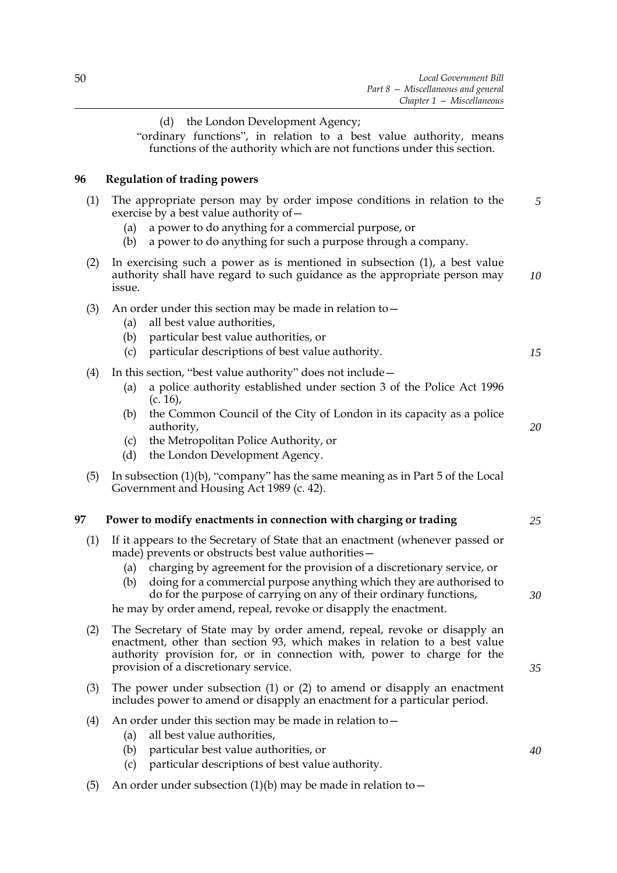|     | (d) the London Development Agency;<br>"ordinary functions", in relation to a best value authority, means<br>functions of the authority which are not functions under this section.                                                                                                                                                                                                                                                        |    |
|-----|-------------------------------------------------------------------------------------------------------------------------------------------------------------------------------------------------------------------------------------------------------------------------------------------------------------------------------------------------------------------------------------------------------------------------------------------|----|
| 96  | <b>Regulation of trading powers</b>                                                                                                                                                                                                                                                                                                                                                                                                       |    |
| (1) | The appropriate person may by order impose conditions in relation to the<br>exercise by a best value authority of -<br>a power to do anything for a commercial purpose, or<br>(a)<br>a power to do anything for such a purpose through a company.<br>(b)                                                                                                                                                                                  | 5  |
| (2) | In exercising such a power as is mentioned in subsection $(1)$ , a best value<br>authority shall have regard to such guidance as the appropriate person may<br>issue.                                                                                                                                                                                                                                                                     | 10 |
| (3) | An order under this section may be made in relation to $-$<br>all best value authorities,<br>(a)<br>particular best value authorities, or<br>(b)<br>particular descriptions of best value authority.<br>(c)                                                                                                                                                                                                                               | 15 |
| (4) | In this section, "best value authority" does not include -<br>a police authority established under section 3 of the Police Act 1996<br>(a)<br>$(c. 16)$ ,<br>the Common Council of the City of London in its capacity as a police<br>(b)<br>authority,<br>the Metropolitan Police Authority, or<br>(c)<br>the London Development Agency.<br>(d)                                                                                           | 20 |
| (5) | In subsection $(1)(b)$ , "company" has the same meaning as in Part 5 of the Local<br>Government and Housing Act 1989 (c. 42).                                                                                                                                                                                                                                                                                                             |    |
| 97  | Power to modify enactments in connection with charging or trading                                                                                                                                                                                                                                                                                                                                                                         | 25 |
| (1) | If it appears to the Secretary of State that an enactment (whenever passed or<br>made) prevents or obstructs best value authorities -<br>(a) charging by agreement for the provision of a discretionary service, or<br>(b) doing for a commercial purpose anything which they are authorised to<br>do for the purpose of carrying on any of their ordinary functions,<br>he may by order amend, repeal, revoke or disapply the enactment. | 30 |
| (2) | The Secretary of State may by order amend, repeal, revoke or disapply an<br>enactment, other than section 93, which makes in relation to a best value<br>authority provision for, or in connection with, power to charge for the<br>provision of a discretionary service.                                                                                                                                                                 | 35 |
| (3) | The power under subsection $(1)$ or $(2)$ to amend or disapply an enactment<br>includes power to amend or disapply an enactment for a particular period.                                                                                                                                                                                                                                                                                  |    |
| (4) | An order under this section may be made in relation to $-$<br>all best value authorities,<br>(a)<br>particular best value authorities, or<br>(b)<br>particular descriptions of best value authority.<br>(c)                                                                                                                                                                                                                               | 40 |
| (5) | An order under subsection $(1)(b)$ may be made in relation to $-$                                                                                                                                                                                                                                                                                                                                                                         |    |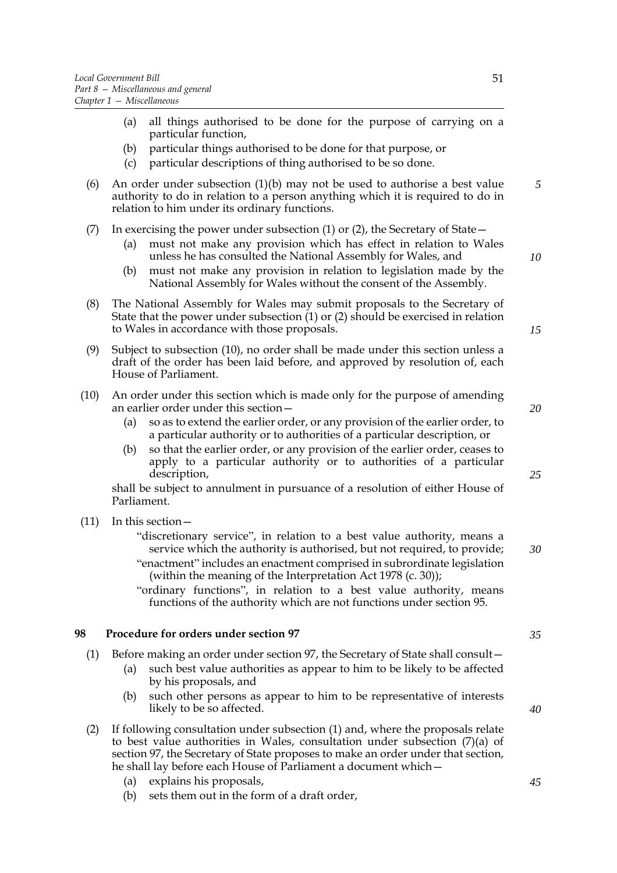- (a) all things authorised to be done for the purpose of carrying on a particular function,
- (b) particular things authorised to be done for that purpose, or
- (c) particular descriptions of thing authorised to be so done.
- (6) An order under subsection (1)(b) may not be used to authorise a best value authority to do in relation to a person anything which it is required to do in relation to him under its ordinary functions.
- (7) In exercising the power under subsection (1) or (2), the Secretary of State—
	- (a) must not make any provision which has effect in relation to Wales unless he has consulted the National Assembly for Wales, and
	- (b) must not make any provision in relation to legislation made by the National Assembly for Wales without the consent of the Assembly.
- (8) The National Assembly for Wales may submit proposals to the Secretary of State that the power under subsection (1) or (2) should be exercised in relation to Wales in accordance with those proposals.
- (9) Subject to subsection (10), no order shall be made under this section unless a draft of the order has been laid before, and approved by resolution of, each House of Parliament.
- (10) An order under this section which is made only for the purpose of amending an earlier order under this section—
	- (a) so as to extend the earlier order, or any provision of the earlier order, to a particular authority or to authorities of a particular description, or
	- (b) so that the earlier order, or any provision of the earlier order, ceases to apply to a particular authority or to authorities of a particular description,

shall be subject to annulment in pursuance of a resolution of either House of Parliament.

- (11) In this section—
	- "discretionary service", in relation to a best value authority, means a service which the authority is authorised, but not required, to provide; "enactment" includes an enactment comprised in subrordinate legislation (within the meaning of the Interpretation Act 1978 (c. 30));
	- "ordinary functions", in relation to a best value authority, means functions of the authority which are not functions under section 95.

# **98 Procedure for orders under section 97**

- (1) Before making an order under section 97, the Secretary of State shall consult—
	- (a) such best value authorities as appear to him to be likely to be affected by his proposals, and
	- (b) such other persons as appear to him to be representative of interests likely to be so affected.
- (2) If following consultation under subsection (1) and, where the proposals relate to best value authorities in Wales, consultation under subsection (7)(a) of section 97, the Secretary of State proposes to make an order under that section, he shall lay before each House of Parliament a document which—
	- (a) explains his proposals,
	- (b) sets them out in the form of a draft order,

*35*

*40*

*10*

*15*

*5*

*20*

*25*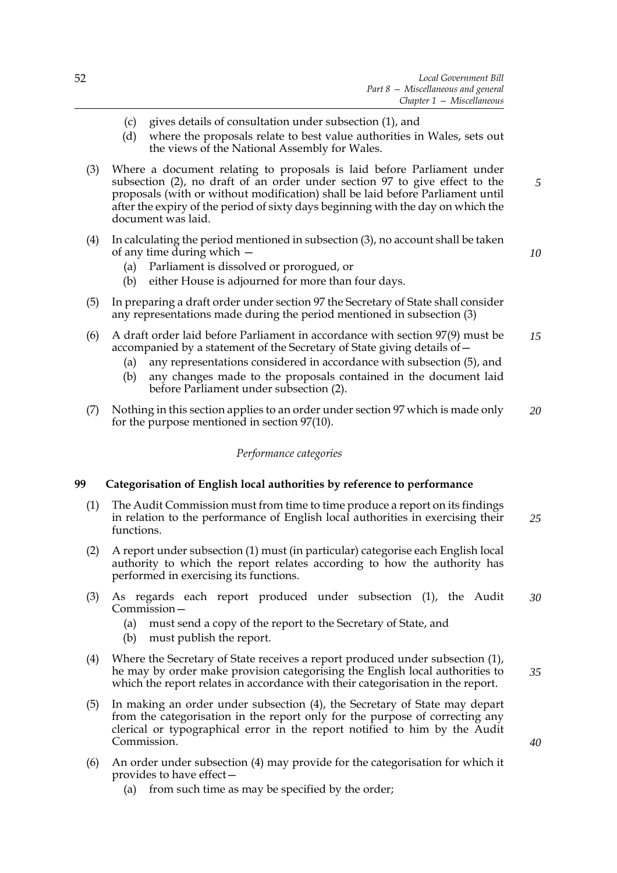- (c) gives details of consultation under subsection (1), and
- (d) where the proposals relate to best value authorities in Wales, sets out the views of the National Assembly for Wales.
- (3) Where a document relating to proposals is laid before Parliament under subsection (2), no draft of an order under section 97 to give effect to the proposals (with or without modification) shall be laid before Parliament until after the expiry of the period of sixty days beginning with the day on which the document was laid.
- (4) In calculating the period mentioned in subsection (3), no account shall be taken of any time during which —
	- (a) Parliament is dissolved or prorogued, or
	- (b) either House is adjourned for more than four days.
- (5) In preparing a draft order under section 97 the Secretary of State shall consider any representations made during the period mentioned in subsection (3)
- (6) A draft order laid before Parliament in accordance with section 97(9) must be accompanied by a statement of the Secretary of State giving details of— *15*
	- (a) any representations considered in accordance with subsection (5), and
	- (b) any changes made to the proposals contained in the document laid before Parliament under subsection (2).
- (7) Nothing in this section applies to an order under section 97 which is made only for the purpose mentioned in section 97(10). *20*

## *Performance categories*

#### **99 Categorisation of English local authorities by reference to performance**

- (1) The Audit Commission must from time to time produce a report on its findings in relation to the performance of English local authorities in exercising their functions. *25*
- (2) A report under subsection (1) must (in particular) categorise each English local authority to which the report relates according to how the authority has performed in exercising its functions.
- (3) As regards each report produced under subsection (1), the Audit Commission— *30*
	- (a) must send a copy of the report to the Secretary of State, and
	- (b) must publish the report.
- (4) Where the Secretary of State receives a report produced under subsection (1), he may by order make provision categorising the English local authorities to which the report relates in accordance with their categorisation in the report.
- (5) In making an order under subsection (4), the Secretary of State may depart from the categorisation in the report only for the purpose of correcting any clerical or typographical error in the report notified to him by the Audit Commission.
- (6) An order under subsection (4) may provide for the categorisation for which it provides to have effect—
	- (a) from such time as may be specified by the order;

*5*

*10*

*35*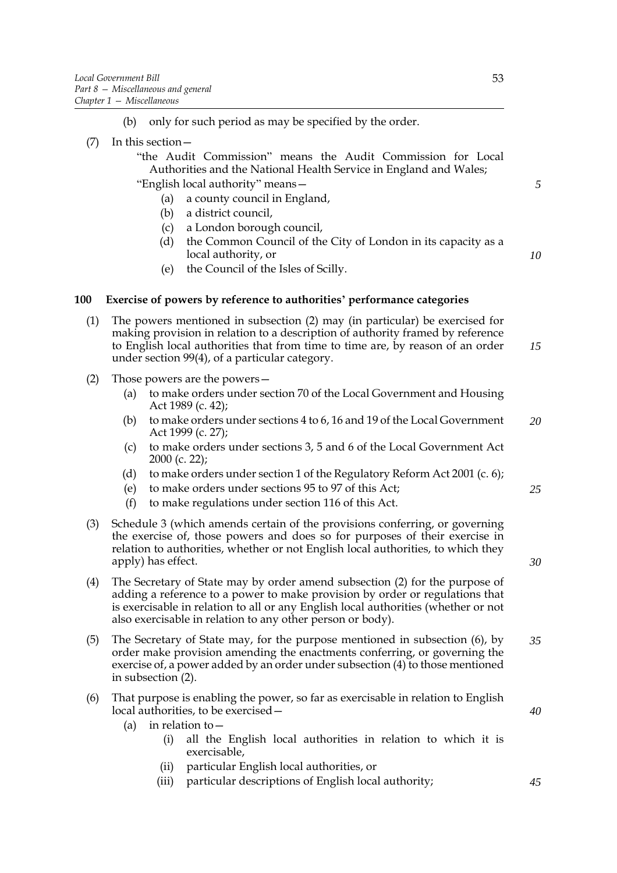- (7) In this section—
	- "the Audit Commission" means the Audit Commission for Local Authorities and the National Health Service in England and Wales; "English local authority" means—
		- (a) a county council in England,
		- (b) a district council,
		- (c) a London borough council,
		- (d) the Common Council of the City of London in its capacity as a local authority, or
		- (e) the Council of the Isles of Scilly.

## **100 Exercise of powers by reference to authorities' performance categories**

- (1) The powers mentioned in subsection (2) may (in particular) be exercised for making provision in relation to a description of authority framed by reference to English local authorities that from time to time are, by reason of an order under section 99(4), of a particular category. *15*
- (2) Those powers are the powers—
	- (a) to make orders under section 70 of the Local Government and Housing Act 1989 (c. 42);
	- (b) to make orders under sections 4 to 6, 16 and 19 of the Local Government Act 1999 (c. 27); *20*
	- (c) to make orders under sections 3, 5 and 6 of the Local Government Act 2000 (c. 22);
	- (d) to make orders under section 1 of the Regulatory Reform Act 2001 (c. 6);
	- (e) to make orders under sections 95 to 97 of this Act;
	- (f) to make regulations under section 116 of this Act.
- (3) Schedule [3](#page-87-0) (which amends certain of the provisions conferring, or governing the exercise of, those powers and does so for purposes of their exercise in relation to authorities, whether or not English local authorities, to which they apply) has effect.
- (4) The Secretary of State may by order amend subsection (2) for the purpose of adding a reference to a power to make provision by order or regulations that is exercisable in relation to all or any English local authorities (whether or not also exercisable in relation to any other person or body).
- (5) The Secretary of State may, for the purpose mentioned in subsection (6), by order make provision amending the enactments conferring, or governing the exercise of, a power added by an order under subsection (4) to those mentioned in subsection (2). *35*
- (6) That purpose is enabling the power, so far as exercisable in relation to English local authorities, to be exercised—
	- (a) in relation to—
		- (i) all the English local authorities in relation to which it is exercisable,
		- (ii) particular English local authorities, or
		- (iii) particular descriptions of English local authority;

*5*

*10*

*30*

*25*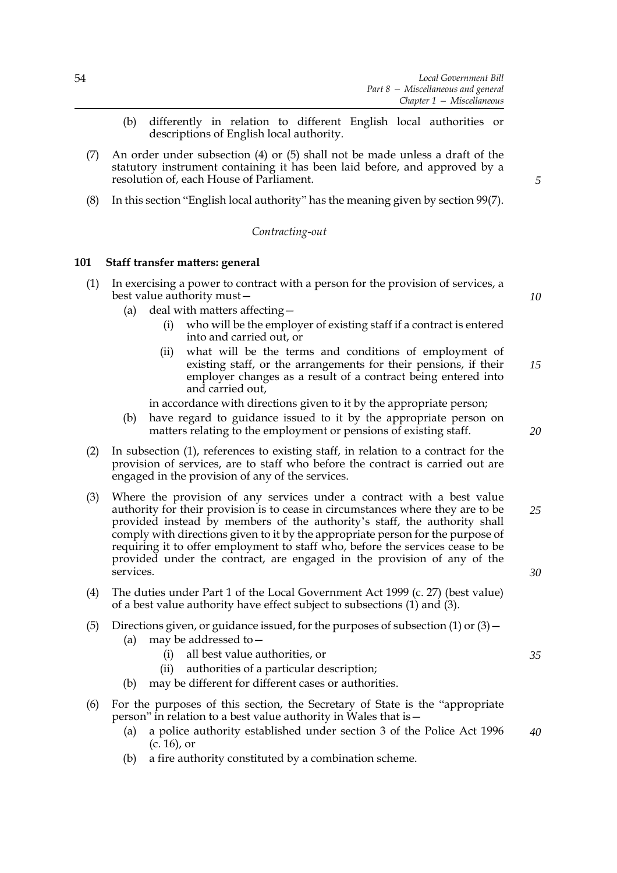- (b) differently in relation to different English local authorities or descriptions of English local authority.
- (7) An order under subsection (4) or (5) shall not be made unless a draft of the statutory instrument containing it has been laid before, and approved by a resolution of, each House of Parliament.
- (8) In this section "English local authority" has the meaning given by section 99(7).

#### *Contracting-out*

#### **101 Staff transfer matters: general**

- (1) In exercising a power to contract with a person for the provision of services, a best value authority must—
	- (a) deal with matters affecting—
		- (i) who will be the employer of existing staff if a contract is entered into and carried out, or
		- (ii) what will be the terms and conditions of employment of existing staff, or the arrangements for their pensions, if their employer changes as a result of a contract being entered into and carried out, *15*
		- in accordance with directions given to it by the appropriate person;
	- (b) have regard to guidance issued to it by the appropriate person on matters relating to the employment or pensions of existing staff.
- (2) In subsection (1), references to existing staff, in relation to a contract for the provision of services, are to staff who before the contract is carried out are engaged in the provision of any of the services.
- (3) Where the provision of any services under a contract with a best value authority for their provision is to cease in circumstances where they are to be provided instead by members of the authority's staff, the authority shall comply with directions given to it by the appropriate person for the purpose of requiring it to offer employment to staff who, before the services cease to be provided under the contract, are engaged in the provision of any of the services.
- (4) The duties under Part 1 of the Local Government Act 1999 (c. 27) (best value) of a best value authority have effect subject to subsections (1) and (3).
- (5) Directions given, or guidance issued, for the purposes of subsection (1) or  $(3)$ 
	- (a) may be addressed to—
		- (i) all best value authorities, or
		- (ii) authorities of a particular description;
	- (b) may be different for different cases or authorities.
- (6) For the purposes of this section, the Secretary of State is the "appropriate person" in relation to a best value authority in Wales that is—
	- (a) a police authority established under section 3 of the Police Act 1996 (c. 16), or *40*
	- (b) a fire authority constituted by a combination scheme.

*5*

*10*

*20*

*25*

*30*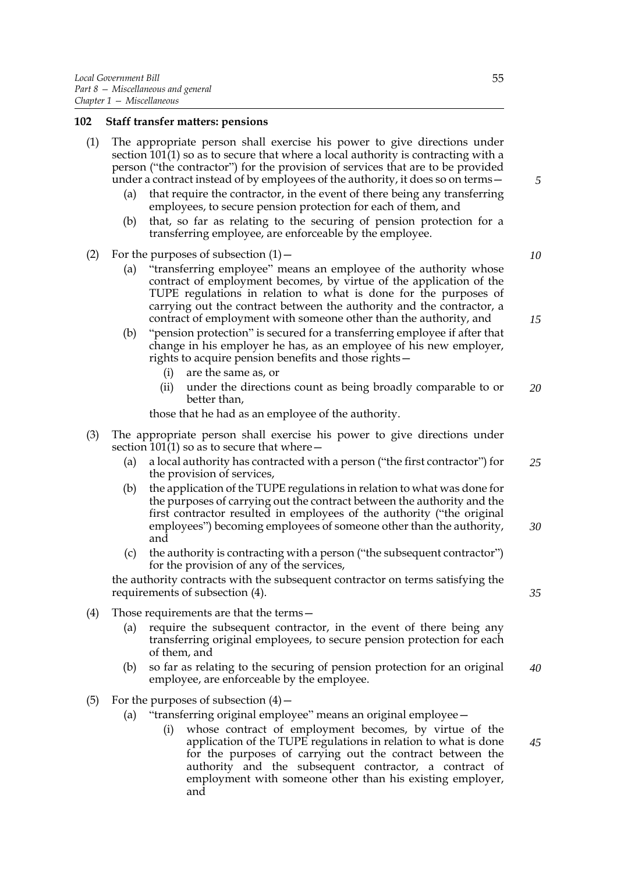#### **102 Staff transfer matters: pensions**

- (1) The appropriate person shall exercise his power to give directions under section 101(1) so as to secure that where a local authority is contracting with a person ("the contractor") for the provision of services that are to be provided under a contract instead of by employees of the authority, it does so on terms—
	- (a) that require the contractor, in the event of there being any transferring employees, to secure pension protection for each of them, and
	- (b) that, so far as relating to the securing of pension protection for a transferring employee, are enforceable by the employee.
- (2) For the purposes of subsection  $(1)$ 
	- (a) "transferring employee" means an employee of the authority whose contract of employment becomes, by virtue of the application of the TUPE regulations in relation to what is done for the purposes of carrying out the contract between the authority and the contractor, a contract of employment with someone other than the authority, and
	- (b) "pension protection" is secured for a transferring employee if after that change in his employer he has, as an employee of his new employer, rights to acquire pension benefits and those rights—
		- (i) are the same as, or
		- (ii) under the directions count as being broadly comparable to or better than, *20*

those that he had as an employee of the authority.

- (3) The appropriate person shall exercise his power to give directions under section  $101(1)$  so as to secure that where  $-$ 
	- (a) a local authority has contracted with a person ("the first contractor") for the provision of services, *25*
	- (b) the application of the TUPE regulations in relation to what was done for the purposes of carrying out the contract between the authority and the first contractor resulted in employees of the authority ("the original employees") becoming employees of someone other than the authority, and *30*
	- (c) the authority is contracting with a person ("the subsequent contractor") for the provision of any of the services,

the authority contracts with the subsequent contractor on terms satisfying the requirements of subsection (4).

- (4) Those requirements are that the terms—
	- (a) require the subsequent contractor, in the event of there being any transferring original employees, to secure pension protection for each of them, and
	- (b) so far as relating to the securing of pension protection for an original employee, are enforceable by the employee. *40*
- (5) For the purposes of subsection  $(4)$ 
	- (a) "transferring original employee" means an original employee
		- whose contract of employment becomes, by virtue of the application of the TUPE regulations in relation to what is done for the purposes of carrying out the contract between the authority and the subsequent contractor, a contract of employment with someone other than his existing employer, and

*10*

*5*

*15*

*35*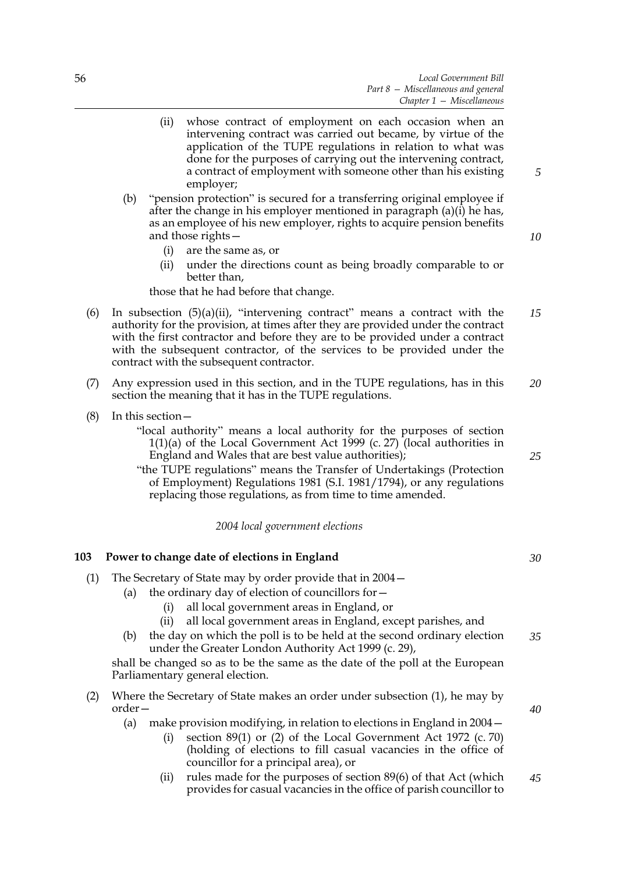- (ii) whose contract of employment on each occasion when an intervening contract was carried out became, by virtue of the application of the TUPE regulations in relation to what was done for the purposes of carrying out the intervening contract, a contract of employment with someone other than his existing employer;
- (b) "pension protection" is secured for a transferring original employee if after the change in his employer mentioned in paragraph (a)(i) he has, as an employee of his new employer, rights to acquire pension benefits and those rights—
	- (i) are the same as, or
	- (ii) under the directions count as being broadly comparable to or better than,

those that he had before that change.

- (6) In subsection  $(5)(a)(ii)$ , "intervening contract" means a contract with the authority for the provision, at times after they are provided under the contract with the first contractor and before they are to be provided under a contract with the subsequent contractor, of the services to be provided under the contract with the subsequent contractor. *15*
- (7) Any expression used in this section, and in the TUPE regulations, has in this section the meaning that it has in the TUPE regulations. *20*
- (8) In this section—

"local authority" means a local authority for the purposes of section 1(1)(a) of the Local Government Act 1999 (c. 27) (local authorities in England and Wales that are best value authorities);

"the TUPE regulations" means the Transfer of Undertakings (Protection of Employment) Regulations 1981 (S.I. 1981/1794), or any regulations replacing those regulations, as from time to time amended.

*2004 local government elections*

#### **103 Power to change date of elections in England**

- (1) The Secretary of State may by order provide that in 2004—
	- (a) the ordinary day of election of councillors for—
		- (i) all local government areas in England, or
		- (ii) all local government areas in England, except parishes, and
		- (b) the day on which the poll is to be held at the second ordinary election under the Greater London Authority Act 1999 (c. 29), *35*

shall be changed so as to be the same as the date of the poll at the European Parliamentary general election.

- (2) Where the Secretary of State makes an order under subsection (1), he may by order—
	- (a) make provision modifying, in relation to elections in England in 2004—
		- (i) section 89(1) or (2) of the Local Government Act 1972 (c. 70) (holding of elections to fill casual vacancies in the office of councillor for a principal area), or
		- (ii) rules made for the purposes of section 89(6) of that Act (which provides for casual vacancies in the office of parish councillor to *45*

*25*

*30*

*40*

*5*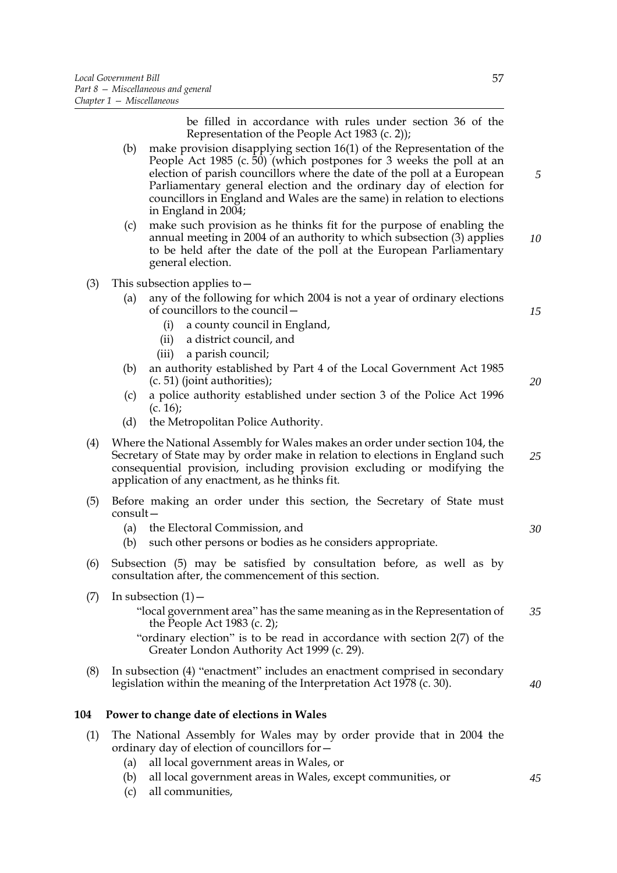be filled in accordance with rules under section 36 of the Representation of the People Act 1983 (c. 2));

- (b) make provision disapplying section 16(1) of the Representation of the People Act 1985 (c. 50) (which postpones for 3 weeks the poll at an election of parish councillors where the date of the poll at a European Parliamentary general election and the ordinary day of election for councillors in England and Wales are the same) in relation to elections in England in 2004; *5*
- (c) make such provision as he thinks fit for the purpose of enabling the annual meeting in 2004 of an authority to which subsection (3) applies to be held after the date of the poll at the European Parliamentary general election. *10*
- (3) This subsection applies to  $-$ 
	- (a) any of the following for which 2004 is not a year of ordinary elections of councillors to the council—
		- (i) a county council in England,
		- (ii) a district council, and
		- (iii) a parish council;
	- (b) an authority established by Part 4 of the Local Government Act 1985 (c. 51) (joint authorities);
	- (c) a police authority established under section 3 of the Police Act 1996  $(c. 16)$ ;
	- (d) the Metropolitan Police Authority.
- (4) Where the National Assembly for Wales makes an order under section 104, the Secretary of State may by order make in relation to elections in England such consequential provision, including provision excluding or modifying the application of any enactment, as he thinks fit.
- (5) Before making an order under this section, the Secretary of State must consult—
	- (a) the Electoral Commission, and
	- (b) such other persons or bodies as he considers appropriate.
- (6) Subsection (5) may be satisfied by consultation before, as well as by consultation after, the commencement of this section.
- $(7)$  In subsection  $(1)$ 
	- "local government area" has the same meaning as in the Representation of the People Act 1983 (c. 2); *35*
	- "ordinary election" is to be read in accordance with section 2(7) of the Greater London Authority Act 1999 (c. 29).
- (8) In subsection (4) "enactment" includes an enactment comprised in secondary legislation within the meaning of the Interpretation Act 1978 (c. 30).

## **104 Power to change date of elections in Wales**

- (1) The National Assembly for Wales may by order provide that in 2004 the ordinary day of election of councillors for—
	- (a) all local government areas in Wales, or
	- (b) all local government areas in Wales, except communities, or
	- (c) all communities,

*15*

*20*

*25*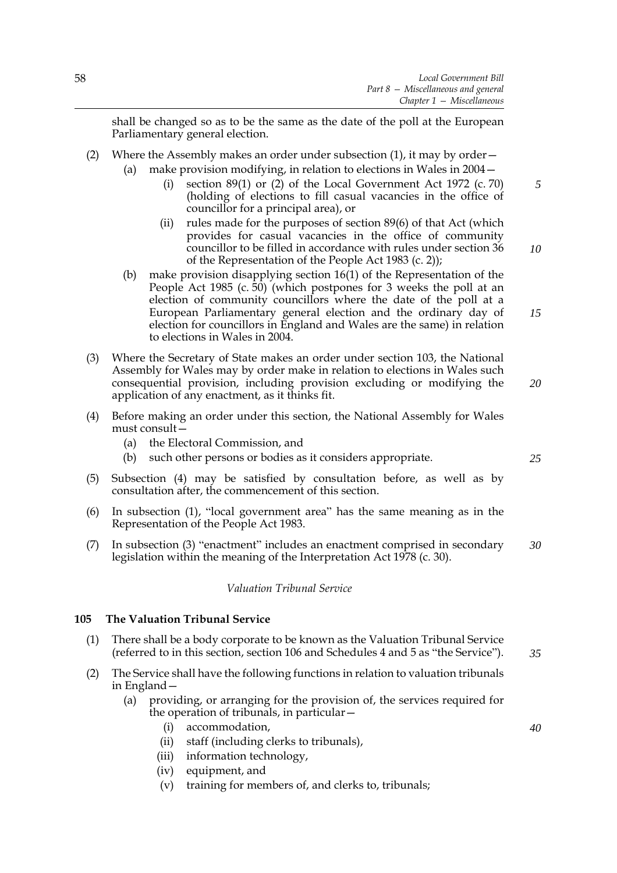shall be changed so as to be the same as the date of the poll at the European Parliamentary general election.

- (2) Where the Assembly makes an order under subsection  $(1)$ , it may by order  $$ 
	- make provision modifying, in relation to elections in Wales in  $2004-$ 
		- (i) section 89(1) or (2) of the Local Government Act 1972 (c. 70) (holding of elections to fill casual vacancies in the office of councillor for a principal area), or
		- (ii) rules made for the purposes of section 89(6) of that Act (which provides for casual vacancies in the office of community councillor to be filled in accordance with rules under section 36 of the Representation of the People Act 1983 (c. 2));
		- (b) make provision disapplying section 16(1) of the Representation of the People Act 1985 (c. 50) (which postpones for 3 weeks the poll at an election of community councillors where the date of the poll at a European Parliamentary general election and the ordinary day of election for councillors in England and Wales are the same) in relation to elections in Wales in 2004.
- (3) Where the Secretary of State makes an order under section 103, the National Assembly for Wales may by order make in relation to elections in Wales such consequential provision, including provision excluding or modifying the application of any enactment, as it thinks fit.
- (4) Before making an order under this section, the National Assembly for Wales must consult—
	- (a) the Electoral Commission, and
	- (b) such other persons or bodies as it considers appropriate.
- (5) Subsection (4) may be satisfied by consultation before, as well as by consultation after, the commencement of this section.
- (6) In subsection (1), "local government area" has the same meaning as in the Representation of the People Act 1983.
- (7) In subsection (3) "enactment" includes an enactment comprised in secondary legislation within the meaning of the Interpretation Act 1978 (c. 30). *30*

## *Valuation Tribunal Service*

#### **105 The Valuation Tribunal Service**

- (1) There shall be a body corporate to be known as the Valuation Tribunal Service (referred to in this section, section 106 and Schedules [4](#page-91-0) and [5](#page-97-0) as "the Service").
- (2) The Service shall have the following functions in relation to valuation tribunals in England—
	- (a) providing, or arranging for the provision of, the services required for the operation of tribunals, in particular—
		- (i) accommodation,
		- (ii) staff (including clerks to tribunals),
		- (iii) information technology,
		- (iv) equipment, and
		- (v) training for members of, and clerks to, tribunals;

*25*

*5*

*10*

*15*

*20*

*35*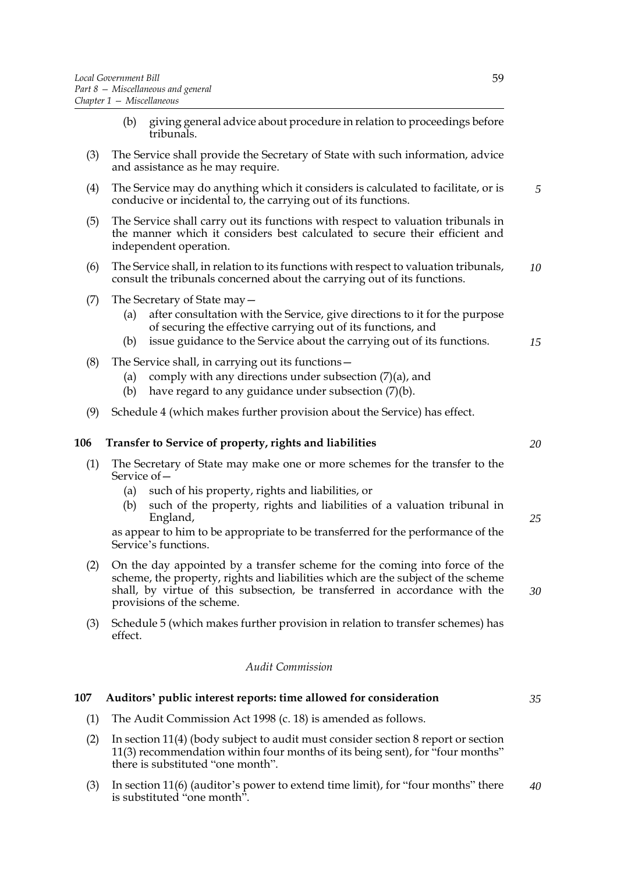- (b) giving general advice about procedure in relation to proceedings before tribunals.
- (3) The Service shall provide the Secretary of State with such information, advice and assistance as he may require.
- (4) The Service may do anything which it considers is calculated to facilitate, or is conducive or incidental to, the carrying out of its functions.
- (5) The Service shall carry out its functions with respect to valuation tribunals in the manner which it considers best calculated to secure their efficient and independent operation.
- (6) The Service shall, in relation to its functions with respect to valuation tribunals, consult the tribunals concerned about the carrying out of its functions. *10*
- (7) The Secretary of State may—
	- (a) after consultation with the Service, give directions to it for the purpose of securing the effective carrying out of its functions, and
	- (b) issue guidance to the Service about the carrying out of its functions. *15*
- (8) The Service shall, in carrying out its functions—
	- (a) comply with any directions under subsection  $(7)(a)$ , and
	- (b) have regard to any guidance under subsection (7)(b).
- (9) Schedule [4](#page-91-0) (which makes further provision about the Service) has effect.

## **106 Transfer to Service of property, rights and liabilities**

- (1) The Secretary of State may make one or more schemes for the transfer to the Service of—
	- (a) such of his property, rights and liabilities, or
	- (b) such of the property, rights and liabilities of a valuation tribunal in England,

as appear to him to be appropriate to be transferred for the performance of the Service's functions.

- (2) On the day appointed by a transfer scheme for the coming into force of the scheme, the property, rights and liabilities which are the subject of the scheme shall, by virtue of this subsection, be transferred in accordance with the provisions of the scheme.
- (3) Schedule [5](#page-97-0) (which makes further provision in relation to transfer schemes) has effect.

## *Audit Commission*

#### **107 Auditors' public interest reports: time allowed for consideration**

- (1) The Audit Commission Act 1998 (c. 18) is amended as follows.
- (2) In section 11(4) (body subject to audit must consider section 8 report or section 11(3) recommendation within four months of its being sent), for "four months" there is substituted "one month".
- (3) In section 11(6) (auditor's power to extend time limit), for "four months" there is substituted "one month". *40*

*20*

*25*

*30*

*5*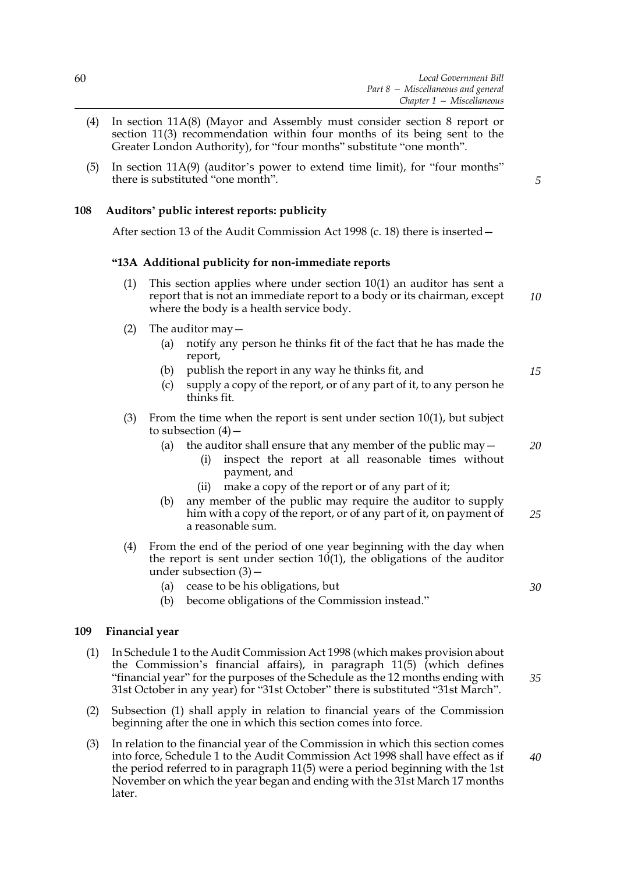- (4) In section 11A(8) (Mayor and Assembly must consider section 8 report or section 11(3) recommendation within four months of its being sent to the Greater London Authority), for "four months" substitute "one month".
- (5) In section 11A(9) (auditor's power to extend time limit), for "four months" there is substituted "one month".

## **108 Auditors' public interest reports: publicity**

After section 13 of the Audit Commission Act 1998 (c. 18) there is inserted—

#### **"13A Additional publicity for non-immediate reports**

- (1) This section applies where under section 10(1) an auditor has sent a report that is not an immediate report to a body or its chairman, except where the body is a health service body. *10*
- (2) The auditor may—
	- (a) notify any person he thinks fit of the fact that he has made the report,
	- (b) publish the report in any way he thinks fit, and
	- (c) supply a copy of the report, or of any part of it, to any person he thinks fit.
- (3) From the time when the report is sent under section 10(1), but subject to subsection  $(4)$  –
	- (a) the auditor shall ensure that any member of the public may  $-$ 
		- (i) inspect the report at all reasonable times without payment, and
		- (ii) make a copy of the report or of any part of it;
	- (b) any member of the public may require the auditor to supply him with a copy of the report, or of any part of it, on payment of a reasonable sum. *25*
- (4) From the end of the period of one year beginning with the day when the report is sent under section 10(1), the obligations of the auditor under subsection (3)—
	- (a) cease to be his obligations, but
	- (b) become obligations of the Commission instead."

#### **109 Financial year**

- (1) In Schedule 1 to the Audit Commission Act 1998 (which makes provision about the Commission's financial affairs), in paragraph 11(5) (which defines "financial year" for the purposes of the Schedule as the 12 months ending with 31st October in any year) for "31st October" there is substituted "31st March". *35*
- (2) Subsection (1) shall apply in relation to financial years of the Commission beginning after the one in which this section comes into force.
- (3) In relation to the financial year of the Commission in which this section comes into force, Schedule 1 to the Audit Commission Act 1998 shall have effect as if the period referred to in paragraph 11(5) were a period beginning with the 1st November on which the year began and ending with the 31st March 17 months later. *40*

*30*

*5*

*15*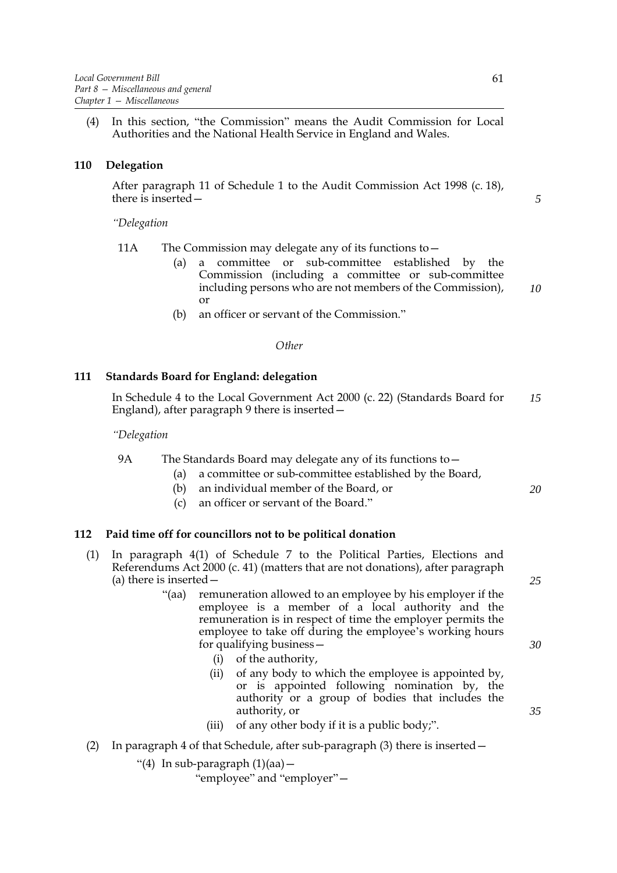(4) In this section, "the Commission" means the Audit Commission for Local Authorities and the National Health Service in England and Wales.

#### **110 Delegation**

After paragraph 11 of Schedule 1 to the Audit Commission Act 1998 (c. 18), there is inserted—

*"Delegation*

- 11A The Commission may delegate any of its functions to—
	- (a) a committee or sub-committee established by the Commission (including a committee or sub-committee including persons who are not members of the Commission), or *10*
	- (b) an officer or servant of the Commission."

## *Other*

#### **111 Standards Board for England: delegation**

In Schedule 4 to the Local Government Act 2000 (c. 22) (Standards Board for England), after paragraph 9 there is inserted— *15*

*"Delegation*

- 9A The Standards Board may delegate any of its functions to—
	- (a) a committee or sub-committee established by the Board,
	- (b) an individual member of the Board, or
	- (c) an officer or servant of the Board."

#### **112 Paid time off for councillors not to be political donation**

- (1) In paragraph 4(1) of Schedule 7 to the Political Parties, Elections and Referendums Act 2000 (c. 41) (matters that are not donations), after paragraph (a) there is inserted—
	- "(aa) remuneration allowed to an employee by his employer if the employee is a member of a local authority and the remuneration is in respect of time the employer permits the employee to take off during the employee's working hours for qualifying business—
		- (i) of the authority,
		- (ii) of any body to which the employee is appointed by, or is appointed following nomination by, the authority or a group of bodies that includes the authority, or
		- (iii) of any other body if it is a public body;".
- (2) In paragraph 4 of that Schedule, after sub-paragraph  $(3)$  there is inserted  $-$

"(4) In sub-paragraph (1)(aa)—

"employee" and "employer"—

*5*

*25*

*20*

*30*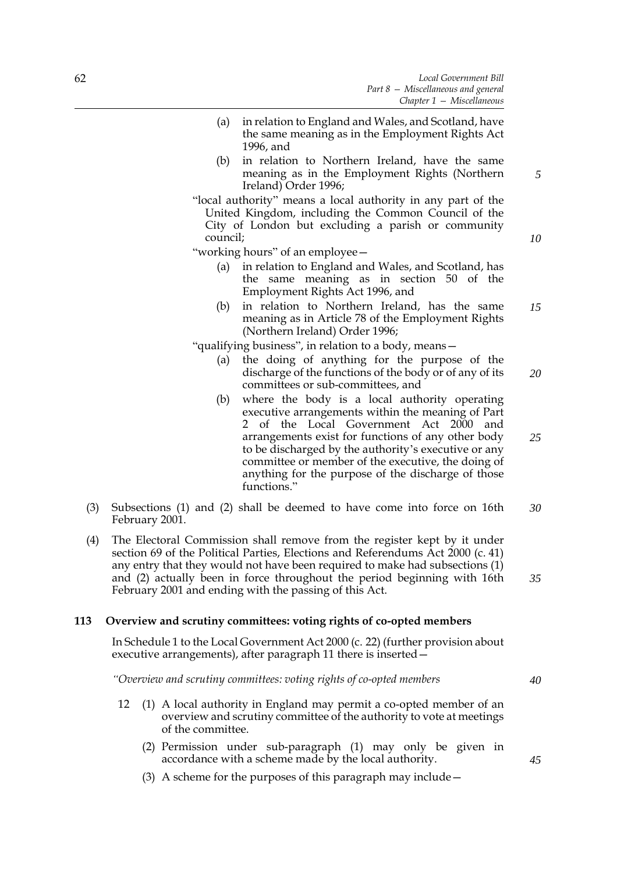- (a) in relation to England and Wales, and Scotland, have the same meaning as in the Employment Rights Act 1996, and
- (b) in relation to Northern Ireland, have the same meaning as in the Employment Rights (Northern Ireland) Order 1996;
- "local authority" means a local authority in any part of the United Kingdom, including the Common Council of the City of London but excluding a parish or community council;

"working hours" of an employee—

- (a) in relation to England and Wales, and Scotland, has the same meaning as in section 50 of the Employment Rights Act 1996, and
- (b) in relation to Northern Ireland, has the same meaning as in Article 78 of the Employment Rights (Northern Ireland) Order 1996; *15*

"qualifying business", in relation to a body, means—

- (a) the doing of anything for the purpose of the discharge of the functions of the body or of any of its committees or sub-committees, and *20*
- (b) where the body is a local authority operating executive arrangements within the meaning of Part 2 of the Local Government Act 2000 and arrangements exist for functions of any other body to be discharged by the authority's executive or any committee or member of the executive, the doing of anything for the purpose of the discharge of those functions." *25*
- (3) Subsections (1) and (2) shall be deemed to have come into force on 16th February 2001. *30*
- (4) The Electoral Commission shall remove from the register kept by it under section 69 of the Political Parties, Elections and Referendums Act 2000 (c. 41) any entry that they would not have been required to make had subsections (1) and (2) actually been in force throughout the period beginning with 16th February 2001 and ending with the passing of this Act.

## **113 Overview and scrutiny committees: voting rights of co-opted members**

In Schedule 1 to the Local Government Act 2000 (c. 22) (further provision about executive arrangements), after paragraph 11 there is inserted—

*"Overview and scrutiny committees: voting rights of co-opted members*

- 12 (1) A local authority in England may permit a co-opted member of an overview and scrutiny committee of the authority to vote at meetings of the committee.
	- (2) Permission under sub-paragraph (1) may only be given in accordance with a scheme made by the local authority.
	- (3) A scheme for the purposes of this paragraph may include—

*35*

*5*

*10*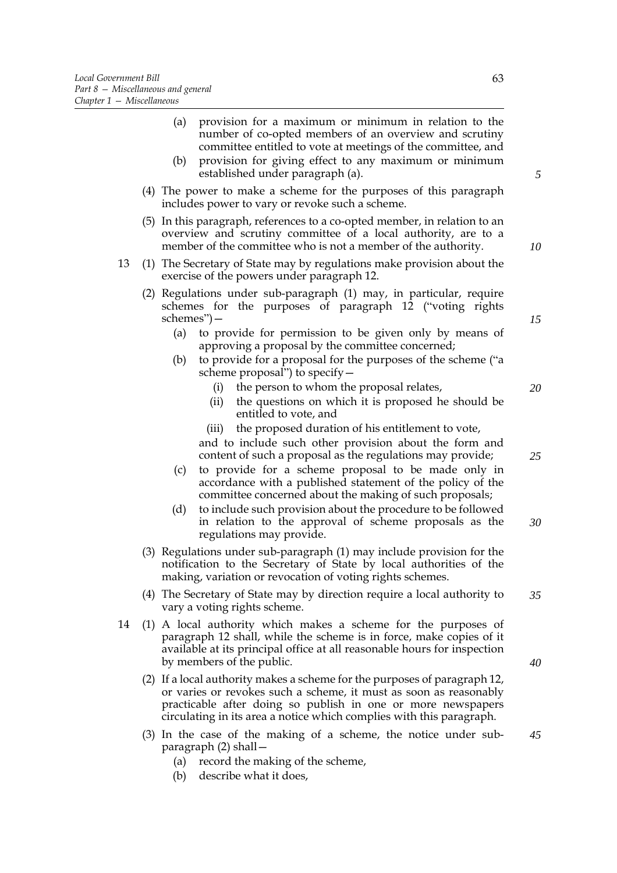| (a)<br>provision for a maximum or minimum in relation to the<br>number of co-opted members of an overview and scrutiny<br>committee entitled to vote at meetings of the committee, and                                                         |    |
|------------------------------------------------------------------------------------------------------------------------------------------------------------------------------------------------------------------------------------------------|----|
| provision for giving effect to any maximum or minimum<br>(b)<br>established under paragraph (a).                                                                                                                                               |    |
| (4) The power to make a scheme for the purposes of this paragraph<br>includes power to vary or revoke such a scheme.                                                                                                                           |    |
| (5) In this paragraph, references to a co-opted member, in relation to an<br>overview and scrutiny committee of a local authority, are to a<br>member of the committee who is not a member of the authority.                                   |    |
| (1) The Secretary of State may by regulations make provision about the<br>exercise of the powers under paragraph 12.                                                                                                                           | 13 |
| (2) Regulations under sub-paragraph (1) may, in particular, require<br>schemes for the purposes of paragraph 12 ("voting rights<br>schemes")-                                                                                                  |    |
| to provide for permission to be given only by means of<br>(a)<br>approving a proposal by the committee concerned;                                                                                                                              |    |
| to provide for a proposal for the purposes of the scheme ("a<br>(b)<br>scheme proposal") to specify -                                                                                                                                          |    |
| the person to whom the proposal relates,<br>(i)<br>the questions on which it is proposed he should be<br>(ii)<br>entitled to vote, and                                                                                                         |    |
| the proposed duration of his entitlement to vote,<br>(iii)<br>and to include such other provision about the form and<br>content of such a proposal as the regulations may provide;                                                             |    |
| to provide for a scheme proposal to be made only in<br>(c)<br>accordance with a published statement of the policy of the<br>committee concerned about the making of such proposals;                                                            |    |
| to include such provision about the procedure to be followed<br>(d)<br>in relation to the approval of scheme proposals as the<br>regulations may provide.                                                                                      |    |
| (3) Regulations under sub-paragraph (1) may include provision for the<br>notification to the Secretary of State by local authorities of the<br>making, variation or revocation of voting rights schemes.                                       |    |
| (4) The Secretary of State may by direction require a local authority to<br>vary a voting rights scheme.                                                                                                                                       |    |
| (1) A local authority which makes a scheme for the purposes of<br>paragraph 12 shall, while the scheme is in force, make copies of it<br>available at its principal office at all reasonable hours for inspection<br>by members of the public. | 14 |
| (2) If a local authority makes a scheme for the purposes of paragraph 12,<br>or varies or revokes such a scheme, it must as soon as reasonably                                                                                                 |    |

(3) In the case of the making of a scheme, the notice under subparagraph (2) shall— *45*

practicable after doing so publish in one or more newspapers circulating in its area a notice which complies with this paragraph.

- (a) record the making of the scheme,
- (b) describe what it does,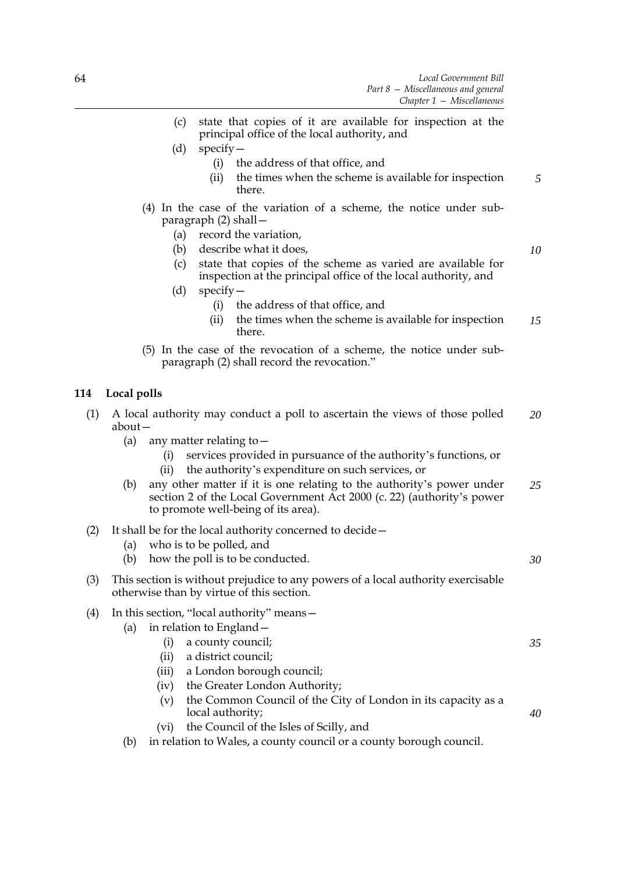- (c) state that copies of it are available for inspection at the principal office of the local authority, and
- (d) specify—
	- (i) the address of that office, and
	- (ii) the times when the scheme is available for inspection there. *5*
- (4) In the case of the variation of a scheme, the notice under subparagraph (2) shall—
	- (a) record the variation,
	- (b) describe what it does,
	- (c) state that copies of the scheme as varied are available for inspection at the principal office of the local authority, and
	- (d) specify—
		- (i) the address of that office, and
		- (ii) the times when the scheme is available for inspection there. *15*
- (5) In the case of the revocation of a scheme, the notice under subparagraph (2) shall record the revocation."

# **114 Local polls**

- (1) A local authority may conduct a poll to ascertain the views of those polled about— *20*
	- (a) any matter relating to  $-$ 
		- (i) services provided in pursuance of the authority's functions, or
		- (ii) the authority's expenditure on such services, or
	- (b) any other matter if it is one relating to the authority's power under section 2 of the Local Government Act 2000 (c. 22) (authority's power to promote well-being of its area). *25*
- (2) It shall be for the local authority concerned to decide—
	- (a) who is to be polled, and
	- (b) how the poll is to be conducted.
- (3) This section is without prejudice to any powers of a local authority exercisable otherwise than by virtue of this section.

## (4) In this section, "local authority" means—

- (a) in relation to England—
	- (i) a county council;
	- (ii) a district council;
	- (iii) a London borough council;
	- (iv) the Greater London Authority;
	- (v) the Common Council of the City of London in its capacity as a local authority;
	- (vi) the Council of the Isles of Scilly, and
- (b) in relation to Wales, a county council or a county borough council.

*10*

*30*

*35*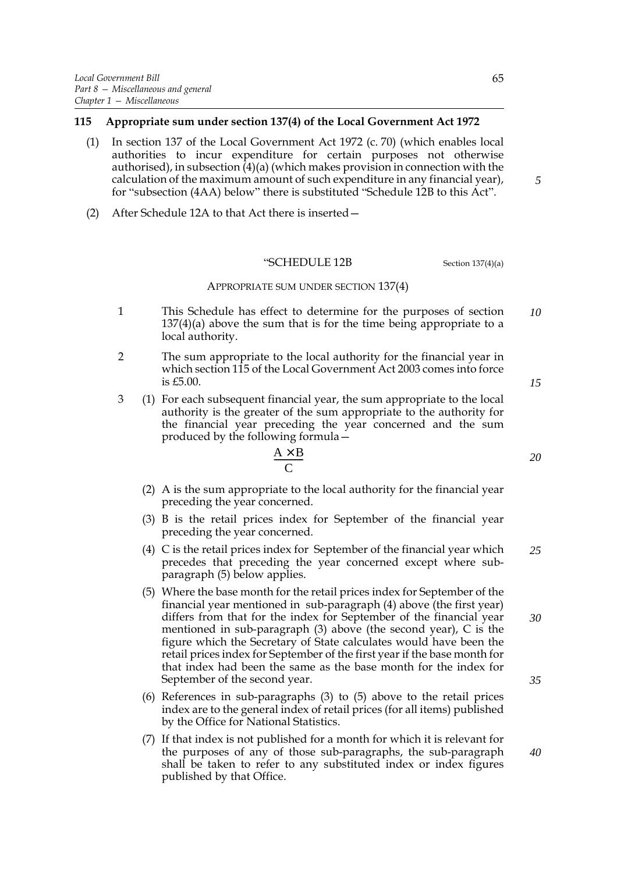#### **115 Appropriate sum under section 137(4) of the Local Government Act 1972**

- (1) In section 137 of the Local Government Act 1972 (c. 70) (which enables local authorities to incur expenditure for certain purposes not otherwise authorised), in subsection (4)(a) (which makes provision in connection with the calculation of the maximum amount of such expenditure in any financial year), for "subsection (4AA) below" there is substituted "Schedule 12B to this Act".
- (2) After Schedule 12A to that Act there is inserted—

# "SCHEDULE 12B Section 137(4)(a)

#### APPROPRIATE SUM UNDER SECTION 137(4)

- 1 This Schedule has effect to determine for the purposes of section 137(4)(a) above the sum that is for the time being appropriate to a local authority. *10*
- 2 The sum appropriate to the local authority for the financial year in which section 115 of the Local Government Act 2003 comes into force is £5.00.
- 3 (1) For each subsequent financial year, the sum appropriate to the local authority is the greater of the sum appropriate to the authority for the financial year preceding the year concerned and the sum produced by the following formula—

$$
\frac{A \times B}{C}
$$

- (2) A is the sum appropriate to the local authority for the financial year preceding the year concerned.
- (3) B is the retail prices index for September of the financial year preceding the year concerned.
- (4) C is the retail prices index for September of the financial year which precedes that preceding the year concerned except where subparagraph (5) below applies. *25*
- (5) Where the base month for the retail prices index for September of the financial year mentioned in sub-paragraph (4) above (the first year) differs from that for the index for September of the financial year mentioned in sub-paragraph (3) above (the second year), C is the figure which the Secretary of State calculates would have been the retail prices index for September of the first year if the base month for that index had been the same as the base month for the index for September of the second year.
- (6) References in sub-paragraphs (3) to (5) above to the retail prices index are to the general index of retail prices (for all items) published by the Office for National Statistics.
- (7) If that index is not published for a month for which it is relevant for the purposes of any of those sub-paragraphs, the sub-paragraph shall be taken to refer to any substituted index or index figures published by that Office.

*20*

*30*

*35*

*40*

*15*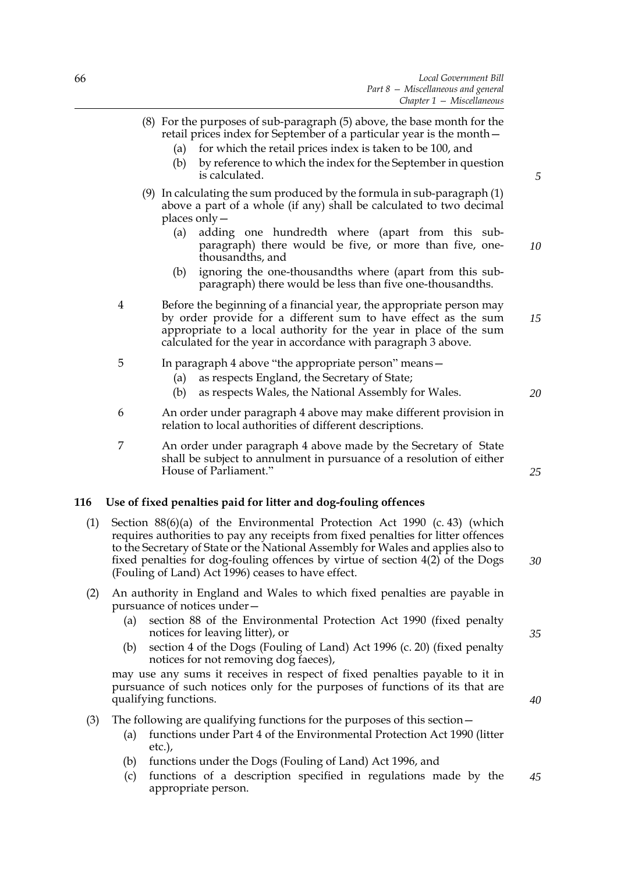|    | $C$ <i>lupter</i> $I - I$ <i>vitstemmeous</i>                                                                                                                                                                                                                                                                                                                                                      |     |  |  |
|----|----------------------------------------------------------------------------------------------------------------------------------------------------------------------------------------------------------------------------------------------------------------------------------------------------------------------------------------------------------------------------------------------------|-----|--|--|
|    | (8) For the purposes of sub-paragraph (5) above, the base month for the<br>retail prices index for September of a particular year is the month –<br>for which the retail prices index is taken to be 100, and<br>(a)<br>by reference to which the index for the September in question<br>(b)<br>is calculated.                                                                                     |     |  |  |
| 10 | $(9)$ In calculating the sum produced by the formula in sub-paragraph $(1)$<br>above a part of a whole (if any) shall be calculated to two decimal<br>places only $-$<br>(a)<br>adding one hundredth where (apart from this sub-<br>paragraph) there would be five, or more than five, one-<br>thousandths, and                                                                                    |     |  |  |
|    | ignoring the one-thousand the where (apart from this sub-<br>(b)<br>paragraph) there would be less than five one-thousand ths.                                                                                                                                                                                                                                                                     |     |  |  |
| 15 | 4<br>Before the beginning of a financial year, the appropriate person may<br>by order provide for a different sum to have effect as the sum<br>appropriate to a local authority for the year in place of the sum<br>calculated for the year in accordance with paragraph 3 above.                                                                                                                  |     |  |  |
| 20 | 5<br>In paragraph 4 above "the appropriate person" means-<br>as respects England, the Secretary of State;<br>(a)<br>as respects Wales, the National Assembly for Wales.<br>(b)                                                                                                                                                                                                                     |     |  |  |
|    | 6<br>An order under paragraph 4 above may make different provision in<br>relation to local authorities of different descriptions.                                                                                                                                                                                                                                                                  |     |  |  |
| 25 | 7<br>An order under paragraph 4 above made by the Secretary of State<br>shall be subject to annulment in pursuance of a resolution of either<br>House of Parliament."                                                                                                                                                                                                                              |     |  |  |
|    | Use of fixed penalties paid for litter and dog-fouling offences                                                                                                                                                                                                                                                                                                                                    | 116 |  |  |
| 30 | Section $88(6)(a)$ of the Environmental Protection Act 1990 (c. 43) (which<br>(1)<br>requires authorities to pay any receipts from fixed penalties for litter offences<br>to the Secretary of State or the National Assembly for Wales and applies also to<br>fixed penalties for dog-fouling offences by virtue of section 4(2) of the Dogs<br>(Fouling of Land) Act 1996) ceases to have effect. |     |  |  |
| 35 | An authority in England and Wales to which fixed penalties are payable in<br>pursuance of notices under-<br>section 88 of the Environmental Protection Act 1990 (fixed penalty<br>(a)<br>notices for leaving litter), or<br>section A of the Dags (Fouling of Land) $\Lambda$ of 1006 (c. 20) (fixed penalty<br>(1)                                                                                | (2) |  |  |
|    |                                                                                                                                                                                                                                                                                                                                                                                                    |     |  |  |

(b) section 4 of the Dogs (Fouling of Land) Act 1996 (c. 20) (fixed penalty notices for not removing dog faeces),

may use any sums it receives in respect of fixed penalties payable to it in pursuance of such notices only for the purposes of functions of its that are qualifying functions.

- (3) The following are qualifying functions for the purposes of this section—
	- (a) functions under Part 4 of the Environmental Protection Act 1990 (litter etc.),
	- (b) functions under the Dogs (Fouling of Land) Act 1996, and
	- (c) functions of a description specified in regulations made by the appropriate person. *45*

*25*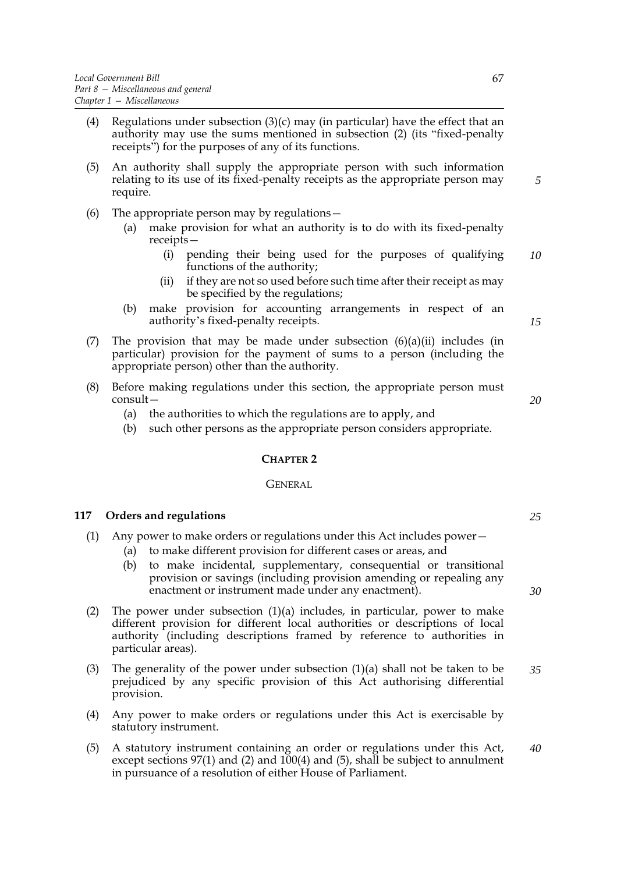- (4) Regulations under subsection  $(3)(c)$  may (in particular) have the effect that an authority may use the sums mentioned in subsection (2) (its "fixed-penalty receipts") for the purposes of any of its functions.
- (5) An authority shall supply the appropriate person with such information relating to its use of its fixed-penalty receipts as the appropriate person may require.
- (6) The appropriate person may by regulations—
	- (a) make provision for what an authority is to do with its fixed-penalty receipts—
		- (i) pending their being used for the purposes of qualifying functions of the authority; *10*
		- (ii) if they are not so used before such time after their receipt as may be specified by the regulations;
	- (b) make provision for accounting arrangements in respect of an authority's fixed-penalty receipts.

*15*

*20*

*5*

- (7) The provision that may be made under subsection  $(6)(a)(ii)$  includes (in particular) provision for the payment of sums to a person (including the appropriate person) other than the authority.
- (8) Before making regulations under this section, the appropriate person must consult—
	- (a) the authorities to which the regulations are to apply, and
	- (b) such other persons as the appropriate person considers appropriate.

#### **CHAPTER 2**

#### **GENERAL**

#### **117 Orders and regulations**

- (1) Any power to make orders or regulations under this Act includes power—
	- (a) to make different provision for different cases or areas, and
	- (b) to make incidental, supplementary, consequential or transitional provision or savings (including provision amending or repealing any enactment or instrument made under any enactment).
- (2) The power under subsection  $(1)(a)$  includes, in particular, power to make different provision for different local authorities or descriptions of local authority (including descriptions framed by reference to authorities in particular areas).
- (3) The generality of the power under subsection  $(1)(a)$  shall not be taken to be prejudiced by any specific provision of this Act authorising differential provision. *35*
- (4) Any power to make orders or regulations under this Act is exercisable by statutory instrument.
- (5) A statutory instrument containing an order or regulations under this Act, except sections 97(1) and (2) and 100(4) and (5), shall be subject to annulment in pursuance of a resolution of either House of Parliament. *40*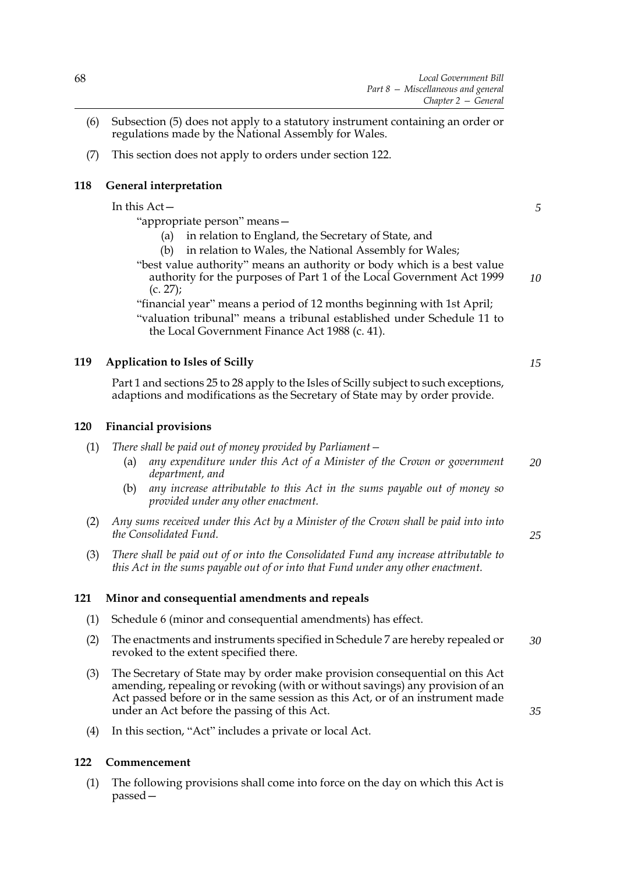- (6) Subsection (5) does not apply to a statutory instrument containing an order or regulations made by the National Assembly for Wales.
- (7) This section does not apply to orders under section 122.

# **118 General interpretation**

In this Act— "appropriate person" means— (a) in relation to England, the Secretary of State, and (b) in relation to Wales, the National Assembly for Wales; "best value authority" means an authority or body which is a best value authority for the purposes of Part 1 of the Local Government Act 1999 (c. 27); "financial year" means a period of 12 months beginning with 1st April; "valuation tribunal" means a tribunal established under Schedule 11 to the Local Government Finance Act 1988 (c. 41).

# **119 Application to Isles of Scilly**

Part 1 and sections 25 to 28 apply to the Isles of Scilly subject to such exceptions, adaptions and modifications as the Secretary of State may by order provide.

# **120 Financial provisions**

- (1) *There shall be paid out of money provided by Parliament—*
	- (a) *any expenditure under this Act of a Minister of the Crown or government department, and 20*
	- (b) *any increase attributable to this Act in the sums payable out of money so provided under any other enactment.*
- (2) *Any sums received under this Act by a Minister of the Crown shall be paid into into the Consolidated Fund.*
- (3) *There shall be paid out of or into the Consolidated Fund any increase attributable to this Act in the sums payable out of or into that Fund under any other enactment.*

# <span id="page-75-0"></span>**121 Minor and consequential amendments and repeals**

- (1) Schedule [6](#page-99-0) (minor and consequential amendments) has effect.
- (2) The enactments and instruments specified in Schedule [7](#page-112-0) are hereby repealed or revoked to the extent specified there. *30*
- (3) The Secretary of State may by order make provision consequential on this Act amending, repealing or revoking (with or without savings) any provision of an Act passed before or in the same session as this Act, or of an instrument made under an Act before the passing of this Act.
- (4) In this section, "Act" includes a private or local Act.

# **122 Commencement**

(1) The following provisions shall come into force on the day on which this Act is passed*15*

*5*

*10*

*25*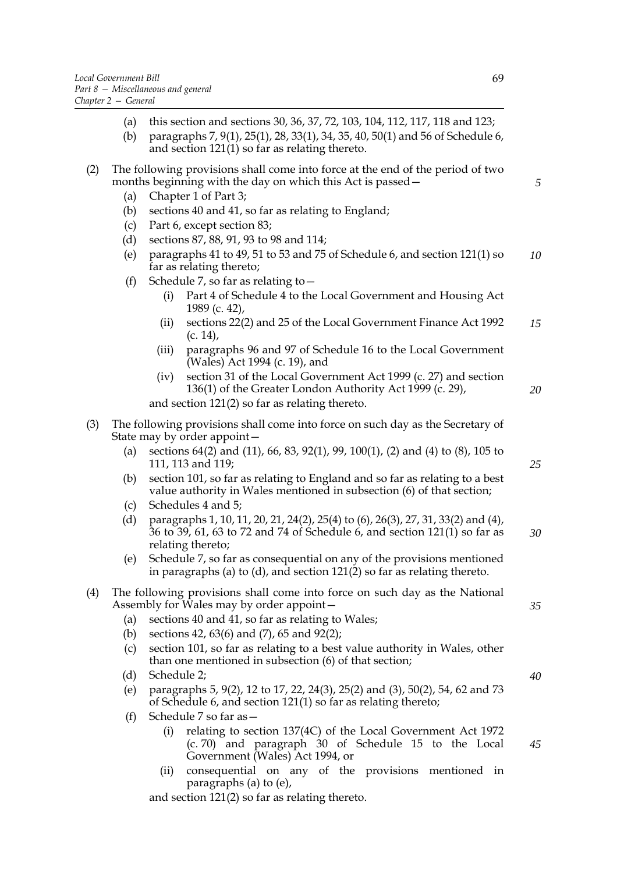- (a) this section and sections 30, 36, 37, 72, 103, 104, 112, 117, 118 and 123;
- (b) paragraphs 7, 9(1), 25(1), 28, 33(1), 34, 35, 40, 50(1) and 56 of Schedule [6](#page-99-0), and section 121(1) so far as relating thereto.

# (2) The following provisions shall come into force at the end of the period of two months beginning with the day on which this Act is passed—

- (a) Chapter 1 of Part 3;
- (b) sections 40 and 41, so far as relating to England;
- (c) Part 6, except section 83;
- (d) sections 87, 88, 91, 93 to [98](#page-58-0) and 114;
- (e) paragraphs 41 to 49, 51 to 53 and 75 of Schedule [6](#page-99-0), and section 121(1) so far as relating thereto; *10*
- (f) Schedule [7](#page-112-0), so far as relating to  $-$ 
	- (i) Part 4 of Schedule 4 to the Local Government and Housing Act 1989 (c. 42),
	- (ii) sections 22(2) and 25 of the Local Government Finance Act 1992 (c. 14), *15*
	- (iii) paragraphs 96 and 97 of Schedule 16 to the Local Government (Wales) Act 1994 (c. 19), and
	- (iv) section 31 of the Local Government Act 1999 (c. 27) and section 136(1) of the Greater London Authority Act 1999 (c. 29), and section 121(2) so far as relating thereto.

(3) The following provisions shall come into force on such day as the Secretary of State may by order appoint—

- (a) sections 64(2) and (11), 66, 83, 92(1), 99, 100(1), (2) and (4) to (8), 105 to 111, 113 and 119;
- (b) section 101, so far as relating to England and so far as relating to a best value authority in Wales mentioned in subsection (6) of that section;
- (c) Schedules [4](#page-91-0) and [5](#page-97-0);
- (d) paragraphs 1, 10, 11, 20, 21, 24(2), 25(4) to (6), 26(3), 27, 31, 33(2) and (4), 36 to 39, 61, 63 to 72 and 74 of Schedule [6,](#page-99-0) and section 121(1) so far as relating thereto; *30*
- (e) Schedule [7](#page-112-0), so far as consequential on any of the provisions mentioned in paragraphs (a) to (d), and section 121(2) so far as relating thereto.

# (4) The following provisions shall come into force on such day as the National Assembly for Wales may by order appoint—

- (a) sections 40 and 41, so far as relating to Wales;
- (b) sections 42, 63(6) and (7), 65 and 92(2);
- (c) section 101, so far as relating to a best value authority in Wales, other than one mentioned in subsection (6) of that section;
- (d) Schedule 2;
- (e) paragraphs 5, 9(2), 12 to 17, 22, 24(3), 25(2) and (3), 50(2), 54, 62 and 73 of Schedule [6,](#page-99-0) and section 121(1) so far as relating thereto;
- (f) Schedule [7](#page-112-0) so far as—
	- (i) relating to section 137(4C) of the Local Government Act 1972 (c. 70) and paragraph 30 of Schedule 15 to the Local Government (Wales) Act 1994, or
	- (ii) consequential on any of the provisions mentioned in paragraphs (a) to (e),

and section 121(2) so far as relating thereto.

*5*

*20*

*25*

*40*

*45*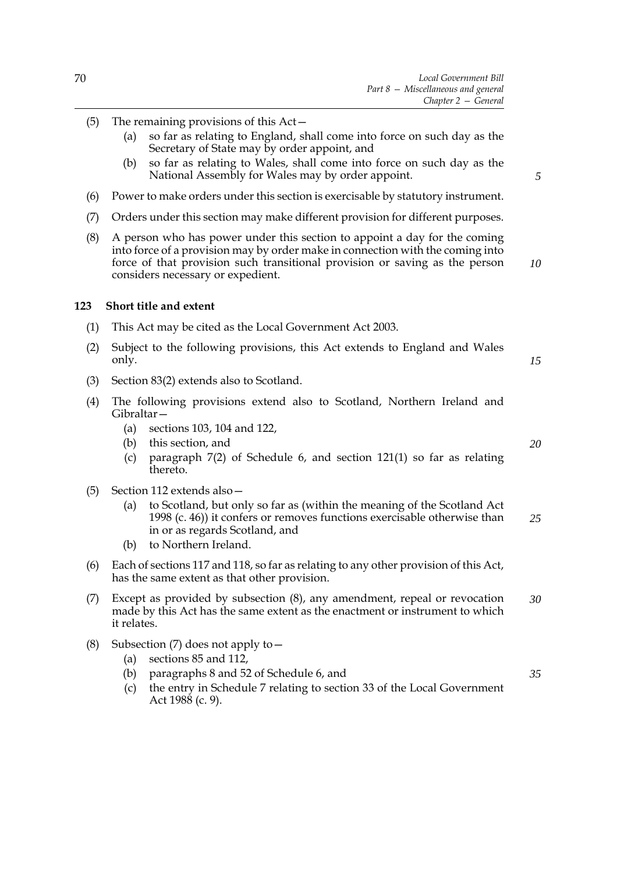- (5) The remaining provisions of this Act—
	- (a) so far as relating to England, shall come into force on such day as the Secretary of State may by order appoint, and
	- (b) so far as relating to Wales, shall come into force on such day as the National Assembly for Wales may by order appoint.
- (6) Power to make orders under this section is exercisable by statutory instrument.
- (7) Orders under this section may make different provision for different purposes.
- (8) A person who has power under this section to appoint a day for the coming into force of a provision may by order make in connection with the coming into force of that provision such transitional provision or saving as the person considers necessary or expedient.

#### **123 Short title and extent**

- (1) This Act may be cited as the Local Government Act 2003.
- (2) Subject to the following provisions, this Act extends to England and Wales only.
- (3) Section 83(2) extends also to Scotland.
- (4) The following provisions extend also to Scotland, Northern Ireland and Gibraltar—
	- (a) sections 103, 104 and 122,
	- (b) this section, and
	- (c) paragraph 7(2) of Schedule [6](#page-99-0), and section 121(1) so far as relating thereto.
- (5) Section 112 extends also—
	- (a) to Scotland, but only so far as (within the meaning of the Scotland Act 1998 (c. 46)) it confers or removes functions exercisable otherwise than in or as regards Scotland, and *25*
	- (b) to Northern Ireland.
- (6) Each of sections 117 and 118, so far as relating to any other provision of this Act, has the same extent as that other provision.
- (7) Except as provided by subsection (8), any amendment, repeal or revocation made by this Act has the same extent as the enactment or instrument to which it relates. *30*
- (8) Subsection (7) does not apply to—
	- (a) sections 85 and 112,
	- (b) paragraphs 8 and 52 of Schedule [6](#page-99-0), and
	- (c) the entry in Schedule [7](#page-112-0) relating to section 33 of the Local Government Act 1988 (c. 9).

*10*

*5*

*15*

*20*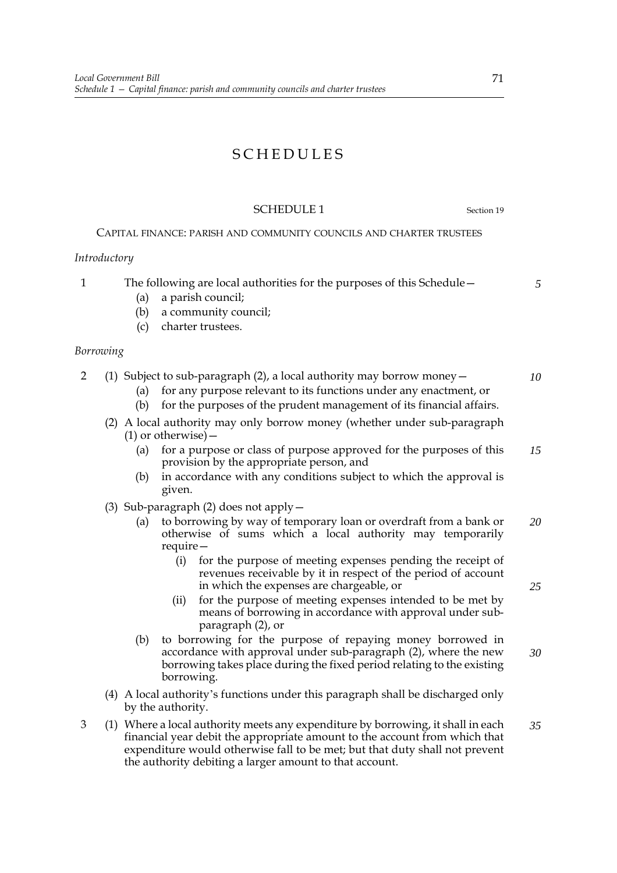# SCHEDULES

# SCHEDULE 1 Section [19](#page-15-0)

# CAPITAL FINANCE: PARISH AND COMMUNITY COUNCILS AND CHARTER TRUSTEES

# *Introductory*

1 The following are local authorities for the purposes of this Schedule— (a) a parish council; *5*

- (b) a community council;
- (c) charter trustees.

# *Borrowing*

2 (1) Subject to sub-paragraph (2), a local authority may borrow money—

- (a) for any purpose relevant to its functions under any enactment, or
	- (b) for the purposes of the prudent management of its financial affairs.
- (2) A local authority may only borrow money (whether under sub-paragraph  $(1)$  or otherwise) –
	- (a) for a purpose or class of purpose approved for the purposes of this provision by the appropriate person, and *15*
	- (b) in accordance with any conditions subject to which the approval is given.
- (3) Sub-paragraph (2) does not apply—
	- (a) to borrowing by way of temporary loan or overdraft from a bank or otherwise of sums which a local authority may temporarily require— *20*
		- (i) for the purpose of meeting expenses pending the receipt of revenues receivable by it in respect of the period of account in which the expenses are chargeable, or
		- (ii) for the purpose of meeting expenses intended to be met by means of borrowing in accordance with approval under subparagraph (2), or
	- (b) to borrowing for the purpose of repaying money borrowed in accordance with approval under sub-paragraph (2), where the new borrowing takes place during the fixed period relating to the existing borrowing. *30*
- (4) A local authority's functions under this paragraph shall be discharged only by the authority.
- 3 (1) Where a local authority meets any expenditure by borrowing, it shall in each financial year debit the appropriate amount to the account from which that expenditure would otherwise fall to be met; but that duty shall not prevent the authority debiting a larger amount to that account. *35*

*25*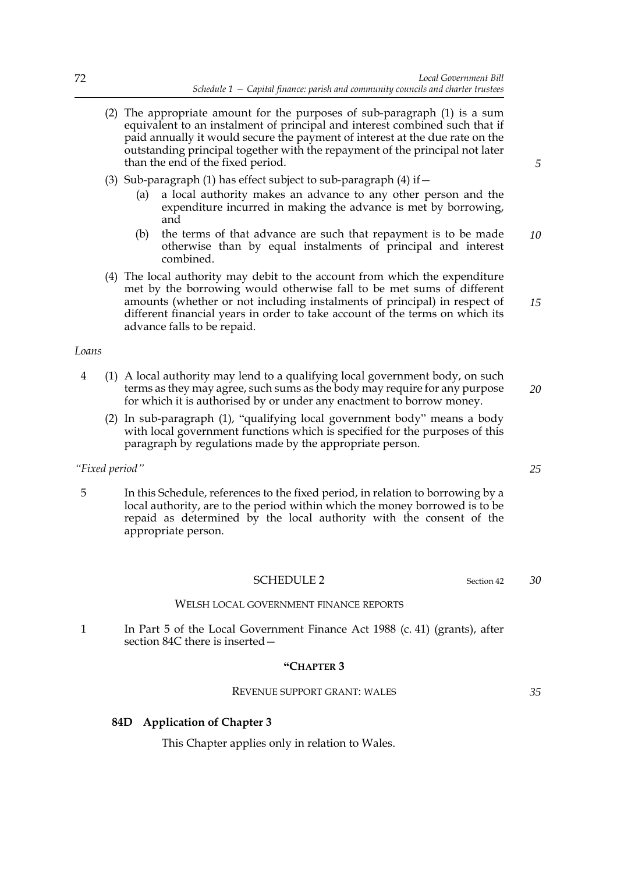- (2) The appropriate amount for the purposes of sub-paragraph (1) is a sum equivalent to an instalment of principal and interest combined such that if paid annually it would secure the payment of interest at the due rate on the outstanding principal together with the repayment of the principal not later than the end of the fixed period.
- (3) Sub-paragraph (1) has effect subject to sub-paragraph (4) if  $-$ 
	- (a) a local authority makes an advance to any other person and the expenditure incurred in making the advance is met by borrowing, and
	- (b) the terms of that advance are such that repayment is to be made otherwise than by equal instalments of principal and interest combined. *10*
- (4) The local authority may debit to the account from which the expenditure met by the borrowing would otherwise fall to be met sums of different amounts (whether or not including instalments of principal) in respect of different financial years in order to take account of the terms on which its advance falls to be repaid.

#### *Loans*

- 4 (1) A local authority may lend to a qualifying local government body, on such terms as they may agree, such sums as the body may require for any purpose for which it is authorised by or under any enactment to borrow money. *20*
	- (2) In sub-paragraph (1), "qualifying local government body" means a body with local government functions which is specified for the purposes of this paragraph by regulations made by the appropriate person.

#### *"Fixed period"*

5 In this Schedule, references to the fixed period, in relation to borrowing by a local authority, are to the period within which the money borrowed is to be repaid as determined by the local authority with the consent of the appropriate person.

#### SCHEDULE 2 Section [42](#page-26-0)

#### WELSH LOCAL GOVERNMENT FINANCE REPORTS

1 In Part 5 of the Local Government Finance Act 1988 (c. 41) (grants), after section 84C there is inserted—

#### **"CHAPTER 3**

REVENUE SUPPORT GRANT: WALES

# **84D Application of Chapter 3**

This Chapter applies only in relation to Wales.

*25*

*30*

*35*

*5*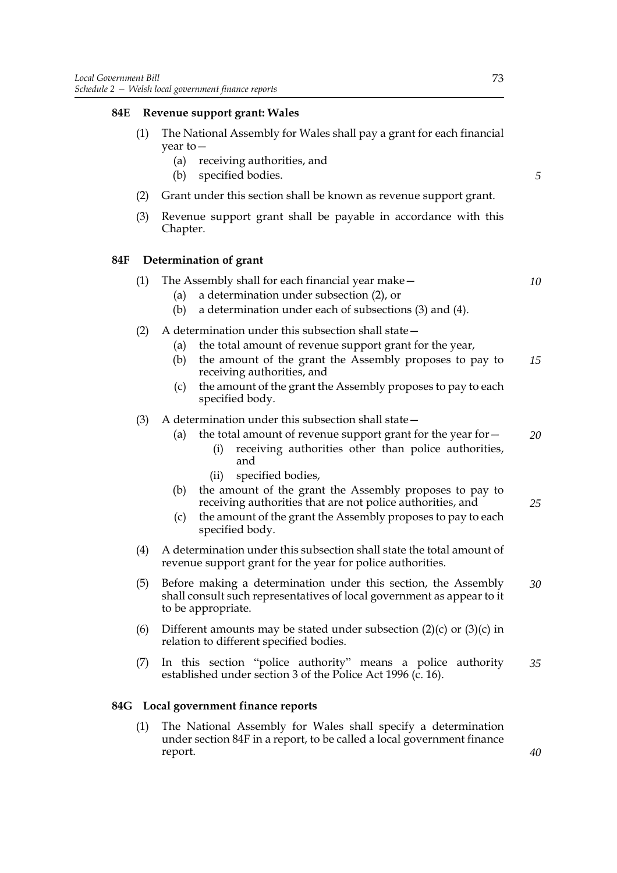# **84E Revenue support grant: Wales**

- (1) The National Assembly for Wales shall pay a grant for each financial year to—
	- (a) receiving authorities, and
	- (b) specified bodies.
- (2) Grant under this section shall be known as revenue support grant.
- (3) Revenue support grant shall be payable in accordance with this Chapter.

#### **84F Determination of grant**

|  | The Assembly shall for each financial year make – |  |
|--|---------------------------------------------------|--|
|  | (a) a determination under subsection $(2)$ , or   |  |

- (b) a determination under each of subsections (3) and (4).
- (2) A determination under this subsection shall state—
	- (a) the total amount of revenue support grant for the year,
	- (b) the amount of the grant the Assembly proposes to pay to receiving authorities, and *15*
	- (c) the amount of the grant the Assembly proposes to pay to each specified body.
- (3) A determination under this subsection shall state—
	- (a) the total amount of revenue support grant for the year for  $-$ *20*
		- (i) receiving authorities other than police authorities, and
		- (ii) specified bodies,
	- (b) the amount of the grant the Assembly proposes to pay to receiving authorities that are not police authorities, and
	- (c) the amount of the grant the Assembly proposes to pay to each specified body.
- (4) A determination under this subsection shall state the total amount of revenue support grant for the year for police authorities.
- (5) Before making a determination under this section, the Assembly shall consult such representatives of local government as appear to it to be appropriate. *30*
- (6) Different amounts may be stated under subsection  $(2)(c)$  or  $(3)(c)$  in relation to different specified bodies.
- (7) In this section "police authority" means a police authority established under section 3 of the Police Act 1996 (c. 16). *35*

#### **84G Local government finance reports**

(1) The National Assembly for Wales shall specify a determination under section 84F in a report, to be called a local government finance report.

*5*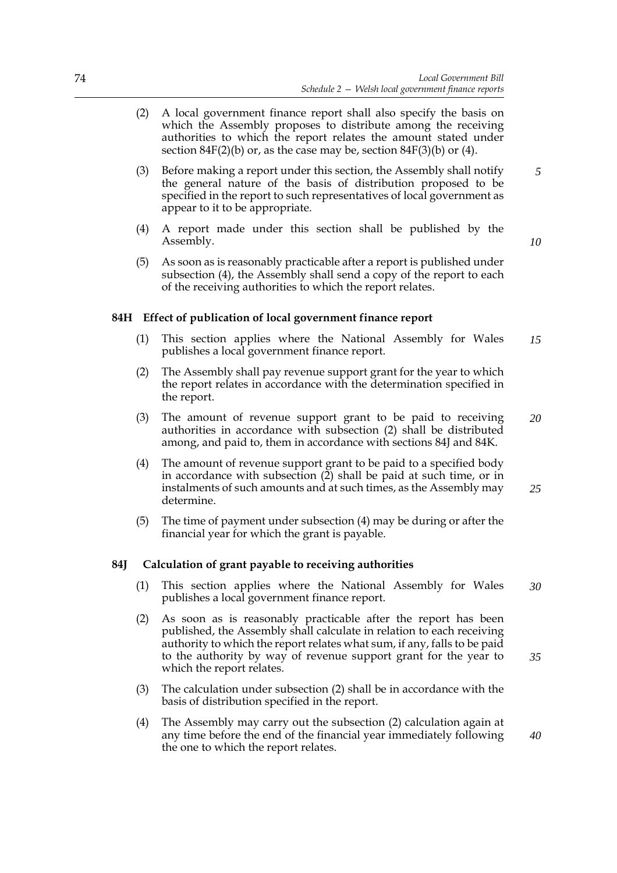- (2) A local government finance report shall also specify the basis on which the Assembly proposes to distribute among the receiving authorities to which the report relates the amount stated under section  $84F(2)(b)$  or, as the case may be, section  $84F(3)(b)$  or (4).
- (3) Before making a report under this section, the Assembly shall notify the general nature of the basis of distribution proposed to be specified in the report to such representatives of local government as appear to it to be appropriate.
- (4) A report made under this section shall be published by the Assembly.
- (5) As soon as is reasonably practicable after a report is published under subsection (4), the Assembly shall send a copy of the report to each of the receiving authorities to which the report relates.

# **84H Effect of publication of local government finance report**

- (1) This section applies where the National Assembly for Wales publishes a local government finance report. *15*
- (2) The Assembly shall pay revenue support grant for the year to which the report relates in accordance with the determination specified in the report.
- (3) The amount of revenue support grant to be paid to receiving authorities in accordance with subsection (2) shall be distributed among, and paid to, them in accordance with sections 84J and 84K. *20*
- (4) The amount of revenue support grant to be paid to a specified body in accordance with subsection  $(2)$  shall be paid at such time, or in instalments of such amounts and at such times, as the Assembly may determine. *25*
- (5) The time of payment under subsection (4) may be during or after the financial year for which the grant is payable.

#### **84J Calculation of grant payable to receiving authorities**

- (1) This section applies where the National Assembly for Wales publishes a local government finance report. *30*
- (2) As soon as is reasonably practicable after the report has been published, the Assembly shall calculate in relation to each receiving authority to which the report relates what sum, if any, falls to be paid to the authority by way of revenue support grant for the year to which the report relates.
- (3) The calculation under subsection (2) shall be in accordance with the basis of distribution specified in the report.
- (4) The Assembly may carry out the subsection (2) calculation again at any time before the end of the financial year immediately following the one to which the report relates. *40*

*10*

*35*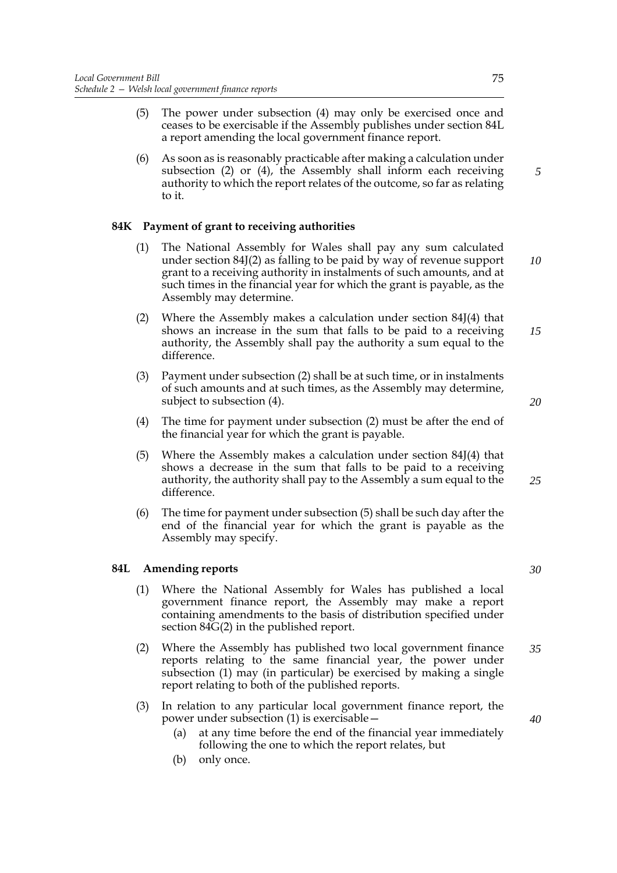- (5) The power under subsection (4) may only be exercised once and ceases to be exercisable if the Assembly publishes under section 84L a report amending the local government finance report.
- (6) As soon as is reasonably practicable after making a calculation under subsection (2) or (4), the Assembly shall inform each receiving authority to which the report relates of the outcome, so far as relating to it.

# **84K Payment of grant to receiving authorities**

- (1) The National Assembly for Wales shall pay any sum calculated under section 84J(2) as falling to be paid by way of revenue support grant to a receiving authority in instalments of such amounts, and at such times in the financial year for which the grant is payable, as the Assembly may determine. *10*
- (2) Where the Assembly makes a calculation under section 84J(4) that shows an increase in the sum that falls to be paid to a receiving authority, the Assembly shall pay the authority a sum equal to the difference. *15*
- (3) Payment under subsection (2) shall be at such time, or in instalments of such amounts and at such times, as the Assembly may determine, subject to subsection (4).
- (4) The time for payment under subsection (2) must be after the end of the financial year for which the grant is payable.
- (5) Where the Assembly makes a calculation under section 84J(4) that shows a decrease in the sum that falls to be paid to a receiving authority, the authority shall pay to the Assembly a sum equal to the difference.
- (6) The time for payment under subsection (5) shall be such day after the end of the financial year for which the grant is payable as the Assembly may specify.

# **84L Amending reports**

- (1) Where the National Assembly for Wales has published a local government finance report, the Assembly may make a report containing amendments to the basis of distribution specified under section 84G(2) in the published report.
- (2) Where the Assembly has published two local government finance reports relating to the same financial year, the power under subsection (1) may (in particular) be exercised by making a single report relating to both of the published reports. *35*
- (3) In relation to any particular local government finance report, the power under subsection (1) is exercisable—
	- (a) at any time before the end of the financial year immediately following the one to which the report relates, but
	- (b) only once.

*5*

*30*

*20*

*25*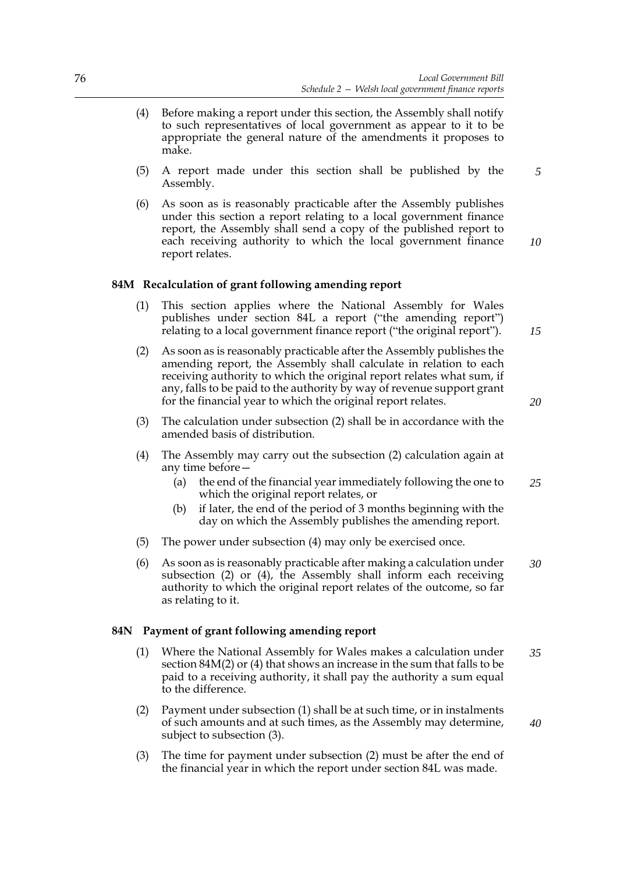- (4) Before making a report under this section, the Assembly shall notify to such representatives of local government as appear to it to be appropriate the general nature of the amendments it proposes to make.
- (5) A report made under this section shall be published by the Assembly.
- (6) As soon as is reasonably practicable after the Assembly publishes under this section a report relating to a local government finance report, the Assembly shall send a copy of the published report to each receiving authority to which the local government finance report relates.

# **84M Recalculation of grant following amending report**

- (1) This section applies where the National Assembly for Wales publishes under section 84L a report ("the amending report") relating to a local government finance report ("the original report").
- (2) As soon as is reasonably practicable after the Assembly publishes the amending report, the Assembly shall calculate in relation to each receiving authority to which the original report relates what sum, if any, falls to be paid to the authority by way of revenue support grant for the financial year to which the original report relates.
- (3) The calculation under subsection (2) shall be in accordance with the amended basis of distribution.
- (4) The Assembly may carry out the subsection (2) calculation again at any time before—
	- (a) the end of the financial year immediately following the one to which the original report relates, or *25*
	- (b) if later, the end of the period of 3 months beginning with the day on which the Assembly publishes the amending report.
- (5) The power under subsection (4) may only be exercised once.
- (6) As soon as is reasonably practicable after making a calculation under subsection (2) or (4), the Assembly shall inform each receiving authority to which the original report relates of the outcome, so far as relating to it. *30*

#### **84N Payment of grant following amending report**

- (1) Where the National Assembly for Wales makes a calculation under section 84M(2) or (4) that shows an increase in the sum that falls to be paid to a receiving authority, it shall pay the authority a sum equal to the difference. *35*
- (2) Payment under subsection (1) shall be at such time, or in instalments of such amounts and at such times, as the Assembly may determine, subject to subsection (3).
- (3) The time for payment under subsection (2) must be after the end of the financial year in which the report under section 84L was made.

*10*

*5*

*20*

*15*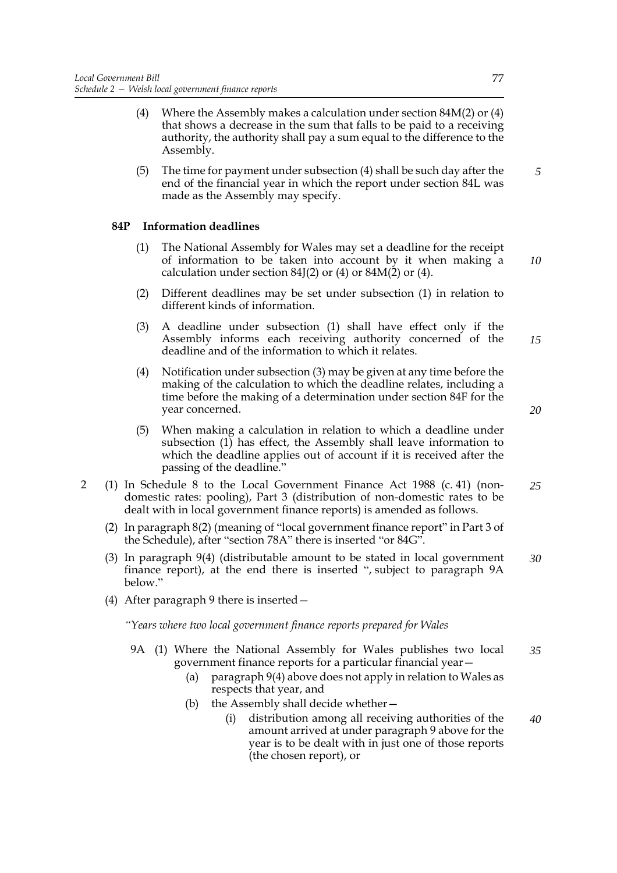- (4) Where the Assembly makes a calculation under section  $84M(2)$  or  $(4)$ that shows a decrease in the sum that falls to be paid to a receiving authority, the authority shall pay a sum equal to the difference to the Assembly.
- (5) The time for payment under subsection (4) shall be such day after the end of the financial year in which the report under section 84L was made as the Assembly may specify.

# **84P Information deadlines**

- (1) The National Assembly for Wales may set a deadline for the receipt of information to be taken into account by it when making a calculation under section 84J(2) or (4) or 84M(2) or (4).
- (2) Different deadlines may be set under subsection (1) in relation to different kinds of information.
- (3) A deadline under subsection (1) shall have effect only if the Assembly informs each receiving authority concerned of the deadline and of the information to which it relates. *15*
- (4) Notification under subsection (3) may be given at any time before the making of the calculation to which the deadline relates, including a time before the making of a determination under section 84F for the year concerned.
- (5) When making a calculation in relation to which a deadline under subsection (1) has effect, the Assembly shall leave information to which the deadline applies out of account if it is received after the passing of the deadline."
- 2 (1) In Schedule 8 to the Local Government Finance Act 1988 (c. 41) (nondomestic rates: pooling), Part 3 (distribution of non-domestic rates to be dealt with in local government finance reports) is amended as follows. *25*
	- (2) In paragraph 8(2) (meaning of "local government finance report" in Part 3 of the Schedule), after "section 78A" there is inserted "or 84G".
	- (3) In paragraph 9(4) (distributable amount to be stated in local government finance report), at the end there is inserted ", subject to paragraph 9A below.' *30*
	- (4) After paragraph 9 there is inserted—

*"Years where two local government finance reports prepared for Wales*

- 9A (1) Where the National Assembly for Wales publishes two local government finance reports for a particular financial year— *35*
	- (a) paragraph 9(4) above does not apply in relation to Wales as respects that year, and
	- (b) the Assembly shall decide whether—
		- (i) distribution among all receiving authorities of the amount arrived at under paragraph 9 above for the year is to be dealt with in just one of those reports (the chosen report), or *40*

*20*

*5*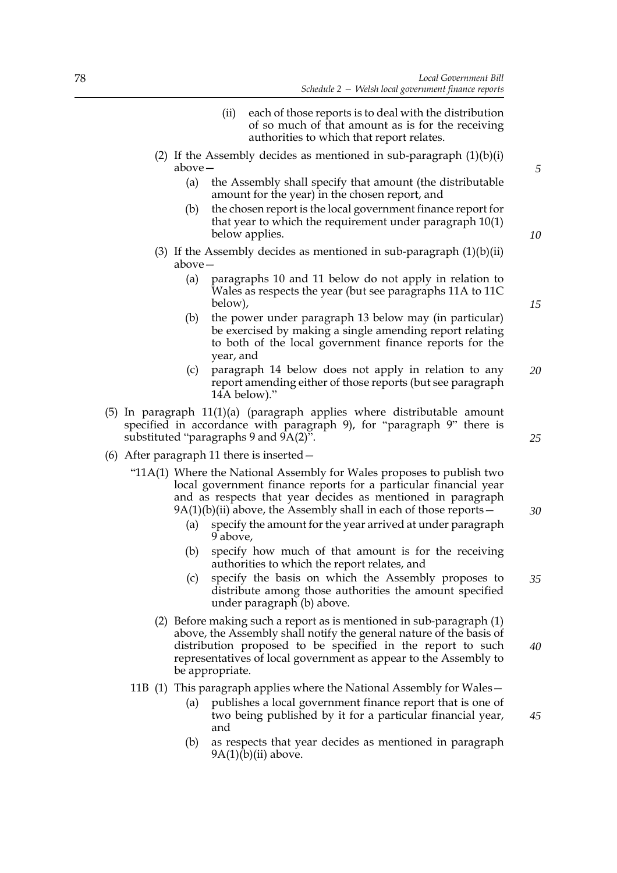- (ii) each of those reports is to deal with the distribution of so much of that amount as is for the receiving authorities to which that report relates.
- (2) If the Assembly decides as mentioned in sub-paragraph  $(1)(b)(i)$ above—
	- (a) the Assembly shall specify that amount (the distributable amount for the year) in the chosen report, and
	- (b) the chosen report is the local government finance report for that year to which the requirement under paragraph 10(1) below applies.
- (3) If the Assembly decides as mentioned in sub-paragraph  $(1)(b)(ii)$ above—
	- (a) paragraphs 10 and 11 below do not apply in relation to Wales as respects the year (but see paragraphs 11A to 11C below),
	- (b) the power under paragraph 13 below may (in particular) be exercised by making a single amending report relating to both of the local government finance reports for the year, and
	- (c) paragraph 14 below does not apply in relation to any report amending either of those reports (but see paragraph 14A below)." *20*
- (5) In paragraph  $11(1)(a)$  (paragraph applies where distributable amount specified in accordance with paragraph 9), for "paragraph 9" there is substituted "paragraphs 9 and 9A(2)".
- (6) After paragraph 11 there is inserted—
	- "11A(1) Where the National Assembly for Wales proposes to publish two local government finance reports for a particular financial year and as respects that year decides as mentioned in paragraph  $9A(1)(b)(ii)$  above, the Assembly shall in each of those reports  $-\frac{1}{2}$ 
		- (a) specify the amount for the year arrived at under paragraph 9 above,
		- (b) specify how much of that amount is for the receiving authorities to which the report relates, and
		- (c) specify the basis on which the Assembly proposes to distribute among those authorities the amount specified under paragraph (b) above. *35*
		- (2) Before making such a report as is mentioned in sub-paragraph (1) above, the Assembly shall notify the general nature of the basis of distribution proposed to be specified in the report to such representatives of local government as appear to the Assembly to be appropriate. *40*
	- 11B (1) This paragraph applies where the National Assembly for Wales—
		- (a) publishes a local government finance report that is one of two being published by it for a particular financial year, and
		- (b) as respects that year decides as mentioned in paragraph  $9A(1)(b)(ii)$  above.

*5*

*10*

*15*

*25*

*30*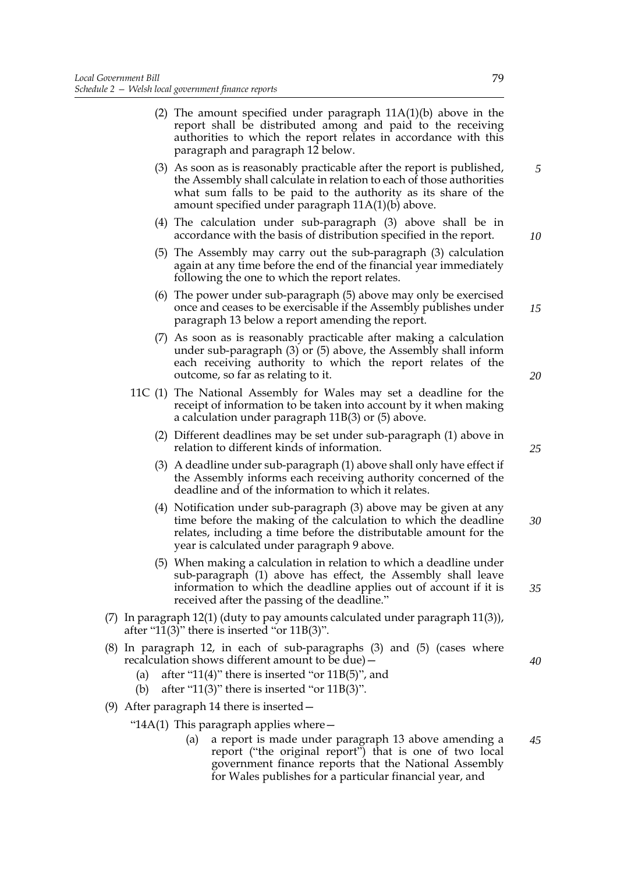|                                                                                                                                        | (2) The amount specified under paragraph $11A(1)(b)$ above in the<br>report shall be distributed among and paid to the receiving<br>authorities to which the report relates in accordance with this<br>paragraph and paragraph 12 below.                                  |    |
|----------------------------------------------------------------------------------------------------------------------------------------|---------------------------------------------------------------------------------------------------------------------------------------------------------------------------------------------------------------------------------------------------------------------------|----|
|                                                                                                                                        | (3) As soon as is reasonably practicable after the report is published,<br>the Assembly shall calculate in relation to each of those authorities<br>what sum falls to be paid to the authority as its share of the<br>amount specified under paragraph $11A(1)(b)$ above. | 5  |
|                                                                                                                                        | $(4)$ The calculation under sub-paragraph $(3)$ above shall be in<br>accordance with the basis of distribution specified in the report.                                                                                                                                   | 10 |
|                                                                                                                                        | (5) The Assembly may carry out the sub-paragraph (3) calculation<br>again at any time before the end of the financial year immediately<br>following the one to which the report relates.                                                                                  |    |
|                                                                                                                                        | (6) The power under sub-paragraph (5) above may only be exercised<br>once and ceases to be exercisable if the Assembly publishes under<br>paragraph 13 below a report amending the report.                                                                                | 15 |
|                                                                                                                                        | (7) As soon as is reasonably practicable after making a calculation<br>under sub-paragraph $(3)$ or $(5)$ above, the Assembly shall inform<br>each receiving authority to which the report relates of the<br>outcome, so far as relating to it.                           | 20 |
|                                                                                                                                        | 11C (1) The National Assembly for Wales may set a deadline for the<br>receipt of information to be taken into account by it when making<br>a calculation under paragraph $11B(3)$ or $(5)$ above.                                                                         |    |
|                                                                                                                                        | (2) Different deadlines may be set under sub-paragraph (1) above in<br>relation to different kinds of information.                                                                                                                                                        | 25 |
|                                                                                                                                        | (3) A deadline under sub-paragraph (1) above shall only have effect if<br>the Assembly informs each receiving authority concerned of the<br>deadline and of the information to which it relates.                                                                          |    |
|                                                                                                                                        | (4) Notification under sub-paragraph (3) above may be given at any<br>time before the making of the calculation to which the deadline<br>relates, including a time before the distributable amount for the<br>year is calculated under paragraph 9 above.                 | 30 |
|                                                                                                                                        | (5) When making a calculation in relation to which a deadline under<br>sub-paragraph (1) above has effect, the Assembly shall leave<br>information to which the deadline applies out of account if it is<br>received after the passing of the deadline."                  | 35 |
| (7) In paragraph $12(1)$ (duty to pay amounts calculated under paragraph $11(3)$ ),<br>after "11(3)" there is inserted "or $11B(3)$ ". |                                                                                                                                                                                                                                                                           |    |
| (a)<br>(b)                                                                                                                             | (8) In paragraph 12, in each of sub-paragraphs (3) and (5) (cases where<br>recalculation shows different amount to be due) -<br>after "11(4)" there is inserted "or $11B(5)$ ", and<br>after "11(3)" there is inserted "or $11B(3)$ ".                                    | 40 |
|                                                                                                                                        | (9) After paragraph 14 there is inserted $-$                                                                                                                                                                                                                              |    |
|                                                                                                                                        | "14A(1) This paragraph applies where $-$                                                                                                                                                                                                                                  |    |
|                                                                                                                                        | a report is made under paragraph 13 above amending a<br>(a)<br>report ("the original report") that is one of two local                                                                                                                                                    | 45 |

government finance reports that the National Assembly for Wales publishes for a particular financial year, and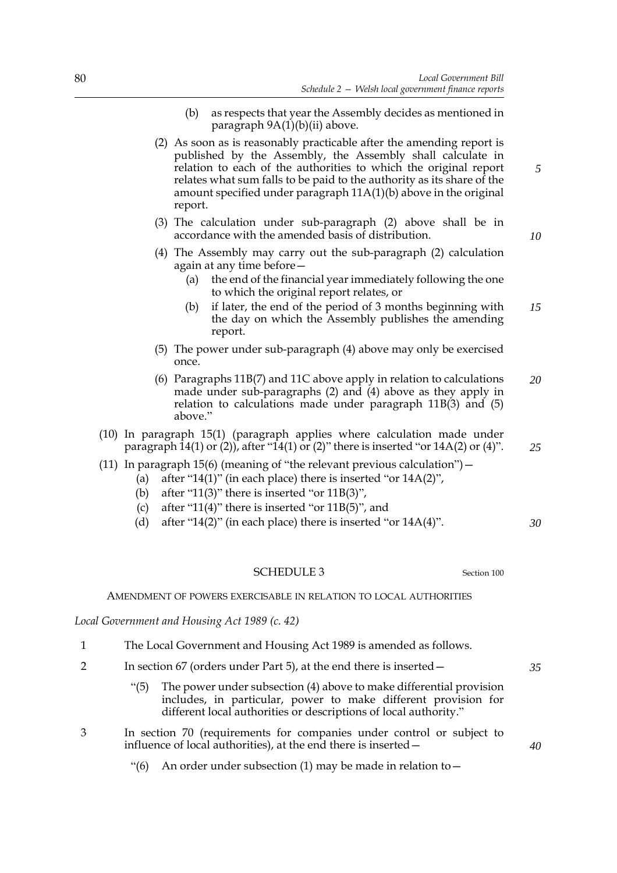- (b) as respects that year the Assembly decides as mentioned in paragraph 9A(1)(b)(ii) above.
- (2) As soon as is reasonably practicable after the amending report is published by the Assembly, the Assembly shall calculate in relation to each of the authorities to which the original report relates what sum falls to be paid to the authority as its share of the amount specified under paragraph 11A(1)(b) above in the original report.
- (3) The calculation under sub-paragraph (2) above shall be in accordance with the amended basis of distribution.
- (4) The Assembly may carry out the sub-paragraph (2) calculation again at any time before—
	- (a) the end of the financial year immediately following the one to which the original report relates, or
	- (b) if later, the end of the period of 3 months beginning with the day on which the Assembly publishes the amending report. *15*
- (5) The power under sub-paragraph (4) above may only be exercised once.
- (6) Paragraphs 11B(7) and 11C above apply in relation to calculations made under sub-paragraphs (2) and (4) above as they apply in relation to calculations made under paragraph 11B(3) and (5) above." *20*
- (10) In paragraph 15(1) (paragraph applies where calculation made under paragraph  $14(1)$  or (2)), after " $14(1)$  or (2)" there is inserted "or  $14A(2)$  or (4)".
- (11) In paragraph 15(6) (meaning of "the relevant previous calculation")—
	- (a) after "14(1)" (in each place) there is inserted "or 14A(2)",
	- (b) after "11(3)" there is inserted "or  $11B(3)$ ",
	- (c) after "11(4)" there is inserted "or  $11B(5)$ ", and
	- (d) after "14(2)" (in each place) there is inserted "or  $14A(4)$ ". *30*

SCHEDULE 3 Section [100](#page-60-0)

AMENDMENT OF POWERS EXERCISABLE IN RELATION TO LOCAL AUTHORITIES

*Local Government and Housing Act 1989 (c. 42)*

- 1 The Local Government and Housing Act 1989 is amended as follows.
- 2 In section 67 (orders under Part 5), at the end there is inserted—
	- "(5) The power under subsection (4) above to make differential provision includes, in particular, power to make different provision for different local authorities or descriptions of local authority."
- 3 In section 70 (requirements for companies under control or subject to influence of local authorities), at the end there is inserted—
	- "(6) An order under subsection (1) may be made in relation to  $-$

*35*

*40*

*10*

*25*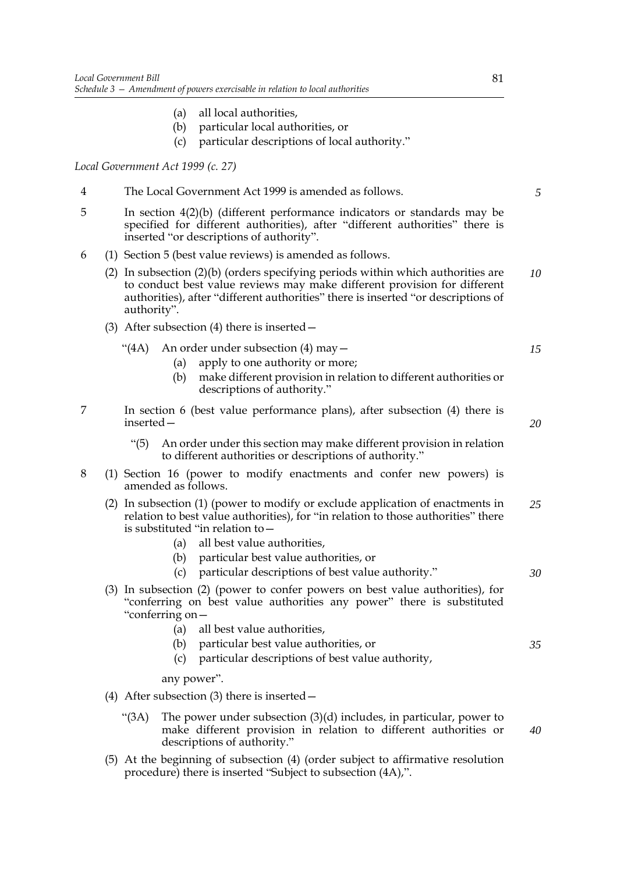- (a) all local authorities,
- (b) particular local authorities, or
- (c) particular descriptions of local authority."

*Local Government Act 1999 (c. 27)*

- 4 The Local Government Act 1999 is amended as follows.
- 5 In section 4(2)(b) (different performance indicators or standards may be specified for different authorities), after "different authorities" there is inserted "or descriptions of authority".
- 6 (1) Section 5 (best value reviews) is amended as follows.
	- (2) In subsection (2)(b) (orders specifying periods within which authorities are to conduct best value reviews may make different provision for different authorities), after "different authorities" there is inserted "or descriptions of authority". *10*
	- (3) After subsection (4) there is inserted—
		- "(4A) An order under subsection (4) may  $-$ 
			- (a) apply to one authority or more;
			- (b) make different provision in relation to different authorities or descriptions of authority."
- 7 In section 6 (best value performance plans), after subsection (4) there is inserted—
	- "(5) An order under this section may make different provision in relation to different authorities or descriptions of authority."
- 8 (1) Section 16 (power to modify enactments and confer new powers) is amended as follows.
	- (2) In subsection (1) (power to modify or exclude application of enactments in relation to best value authorities), for "in relation to those authorities" there is substituted "in relation to— *25*
		- (a) all best value authorities,
		- (b) particular best value authorities, or
		- (c) particular descriptions of best value authority."
	- (3) In subsection (2) (power to confer powers on best value authorities), for "conferring on best value authorities any power" there is substituted "conferring on—
		- (a) all best value authorities,
		- (b) particular best value authorities, or *35*
		- (c) particular descriptions of best value authority,

any power".

- (4) After subsection (3) there is inserted—
	- "(3A) The power under subsection (3)(d) includes, in particular, power to make different provision in relation to different authorities or descriptions of authority."
- (5) At the beginning of subsection (4) (order subject to affirmative resolution procedure) there is inserted "Subject to subsection (4A),".

*5*

*15*

*20*

*30*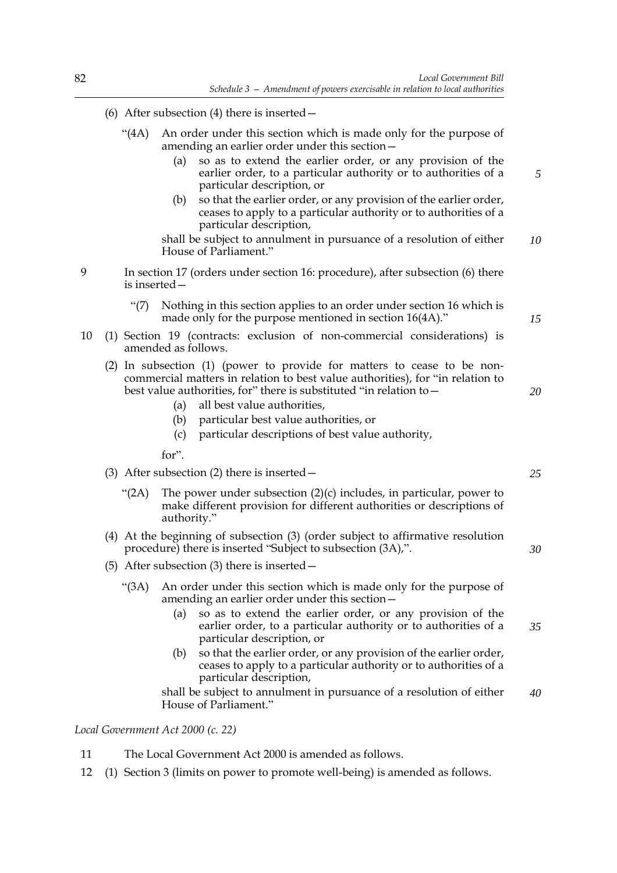- (6) After subsection (4) there is inserted—
	- "(4A) An order under this section which is made only for the purpose of amending an earlier order under this section—
		- (a) so as to extend the earlier order, or any provision of the earlier order, to a particular authority or to authorities of a particular description, or
		- (b) so that the earlier order, or any provision of the earlier order, ceases to apply to a particular authority or to authorities of a particular description,

shall be subject to annulment in pursuance of a resolution of either House of Parliament." *10*

- 9 In section 17 (orders under section 16: procedure), after subsection (6) there is inserted—
	- "(7) Nothing in this section applies to an order under section 16 which is made only for the purpose mentioned in section 16(4A)."
- 10 (1) Section 19 (contracts: exclusion of non-commercial considerations) is amended as follows.
	- (2) In subsection (1) (power to provide for matters to cease to be noncommercial matters in relation to best value authorities), for "in relation to best value authorities, for" there is substituted "in relation to—
		- (a) all best value authorities,
		- (b) particular best value authorities, or
		- (c) particular descriptions of best value authority,
		- for".
	- (3) After subsection (2) there is inserted—
		- " $(2A)$  The power under subsection  $(2)(c)$  includes, in particular, power to make different provision for different authorities or descriptions of authority."
	- (4) At the beginning of subsection (3) (order subject to affirmative resolution procedure) there is inserted "Subject to subsection (3A),".
	- (5) After subsection (3) there is inserted—
		- "(3A) An order under this section which is made only for the purpose of amending an earlier order under this section—
			- (a) so as to extend the earlier order, or any provision of the earlier order, to a particular authority or to authorities of a particular description, or *35*
			- (b) so that the earlier order, or any provision of the earlier order, ceases to apply to a particular authority or to authorities of a particular description,

shall be subject to annulment in pursuance of a resolution of either House of Parliament." *40*

# *Local Government Act 2000 (c. 22)*

- 11 The Local Government Act 2000 is amended as follows.
- 12 (1) Section 3 (limits on power to promote well-being) is amended as follows.

*15*

*20*

*5*

- *25*
-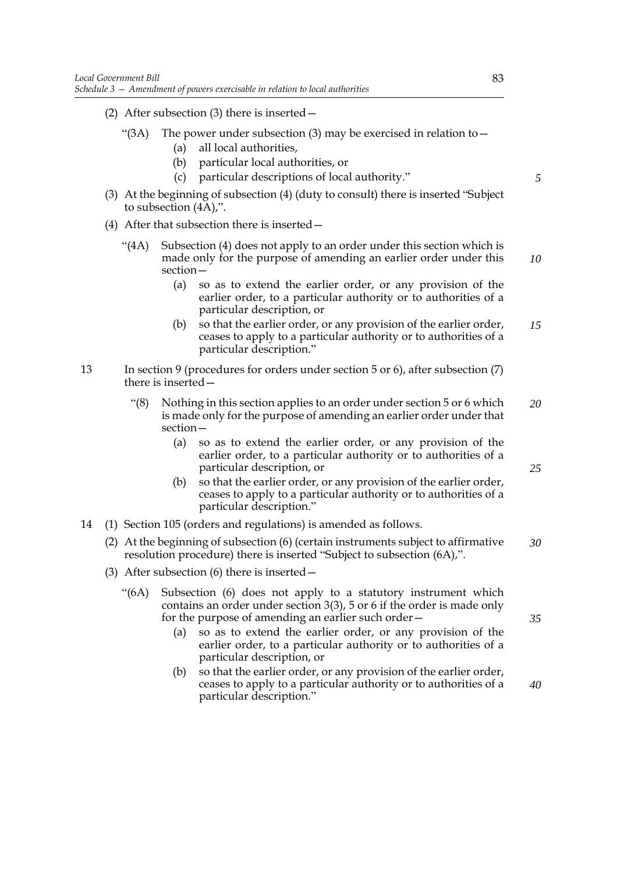- (2) After subsection (3) there is inserted—
	- "(3A) The power under subsection (3) may be exercised in relation to  $-$ 
		- (a) all local authorities,
		- (b) particular local authorities, or
		- (c) particular descriptions of local authority."
- (3) At the beginning of subsection (4) (duty to consult) there is inserted "Subject to subsection (4A),".
- (4) After that subsection there is inserted—
	- "(4A) Subsection (4) does not apply to an order under this section which is made only for the purpose of amending an earlier order under this section—
		- (a) so as to extend the earlier order, or any provision of the earlier order, to a particular authority or to authorities of a particular description, or
		- (b) so that the earlier order, or any provision of the earlier order, ceases to apply to a particular authority or to authorities of a particular description." *15*
- 13 In section 9 (procedures for orders under section 5 or 6), after subsection (7) there is inserted—
	- "(8) Nothing in this section applies to an order under section 5 or 6 which is made only for the purpose of amending an earlier order under that section— *20*
		- (a) so as to extend the earlier order, or any provision of the earlier order, to a particular authority or to authorities of a particular description, or
		- (b) so that the earlier order, or any provision of the earlier order, ceases to apply to a particular authority or to authorities of a particular description."
- 14 (1) Section 105 (orders and regulations) is amended as follows.
	- (2) At the beginning of subsection (6) (certain instruments subject to affirmative resolution procedure) there is inserted "Subject to subsection (6A),". *30*
	- (3) After subsection (6) there is inserted—
		- "(6A) Subsection (6) does not apply to a statutory instrument which contains an order under section 3(3), 5 or 6 if the order is made only for the purpose of amending an earlier such order—
			- (a) so as to extend the earlier order, or any provision of the earlier order, to a particular authority or to authorities of a particular description, or
			- (b) so that the earlier order, or any provision of the earlier order, ceases to apply to a particular authority or to authorities of a particular description."

*5*

*10*

*25*

*35*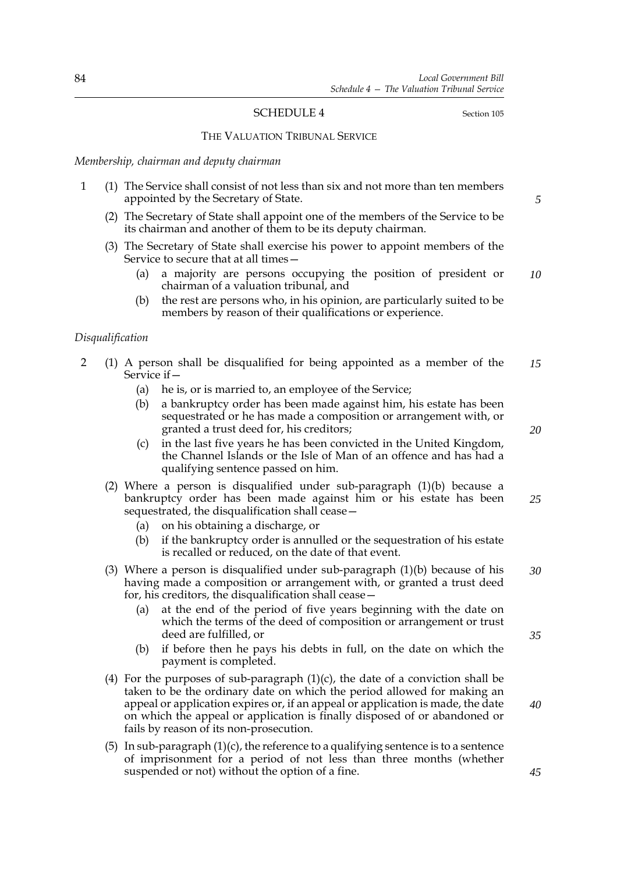# <span id="page-91-0"></span>SCHEDULE 4 Section [105](#page-65-0)

#### THE VALUATION TRIBUNAL SERVICE

#### *Membership, chairman and deputy chairman*

- 1 (1) The Service shall consist of not less than six and not more than ten members appointed by the Secretary of State.
	- (2) The Secretary of State shall appoint one of the members of the Service to be its chairman and another of them to be its deputy chairman.
	- (3) The Secretary of State shall exercise his power to appoint members of the Service to secure that at all times—
		- (a) a majority are persons occupying the position of president or chairman of a valuation tribunal, and *10*
		- (b) the rest are persons who, in his opinion, are particularly suited to be members by reason of their qualifications or experience.

#### *Disqualification*

- 2 (1) A person shall be disqualified for being appointed as a member of the Service if— *15*
	- (a) he is, or is married to, an employee of the Service;
	- (b) a bankruptcy order has been made against him, his estate has been sequestrated or he has made a composition or arrangement with, or granted a trust deed for, his creditors;
	- (c) in the last five years he has been convicted in the United Kingdom, the Channel Islands or the Isle of Man of an offence and has had a qualifying sentence passed on him.
	- (2) Where a person is disqualified under sub-paragraph (1)(b) because a bankruptcy order has been made against him or his estate has been sequestrated, the disqualification shall cease— *25*
		- (a) on his obtaining a discharge, or
		- (b) if the bankruptcy order is annulled or the sequestration of his estate is recalled or reduced, on the date of that event.
	- (3) Where a person is disqualified under sub-paragraph (1)(b) because of his having made a composition or arrangement with, or granted a trust deed for, his creditors, the disqualification shall cease— *30*
		- (a) at the end of the period of five years beginning with the date on which the terms of the deed of composition or arrangement or trust deed are fulfilled, or
		- (b) if before then he pays his debts in full, on the date on which the payment is completed.
	- (4) For the purposes of sub-paragraph  $(1)(c)$ , the date of a conviction shall be taken to be the ordinary date on which the period allowed for making an appeal or application expires or, if an appeal or application is made, the date on which the appeal or application is finally disposed of or abandoned or fails by reason of its non-prosecution.
	- (5) In sub-paragraph  $(1)(c)$ , the reference to a qualifying sentence is to a sentence of imprisonment for a period of not less than three months (whether suspended or not) without the option of a fine.

*5*

*20*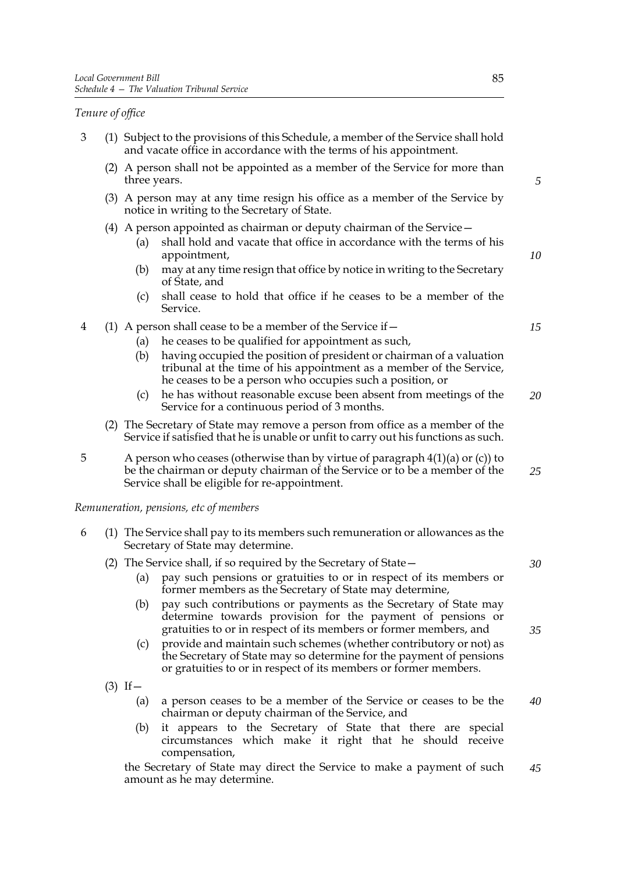# *Tenure of office*

- 3 (1) Subject to the provisions of this Schedule, a member of the Service shall hold and vacate office in accordance with the terms of his appointment.
	- (2) A person shall not be appointed as a member of the Service for more than three years.
	- (3) A person may at any time resign his office as a member of the Service by notice in writing to the Secretary of State.
	- (4) A person appointed as chairman or deputy chairman of the Service—
		- (a) shall hold and vacate that office in accordance with the terms of his appointment,
		- (b) may at any time resign that office by notice in writing to the Secretary of State, and
		- (c) shall cease to hold that office if he ceases to be a member of the Service.
- 4 (1) A person shall cease to be a member of the Service if—
	- (a) he ceases to be qualified for appointment as such,
	- (b) having occupied the position of president or chairman of a valuation tribunal at the time of his appointment as a member of the Service, he ceases to be a person who occupies such a position, or
	- (c) he has without reasonable excuse been absent from meetings of the Service for a continuous period of 3 months. *20*
	- (2) The Secretary of State may remove a person from office as a member of the Service if satisfied that he is unable or unfit to carry out his functions as such.
- 5 A person who ceases (otherwise than by virtue of paragraph 4(1)(a) or (c)) to be the chairman or deputy chairman of the Service or to be a member of the Service shall be eligible for re-appointment. *25*

#### *Remuneration, pensions, etc of members*

- 6 (1) The Service shall pay to its members such remuneration or allowances as the Secretary of State may determine.
	- (2) The Service shall, if so required by the Secretary of State—
		- (a) pay such pensions or gratuities to or in respect of its members or former members as the Secretary of State may determine,
		- (b) pay such contributions or payments as the Secretary of State may determine towards provision for the payment of pensions or gratuities to or in respect of its members or former members, and
		- (c) provide and maintain such schemes (whether contributory or not) as the Secretary of State may so determine for the payment of pensions or gratuities to or in respect of its members or former members.
	- $(3)$  If
		- (a) a person ceases to be a member of the Service or ceases to be the chairman or deputy chairman of the Service, and *40*
		- (b) it appears to the Secretary of State that there are special circumstances which make it right that he should receive compensation,

the Secretary of State may direct the Service to make a payment of such amount as he may determine. *45*

*5*

*10*

*15*

*35*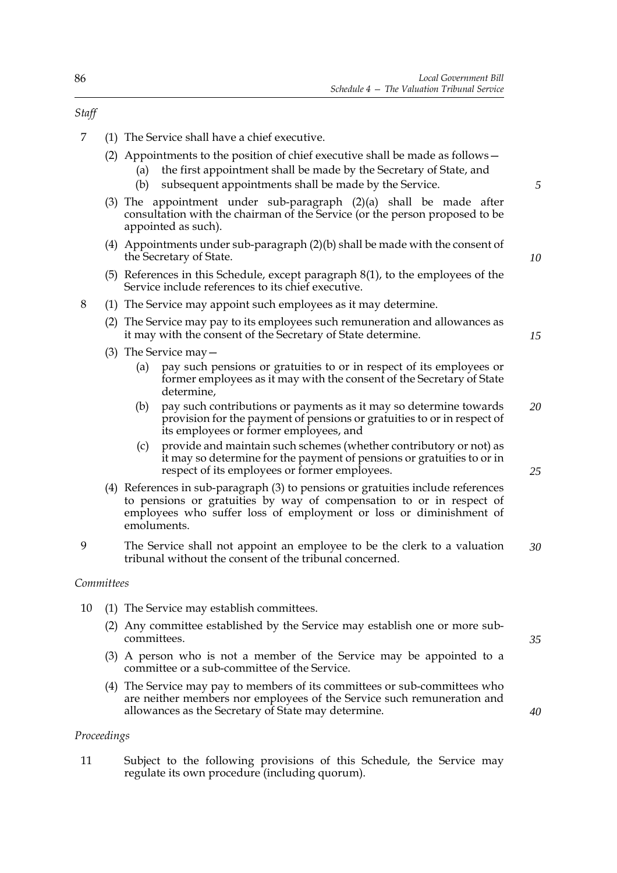- 7 (1) The Service shall have a chief executive.
	- (2) Appointments to the position of chief executive shall be made as follows—
		- (a) the first appointment shall be made by the Secretary of State, and
			- (b) subsequent appointments shall be made by the Service.
	- (3) The appointment under sub-paragraph (2)(a) shall be made after consultation with the chairman of the Service (or the person proposed to be appointed as such).
	- (4) Appointments under sub-paragraph (2)(b) shall be made with the consent of the Secretary of State.
	- (5) References in this Schedule, except paragraph 8(1), to the employees of the Service include references to its chief executive.
- 8 (1) The Service may appoint such employees as it may determine.
	- (2) The Service may pay to its employees such remuneration and allowances as it may with the consent of the Secretary of State determine.
	- (3) The Service may—
		- (a) pay such pensions or gratuities to or in respect of its employees or former employees as it may with the consent of the Secretary of State determine,
		- (b) pay such contributions or payments as it may so determine towards provision for the payment of pensions or gratuities to or in respect of its employees or former employees, and *20*
		- (c) provide and maintain such schemes (whether contributory or not) as it may so determine for the payment of pensions or gratuities to or in respect of its employees or former employees.
	- (4) References in sub-paragraph (3) to pensions or gratuities include references to pensions or gratuities by way of compensation to or in respect of employees who suffer loss of employment or loss or diminishment of emoluments.
- 9 The Service shall not appoint an employee to be the clerk to a valuation tribunal without the consent of the tribunal concerned. *30*

# *Committees*

- 10 (1) The Service may establish committees.
	- (2) Any committee established by the Service may establish one or more subcommittees.
	- (3) A person who is not a member of the Service may be appointed to a committee or a sub-committee of the Service.
	- (4) The Service may pay to members of its committees or sub-committees who are neither members nor employees of the Service such remuneration and allowances as the Secretary of State may determine.

# *Proceedings*

11 Subject to the following provisions of this Schedule, the Service may regulate its own procedure (including quorum).

*Staff*

*25*

*5*

*10*

*15*

*35*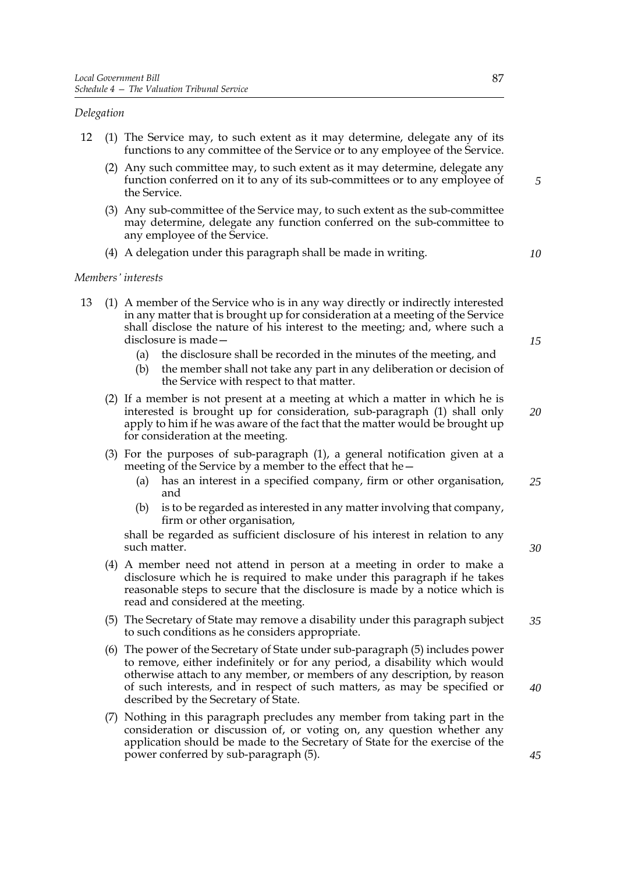# *Delegation*

- 12 (1) The Service may, to such extent as it may determine, delegate any of its functions to any committee of the Service or to any employee of the Service.
	- (2) Any such committee may, to such extent as it may determine, delegate any function conferred on it to any of its sub-committees or to any employee of the Service.
	- (3) Any sub-committee of the Service may, to such extent as the sub-committee may determine, delegate any function conferred on the sub-committee to any employee of the Service.
	- (4) A delegation under this paragraph shall be made in writing.

*10*

*5*

#### *Members' interests*

- 13 (1) A member of the Service who is in any way directly or indirectly interested in any matter that is brought up for consideration at a meeting of the Service shall disclose the nature of his interest to the meeting; and, where such a disclosure is made—
	- (a) the disclosure shall be recorded in the minutes of the meeting, and
	- (b) the member shall not take any part in any deliberation or decision of the Service with respect to that matter.
	- (2) If a member is not present at a meeting at which a matter in which he is interested is brought up for consideration, sub-paragraph (1) shall only apply to him if he was aware of the fact that the matter would be brought up for consideration at the meeting.
	- (3) For the purposes of sub-paragraph (1), a general notification given at a meeting of the Service by a member to the effect that he—
		- (a) has an interest in a specified company, firm or other organisation, and *25*
		- (b) is to be regarded as interested in any matter involving that company, firm or other organisation,

shall be regarded as sufficient disclosure of his interest in relation to any such matter.

- (4) A member need not attend in person at a meeting in order to make a disclosure which he is required to make under this paragraph if he takes reasonable steps to secure that the disclosure is made by a notice which is read and considered at the meeting.
- (5) The Secretary of State may remove a disability under this paragraph subject to such conditions as he considers appropriate. *35*
- (6) The power of the Secretary of State under sub-paragraph (5) includes power to remove, either indefinitely or for any period, a disability which would otherwise attach to any member, or members of any description, by reason of such interests, and in respect of such matters, as may be specified or described by the Secretary of State.
- (7) Nothing in this paragraph precludes any member from taking part in the consideration or discussion of, or voting on, any question whether any application should be made to the Secretary of State for the exercise of the power conferred by sub-paragraph (5).

*20*

*15*

*30*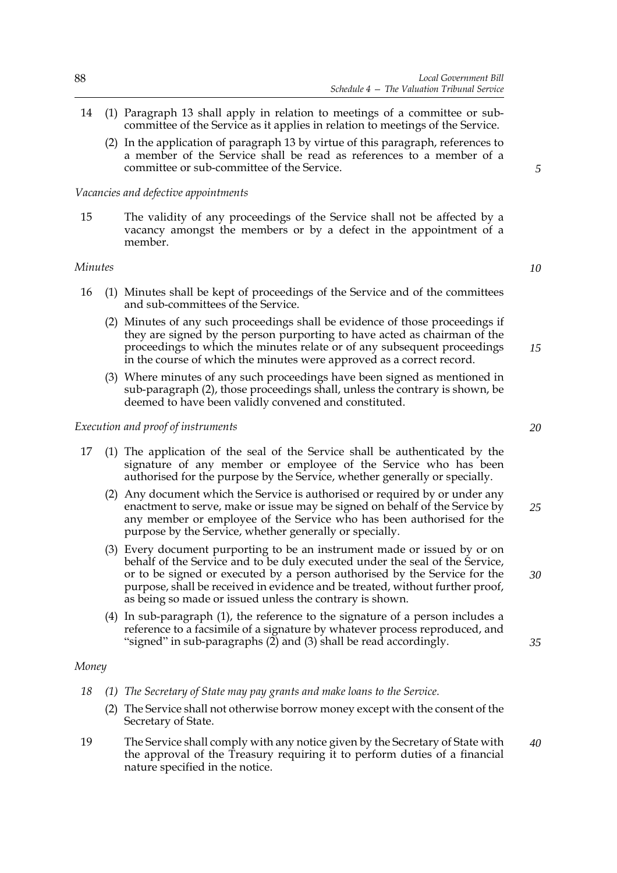- 14 (1) Paragraph 13 shall apply in relation to meetings of a committee or subcommittee of the Service as it applies in relation to meetings of the Service.
	- (2) In the application of paragraph 13 by virtue of this paragraph, references to a member of the Service shall be read as references to a member of a committee or sub-committee of the Service.

# *Vacancies and defective appointments*

15 The validity of any proceedings of the Service shall not be affected by a vacancy amongst the members or by a defect in the appointment of a member.

# *Minutes*

- 16 (1) Minutes shall be kept of proceedings of the Service and of the committees and sub-committees of the Service.
	- (2) Minutes of any such proceedings shall be evidence of those proceedings if they are signed by the person purporting to have acted as chairman of the proceedings to which the minutes relate or of any subsequent proceedings in the course of which the minutes were approved as a correct record.
	- (3) Where minutes of any such proceedings have been signed as mentioned in sub-paragraph (2), those proceedings shall, unless the contrary is shown, be deemed to have been validly convened and constituted.

#### *Execution and proof of instruments*

- 17 (1) The application of the seal of the Service shall be authenticated by the signature of any member or employee of the Service who has been authorised for the purpose by the Service, whether generally or specially.
	- (2) Any document which the Service is authorised or required by or under any enactment to serve, make or issue may be signed on behalf of the Service by any member or employee of the Service who has been authorised for the purpose by the Service, whether generally or specially.
	- (3) Every document purporting to be an instrument made or issued by or on behalf of the Service and to be duly executed under the seal of the Service, or to be signed or executed by a person authorised by the Service for the purpose, shall be received in evidence and be treated, without further proof, as being so made or issued unless the contrary is shown.
	- (4) In sub-paragraph (1), the reference to the signature of a person includes a reference to a facsimile of a signature by whatever process reproduced, and "signed" in sub-paragraphs (2) and (3) shall be read accordingly.

#### *Money*

- *18 (1) The Secretary of State may pay grants and make loans to the Service.*
	- (2) The Service shall not otherwise borrow money except with the consent of the Secretary of State.
- 19 The Service shall comply with any notice given by the Secretary of State with the approval of the Treasury requiring it to perform duties of a financial nature specified in the notice. *40*

*10*

*15*

*5*

*20*

*25*

*30*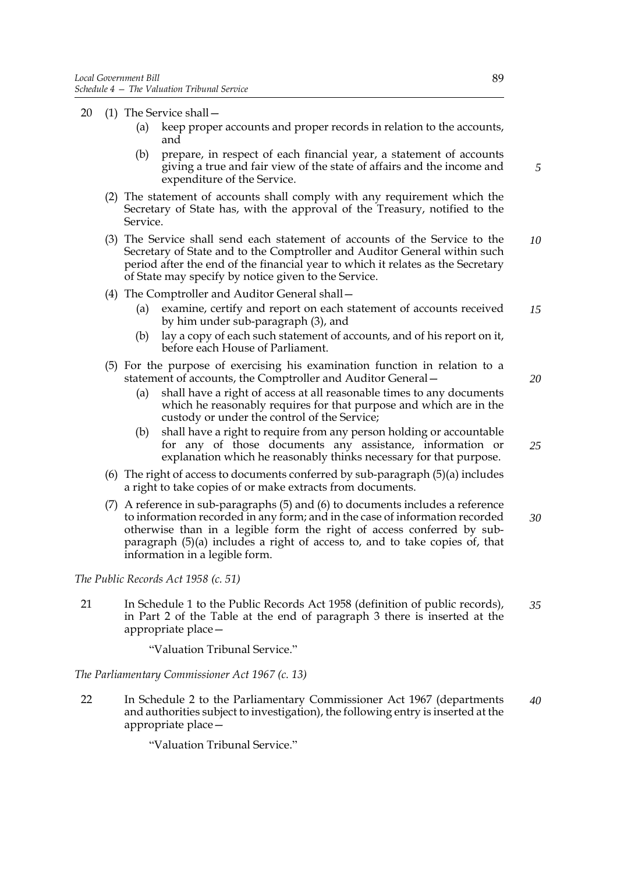- 20 (1) The Service shall—
	- (a) keep proper accounts and proper records in relation to the accounts, and
	- (b) prepare, in respect of each financial year, a statement of accounts giving a true and fair view of the state of affairs and the income and expenditure of the Service.
	- (2) The statement of accounts shall comply with any requirement which the Secretary of State has, with the approval of the Treasury, notified to the Service.
	- (3) The Service shall send each statement of accounts of the Service to the Secretary of State and to the Comptroller and Auditor General within such period after the end of the financial year to which it relates as the Secretary of State may specify by notice given to the Service. *10*
	- (4) The Comptroller and Auditor General shall—
		- (a) examine, certify and report on each statement of accounts received by him under sub-paragraph (3), and *15*
		- (b) lay a copy of each such statement of accounts, and of his report on it, before each House of Parliament.
	- (5) For the purpose of exercising his examination function in relation to a statement of accounts, the Comptroller and Auditor General—
		- (a) shall have a right of access at all reasonable times to any documents which he reasonably requires for that purpose and which are in the custody or under the control of the Service;
		- (b) shall have a right to require from any person holding or accountable for any of those documents any assistance, information or explanation which he reasonably thinks necessary for that purpose. *25*
	- (6) The right of access to documents conferred by sub-paragraph (5)(a) includes a right to take copies of or make extracts from documents.
	- (7) A reference in sub-paragraphs (5) and (6) to documents includes a reference to information recorded in any form; and in the case of information recorded otherwise than in a legible form the right of access conferred by subparagraph (5)(a) includes a right of access to, and to take copies of, that information in a legible form. *30*

*The Public Records Act 1958 (c. 51)*

21 In Schedule 1 to the Public Records Act 1958 (definition of public records), in Part 2 of the Table at the end of paragraph 3 there is inserted at the appropriate place— *35*

"Valuation Tribunal Service."

*The Parliamentary Commissioner Act 1967 (c. 13)*

22 In Schedule 2 to the Parliamentary Commissioner Act 1967 (departments and authorities subject to investigation), the following entry is inserted at the appropriate place— *40*

"Valuation Tribunal Service."

*20*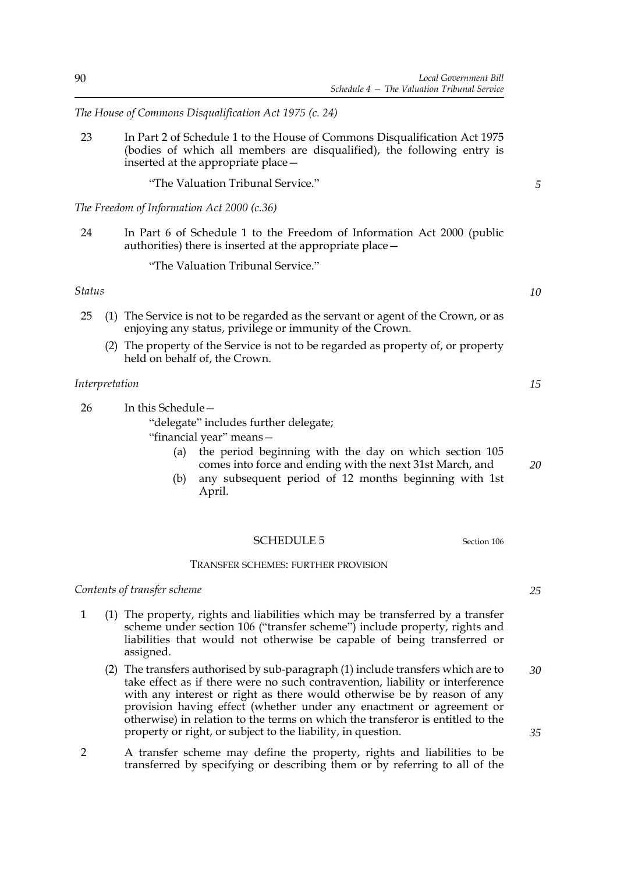*The House of Commons Disqualification Act 1975 (c. 24)*

23 In Part 2 of Schedule 1 to the House of Commons Disqualification Act 1975 (bodies of which all members are disqualified), the following entry is inserted at the appropriate place—

"The Valuation Tribunal Service."

*The Freedom of Information Act 2000 (c.36)*

24 In Part 6 of Schedule 1 to the Freedom of Information Act 2000 (public authorities) there is inserted at the appropriate place—

"The Valuation Tribunal Service."

*Status*

- 25 (1) The Service is not to be regarded as the servant or agent of the Crown, or as enjoying any status, privilege or immunity of the Crown.
	- (2) The property of the Service is not to be regarded as property of, or property held on behalf of, the Crown.

#### *Interpretation*

26 In this Schedule— "delegate" includes further delegate;

"financial year" means—

- (a) the period beginning with the day on which section [105](#page-65-0) comes into force and ending with the next 31st March, and
- (b) any subsequent period of 12 months beginning with 1st April.

#### <span id="page-97-0"></span>SCHEDULE 5 Section [106](#page-66-0)

#### TRANSFER SCHEMES: FURTHER PROVISION

# *Contents of transfer scheme*

- 1 (1) The property, rights and liabilities which may be transferred by a transfer scheme under section [106](#page-66-0) ("transfer scheme") include property, rights and liabilities that would not otherwise be capable of being transferred or assigned.
	- (2) The transfers authorised by sub-paragraph (1) include transfers which are to take effect as if there were no such contravention, liability or interference with any interest or right as there would otherwise be by reason of any provision having effect (whether under any enactment or agreement or otherwise) in relation to the terms on which the transferor is entitled to the property or right, or subject to the liability, in question. *30 35*
- 2 A transfer scheme may define the property, rights and liabilities to be transferred by specifying or describing them or by referring to all of the

*15*

*5*

*10*

*20*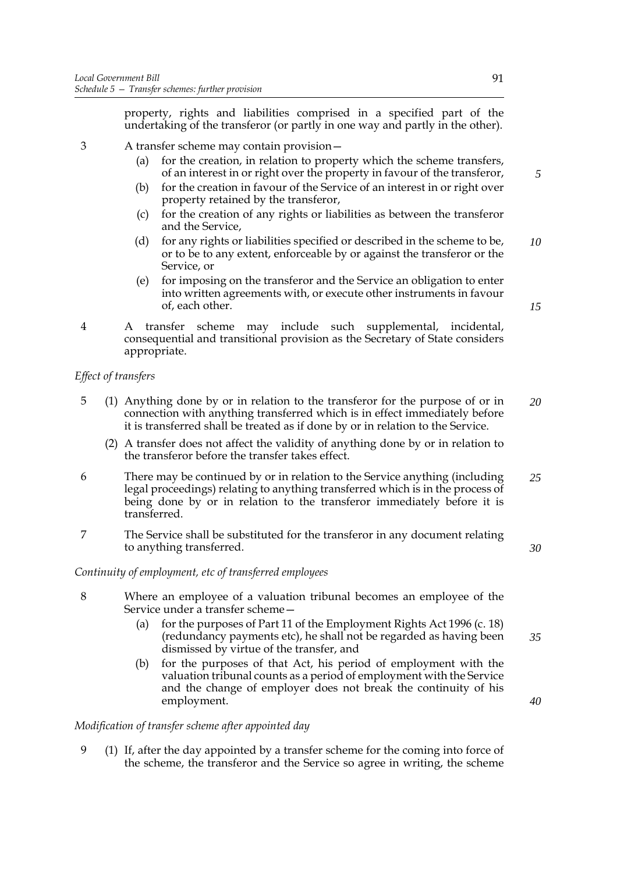property, rights and liabilities comprised in a specified part of the undertaking of the transferor (or partly in one way and partly in the other).

- 3 A transfer scheme may contain provision—
	- (a) for the creation, in relation to property which the scheme transfers, of an interest in or right over the property in favour of the transferor,
	- (b) for the creation in favour of the Service of an interest in or right over property retained by the transferor,
	- (c) for the creation of any rights or liabilities as between the transferor and the Service,
	- (d) for any rights or liabilities specified or described in the scheme to be, or to be to any extent, enforceable by or against the transferor or the Service, or *10*
	- (e) for imposing on the transferor and the Service an obligation to enter into written agreements with, or execute other instruments in favour of, each other.
- 4 A transfer scheme may include such supplemental, incidental, consequential and transitional provision as the Secretary of State considers appropriate.

# *Effect of transfers*

- 5 (1) Anything done by or in relation to the transferor for the purpose of or in connection with anything transferred which is in effect immediately before it is transferred shall be treated as if done by or in relation to the Service. *20*
	- (2) A transfer does not affect the validity of anything done by or in relation to the transferor before the transfer takes effect.
- 6 There may be continued by or in relation to the Service anything (including legal proceedings) relating to anything transferred which is in the process of being done by or in relation to the transferor immediately before it is transferred. *25*
- 7 The Service shall be substituted for the transferor in any document relating to anything transferred.

# *Continuity of employment, etc of transferred employees*

- 8 Where an employee of a valuation tribunal becomes an employee of the Service under a transfer scheme—
	- (a) for the purposes of Part 11 of the Employment Rights Act 1996 (c. 18) (redundancy payments etc), he shall not be regarded as having been dismissed by virtue of the transfer, and *35*
	- (b) for the purposes of that Act, his period of employment with the valuation tribunal counts as a period of employment with the Service and the change of employer does not break the continuity of his employment.

#### *Modification of transfer scheme after appointed day*

9 (1) If, after the day appointed by a transfer scheme for the coming into force of the scheme, the transferor and the Service so agree in writing, the scheme *5*

*15*

*40*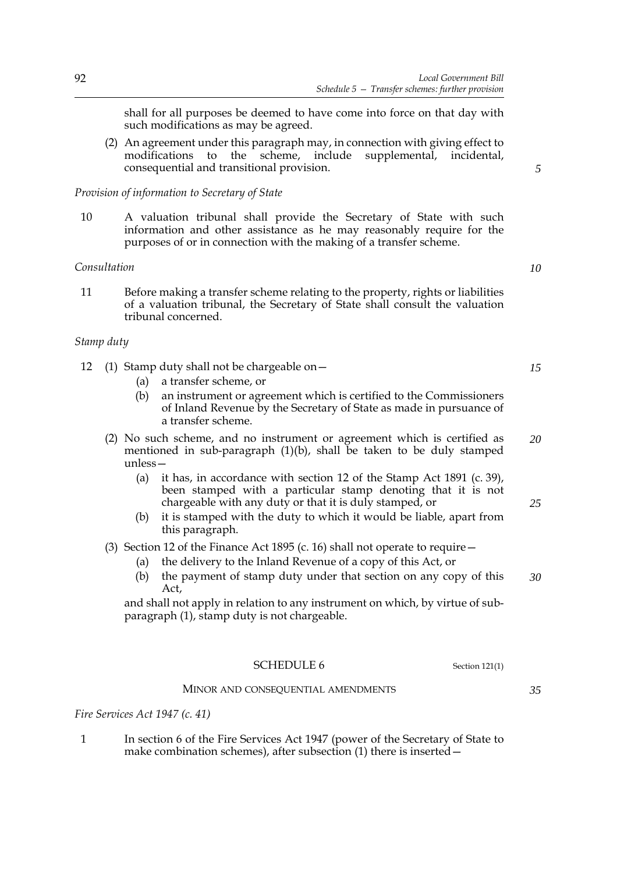shall for all purposes be deemed to have come into force on that day with such modifications as may be agreed.

(2) An agreement under this paragraph may, in connection with giving effect to modifications to the scheme, include supplemental, incidental, consequential and transitional provision.

# *Provision of information to Secretary of State*

10 A valuation tribunal shall provide the Secretary of State with such information and other assistance as he may reasonably require for the purposes of or in connection with the making of a transfer scheme.

# *Consultation*

11 Before making a transfer scheme relating to the property, rights or liabilities of a valuation tribunal, the Secretary of State shall consult the valuation tribunal concerned.

# *Stamp duty*

|  |  | 12 (1) Stamp duty shall not be chargeable on $-$ |
|--|--|--------------------------------------------------|
|--|--|--------------------------------------------------|

- (a) a transfer scheme, or
- (b) an instrument or agreement which is certified to the Commissioners of Inland Revenue by the Secretary of State as made in pursuance of a transfer scheme.
- (2) No such scheme, and no instrument or agreement which is certified as mentioned in sub-paragraph  $(1)(b)$ , shall be taken to be duly stamped unless— *20*
	- (a) it has, in accordance with section 12 of the Stamp Act 1891 (c. 39), been stamped with a particular stamp denoting that it is not chargeable with any duty or that it is duly stamped, or
	- (b) it is stamped with the duty to which it would be liable, apart from this paragraph.

(3) Section 12 of the Finance Act 1895 (c. 16) shall not operate to require  $-$ 

- (a) the delivery to the Inland Revenue of a copy of this Act, or
- (b) the payment of stamp duty under that section on any copy of this Act, *30*

and shall not apply in relation to any instrument on which, by virtue of subparagraph (1), stamp duty is not chargeable.

#### <span id="page-99-0"></span>SCHEDULE 6 Section [121\(](#page-75-0)1)

#### MINOR AND CONSEQUENTIAL AMENDMENTS

*Fire Services Act 1947 (c. 41)*

1 In section 6 of the Fire Services Act 1947 (power of the Secretary of State to make combination schemes), after subsection (1) there is inserted—

*10*

*5*

*15*

*25*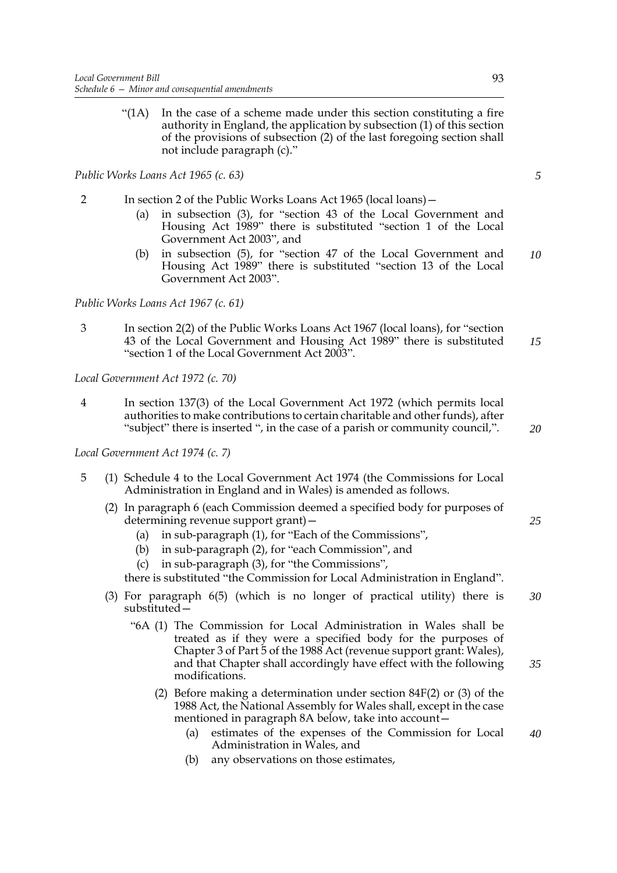"(1A) In the case of a scheme made under this section constituting a fire authority in England, the application by subsection (1) of this section of the provisions of subsection (2) of the last foregoing section shall not include paragraph (c)."

*Public Works Loans Act 1965 (c. 63)*

- 2 In section 2 of the Public Works Loans Act 1965 (local loans)—
	- (a) in subsection (3), for "section 43 of the Local Government and Housing Act 1989" there is substituted "section [1](#page-8-0) of the Local Government Act 2003", and
	- (b) in subsection (5), for "section 47 of the Local Government and Housing Act 1989" there is substituted "section [13](#page-12-0) of the Local Government Act 2003". *10*

*Public Works Loans Act 1967 (c. 61)*

3 In section 2(2) of the Public Works Loans Act 1967 (local loans), for "section 43 of the Local Government and Housing Act 1989" there is substituted "section [1](#page-8-0) of the Local Government Act 2003". *15*

*Local Government Act 1972 (c. 70)*

4 In section 137(3) of the Local Government Act 1972 (which permits local authorities to make contributions to certain charitable and other funds), after "subject" there is inserted ", in the case of a parish or community council,".

*Local Government Act 1974 (c. 7)*

- 5 (1) Schedule 4 to the Local Government Act 1974 (the Commissions for Local Administration in England and in Wales) is amended as follows.
	- (2) In paragraph 6 (each Commission deemed a specified body for purposes of determining revenue support grant)—
		- (a) in sub-paragraph (1), for "Each of the Commissions",
		- (b) in sub-paragraph (2), for "each Commission", and
		- (c) in sub-paragraph (3), for "the Commissions",

there is substituted "the Commission for Local Administration in England".

- (3) For paragraph 6(5) (which is no longer of practical utility) there is substituted— *30*
	- "6A (1) The Commission for Local Administration in Wales shall be treated as if they were a specified body for the purposes of Chapter 3 of Part 5 of the 1988 Act (revenue support grant: Wales), and that Chapter shall accordingly have effect with the following modifications.
		- (2) Before making a determination under section 84F(2) or (3) of the 1988 Act, the National Assembly for Wales shall, except in the case mentioned in paragraph 8A below, take into account—
			- (a) estimates of the expenses of the Commission for Local Administration in Wales, and *40*
			- (b) any observations on those estimates,

*5*

*20*

*25*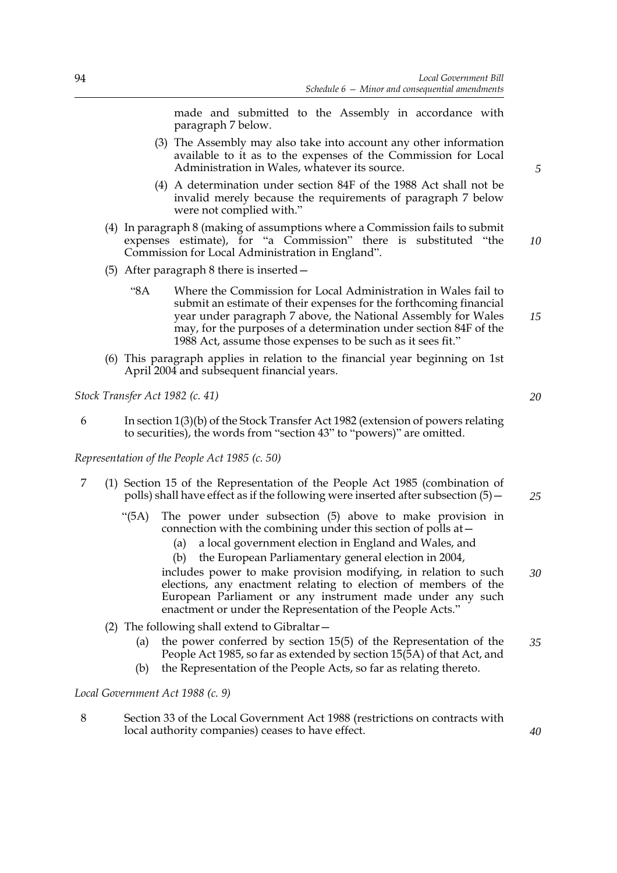made and submitted to the Assembly in accordance with paragraph 7 below.

- (3) The Assembly may also take into account any other information available to it as to the expenses of the Commission for Local Administration in Wales, whatever its source.
- (4) A determination under section 84F of the 1988 Act shall not be invalid merely because the requirements of paragraph 7 below were not complied with."
- (4) In paragraph 8 (making of assumptions where a Commission fails to submit expenses estimate), for "a Commission" there is substituted "the Commission for Local Administration in England".
- (5) After paragraph 8 there is inserted—
	- "8A Where the Commission for Local Administration in Wales fail to submit an estimate of their expenses for the forthcoming financial year under paragraph 7 above, the National Assembly for Wales may, for the purposes of a determination under section 84F of the 1988 Act, assume those expenses to be such as it sees fit."
- (6) This paragraph applies in relation to the financial year beginning on 1st April 2004 and subsequent financial years.

*Stock Transfer Act 1982 (c. 41)*

6 In section 1(3)(b) of the Stock Transfer Act 1982 (extension of powers relating to securities), the words from "section 43" to "powers)" are omitted.

*Representation of the People Act 1985 (c. 50)*

- 7 (1) Section 15 of the Representation of the People Act 1985 (combination of polls) shall have effect as if the following were inserted after subsection  $(5)$  -
	- "(5A) The power under subsection (5) above to make provision in connection with the combining under this section of polls at—
		- (a) a local government election in England and Wales, and
		- (b) the European Parliamentary general election in 2004,

includes power to make provision modifying, in relation to such elections, any enactment relating to election of members of the European Parliament or any instrument made under any such enactment or under the Representation of the People Acts." *30*

- (2) The following shall extend to Gibraltar—
	- (a) the power conferred by section 15(5) of the Representation of the People Act 1985, so far as extended by section 15(5A) of that Act, and *35*
	- (b) the Representation of the People Acts, so far as relating thereto.

*Local Government Act 1988 (c. 9)*

8 Section 33 of the Local Government Act 1988 (restrictions on contracts with local authority companies) ceases to have effect.

*5*

*15*

*10*

*25*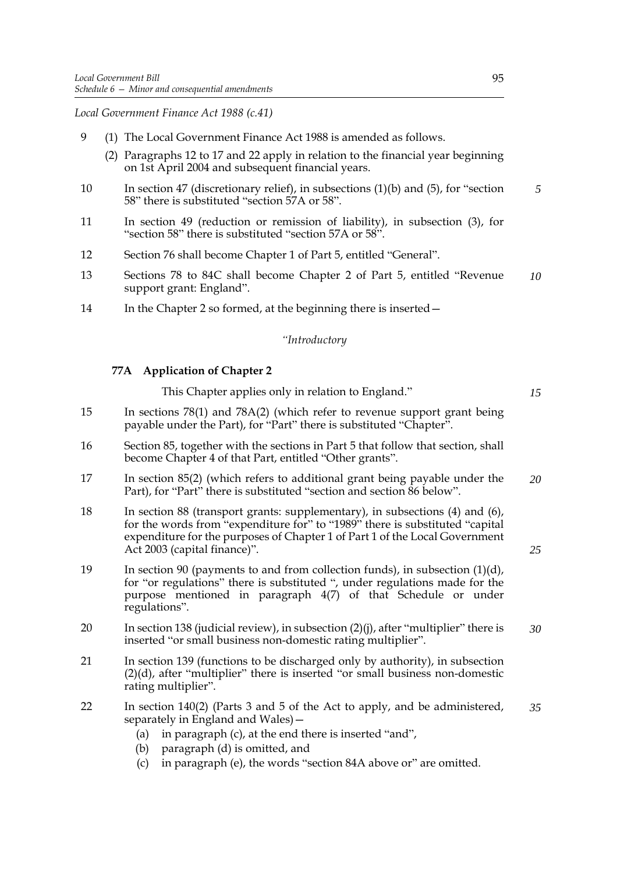*Local Government Finance Act 1988 (c.41)*

- 9 (1) The Local Government Finance Act 1988 is amended as follows.
	- (2) Paragraphs 12 to 17 and 22 apply in relation to the financial year beginning on 1st April 2004 and subsequent financial years.
- 10 In section 47 (discretionary relief), in subsections (1)(b) and (5), for "section 58" there is substituted "section 57A or 58". *5*
- 11 In section 49 (reduction or remission of liability), in subsection (3), for "section 58" there is substituted "section 57A or 58".
- 12 Section 76 shall become Chapter 1 of Part 5, entitled "General".
- 13 Sections 78 to 84C shall become Chapter 2 of Part 5, entitled "Revenue support grant: England". *10*
- 14 In the Chapter 2 so formed, at the beginning there is inserted –

# *"Introductory*

# **77A Application of Chapter 2**

This Chapter applies only in relation to England." 15 In sections 78(1) and 78A(2) (which refer to revenue support grant being payable under the Part), for "Part" there is substituted "Chapter". *15*

- 16 Section 85, together with the sections in Part 5 that follow that section, shall become Chapter 4 of that Part, entitled "Other grants".
- 17 In section 85(2) (which refers to additional grant being payable under the Part), for "Part" there is substituted "section and section 86 below". *20*
- 18 In section 88 (transport grants: supplementary), in subsections (4) and (6), for the words from "expenditure for" to "1989" there is substituted "capital" expenditure for the purposes of Chapter 1 of Part 1 of the Local Government Act 2003 (capital finance)".
- 19 In section 90 (payments to and from collection funds), in subsection (1)(d), for "or regulations" there is substituted ", under regulations made for the purpose mentioned in paragraph 4(7) of that Schedule or under regulations".
- 20 In section 138 (judicial review), in subsection  $(2)(j)$ , after "multiplier" there is inserted "or small business non-domestic rating multiplier". *30*
- 21 In section 139 (functions to be discharged only by authority), in subsection (2)(d), after "multiplier" there is inserted "or small business non-domestic rating multiplier".
- 22 In section 140(2) (Parts 3 and 5 of the Act to apply, and be administered, separately in England and Wales)— *35*
	- (a) in paragraph (c), at the end there is inserted "and",
	- (b) paragraph (d) is omitted, and
	- (c) in paragraph (e), the words "section 84A above or" are omitted.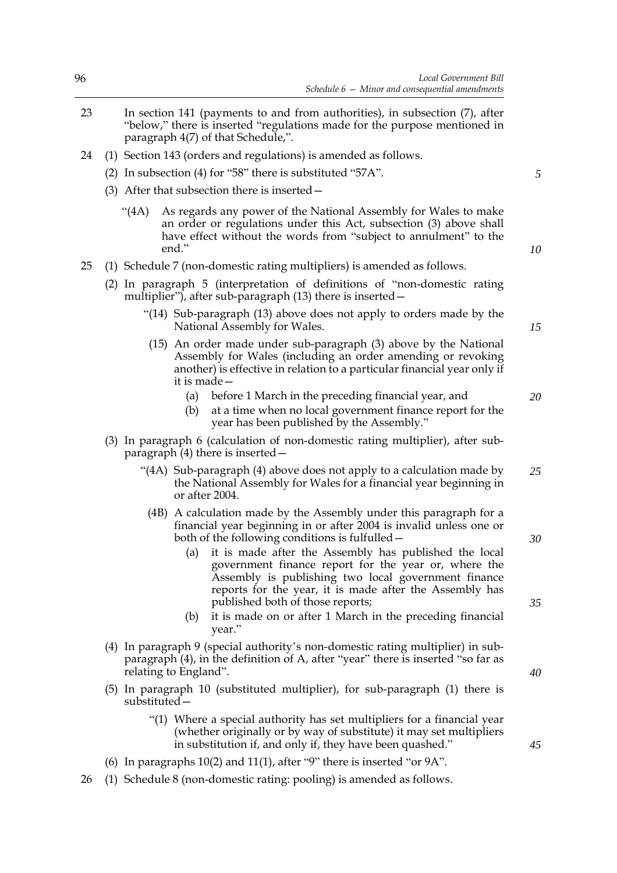- 23 In section 141 (payments to and from authorities), in subsection (7), after "below," there is inserted "regulations made for the purpose mentioned in paragraph 4(7) of that Schedule,".
- 24 (1) Section 143 (orders and regulations) is amended as follows.
	- (2) In subsection (4) for "58" there is substituted "57A".
	- (3) After that subsection there is inserted—
		- "(4A) As regards any power of the National Assembly for Wales to make an order or regulations under this Act, subsection (3) above shall have effect without the words from "subject to annulment" to the end."
- 25 (1) Schedule 7 (non-domestic rating multipliers) is amended as follows.
	- (2) In paragraph 5 (interpretation of definitions of "non-domestic rating multiplier"), after sub-paragraph (13) there is inserted—
		- "(14) Sub-paragraph (13) above does not apply to orders made by the National Assembly for Wales.
		- (15) An order made under sub-paragraph (3) above by the National Assembly for Wales (including an order amending or revoking another) is effective in relation to a particular financial year only if it is made—
			- (a) before 1 March in the preceding financial year, and
			- (b) at a time when no local government finance report for the year has been published by the Assembly."
	- (3) In paragraph 6 (calculation of non-domestic rating multiplier), after subparagraph (4) there is inserted—
		- "(4A) Sub-paragraph (4) above does not apply to a calculation made by the National Assembly for Wales for a financial year beginning in or after 2004. *25*
			- (4B) A calculation made by the Assembly under this paragraph for a financial year beginning in or after 2004 is invalid unless one or both of the following conditions is fulfulled—
				- (a) it is made after the Assembly has published the local government finance report for the year or, where the Assembly is publishing two local government finance reports for the year, it is made after the Assembly has published both of those reports;
				- (b) it is made on or after 1 March in the preceding financial year."
	- (4) In paragraph 9 (special authority's non-domestic rating multiplier) in subparagraph (4), in the definition of A, after "year" there is inserted "so far as relating to England".
	- (5) In paragraph 10 (substituted multiplier), for sub-paragraph (1) there is substituted—
		- "(1) Where a special authority has set multipliers for a financial year (whether originally or by way of substitute) it may set multipliers in substitution if, and only if, they have been quashed."
	- (6) In paragraphs 10(2) and 11(1), after "9" there is inserted "or 9A".
- 26 (1) Schedule 8 (non-domestic rating: pooling) is amended as follows.

*10*

*5*

*20*

*15*

*35*

*30*

*40*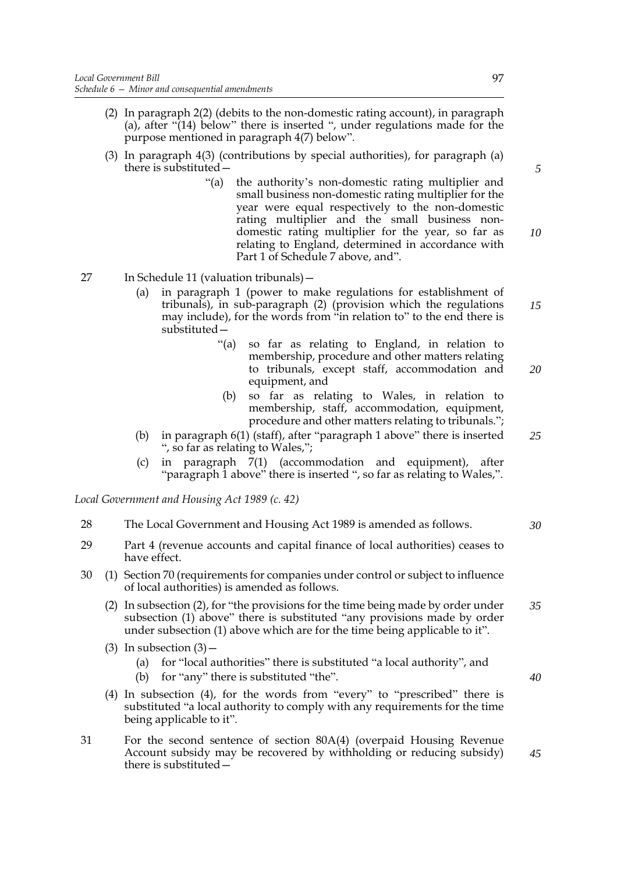- (2) In paragraph 2(2) (debits to the non-domestic rating account), in paragraph (a), after "(14) below" there is inserted ", under regulations made for the purpose mentioned in paragraph 4(7) below".
- (3) In paragraph 4(3) (contributions by special authorities), for paragraph (a) there is substituted—
	- "(a) the authority's non-domestic rating multiplier and small business non-domestic rating multiplier for the year were equal respectively to the non-domestic rating multiplier and the small business nondomestic rating multiplier for the year, so far as relating to England, determined in accordance with Part 1 of Schedule 7 above, and".

27 In Schedule 11 (valuation tribunals)—

- (a) in paragraph 1 (power to make regulations for establishment of tribunals), in sub-paragraph (2) (provision which the regulations may include), for the words from "in relation to" to the end there is substituted—
	- "(a) so far as relating to England, in relation to membership, procedure and other matters relating to tribunals, except staff, accommodation and equipment, and *20*
	- (b) so far as relating to Wales, in relation to membership, staff, accommodation, equipment, procedure and other matters relating to tribunals.";
- (b) in paragraph 6(1) (staff), after "paragraph 1 above" there is inserted ", so far as relating to Wales,"; *25*
- (c) in paragraph 7(1) (accommodation and equipment), after "paragraph 1 above" there is inserted ", so far as relating to Wales,".

*Local Government and Housing Act 1989 (c. 42)*

- 28 The Local Government and Housing Act 1989 is amended as follows.
- 29 Part 4 (revenue accounts and capital finance of local authorities) ceases to have effect.
- 30 (1) Section 70 (requirements for companies under control or subject to influence of local authorities) is amended as follows.
	- (2) In subsection (2), for "the provisions for the time being made by order under subsection (1) above" there is substituted "any provisions made by order under subsection (1) above which are for the time being applicable to it". *35*
	- (3) In subsection  $(3)$ 
		- (a) for "local authorities" there is substituted "a local authority", and
		- (b) for "any" there is substituted "the".
	- (4) In subsection (4), for the words from "every" to "prescribed" there is substituted "a local authority to comply with any requirements for the time being applicable to it".
- 31 For the second sentence of section 80A(4) (overpaid Housing Revenue Account subsidy may be recovered by withholding or reducing subsidy) there is substituted—

*5*

*10*

*15*

*30*

*40*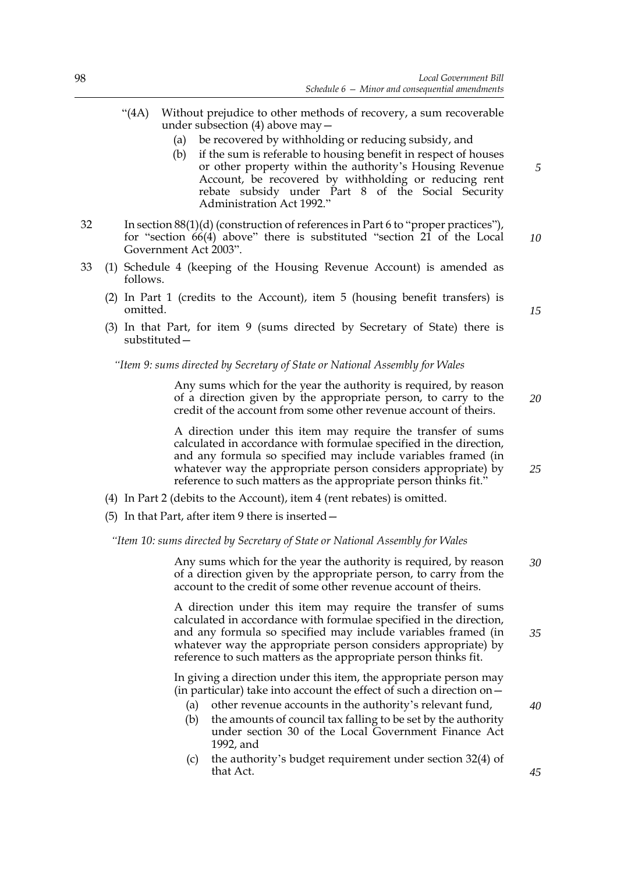- "(4A) Without prejudice to other methods of recovery, a sum recoverable under subsection (4) above may—
	- (a) be recovered by withholding or reducing subsidy, and
	- (b) if the sum is referable to housing benefit in respect of houses or other property within the authority's Housing Revenue Account, be recovered by withholding or reducing rent rebate subsidy under Part 8 of the Social Security Administration Act 1992."
- 32 In section 88(1)(d) (construction of references in Part 6 to "proper practices"), for "section 66(4) above" there is substituted "section [21](#page-15-1) of the Local Government Act 2003". *10*
- 33 (1) Schedule 4 (keeping of the Housing Revenue Account) is amended as follows.
	- (2) In Part 1 (credits to the Account), item 5 (housing benefit transfers) is omitted.
	- (3) In that Part, for item 9 (sums directed by Secretary of State) there is substituted—

# *"Item 9: sums directed by Secretary of State or National Assembly for Wales*

Any sums which for the year the authority is required, by reason of a direction given by the appropriate person, to carry to the credit of the account from some other revenue account of theirs.

A direction under this item may require the transfer of sums calculated in accordance with formulae specified in the direction, and any formula so specified may include variables framed (in whatever way the appropriate person considers appropriate) by reference to such matters as the appropriate person thinks fit."

- (4) In Part 2 (debits to the Account), item 4 (rent rebates) is omitted.
- (5) In that Part, after item 9 there is inserted—

*"Item 10: sums directed by Secretary of State or National Assembly for Wales*

Any sums which for the year the authority is required, by reason of a direction given by the appropriate person, to carry from the account to the credit of some other revenue account of theirs. *30*

A direction under this item may require the transfer of sums calculated in accordance with formulae specified in the direction, and any formula so specified may include variables framed (in whatever way the appropriate person considers appropriate) by reference to such matters as the appropriate person thinks fit.

In giving a direction under this item, the appropriate person may (in particular) take into account the effect of such a direction on—

- (a) other revenue accounts in the authority's relevant fund,
- (b) the amounts of council tax falling to be set by the authority under section 30 of the Local Government Finance Act 1992, and
- (c) the authority's budget requirement under section 32(4) of that Act.

*15*

*5*

*25*

*35*

*40*

*45*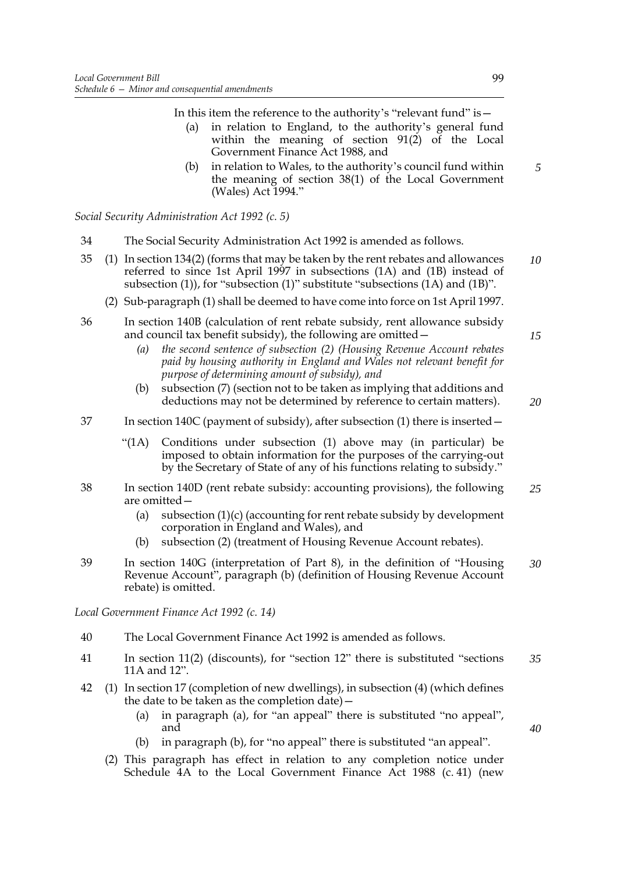In this item the reference to the authority's "relevant fund" is—

- (a) in relation to England, to the authority's general fund within the meaning of section  $91(2)$  of the Local Government Finance Act 1988, and
- (b) in relation to Wales, to the authority's council fund within the meaning of section 38(1) of the Local Government (Wales) Act 1994."

*Social Security Administration Act 1992 (c. 5)*

- 34 The Social Security Administration Act 1992 is amended as follows.
- 35 (1) In section 134(2) (forms that may be taken by the rent rebates and allowances referred to since 1st April 1997 in subsections (1A) and (1B) instead of subsection (1)), for "subsection (1)" substitute "subsections (1A) and (1B)". *10*
	- (2) Sub-paragraph (1) shall be deemed to have come into force on 1st April 1997.
- 36 In section 140B (calculation of rent rebate subsidy, rent allowance subsidy and council tax benefit subsidy), the following are omitted—
	- *(a) the second sentence of subsection (2) (Housing Revenue Account rebates paid by housing authority in England and Wales not relevant benefit for purpose of determining amount of subsidy), and*
	- (b) subsection (7) (section not to be taken as implying that additions and deductions may not be determined by reference to certain matters).

*20*

*15*

*5*

- 37 In section 140C (payment of subsidy), after subsection (1) there is inserted—
	- "(1A) Conditions under subsection (1) above may (in particular) be imposed to obtain information for the purposes of the carrying-out by the Secretary of State of any of his functions relating to subsidy."
- 38 In section 140D (rent rebate subsidy: accounting provisions), the following are omitted— *25*
	- (a) subsection (1)(c) (accounting for rent rebate subsidy by development corporation in England and Wales), and
	- (b) subsection (2) (treatment of Housing Revenue Account rebates).
- 39 In section 140G (interpretation of Part 8), in the definition of "Housing Revenue Account", paragraph (b) (definition of Housing Revenue Account rebate) is omitted. *30*

*Local Government Finance Act 1992 (c. 14)*

- 40 The Local Government Finance Act 1992 is amended as follows.
- 41 In section 11(2) (discounts), for "section 12" there is substituted "sections 11A and 12". *35*
- 42 (1) In section 17 (completion of new dwellings), in subsection (4) (which defines the date to be taken as the completion date)—
	- (a) in paragraph (a), for "an appeal" there is substituted "no appeal", and
	- (b) in paragraph (b), for "no appeal" there is substituted "an appeal".
	- (2) This paragraph has effect in relation to any completion notice under Schedule 4A to the Local Government Finance Act 1988 (c. 41) (new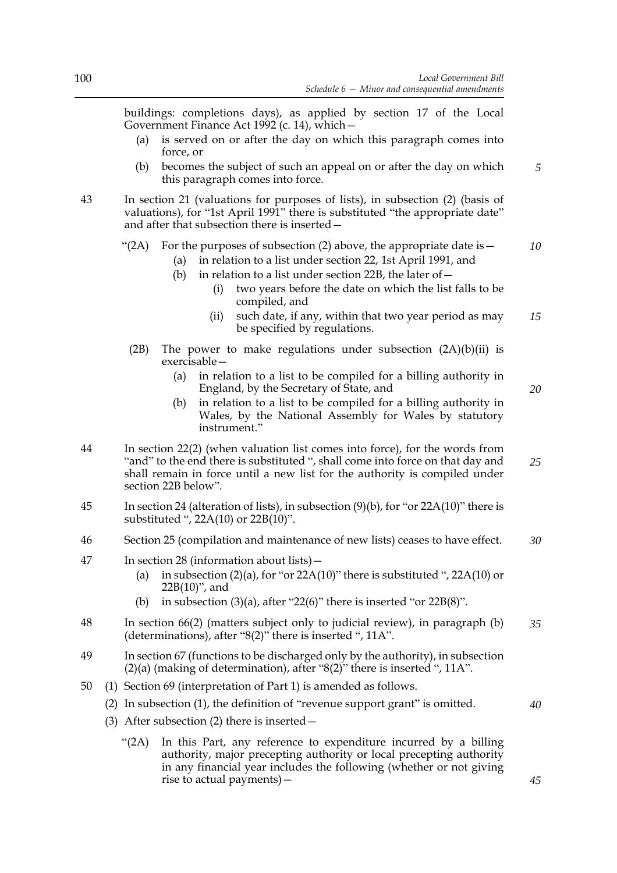*5*

*20*

*40*

*45*

buildings: completions days), as applied by section 17 of the Local Government Finance Act 1992 (c. 14), which—

- (a) is served on or after the day on which this paragraph comes into force, or
- (b) becomes the subject of such an appeal on or after the day on which this paragraph comes into force.
- 43 In section 21 (valuations for purposes of lists), in subsection (2) (basis of valuations), for "1st April 1991" there is substituted "the appropriate date" and after that subsection there is inserted—

#### "(2A) For the purposes of subsection (2) above, the appropriate date is  $-$ *10*

- (a) in relation to a list under section 22, 1st April 1991, and
- (b) in relation to a list under section 22B, the later of  $-$ 
	- (i) two years before the date on which the list falls to be compiled, and
	- (ii) such date, if any, within that two year period as may be specified by regulations. *15*
- (2B) The power to make regulations under subsection  $(2A)(b)(ii)$  is exercisable—
	- (a) in relation to a list to be compiled for a billing authority in England, by the Secretary of State, and
	- (b) in relation to a list to be compiled for a billing authority in Wales, by the National Assembly for Wales by statutory instrument."
- 44 In section 22(2) (when valuation list comes into force), for the words from "and" to the end there is substituted ", shall come into force on that day and shall remain in force until a new list for the authority is compiled under section 22B below". *25*
- 45 In section 24 (alteration of lists), in subsection (9)(b), for "or 22A(10)" there is substituted ", 22A(10) or 22B(10)".
- 46 Section 25 (compilation and maintenance of new lists) ceases to have effect. *30*
- 47 In section 28 (information about lists)—
	- (a) in subsection  $(2)(a)$ , for "or  $22A(10)$ " there is substituted ",  $22A(10)$  or 22B(10)", and
	- (b) in subsection  $(3)(a)$ , after "22 $(6)$ " there is inserted "or 22 $B(8)$ ".
- 48 In section 66(2) (matters subject only to judicial review), in paragraph (b) (determinations), after "8(2)" there is inserted ", 11A". *35*
- 49 In section 67 (functions to be discharged only by the authority), in subsection (2)(a) (making of determination), after "8(2)" there is inserted ", 11A".
- 50 (1) Section 69 (interpretation of Part 1) is amended as follows.
	- (2) In subsection (1), the definition of "revenue support grant" is omitted.
	- (3) After subsection (2) there is inserted—
		- "(2A) In this Part, any reference to expenditure incurred by a billing authority, major precepting authority or local precepting authority in any financial year includes the following (whether or not giving rise to actual payments)—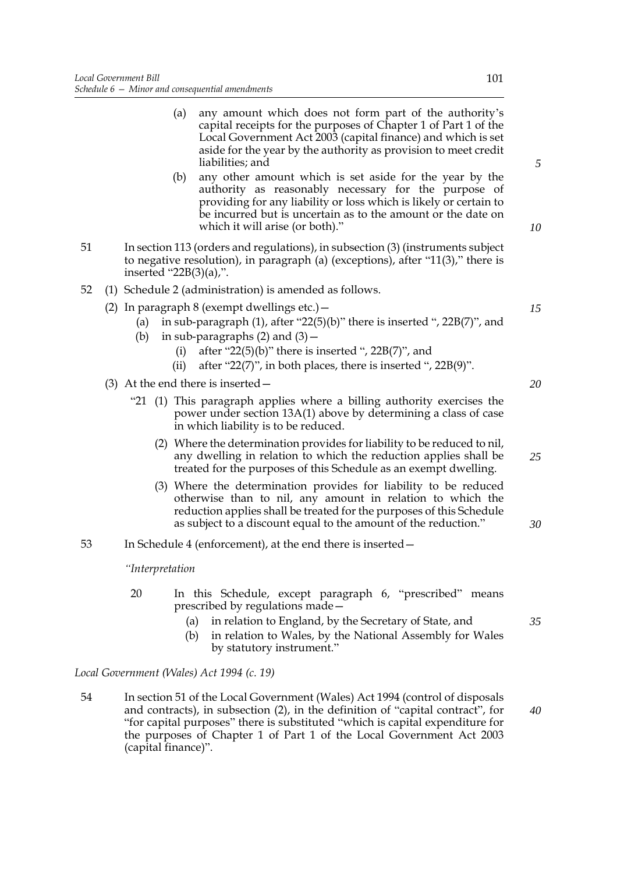- (a) any amount which does not form part of the authority's capital receipts for the purposes of Chapter 1 of Part 1 of the Local Government Act 2003 (capital finance) and which is set aside for the year by the authority as provision to meet credit liabilities; and
- (b) any other amount which is set aside for the year by the authority as reasonably necessary for the purpose of providing for any liability or loss which is likely or certain to be incurred but is uncertain as to the amount or the date on which it will arise (or both)."
- 51 In section 113 (orders and regulations), in subsection (3) (instruments subject to negative resolution), in paragraph (a) (exceptions), after "11(3)," there is inserted "22B(3)(a),".
- 52 (1) Schedule 2 (administration) is amended as follows.
	- (2) In paragraph 8 (exempt dwellings etc.)  $-$ 
		- (a) in sub-paragraph  $(1)$ , after "22 $(5)(b)$ " there is inserted ", 22 $B(7)$ ", and
		- (b) in sub-paragraphs  $(2)$  and  $(3)$  -
			- (i) after " $22(5)(b)$ " there is inserted ",  $22B(7)$ ", and
			- (ii) after "22(7)", in both places, there is inserted ",  $22B(9)$ ".
	- (3) At the end there is inserted—
		- "21 (1) This paragraph applies where a billing authority exercises the power under section 13A(1) above by determining a class of case in which liability is to be reduced.
			- (2) Where the determination provides for liability to be reduced to nil, any dwelling in relation to which the reduction applies shall be treated for the purposes of this Schedule as an exempt dwelling.
			- (3) Where the determination provides for liability to be reduced otherwise than to nil, any amount in relation to which the reduction applies shall be treated for the purposes of this Schedule as subject to a discount equal to the amount of the reduction."
- 53 In Schedule 4 (enforcement), at the end there is inserted—

*"Interpretation*

- 20 In this Schedule, except paragraph 6, "prescribed" means prescribed by regulations made—
	- (a) in relation to England, by the Secretary of State, and
	- (b) in relation to Wales, by the National Assembly for Wales by statutory instrument."

*Local Government (Wales) Act 1994 (c. 19)*

54 In section 51 of the Local Government (Wales) Act 1994 (control of disposals and contracts), in subsection (2), in the definition of "capital contract", for "for capital purposes" there is substituted "which is capital expenditure for the purposes of Chapter 1 of Part 1 of the Local Government Act 2003 (capital finance)".

*5*

*10*

*20*

*15*

*25*

*30*

*40*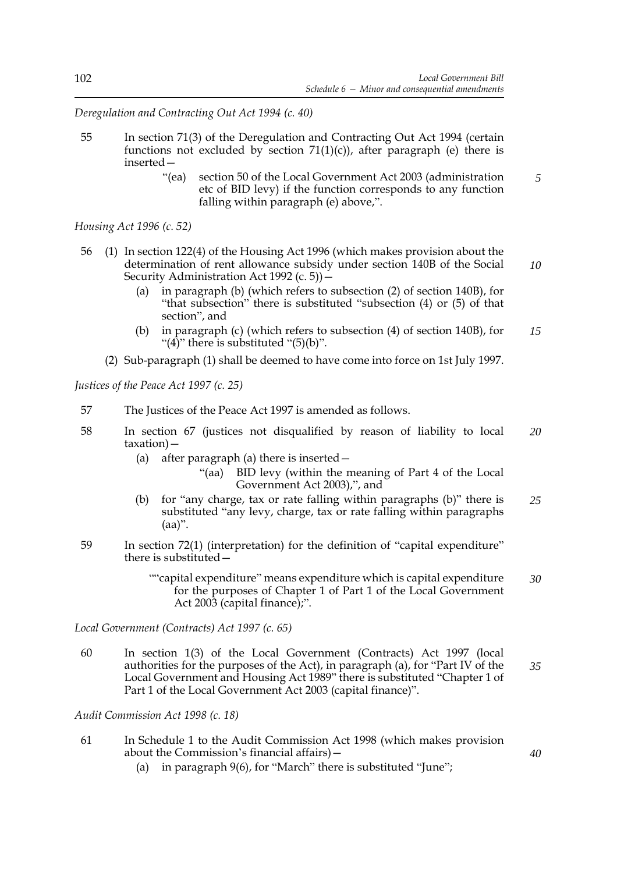*Deregulation and Contracting Out Act 1994 (c. 40)*

- 55 In section 71(3) of the Deregulation and Contracting Out Act 1994 (certain functions not excluded by section  $71(1)(c)$ ), after paragraph (e) there is inserted—
	- "(ea) section [50](#page-28-0) of the Local Government Act 2003 (administration etc of BID levy) if the function corresponds to any function falling within paragraph (e) above,". *5*

*Housing Act 1996 (c. 52)*

- 56 (1) In section 122(4) of the Housing Act 1996 (which makes provision about the determination of rent allowance subsidy under section 140B of the Social Security Administration Act 1992 (c. 5))—
	- (a) in paragraph (b) (which refers to subsection (2) of section 140B), for "that subsection" there is substituted "subsection (4) or (5) of that section", and
	- (b) in paragraph (c) (which refers to subsection (4) of section 140B), for "(4)" there is substituted " $(5)(b)$ ". *15*
	- (2) Sub-paragraph (1) shall be deemed to have come into force on 1st July 1997.

*Justices of the Peace Act 1997 (c. 25)*

- 57 The Justices of the Peace Act 1997 is amended as follows.
- 58 In section 67 (justices not disqualified by reason of liability to local taxation)— *20*
	- (a) after paragraph (a) there is inserted—
		- "(aa) BID levy (within the meaning of Part 4 of the Local Government Act 2003),", and
	- (b) for "any charge, tax or rate falling within paragraphs (b)" there is substituted "any levy, charge, tax or rate falling within paragraphs  $(aa)$ ". *25*
- 59 In section 72(1) (interpretation) for the definition of "capital expenditure" there is substituted—
	- ""capital expenditure" means expenditure which is capital expenditure for the purposes of Chapter 1 of Part 1 of the Local Government Act 2003 (capital finance);". *30*

*Local Government (Contracts) Act 1997 (c. 65)*

60 In section 1(3) of the Local Government (Contracts) Act 1997 (local authorities for the purposes of the Act), in paragraph (a), for "Part IV of the Local Government and Housing Act 1989" there is substituted "Chapter 1 of Part 1 of the Local Government Act 2003 (capital finance)". *35*

*Audit Commission Act 1998 (c. 18)*

- 61 In Schedule 1 to the Audit Commission Act 1998 (which makes provision about the Commission's financial affairs)—
	- (a) in paragraph 9(6), for "March" there is substituted "June";

*40*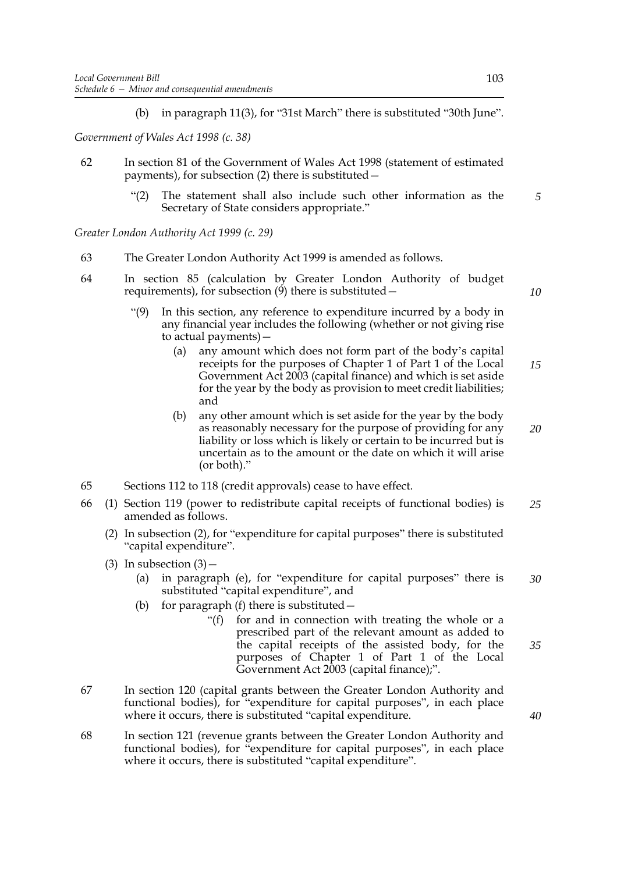(b) in paragraph 11(3), for "31st March" there is substituted "30th June".

*Government of Wales Act 1998 (c. 38)*

- 62 In section 81 of the Government of Wales Act 1998 (statement of estimated payments), for subsection (2) there is substituted—
	- "(2) The statement shall also include such other information as the Secretary of State considers appropriate." *5*

*Greater London Authority Act 1999 (c. 29)*

- 63 The Greater London Authority Act 1999 is amended as follows.
- 64 In section 85 (calculation by Greater London Authority of budget requirements), for subsection  $(9)$  there is substituted –
	- In this section, any reference to expenditure incurred by a body in any financial year includes the following (whether or not giving rise to actual payments)—
		- (a) any amount which does not form part of the body's capital receipts for the purposes of Chapter 1 of Part 1 of the Local Government Act 2003 (capital finance) and which is set aside for the year by the body as provision to meet credit liabilities; and *15*
		- (b) any other amount which is set aside for the year by the body as reasonably necessary for the purpose of providing for any liability or loss which is likely or certain to be incurred but is uncertain as to the amount or the date on which it will arise (or both)." *20*
- 65 Sections 112 to 118 (credit approvals) cease to have effect.
- 66 (1) Section 119 (power to redistribute capital receipts of functional bodies) is amended as follows. *25*
	- (2) In subsection (2), for "expenditure for capital purposes" there is substituted "capital expenditure".
	- (3) In subsection  $(3)$ 
		- (a) in paragraph (e), for "expenditure for capital purposes" there is substituted "capital expenditure", and *30*
		- (b) for paragraph (f) there is substituted  $-$ 
			- "(f) for and in connection with treating the whole or a prescribed part of the relevant amount as added to the capital receipts of the assisted body, for the purposes of Chapter 1 of Part 1 of the Local Government Act 2003 (capital finance);".
- 67 In section 120 (capital grants between the Greater London Authority and functional bodies), for "expenditure for capital purposes", in each place where it occurs, there is substituted "capital expenditure.
- 68 In section 121 (revenue grants between the Greater London Authority and functional bodies), for "expenditure for capital purposes", in each place where it occurs, there is substituted "capital expenditure".

*40*

*35*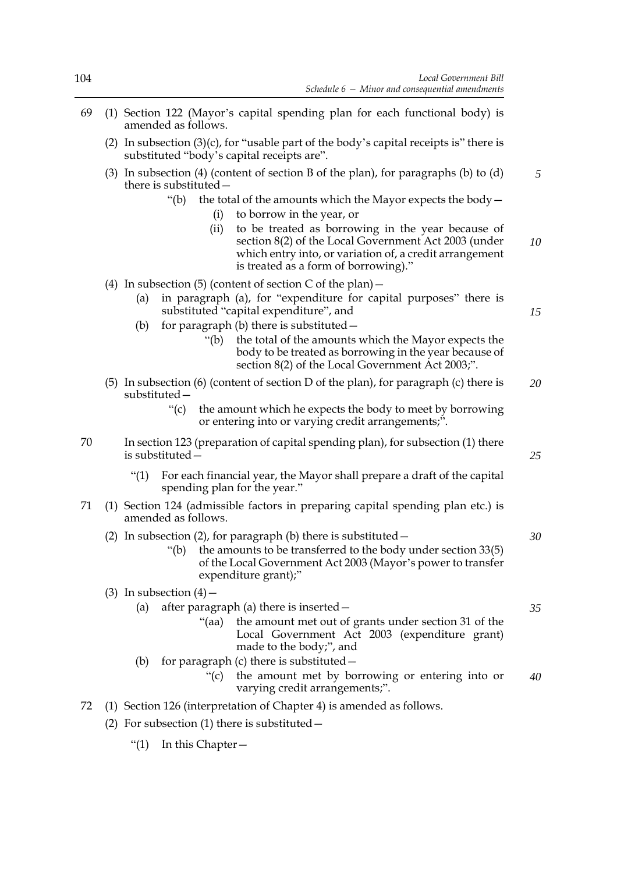- 69 (1) Section 122 (Mayor's capital spending plan for each functional body) is amended as follows.
	- (2) In subsection  $(3)(c)$ , for "usable part of the body's capital receipts is" there is substituted "body's capital receipts are".
	- (3) In subsection (4) (content of section B of the plan), for paragraphs (b) to (d) there is substituted—
		- "(b) the total of the amounts which the Mayor expects the body  $-$ (i) to borrow in the year, or
			- (ii) to be treated as borrowing in the year because of section [8\(](#page-10-0)2) of the Local Government Act 2003 (under which entry into, or variation of, a credit arrangement is treated as a form of borrowing)." *10*
	- (4) In subsection (5) (content of section  $C$  of the plan)  $-$ 
		- (a) in paragraph (a), for "expenditure for capital purposes" there is substituted "capital expenditure", and
		- (b) for paragraph (b) there is substituted  $-$ 
			- "(b) the total of the amounts which the Mayor expects the body to be treated as borrowing in the year because of section [8](#page-10-0)(2) of the Local Government Act 2003;".
	- (5) In subsection (6) (content of section D of the plan), for paragraph (c) there is substituted— *20*
		- "(c) the amount which he expects the body to meet by borrowing or entering into or varying credit arrangements;".
- 70 In section 123 (preparation of capital spending plan), for subsection (1) there is substituted—
	- "(1) For each financial year, the Mayor shall prepare a draft of the capital spending plan for the year."
- 71 (1) Section 124 (admissible factors in preparing capital spending plan etc.) is amended as follows.
	- (2) In subsection (2), for paragraph (b) there is substituted—
		- "(b) the amounts to be transferred to the body under section  $33(5)$ of the Local Government Act 2003 (Mayor's power to transfer expenditure grant);"

# (3) In subsection  $(4)$  –

| (a) after paragraph (a) there is inserted $-$                                                                                          |  |
|----------------------------------------------------------------------------------------------------------------------------------------|--|
| "(aa) the amount met out of grants under section 31 of the<br>Local Government Act 2003 (expenditure grant)<br>made to the body;", and |  |

- (b) for paragraph (c) there is substituted—
	- "(c) the amount met by borrowing or entering into or varying credit arrangements;". *40*
- 72 (1) Section 126 (interpretation of Chapter 4) is amended as follows.
	- (2) For subsection  $(1)$  there is substituted  $-$ 
		- "(1) In this Chapter—

*25*

*5*

*15*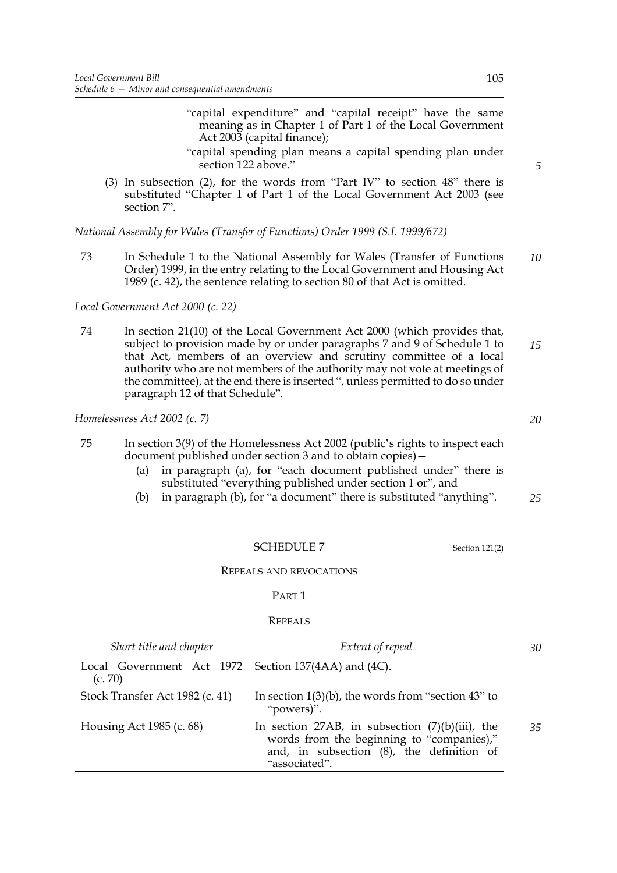- "capital expenditure" and "capital receipt" have the same meaning as in Chapter 1 of Part 1 of the Local Government Act 2003 (capital finance);
- "capital spending plan means a capital spending plan under section 122 above."
- (3) In subsection (2), for the words from "Part IV" to section 48" there is substituted "Chapter 1 of Part 1 of the Local Government Act 2003 (see section [7](#page-10-1)".

*National Assembly for Wales (Transfer of Functions) Order 1999 (S.I. 1999/672)*

73 In Schedule 1 to the National Assembly for Wales (Transfer of Functions Order) 1999, in the entry relating to the Local Government and Housing Act 1989 (c. 42), the sentence relating to section 80 of that Act is omitted. *10*

*Local Government Act 2000 (c. 22)*

74 In section 21(10) of the Local Government Act 2000 (which provides that, subject to provision made by or under paragraphs 7 and 9 of Schedule 1 to that Act, members of an overview and scrutiny committee of a local authority who are not members of the authority may not vote at meetings of the committee), at the end there is inserted ", unless permitted to do so under paragraph 12 of that Schedule". *15*

*Homelessness Act 2002 (c. 7)*

- 75 In section 3(9) of the Homelessness Act 2002 (public's rights to inspect each document published under section 3 and to obtain copies)—
	- (a) in paragraph (a), for "each document published under" there is substituted "everything published under section 1 or", and
	- (b) in paragraph (b), for "a document" there is substituted "anything". *25*

## SCHEDULE 7 Section [121\(](#page-75-0)2)

REPEALS AND REVOCATIONS

#### PART 1

#### **REPEALS**

| Short title and chapter                                           | Extent of repeal                                                                                                                                              | 30 |
|-------------------------------------------------------------------|---------------------------------------------------------------------------------------------------------------------------------------------------------------|----|
| Local Government Act 1972   Section 137(4AA) and (4C).<br>(c. 70) |                                                                                                                                                               |    |
| Stock Transfer Act 1982 (c. 41)                                   | In section $1(3)(b)$ , the words from "section 43" to<br>"powers)".                                                                                           |    |
| Housing Act 1985 (c. 68)                                          | In section 27AB, in subsection $(7)(b)(iii)$ , the<br>words from the beginning to "companies),"<br>and, in subsection (8), the definition of<br>"associated". | 35 |

*5*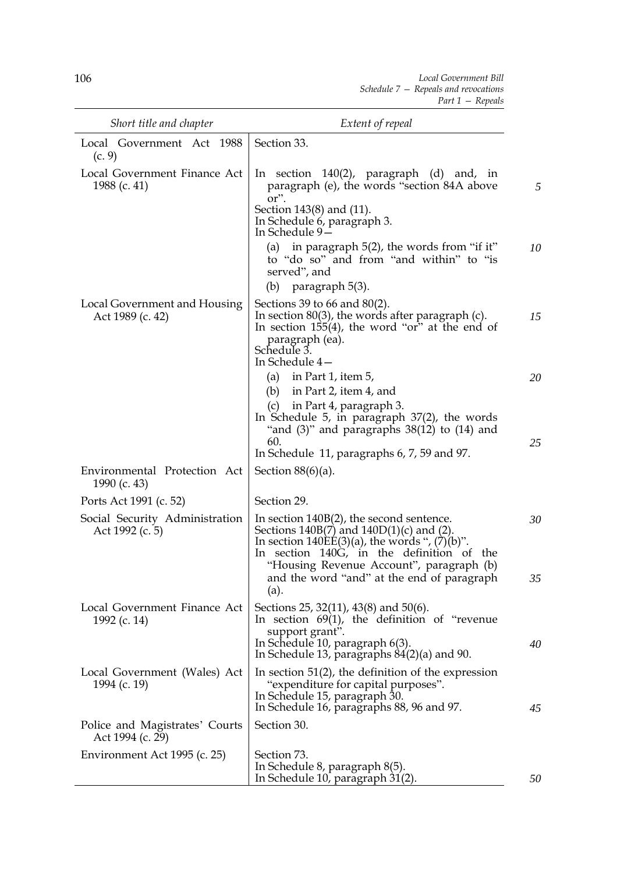*Local Government Bill Schedule 7 — Repeals and revocations Part 1 — Repeals*

| Short title and chapter                            | Extent of repeal                                                                                                                                                                                                                                                                       |          |
|----------------------------------------------------|----------------------------------------------------------------------------------------------------------------------------------------------------------------------------------------------------------------------------------------------------------------------------------------|----------|
| Local Government Act 1988<br>(c. 9)                | Section 33.                                                                                                                                                                                                                                                                            |          |
| Local Government Finance Act<br>1988 (c. 41)       | In section $140(2)$ , paragraph (d) and, in<br>paragraph (e), the words "section 84A above<br>or".                                                                                                                                                                                     |          |
|                                                    | Section 143(8) and (11).<br>In Schedule 6, paragraph 3.<br>In Schedule 9-<br>in paragraph 5(2), the words from "if it"<br>(a)<br>to "do so" and from "and within" to "is<br>served", and<br>paragraph 5(3).<br>(b)                                                                     | 10       |
| Local Government and Housing<br>Act 1989 (c. 42)   | Sections 39 to 66 and $80(2)$ .<br>In section $80(3)$ , the words after paragraph (c).<br>In section $155(4)$ , the word "or" at the end of<br>paragraph (ea).<br>Schedule 3.<br>In Schedule 4-                                                                                        | 15       |
|                                                    | (a) in Part 1, item $5$ ,<br>in Part 2, item 4, and<br>(b)<br>in Part 4, paragraph 3.<br>(c)<br>In Schedule 5, in paragraph $37(2)$ , the words<br>"and $(3)$ " and paragraphs $38(12)$ to $(14)$ and                                                                                  | 20       |
|                                                    | 60.<br>In Schedule 11, paragraphs 6, 7, 59 and 97.                                                                                                                                                                                                                                     | 25       |
| Environmental Protection Act<br>1990 (c. 43)       | Section $88(6)(a)$ .                                                                                                                                                                                                                                                                   |          |
| Ports Act 1991 (c. 52)                             | Section 29.                                                                                                                                                                                                                                                                            |          |
| Social Security Administration<br>Act 1992 (c. 5)  | In section 140B(2), the second sentence.<br>Sections $140B(7)$ and $140D(1)(c)$ and (2).<br>In section $140EE(3)(a)$ , the words ", $(7)(b)$ ".<br>In section 140G, in the definition of the<br>"Housing Revenue Account", paragraph (b)<br>and the word "and" at the end of paragraph | 30<br>35 |
| Local Government Finance Act<br>1992 (c. 14)       | (a).<br>Sections 25, 32(11), 43(8) and 50(6).<br>In section $69(1)$ , the definition of "revenue<br>support grant".<br>In Schedule 10, paragraph 6(3).<br>In Schedule 13, paragraphs $84(2)(a)$ and 90.                                                                                | 40       |
| Local Government (Wales) Act<br>1994 (c. 19)       | In section $51(2)$ , the definition of the expression<br>"expenditure for capital purposes".<br>In Schedule 15, paragraph 30.<br>In Schedule 16, paragraphs 88, 96 and 97.                                                                                                             | 45       |
| Police and Magistrates' Courts<br>Act 1994 (c. 29) | Section 30.                                                                                                                                                                                                                                                                            |          |
| Environment Act 1995 (c. 25)                       | Section 73.<br>In Schedule 8, paragraph 8(5).<br>In Schedule $10$ , paragraph $31(2)$ .                                                                                                                                                                                                | 50       |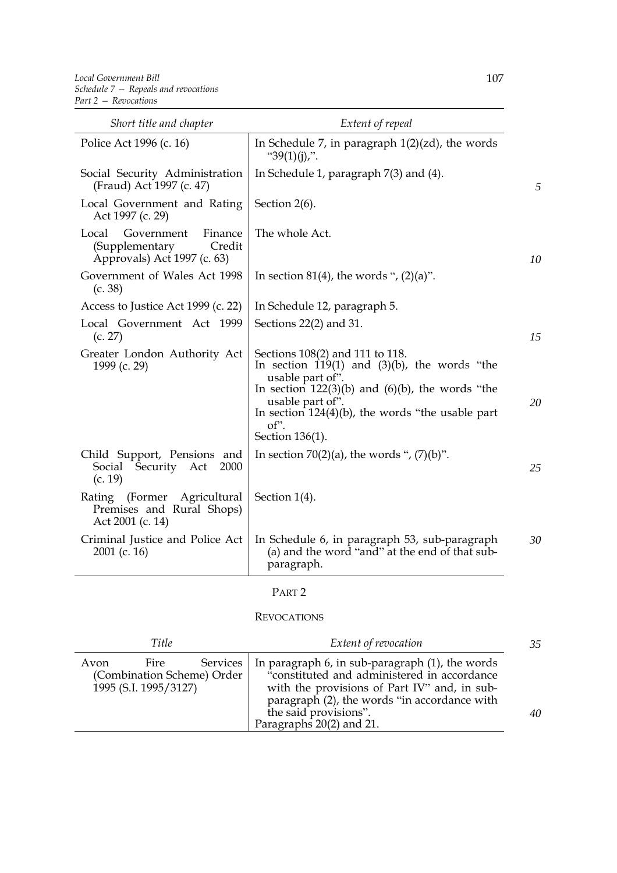| Short title and chapter                                                                   | Extent of repeal                                                                                                                                                                                                                                                             |
|-------------------------------------------------------------------------------------------|------------------------------------------------------------------------------------------------------------------------------------------------------------------------------------------------------------------------------------------------------------------------------|
| Police Act 1996 (c. 16)                                                                   | In Schedule 7, in paragraph $1(2)(zd)$ , the words<br>" $39(1)(i)$ ,".                                                                                                                                                                                                       |
| Social Security Administration<br>(Fraud) Act 1997 (c. 47)                                | In Schedule 1, paragraph 7(3) and (4).                                                                                                                                                                                                                                       |
| Local Government and Rating<br>Act 1997 (c. 29)                                           | Section 2(6).                                                                                                                                                                                                                                                                |
| Local<br>Government<br>Finance<br>(Supplementary<br>Credit<br>Approvals) Act 1997 (c. 63) | The whole Act.<br>10                                                                                                                                                                                                                                                         |
| Government of Wales Act 1998<br>(c. 38)                                                   | In section 81(4), the words ", $(2)(a)$ ".                                                                                                                                                                                                                                   |
| Access to Justice Act 1999 (c. 22)                                                        | In Schedule 12, paragraph 5.                                                                                                                                                                                                                                                 |
| Local Government Act 1999<br>(c. 27)                                                      | Sections $22(2)$ and 31.<br>15                                                                                                                                                                                                                                               |
| Greater London Authority Act<br>1999 (c. 29)                                              | Sections 108(2) and 111 to 118.<br>In section $119(1)$ and $(3)(b)$ , the words "the<br>usable part of".<br>In section $122(3)(b)$ and $(6)(b)$ , the words "the<br>usable part of".<br>20<br>In section $124(4)(b)$ , the words "the usable part<br>of".<br>Section 136(1). |
| Child Support, Pensions and<br>Security Act<br>Social<br>2000<br>(c. 19)                  | In section $70(2)(a)$ , the words ", $(7)(b)$ ".<br>25                                                                                                                                                                                                                       |
| Rating (Former Agricultural<br>Premises and Rural Shops)<br>Act 2001 (c. 14)              | Section 1(4).                                                                                                                                                                                                                                                                |
| Criminal Justice and Police Act<br>$2001$ (c. 16)                                         | In Schedule 6, in paragraph 53, sub-paragraph<br>30<br>(a) and the word "and" at the end of that sub-<br>paragraph.                                                                                                                                                          |

# PART 2

## REVOCATIONS

| Title                                                                                  | Extent of revocation                                                                                                                                                                                                                                | 35 |
|----------------------------------------------------------------------------------------|-----------------------------------------------------------------------------------------------------------------------------------------------------------------------------------------------------------------------------------------------------|----|
| <b>Services</b><br>Fire<br>Avon<br>(Combination Scheme) Order<br>1995 (S.I. 1995/3127) | In paragraph 6, in sub-paragraph (1), the words<br>"constituted and administered in accordance<br>with the provisions of Part IV" and, in sub-<br>paragraph (2), the words "in accordance with<br>the said provisions".<br>Paragraphs 20(2) and 21. | 40 |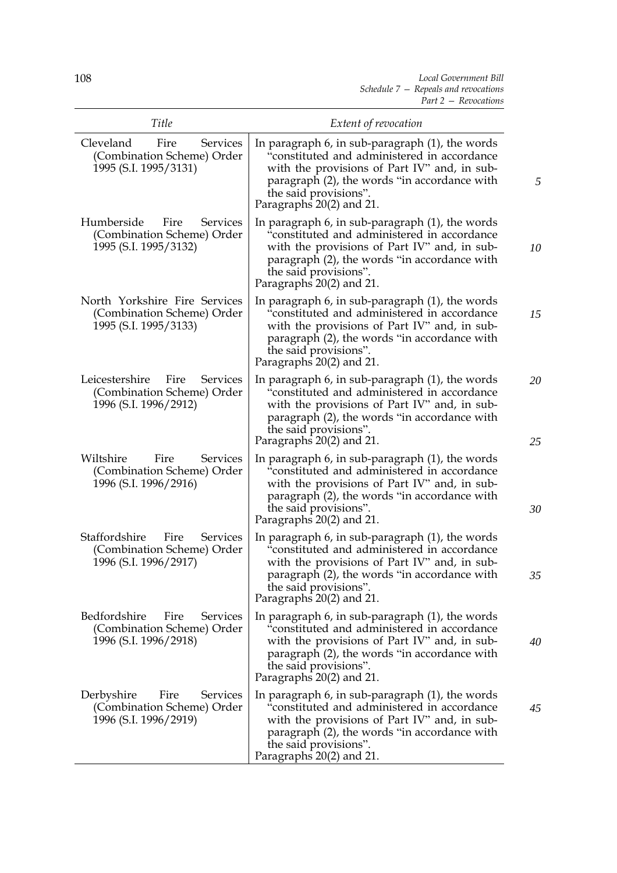| Title                                                                                            | Extent of revocation                                                                                                                                                                                                                                      |          |
|--------------------------------------------------------------------------------------------------|-----------------------------------------------------------------------------------------------------------------------------------------------------------------------------------------------------------------------------------------------------------|----------|
| Cleveland<br>Fire<br><b>Services</b><br>(Combination Scheme) Order<br>1995 (S.I. 1995/3131)      | In paragraph $6$ , in sub-paragraph $(1)$ , the words<br>"constituted and administered in accordance<br>with the provisions of Part IV" and, in sub-<br>paragraph (2), the words "in accordance with<br>the said provisions".<br>Paragraphs 20(2) and 21. | 5        |
| Humberside<br>Fire<br><b>Services</b><br>(Combination Scheme) Order<br>1995 (S.I. 1995/3132)     | In paragraph 6, in sub-paragraph (1), the words<br>"constituted and administered in accordance<br>with the provisions of Part IV" and, in sub-<br>paragraph (2), the words "in accordance with<br>the said provisions".<br>Paragraphs 20(2) and 21.       | 10       |
| North Yorkshire Fire Services<br>(Combination Scheme) Order<br>1995 (S.I. 1995/3133)             | In paragraph $6$ , in sub-paragraph $(1)$ , the words<br>"constituted and administered in accordance<br>with the provisions of Part IV" and, in sub-<br>paragraph (2), the words "in accordance with<br>the said provisions".<br>Paragraphs 20(2) and 21. | 15       |
| Leicestershire<br>Fire<br><b>Services</b><br>(Combination Scheme) Order<br>1996 (S.I. 1996/2912) | In paragraph $6$ , in sub-paragraph $(1)$ , the words<br>"constituted and administered in accordance<br>with the provisions of Part IV" and, in sub-<br>paragraph (2), the words "in accordance with<br>the said provisions".<br>Paragraphs 20(2) and 21. | 20<br>25 |
| Wiltshire<br><b>Services</b><br>Fire<br>(Combination Scheme) Order<br>1996 (S.I. 1996/2916)      | In paragraph 6, in sub-paragraph (1), the words<br>"constituted and administered in accordance<br>with the provisions of Part IV" and, in sub-<br>paragraph (2), the words "in accordance with<br>the said provisions".<br>Paragraphs 20(2) and 21.       | 30       |
| Staffordshire<br>Fire<br><b>Services</b><br>(Combination Scheme) Order<br>1996 (S.I. 1996/2917)  | In paragraph $6$ , in sub-paragraph $(1)$ , the words<br>"constituted and administered in accordance<br>with the provisions of Part IV" and, in sub-<br>paragraph (2), the words "in accordance with<br>the said provisions".<br>Paragraphs 20(2) and 21. | 35       |
| Bedfordshire<br>Fire<br><b>Services</b><br>(Combination Scheme) Order<br>1996 (S.I. 1996/2918)   | In paragraph $6$ , in sub-paragraph $(1)$ , the words<br>"constituted and administered in accordance<br>with the provisions of Part IV" and, in sub-<br>paragraph (2), the words "in accordance with<br>the said provisions".<br>Paragraphs 20(2) and 21. | 40       |
| Derbyshire<br>Fire<br><b>Services</b><br>(Combination Scheme) Order<br>1996 (S.I. 1996/2919)     | In paragraph $6$ , in sub-paragraph $(1)$ , the words<br>"constituted and administered in accordance<br>with the provisions of Part IV" and, in sub-<br>paragraph (2), the words "in accordance with<br>the said provisions".<br>Paragraphs 20(2) and 21. | 45       |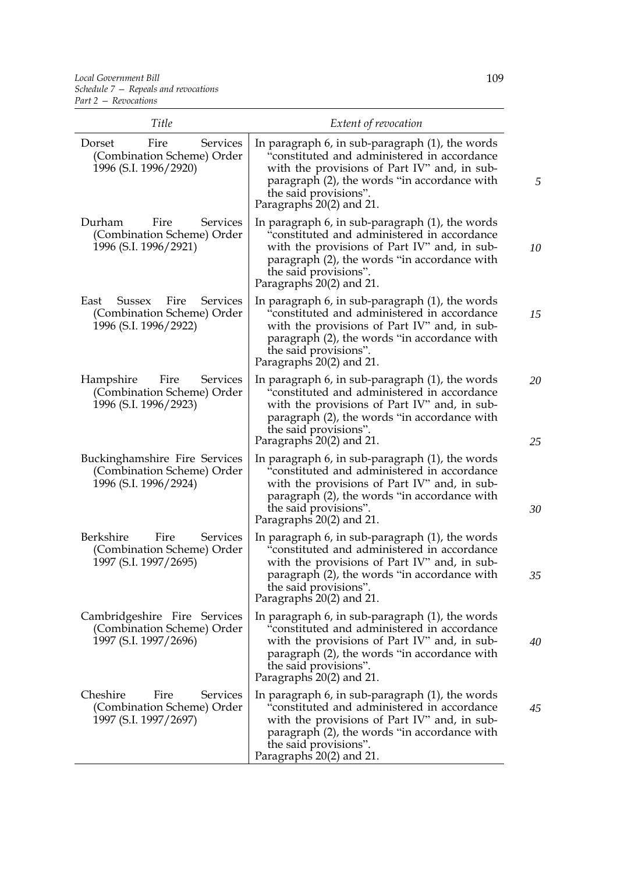| Title                                                                                            | Extent of revocation                                                                                                                                                                                                                                        |          |
|--------------------------------------------------------------------------------------------------|-------------------------------------------------------------------------------------------------------------------------------------------------------------------------------------------------------------------------------------------------------------|----------|
| Fire<br>Services<br>Dorset<br>(Combination Scheme) Order<br>1996 (S.I. 1996/2920)                | In paragraph $6$ , in sub-paragraph $(1)$ , the words<br>"constituted and administered in accordance<br>with the provisions of Part IV" and, in sub-<br>paragraph (2), the words "in accordance with<br>the said provisions".<br>Paragraphs 20(2) and 21.   |          |
| Durham<br>Services<br>Fire<br>(Combination Scheme) Order<br>1996 (S.I. 1996/2921)                | In paragraph $6$ , in sub-paragraph $(1)$ , the words<br>"constituted and administered in accordance<br>with the provisions of Part IV" and, in sub-<br>paragraph (2), the words "in accordance with<br>the said provisions".<br>Paragraphs 20(2) and 21.   | 10       |
| East<br>Fire<br><b>Services</b><br>Sussex<br>(Combination Scheme) Order<br>1996 (S.I. 1996/2922) | In paragraph $6$ , in sub-paragraph $(1)$ , the words<br>"constituted and administered in accordance<br>with the provisions of Part IV" and, in sub-<br>paragraph (2), the words "in accordance with<br>the said provisions".<br>Paragraphs 20(2) and 21.   | 15       |
| Hampshire<br>Fire<br>Services<br>(Combination Scheme) Order<br>1996 (S.I. 1996/2923)             | In paragraph $6$ , in sub-paragraph $(1)$ , the words<br>"constituted and administered in accordance<br>with the provisions of Part IV" and, in sub-<br>paragraph (2), the words "in accordance with<br>the said provisions".<br>Paragraphs 20(2) and 21.   | 20<br>25 |
| Buckinghamshire Fire Services<br>(Combination Scheme) Order<br>1996 (S.I. 1996/2924)             | In paragraph $6$ , in sub-paragraph $(1)$ , the words<br>"constituted and administered in accordance<br>with the provisions of Part IV" and, in sub-<br>paragraph (2), the words "in accordance with<br>the said provisions".<br>Paragraphs 20(2) and 21.   | 30       |
| Berkshire<br>Fire<br>Services<br>(Combination Scheme) Order<br>1997 (S.I. 1997/2695)             | In paragraph $6$ , in sub-paragraph $(1)$ , the words<br>"constituted and administered in accordance<br>with the provisions of Part IV" and, in sub-<br>paragraph (2), the words "in accordance with<br>the said provisions".<br>Paragraphs $20(2)$ and 21. | 35       |
| Cambridgeshire Fire Services<br>(Combination Scheme) Order<br>1997 (S.I. 1997/2696)              | In paragraph $6$ , in sub-paragraph $(1)$ , the words<br>"constituted and administered in accordance<br>with the provisions of Part IV" and, in sub-<br>paragraph (2), the words "in accordance with<br>the said provisions".<br>Paragraphs 20(2) and 21.   | 40       |
| Cheshire<br>Services<br>Fire<br>(Combination Scheme) Order<br>1997 (S.I. 1997/2697)              | In paragraph $6$ , in sub-paragraph $(1)$ , the words<br>"constituted and administered in accordance<br>with the provisions of Part IV" and, in sub-<br>paragraph (2), the words "in accordance with<br>the said provisions".<br>Paragraphs 20(2) and 21.   | 45       |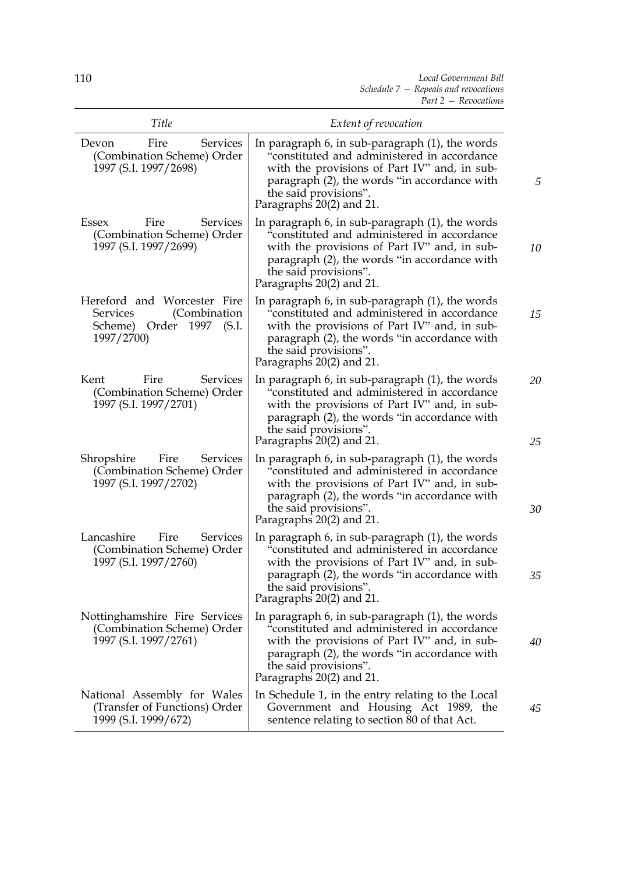| Title                                                                                                          | Extent of revocation                                                                                                                                                                                                                                      |          |
|----------------------------------------------------------------------------------------------------------------|-----------------------------------------------------------------------------------------------------------------------------------------------------------------------------------------------------------------------------------------------------------|----------|
| Fire<br>Devon<br>Services<br>(Combination Scheme) Order<br>1997 (S.I. 1997/2698)                               | In paragraph 6, in sub-paragraph (1), the words<br>"constituted and administered in accordance<br>with the provisions of Part IV" and, in sub-<br>paragraph (2), the words "in accordance with<br>the said provisions".<br>Paragraphs 20(2) and 21.       | 5        |
| Essex<br>Fire<br>Services<br>(Combination Scheme) Order<br>1997 (S.I. 1997/2699)                               | In paragraph 6, in sub-paragraph (1), the words<br>"constituted and administered in accordance<br>with the provisions of Part IV" and, in sub-<br>paragraph (2), the words "in accordance with<br>the said provisions".<br>Paragraphs 20(2) and 21.       | 10       |
| Hereford and Worcester Fire<br>(Combination<br><b>Services</b><br>Order 1997<br>(S.I.<br>Scheme)<br>1997/2700) | In paragraph $6$ , in sub-paragraph $(1)$ , the words<br>"constituted and administered in accordance<br>with the provisions of Part IV" and, in sub-<br>paragraph (2), the words "in accordance with<br>the said provisions".<br>Paragraphs 20(2) and 21. | 15       |
| Kent<br>Fire<br>Services<br>(Combination Scheme) Order<br>1997 (S.I. 1997/2701)                                | In paragraph $6$ , in sub-paragraph $(1)$ , the words<br>"constituted and administered in accordance<br>with the provisions of Part IV" and, in sub-<br>paragraph (2), the words "in accordance with<br>the said provisions".<br>Paragraphs 20(2) and 21. | 20<br>25 |
| Shropshire<br>Fire<br>Services<br>(Combination Scheme) Order<br>1997 (S.I. 1997/2702)                          | In paragraph $6$ , in sub-paragraph $(1)$ , the words<br>"constituted and administered in accordance<br>with the provisions of Part IV" and, in sub-<br>paragraph (2), the words "in accordance with<br>the said provisions".<br>Paragraphs 20(2) and 21. | 30       |
| Lancashire<br>Services<br>Fire<br>(Combination Scheme) Order<br>1997 (S.I. 1997/2760)                          | In paragraph $6$ , in sub-paragraph $(1)$ , the words<br>"constituted and administered in accordance<br>with the provisions of Part IV" and, in sub-<br>paragraph (2), the words "in accordance with<br>the said provisions".<br>Paragraphs 20(2) and 21. | 35       |
| Nottinghamshire Fire Services<br>(Combination Scheme) Order<br>1997 (S.I. 1997/2761)                           | In paragraph $6$ , in sub-paragraph $(1)$ , the words<br>"constituted and administered in accordance<br>with the provisions of Part IV" and, in sub-<br>paragraph (2), the words "in accordance with<br>the said provisions".<br>Paragraphs 20(2) and 21. | 40       |
| National Assembly for Wales<br>(Transfer of Functions) Order<br>1999 (S.I. 1999/672)                           | In Schedule 1, in the entry relating to the Local<br>Government and Housing Act 1989, the<br>sentence relating to section 80 of that Act.                                                                                                                 | 45       |